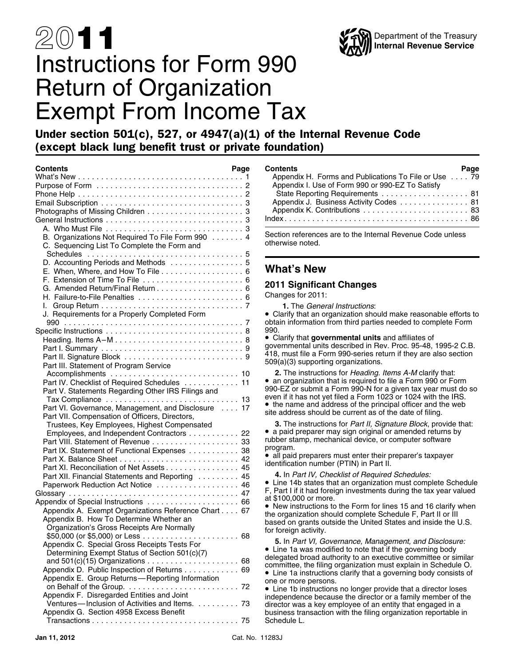

# 20**11** Instructions for Form 990 Return of Organization Exempt From Income Tax

## Under section 501(c), 527, or 4947(a)(1) of the Internal Revenue Code (except black lung benefit trust or private foundation)

| Page                                                                                                                                                                                                                                                                                                                                                                               | Page                                                                                                                                                                                                                                                                                                                                                                                                                                                                                                                                                                                                                                 |
|------------------------------------------------------------------------------------------------------------------------------------------------------------------------------------------------------------------------------------------------------------------------------------------------------------------------------------------------------------------------------------|--------------------------------------------------------------------------------------------------------------------------------------------------------------------------------------------------------------------------------------------------------------------------------------------------------------------------------------------------------------------------------------------------------------------------------------------------------------------------------------------------------------------------------------------------------------------------------------------------------------------------------------|
| <b>Contents</b>                                                                                                                                                                                                                                                                                                                                                                    | <b>Contents</b>                                                                                                                                                                                                                                                                                                                                                                                                                                                                                                                                                                                                                      |
|                                                                                                                                                                                                                                                                                                                                                                                    | Appendix H. Forms and Publications To File or Use 79                                                                                                                                                                                                                                                                                                                                                                                                                                                                                                                                                                                 |
|                                                                                                                                                                                                                                                                                                                                                                                    | Appendix I. Use of Form 990 or 990-EZ To Satisfy                                                                                                                                                                                                                                                                                                                                                                                                                                                                                                                                                                                     |
|                                                                                                                                                                                                                                                                                                                                                                                    | State Reporting Requirements 81                                                                                                                                                                                                                                                                                                                                                                                                                                                                                                                                                                                                      |
|                                                                                                                                                                                                                                                                                                                                                                                    | Appendix J. Business Activity Codes 81                                                                                                                                                                                                                                                                                                                                                                                                                                                                                                                                                                                               |
|                                                                                                                                                                                                                                                                                                                                                                                    |                                                                                                                                                                                                                                                                                                                                                                                                                                                                                                                                                                                                                                      |
|                                                                                                                                                                                                                                                                                                                                                                                    |                                                                                                                                                                                                                                                                                                                                                                                                                                                                                                                                                                                                                                      |
| B. Organizations Not Required To File Form 990 4<br>C. Sequencing List To Complete the Form and                                                                                                                                                                                                                                                                                    | Section references are to the Internal Revenue Code unless<br>otherwise noted.                                                                                                                                                                                                                                                                                                                                                                                                                                                                                                                                                       |
| D. Accounting Periods and Methods  5<br>E. When, Where, and How To File 6                                                                                                                                                                                                                                                                                                          | <b>What's New</b>                                                                                                                                                                                                                                                                                                                                                                                                                                                                                                                                                                                                                    |
| F. Extension of Time To File  6<br>G. Amended Return/Final Return 6                                                                                                                                                                                                                                                                                                                | <b>2011 Significant Changes</b><br>Changes for 2011:                                                                                                                                                                                                                                                                                                                                                                                                                                                                                                                                                                                 |
|                                                                                                                                                                                                                                                                                                                                                                                    | 1. The General Instructions:                                                                                                                                                                                                                                                                                                                                                                                                                                                                                                                                                                                                         |
| J. Requirements for a Properly Completed Form                                                                                                                                                                                                                                                                                                                                      | • Clarify that an organization should make reasonable efforts to                                                                                                                                                                                                                                                                                                                                                                                                                                                                                                                                                                     |
|                                                                                                                                                                                                                                                                                                                                                                                    | obtain information from third parties needed to complete Form                                                                                                                                                                                                                                                                                                                                                                                                                                                                                                                                                                        |
|                                                                                                                                                                                                                                                                                                                                                                                    | 990.                                                                                                                                                                                                                                                                                                                                                                                                                                                                                                                                                                                                                                 |
|                                                                                                                                                                                                                                                                                                                                                                                    | • Clarify that governmental units and affiliates of                                                                                                                                                                                                                                                                                                                                                                                                                                                                                                                                                                                  |
|                                                                                                                                                                                                                                                                                                                                                                                    | governmental units described in Rev. Proc. 95-48, 1995-2 C.B.                                                                                                                                                                                                                                                                                                                                                                                                                                                                                                                                                                        |
|                                                                                                                                                                                                                                                                                                                                                                                    | 418, must file a Form 990-series return if they are also section                                                                                                                                                                                                                                                                                                                                                                                                                                                                                                                                                                     |
| Part III. Statement of Program Service                                                                                                                                                                                                                                                                                                                                             | 509(a)(3) supporting organizations.                                                                                                                                                                                                                                                                                                                                                                                                                                                                                                                                                                                                  |
|                                                                                                                                                                                                                                                                                                                                                                                    | 2. The instructions for Heading. Items A-M clarify that:                                                                                                                                                                                                                                                                                                                                                                                                                                                                                                                                                                             |
| Part IV. Checklist of Required Schedules  11                                                                                                                                                                                                                                                                                                                                       | • an organization that is required to file a Form 990 or Form                                                                                                                                                                                                                                                                                                                                                                                                                                                                                                                                                                        |
| Part V. Statements Regarding Other IRS Filings and                                                                                                                                                                                                                                                                                                                                 | 990-EZ or submit a Form 990-N for a given tax year must do so                                                                                                                                                                                                                                                                                                                                                                                                                                                                                                                                                                        |
|                                                                                                                                                                                                                                                                                                                                                                                    | even if it has not yet filed a Form 1023 or 1024 with the IRS.                                                                                                                                                                                                                                                                                                                                                                                                                                                                                                                                                                       |
| Part VI. Governance, Management, and Disclosure 17                                                                                                                                                                                                                                                                                                                                 | • the name and address of the principal officer and the web                                                                                                                                                                                                                                                                                                                                                                                                                                                                                                                                                                          |
| Part VII. Compensation of Officers, Directors,                                                                                                                                                                                                                                                                                                                                     | site address should be current as of the date of filing.                                                                                                                                                                                                                                                                                                                                                                                                                                                                                                                                                                             |
| Trustees, Key Employees, Highest Compensated<br>Employees, and Independent Contractors 22<br>Part IX. Statement of Functional Expenses 38                                                                                                                                                                                                                                          | 3. The instructions for Part II, Signature Block, provide that:<br>• a paid preparer may sign original or amended returns by<br>rubber stamp, mechanical device, or computer software<br>program.<br>• all paid preparers must enter their preparer's taxpayer<br>identification number (PTIN) in Part II.                                                                                                                                                                                                                                                                                                                           |
| Part XI. Reconciliation of Net Assets 45                                                                                                                                                                                                                                                                                                                                           | 4. In Part IV, Checklist of Required Schedules:                                                                                                                                                                                                                                                                                                                                                                                                                                                                                                                                                                                      |
| Part XII. Financial Statements and Reporting 45                                                                                                                                                                                                                                                                                                                                    | • Line 14b states that an organization must complete Schedule                                                                                                                                                                                                                                                                                                                                                                                                                                                                                                                                                                        |
| Paperwork Reduction Act Notice  46                                                                                                                                                                                                                                                                                                                                                 | F, Part I if it had foreign investments during the tax year valued                                                                                                                                                                                                                                                                                                                                                                                                                                                                                                                                                                   |
|                                                                                                                                                                                                                                                                                                                                                                                    | at \$100,000 or more.                                                                                                                                                                                                                                                                                                                                                                                                                                                                                                                                                                                                                |
| Appendix of Special Instructions  66                                                                                                                                                                                                                                                                                                                                               | • New instructions to the Form for lines 15 and 16 clarify when                                                                                                                                                                                                                                                                                                                                                                                                                                                                                                                                                                      |
| Appendix A. Exempt Organizations Reference Chart 67                                                                                                                                                                                                                                                                                                                                | the organization should complete Schedule F, Part II or III                                                                                                                                                                                                                                                                                                                                                                                                                                                                                                                                                                          |
| Appendix B. How To Determine Whether an                                                                                                                                                                                                                                                                                                                                            | based on grants outside the United States and inside the U.S.                                                                                                                                                                                                                                                                                                                                                                                                                                                                                                                                                                        |
| Organization's Gross Receipts Are Normally                                                                                                                                                                                                                                                                                                                                         | for foreign activity.                                                                                                                                                                                                                                                                                                                                                                                                                                                                                                                                                                                                                |
| \$50,000 (or \$5,000) or Less<br>68<br>Appendix C. Special Gross Receipts Tests For<br>Determining Exempt Status of Section 501(c)(7)<br>Appendix D. Public Inspection of Returns 69<br>Appendix E. Group Returns-Reporting Information<br>Appendix F. Disregarded Entities and Joint<br>Ventures—Inclusion of Activities and Items. 73<br>Appendix G. Section 4958 Excess Benefit | 5. In Part VI, Governance, Management, and Disclosure:<br>• Line 1a was modified to note that if the governing body<br>delegated broad authority to an executive committee or similar<br>committee, the filing organization must explain in Schedule O.<br>• Line 1a instructions clarify that a governing body consists of<br>one or more persons.<br>• Line 1b instructions no longer provide that a director loses<br>independence because the director or a family member of the<br>director was a key employee of an entity that engaged in a<br>business transaction with the filing organization reportable in<br>Schedule L. |

| <b>UUILEILS</b>                                      | r aye |
|------------------------------------------------------|-------|
| Appendix H. Forms and Publications To File or Use 79 |       |
| Appendix I. Use of Form 990 or 990-EZ To Satisfy     |       |
| State Reporting Requirements 81                      |       |
| Appendix J. Business Activity Codes 81               |       |
|                                                      |       |
|                                                      |       |

### **What's New**

### **2011 Significant Changes**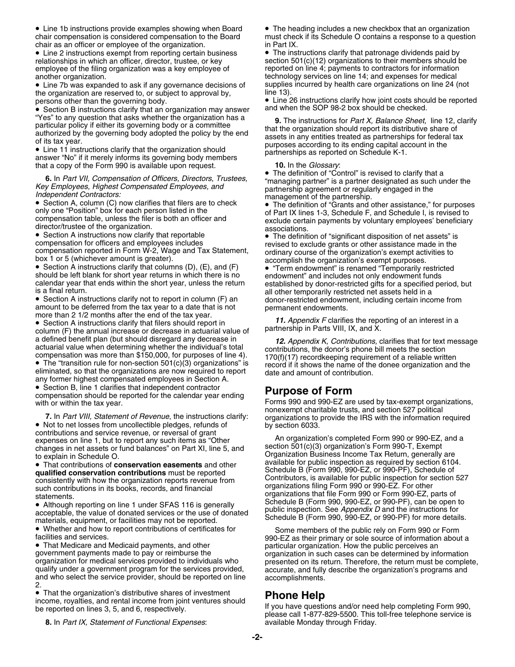• Line 1b instructions provide examples showing when Board • The heading includes a new checkbox that an organization

• Line 2 instructions exempt from reporting certain business • The instructions clarify that patronage dividends paid by employee of the filing organization was a key employee of

• Line 7b was expanded to ask if any governance decisions of supplies incurred by health care organizations on line 24 (not the organization are reserved to, or subject to approval by, line 13).

• Section B instructions clarify that an organization may answer and when the SOP 98-2 box should be checked.

answer "No" if it merely informs its governing body members<br>that a copy of the Form 990 is available upon request. **10.** In the Glossary: that a copy of the Form 990 is available upon request.

• Section A, column (C) now clarifies that filers are to check

• Section A instructions now clarify that reportable • Section A instructions now clarify that reportable<br>
compensation for officers and employees includes<br>
compensation reported in Form W-2, Wage and Tax Statement,<br>
box 1 or 5 (whichever amount is greater).<br>
• Section A ins

• Section A instructions clarify that columns (D), (E), and (F)

• Section A instructions clarify not to report in column (F) an a including a instruction a instruction a including to report including to a date that is not permanent endowments, increased that including to a date that is not permanent endowments.

column (F) the annual increase or decrease in actuarial value of

• The "transition rule for non-section 501(c)(3) organizations" is eliminated, so that the organizations are now required to report date and amount of contribution. any former highest compensated employees in Section A.

• Section B, line 1 clarifies that independent contractor compensation should be reported for the calendar year ending **Purpose of Form**

 $\bullet\,$  Not to net losses from uncollectible pledges, refunds of  $\qquad \qquad$  by section 6033.

• Although reporting on line 1 under SFAS 116 is generally<br>
• Although reporting on line 1 under SFAS 116 is generally<br>
acceptable, the value of donated services or the use of donated<br>
materials, equipment, or facilities m

• Whether and how to report contributions of certificates for

• That Medicare and Medicaid payments, and other • That Medicare and Medicaid payments, and other particular organization. How the public perceives an government payments made to pay or reimburse the correction organization in such cases can be determined by inf and who select the service provider, should be reported on line 2.

• That the organization's distributive shares of investment

chair compensation is considered compensation to the Board must check if its Schedule O contains a response to a question chair as an officer or employee of the organization.<br>• Line 2 instructions exempt from reporting certain business • The instructions clarify that patronage dividends paid by

relationships in which an officer, director, trustee, or key section 501(c)(12) organizations to their members should be<br>employee of the filing organization was a key employee of reported on line 4; payments to contractors another organization.<br>• Line 7b was expanded to ask if any governance decisions of supplies incurred by health care organizations on line 24 (not

persons other than the governing body.<br>• Section B instructions clarify that an organization may answer and when the SOP 98-2 box should be checked.

"Yes" to any question that asks whether the organization has a<br>
particular policy if either its governing body or a committee<br>
authorized by the governing body adopted the policy by the end<br>
of its tax year.<br>
• Line 11 ins

• The definition of "Control" is revised to clarify that a 6. In Part VII, Compensation of Officers, Directors, Trustees,<br>
Key Employees, Highest Compensated Employees, and<br>
Independent Contractors:<br>
Independent Contractors:<br>
Independent Contractors:<br>  $\frac{1}{2}$  The Contractors:<br>
I

• Section A, column (C) now clarifies that filers are to check only one "Position" box for each person listed in the compensation table, unless the filer is both an officer and director/trustee of the organization.<br>directo

should be left blank for short year returns in which there is no<br>
calendar year that ends within the short year, unless the return<br>
is a final return.<br>
Section A instructions clarify not to report in column (F) an<br>
Monor-r

more than 2 1/2 months after the end of the tax year. **11.** *Appendix F* clarifies the reporting of an interest in a • Section A instructions clarify that filers should report in  $\bullet$  **11.** *Appendix F* clarifies the repor

a defined benefit plan (but should disregard any decrease in<br>actuarial value when determining whether the individual's total<br>compensation was more than \$150,000, for purposes of line 4).<br>The "transition rule for non-secti

with or within the tax year.<br>With or within the tax year.<br>nonexempt charitable trusts, and section 527 political provided by tax-exempt organizations, 7. In Part VIII, Statement of Revenue, the instructions clarify: organizations to provide the IRS with the information required

contributions and service revenue, or reversal of grant<br>expenses on line 1, but to report any such items as "Other<br>changes in net assets or fund balances" on Part XI, line 5, and<br>to explain in Schedule O.<br>e That contributi • That contributions of **conservation easements** and other<br> **qualified conservation contributions** must be reported<br>
consistently with how the organization reports revenue from<br>
such contributions in its books, records, an

 Whether and how to report contributions of certificates for Some members of the public rely on Form 990 or Form facilities and services. 990-EZ as their primary or sole source of information about a government payments made to pay or reimburse the conservation in such cases can be determined by information<br>organization for medical services provided to individuals who presented on its return. Therefore, the return must accurate, and fully describe the organization's programs and accomplishments.

• That the organization's distributive shares of investment<br>income, royalties, and rental income from joint ventures should<br>be reported on lines 3, 5, and 6, respectively.<br>**8.** In *Part IX, Statement of Functional Expenses* 

**8.** In *Part IX, Statement of Functional Expenses:*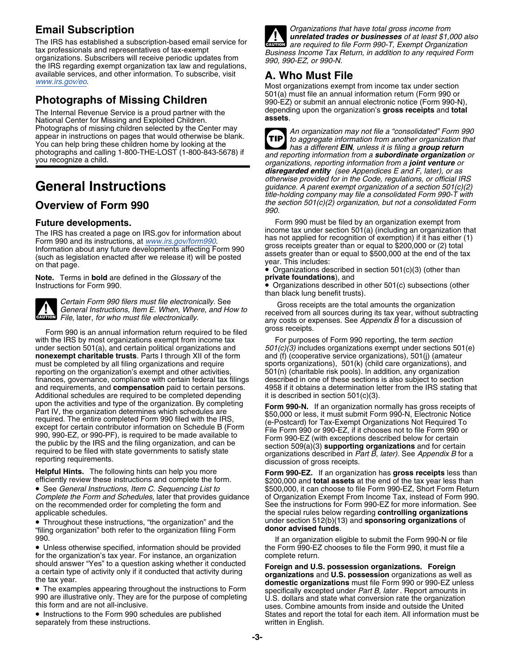The IRS has established a subscription-based email service for tax professionals and representatives of tax-exempt Tax professionals and representatives of tax-exempt<br>organizations. Subscribers will receive periodic updates from<br>the IRS regarding exempt organization tax law and regulations,<br>available services, and other information. To available services, and other information. To subscribe, visit **A. Who Must File**<br>*[www.irs.gov/eo](http://www.irs.gov/charities/index.html).*<br>501(a) must file an annual information return (Form 990 or

National Center for Missing and Exploited Children.<br>Photographs of missing children selected by the Center may

The IRS has created a page on IRS.gov for information about<br>
Form 990 and its instructions, at <www.irs.gov/form990>.<br>
Information about any future developments affecting Form 990<br>
(such as legislation enacted after we rele

**Note.** Terms in **bold** are defined in the *Glossary* of the Instructions for Form 990.



**CAUTION** *General Instructions, Item E. When, Whenever File, later, for who must file electronically.* 

Form 990 is an annual information return required to be filed gross receipts.<br>In the IRS by most organizations exempt from income tax For purposes of Form 990 reporting, the term *section* with the IRS by most organizations exempt from income tax under section 501(a), and certain political organizations and  $501(c)(3)$  includes organizations exempt under sections 501(e) **nonexempt charitable trusts**. Parts I through XII of the form and (f) (cooperative service organ **nonexempt charitable trusts**. Parts I through XII of the form must be completed by all filing organizations and require sports organizations), 501(k) (child care organizations), and<br>reporting on the organization's exempt and other activities. 501(n) (charitable risk pools). In additi reporting on the organization's exempt and other activities, 501(n) (charitable risk pools). In addition, any organization finances, governance, compliance with certain federal tax filings described in one of these section finances, governance, compliance with certain federal tax filings described in one of these sections is also subject to section<br>and requirements, and **compensation** paid to certain persons. 4958 if it obtains a determinati and requirements, and **compensation** paid to certain persons. 4958 if it obtains a determination letter and the I<br>Additional schedules are required to be completed depending it is described in section 501(c)(3). Additional schedules are required to be completed depending upon the activities and type of the organization. By completing upon the activities and type of the organization. By completing<br>
Part IV, the organization determines which schedules are<br>
required. The entire completed Form 990 filed with the IRS,<br>
except for certain contributor informa

**Helpful Hints.** The following hints can help you more **Form 990-EZ.** If an organization has **gross receipts** less than efficiently review these instructions and complete the form. \$200,000 and **total assets** at the end of

● See *General Instructions, Item C. Sequencing List to* \$500,000, it can choose to file Form 990-EZ, Short Form Return *Complete the Form and Schedules,* later that provides guidance of Organization Exempt From Income Tax, instead of Form 990. on the recommended order for completing the form and applicable schedules.

**donor advised funds**. "filing organization" both refer to the organization filing Form

• Unless otherwise specified, information should be provided the Form 990-EZ chooses to file the Form 990, it must file a for the organization's tax year. For instance, an organization complete return.<br>should answer "Yes" to a question asking whether it conducted  $\mathbf{F}$ 

• The examples appearing throughout the instructions to Form • The examples appearing throughout the instructions to Form specifically excepted under Part B, later . Report amounts in 990 are illustrative only. They are for the purpose of completing U.S. dollars and state what conve

• Instructions to the Form 990 schedules are published separately from these instructions.



**Email Subscription**<br>The IBO has astatlished a subscription has all surely can is a few **of the subscription of the unrelated trades or businesses** of at least \$1,000 also *are required to file Form 990-T, Exempt Organization*

**Photographs of Missing Children** 890-EZ) or submit an annual electronic notice (Form 990-N). The Internal Revenue Service is a proud partner with the depending upon the organization's **gross receipts** and **total** The Internal Revenue Service is a proud partner with the **assets**.

Photographs of missing children selected by the Center may<br>appear in instructions on pages that would otherwise be blank.<br>You can help bring these children home by looking at the<br>photographs and calling 1-800-THE-LOST (1-8 **TIP** photographs and calling T-800-THE-LOST (T-800-843-5676) if and reporting information from a **subordinate organization** or<br>you recognize a child. *disregarded entity (see Appendices E and F, later), or as* **General Instructions** *guidance. A parent exempt organization of a section 501(c)(2) title-holding company may file a consolidated Form 990-T with* **Overview of Form 990** *the section 501(c)(2) organization, but not a consolidated Form 990.*

**Future developments.** Form 990 must be filed by an organization exempt from<br>The IBS cases created a page on IBS gov for information about income tax under section 501(a) (including an organization that

• Organizations described in section  $501(c)(3)$  (other than private foundations), and

 $\bullet$  Organizations described in other 501(c) subsections (other than black lung benefit trusts).

Certain Form 990 filers must file electronically. See<br>Gross receipts are the total amounts the organization<br>File Islam fraugh a was file algebraically. Where, and How to<br>File Islam fraugh a was file algebraically. any costs or expenses. See *Appendix B* for a discussion of

\$200,000 and **total assets** at the end of the tax year less than<br>\$500,000, it can choose to file Form 990-EZ, Short Form Return the special rules below regarding **controlling organizations** under section 512(b)(13) and **sponsoring organizations** of • Throughout these instructions, "the organization" and the under section 512(b)(13) and **sponsoring organizations** of

If an organization eligible to submit the Form 990-N or file<br>the Form 990-EZ chooses to file the Form 990, it must file a

a certain type of activity only if it conducted that activity during<br>a certain type of activity only if it conducted that activity during<br>the tax year.<br>**domestic organizations** must file Form 990 or 990-EZ unless States and report the total for each item. All information must be written in English.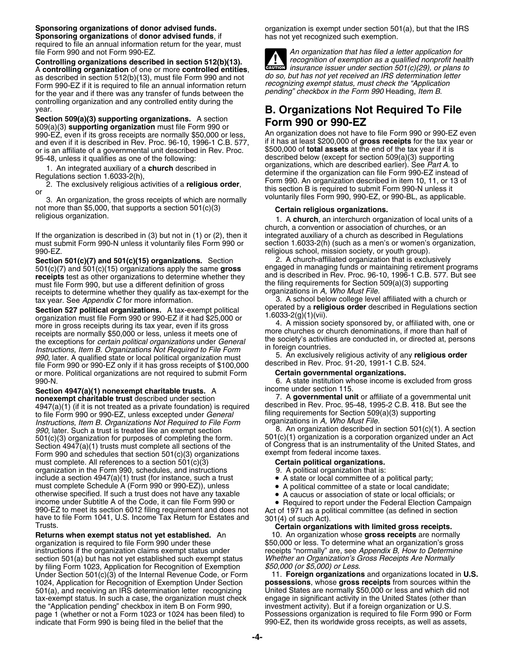**Sponsoring organizations of donor advised funds.** organization is exempt under section 501(a), but that the IRS **Sponsoring organizations** of **donor advised funds**, if an analy has not yet recognized such exemption. **Sponsoring organizations** of donor advised funds, if required to file an annual information return for the year, must

Controlling organizations described in section 512(b)(13). A **controlling organization** of one or more **controlled entities**, as described in section 512(b)(13), must file Form 990 and not do so, but has not yet received an IRS determination letter<br>Form 990-EZ if it is required to file an annual information return recognizing exempt status, must Form 990-EZ if it is required to file an annual information return *recognizing exempt status, must check the "Application*<br>for the vear and if there was any transfer of funds between the *pending" checkbox in the Form 990* for the year and if there was any transfer of funds between the controlling organization and any controlled entity during the

**Section 509(a)(3) supporting organizations.** A section<br>509(a)(3) **supporting organization** must file Form 990 or<br>990-FZ even if its gross receipts are normally \$50,000 or less An organization does not have to file Form 99 990-EZ, even if its gross receipts are normally \$50,000 or less, An organization does not have to file Form 990 or 990-EZ even<br>and even if it is described in Rev. Proc. 96-10, 1996-1 C.B. 577. If it has at least \$200,000 o and even if it is described in Rev. Proc. 96-10, 1996-1 C.B. 577, if it has at least \$200,000 of **gross receipts** for the tax year if it is<br>or is an affiliate of a governmental unit described in Rev. Proc. \$500,000 of **tot** or is an affiliate of a governmental unit described in Rev. Proc.

not more than \$5,000, that supports a section 501(c)(3) **Certain religious organizations.**<br> **Certain religious organization of local units of a**<br> **1.** A church, an interchurch organization of local units of a

If the organization is described in (3) but not in (1) or (2), then it integrated auxiliary of a church as described in Regulations must submit Form 990-N unless it voluntarily files Form 990 or section 1.6033-2(h) (such as a men's or women's organization,<br>
religious school, mission society, or youth group).

**Section 501(c)(7) and 501(c)(15) organizations.** Section 2. A church-affiliated organization that is exclusively 501(c)(7) and 501(c)(15) organizations apply the same **gross** engaged in managing funds or maintaining retirement programs **receipts** test as other organizations to determine whether they and is described in Rev. Proc. 96-10, 1996-1 C.B. 577.<br>must file Form 990, but use a different definition of gross the filing requirements for Section 509(a) must file Form 990, but use a different definition of gross the filing requirements for Section species to determine whether they qualify as tax-exempt for the organizations in A, Who Must File.

**Section 527 political organizations.** A tax-exempt political organization must file Form 990 or 990-EZ if it had \$25,000 or  $1.6033-2(g)(1)(vii)$ . more in gross receipts during its tax year, even if its gross and the server of the sponsored by, or affiliated with, one or more churches or churches or churches or church denominations, if more than half of receipts are Freceipts are normally \$50,000 or less, unless it meets one of<br>the exceptions for *certain political organizations* under *General*<br>Instructions, Item B. Organizations Not Required to File Form<br>get in foreign countries.<br>Th file Form 990 or 990-EZ only if it has gross receipts of \$100,000 United the Marken Proc. 91-20, 1991-1 C.B<br>The or more. Political organizations are not required to submit Form **Certain governmental organizations.** 990-N. 6. A state institution whose income is excluded from gross

**Section 4947(a)(1) nonexempt charitable trusts.** A income under section 115.<br>**nonexempt charitable trust** described under section **7. A governmental unit** or affiliate of a governmental unit nonexempt charitable trust described under section<br>4947(a)(1) (if it is not treated as a private foundation) is required described in Rev. Proc. 95-48, 1995-2 C.B. 418. But see the 4947(a)(1) (if it is not treated as a private foundation) is required described in Rev. Proc. 95-48, 1995-2 C.B. 418. But see the form gap of the section 509(a)(3) supporting to file Form 990 or 990-EZ, unless excepted under *General* filling requirements for Section 509<br>Instructions, Item B. Organizations Not Required to File Form organizations in A, Who Must File. organizations in *A, Who Must File. Instructions, Item B. Organizations Not Required to File Form 990,* later. Such a trust is treated like an exempt section **8. An organization described in section 501(c)(1).** A section 3. A section 501(c)(1). A section 501(c)(1). A section 501(c)(1) arganization is a corporation org  $501(c)(3)$  organization for purposes of completing the form. Section 4947(a)(1) trusts must complete all sections of the of Congress that is an instrumentality of the United States, and<br>Form 990 and schedules that section 501(c)(3) organizations exempt from federal income taxes. Form 990 and schedules that section 501(c)(3) organizations exempt from federal income taxes.<br>must complete. All references to a section 501(c)(3) **Certain political organizations.** must complete. All references to a section 501(c)(3) organization in the Form 990, schedules, and instructions 9. A political organization that is: include a section 4947(a)(1) trust (for instance, such a trust • A state or local committee of a political party;<br>
must complete Schedule A (Form 990 or 990-EZ)), unless • A political committee of a state or local candidat must complete Schedule A (Form 990 or 990-EZ)), unless otherwise specified. If such a trust does not have any taxable • A caucus or association of state or local officials; or income under Subtitle A of the Code, it can file Form 990 or • Required to report under the Federal E income under Subtitle A of the Code, it can file Form 990 or<br>990-EZ to meet its section 6012 filing requirement and does not<br>have to file Form 1041, U.S. Income Tax Return for Estates and 301(4) of such Act).<br>Trusts. **Cert** 

**Returns when exempt status not yet established.** An 10. An organization whose gross receipts are normally organization is required to file Form 990 under these \$50,000 or less. To determine what an organization's gross<br>instructions if the organization claims exempt status under receipts "normally" are, see Appendix B, How to D section 501(a) but has not yet established such exempt status *Whether an Organization's G*<br>by filing Form 1023, Application for Recognition of Exemption *\$50,000 (or \$5,000) or Less.* by filing Form 1023, Application for Recognition of Exemption *\$50,000 (or \$5,000) or Less*.<br>Under Section 501(c)(3) of the Internal Revenue Code, or Form 11. **Foreign organizations** and organizations located in **U.S.** Under Section 501(c)(3) of the Internal Revenue Code, or Form 11. **Foreign organizations** and organizations located in **U.**<br>1024, Application for Recognition of Exemption Under Section **possessions**, whose **gross receipts** 1024, Application for Recognition of Exemption Under Section 501(a), and receiving an IRS determination letter recognizing United States are normally \$50,000 or less and which did not<br>tax-exempt status. In such a case, the organization must check engage in significant activity in th tax-exempt status. In such a case, the organization must check engage in significant activity in the United States (other the "Application pending" checkbox in item B on Form 990, investment activity). But if a foreign org the "Application pending" checkbox in item B on Form 990, investment activity). But if a foreign organization or U.S.<br>
page 1 (whether or not a Form 1023 or 1024 has been filed) to Possessions organization is required to f page 1 (whether or not a Form 1023 or 1024 has been filed) to indicate that Form 990 is being filed in the belief that the

file Form 990 and not Form 990-EZ.<br>**Controlling organizations described in section 512(b)(13).** *An organization that has filed a letter application for*  $\frac{1}{\text{Cautron}}$ *insurance issuer under section 501(c)(29), or plans to*

# year.<br>**B. Organizations Not Required To File**<br>**Borm 000 or 000 F7**

95-48, unless it qualifies as one of the following:<br>295-48, unless it qualifies as one of a church described in exception organizations, which are described earlier). See Part A. to 1. An integrated auxiliary of a **church** described in the organizations, which are described earlier). See Part A. to<br>
Regulations section 1.6033-2(h),<br>
2. The exclusively religious activities of a **religious order**,<br>
2. T

church, a convention or association of churches, or an religious school, mission society, or youth group).

receipts to determine whether they qualify as tax-exempt for the organizations in *A, Who Must File.*<br>tax year. See *Appendix C* for more information.<br>Section 527 political organizations a tax-exempt political operated by

- 
- 
- 
- 

receipts "normally" are, see *Appendix B, How to Determine Whether an Organization's Gross Receipts Are Normally* 

990-EZ, then its worldwide gross receipts, as well as assets,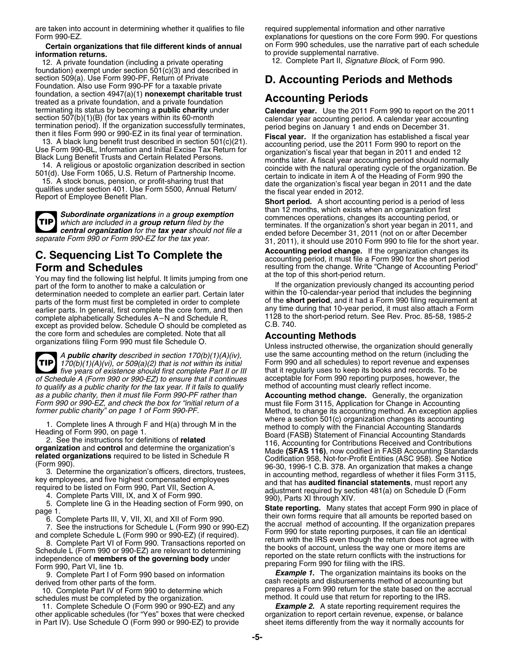are taken into account in determining whether it qualifies to file required supplemental information and other narrative

# **Certain organizations that file different kinds of annual information returns.**

12. A private foundation (including a private operating 12. Complete Part II, *Signature Block*, of Form 990. foundation) exempt under section 501(c)(3) and described in section 509(a). Use Form 990-PF, Return of Private **D. Accounting Periods and Methods** Foundation. Also use Form 990-PF for a taxable private foundation, a section 4947(a)(1) **nonexempt charitable trust** treated as a private foundation, and a private foundation **Accounting Periods**

**TIP**

You may find the following list helpful. It limits jumping from one at the top of this short-period return.<br>The organization previously changed its accounting period part of the form to another to make a calculation or<br>determination needed to complete an earlier part. Certain later within the 10-calendar-year period that includes the beginning determination needed to complete an earlier part. Certain later parts of the form must first be completed in order to complete of the **short period**, and it had a Form 990 filing requirement at earlier parts. In general, first be completed in order to complete of the **short period**, an earlier parts. In general, first complete the core form, and then any time during that 10-year period, it must also attach a Form<br>Complete alphabetically Schedules A–N and Schedule R. 1128 to the short-period return. See R complete alphabetically Schedules A–N and Schedule R, 1128 to the streept as provided below. Schedule O should be completed as C.B. 740. except as provided below. Schedule O should be completed as the core form and schedules are completed. Note that all the core form and schedules are completed. Note that all **Accounting Methods** organizations filing Form 990 must file Schedule O. Unless instructed otherwise, the organization should generally

**TIP** *of Schedule A (Form 990 or 990-EZ) to ensure that it continues* acceptable for Form 990 reporting purposes, how<br>to qualify as a public charity for the tax year. If it fails to qualify method of accounting must clearly ref to qualify as a public charity for the tax year. If it fails to qualify *as a public charity, then it must file Form 990-PF rather than* **Accounting method change.** Generally, the organization *Form 990 or 990-EZ, and check the box for "initial return of a* must file Form 3115, Application for Change in Accounting

schedules must be completed by the organization. method. It could use that return for reporting to the IRS.<br>11. Complete Schedule O (Form 990 or 990-EZ) and any **Example 2.** A state reporting requirement requires the 11. Complete Schedule O (Form 990 or 990-EZ) and any **Example 2.** A state reporting requirement requires the her applicable schedules (for "Yes" boxes that were checked organization to report certain revenue, expense, or b other applicable schedules (for "Yes" boxes that were checked organization to report certain revenue, expense, or balance<br>in Part IV). Use Schedule O (Form 990 or 990-EZ) to provide sheet items differently from the way it in Part IV). Use Schedule O (Form 990 or 990-EZ) to provide

Form 990-EZ.<br>**Certain organizations that file different kinds of annual** explanations for questions on the core Form 990. For questions<br>On Form 990 schedules, use the narrative part of each schedule to provide supplemental narrative.<br>**12. Complete Part II, Signature Block**, of Form 990.

terminating its status by becoming a **public charity** under<br>section 507(b)(1)(B) (for tax years within its 60-month the mination period, the organization successfully terminates,<br>termination period, the organization succes

**Subordinate organizations** in a **group exemption** than 12 months, which exists when an organization first which are included in a **group return** filed by the **central organization** for the **tax year** should not file a **ce** ended before December 31, 2011), it should use 2010 Form 990 to file for the short year.<br>31, 2011), it should use 2010 Form 990 to file for the short year.

**C. Sequencing List To Complete the Accounting period change.** If the organization changes its a **Complete the short period** accounting period, it must file a Form 990 for the short period **Form and Schedules** resulting from the change. Write "Change of Accounting Period"

*<sup>A</sup>public charity described in section 170(b)(1)(A)(iv),* use the same accounting method on the return (including the *170(b)(1)(A)(vi), or 509(a)(2) that is not within its initial* Form 990 and all schedules) to report revenue and expenses *from the interial* Form 990 and all schedules) to report revenue and expenses from the *from that five years of existence should first complete Part II or III* that it regularly uses to keep its books and records. To be<br>ledule A (Form 990 or 990-EZ) to ensure that it continues acceptable for Form 990 reporting purpose

*former public charity" on page 1 of Form 990-PF.* Method, to change its accounting method. An exception applies<br>Where a section 501(c) organization changes its accounting 1. Complete lines A through F and H(a) through M in the were a section 501(c) organization changes its accounting Standards<br>
2. See the instructions for definitions of **related**<br>
2. See the instructions for definitions of

9. Complete Part I of Form 990 based on information **Example 1.** The organization maintains its books on the derived from other parts of the form. Cash receipts and disbursements method of accounting but cash receipts and disbursements method of accounting but 10. Complete Part IV of Form 990 to determine which prepares a Form 990 return for the state based on the accrual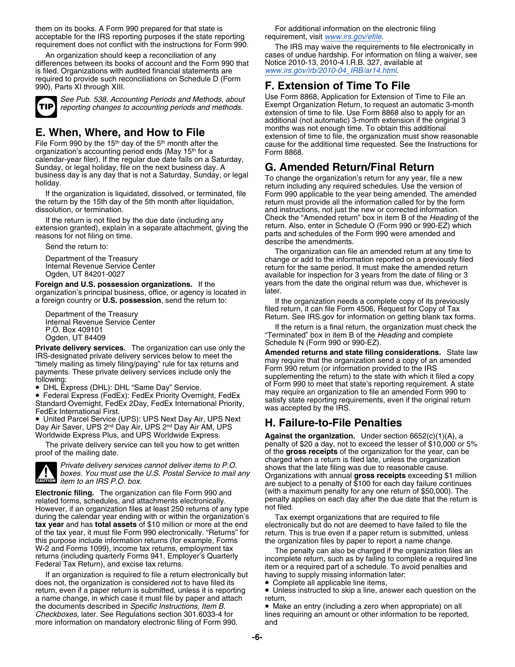them on its books. A Form 990 prepared for that state is For additional information on the electronic filing acceptable for the IRS reporting purposes if the state reporting requirement, visit *[www.irs.gov/efile](http://www.irs.gov/efile)*.<br>requirement does not conflict with the instructions for Form 990.

differences between its books of account and the Form 990 that is filed. Organizations with audited financial statements are *[www.irs.gov/irb/2010-04\\_IRB/ar14.html](http://www.irs.gov/irb/2010-04_IRB/ar14.html)*. required to provide such reconciliations on Schedule D (Form



organization's accounting period ends (May 15<sup>th</sup> for a Form 8868. calendar-year filer). If the regular due date falls on a Saturday, Sunday, or legal holiday, file on the next business day. A **G. Amended Return/Final Return**

If the organization is liquidated, dissolved, or terminated, file the return by the 15th day of the 5th month after liquidation, return must provide all the information called for by the form

**Foreign and U.S. possession organizations.** If the years from the date the original return was due, whichever is prequestion's principal business office or agency is located in later. organization's principal business, office, or agency is located in<br>a foreign country or U.S. possession, send the return to:

Department of the Treasury<br>Internal Revenue Service Center<br>P.O. Box 409101 Proposed and Treasury of the return is a final return, the organization must check the

Standard Overnight, FedEx 2Day, FedEx International Priority, sall of the legion interval of FedEx International First.

• United Parcel Service (UPS): UPS Next Day Air, UPS Next United Parcel Service (UPS): UPS Next Day Air, UPS Next **H. Failure-to-File Penalties** Day Air Saver, UPS 2nd Day Air, UPS 2nd Day Air AM, UPS



Private delivery services cannot deliver items to P.O.<br>boxes. You must use the U.S. Postal Service to mail any organizations with annual **gross receipts** excepting \$ **CAUTION** *item to an IRS P.O. box.* 

**Electronic filing.** The organization can file Form 990 and related forms, schedules, and attachments electronically. penalty applies on each day after the due date that the return is<br>However, if an organization files at least 250 returns of any type not filed. However, if an organization files at least 250 returns of any type during the calendar year ending with or within the organization's Tax exempt organizations that are required to file tax year and has total assets of \$10 million or more at the end electronically but do not are deemed to have failed to file the of the tax year, it must file Form 990 electronically. "Returns" for return. This is true even of the tax year, it must file Form 990 electronically. "Returns" for this purpose include information returns (for example, Forms the organization files by paper to report a name change.<br>W-2 and Forms 1099), income tax returns, employment tax The penalty can also be charged if the organizat

If an organization is required to file a return electronically but having to supply missing information later:<br>es not, the organization is considered not to have filed its **. The Complete all applicable line items**, does not, the organization is considered not to have filed its return, even if a paper return is submitted, unless it is reporting • Unless instructed to skip a line, answer each question on the a name change, in which case it must file by paper and attach return the documents described in *Specific Instructions, Item B.*  $\bullet$  Mak *Checkboxes*, later. See Regulations section 301.6033-4 for lines requiring an amount or other information to be reported, more information on mandatory electronic filing of Form 990. and

The IRS may waive the requirements to file electronically in An organization should keep a reconciliation of any exases of undue hardship. For information on filing a waiver, see<br>erences between its books of account and the Form 990 that Notice 2010-13, 2010-4 I.R.B. 327, available

## 990), Parts XI through XIII. **F. Extension of Time To File**

See Pub. 538, Accounting Periods and Methods, about<br>reporting changes to accounting periods and methods.<br>extension of time to file. Use Form 8868 also to apply for an additional (not automatic) 3-month extension if the original 3 **E. When, Where, and How to File**<br>
File Form 990 by the 15<sup>th</sup> day of the 5<sup>th</sup> month after the extension of time to file, the organization must show reasonable<br>
cause for the additional time requested. See the Instruction cause for the additional time requested. See the Instructions for

business day is any day that is not a Saturday, Sunday, or legal To change the organization's return for any year, file a new<br>holiday.<br>If the organization is liquidated, dissolved, or terminated, file Form 990 applicable t dissolution, or termination.<br>If the return is not filed by the due date (including any **Scheck the "Amended return"** box in item B of the *Heading* of the

If the return is not filed by the due date (including any<br>extension granted), explain in a separate attachment, giving the<br>reasons for not filing on time.<br>Frank on the parts and schedules of the Form 990 or 990-EZ) which<br>r

If the organization needs a complete copy of its previously<br>filed return, it can file Form 4506, Request for Copy of Tax

Ogden, UT 84409<br>Ogden, UT 84409<br>Constant Terminated" box in item B of the *Heading* and complete<br>Constanting Schedule N (Form 990 or 990-EZ).

**Private delivery services.** The organization can use only the<br>
IRS-designated private delivery services below to meet the<br>
"timely mailing as timely filing/paying" rule for tax returns and<br>
payments. These private deliver Following.<br>■ DHL Express (DHL): DHL "Same Day" Service. The may require an organization to file an amended Form 990 to •<br>■ Federal Express (FedEx): FedEx Priority Overnight, FedEx may require an organization to file an am

**Against the organization.** Under section 6652(c)(1)(A), a The private delivery service can tell you how to get written penalty of \$20 a day, not to exceed the lesser of \$10,000 or 5%<br>of the gross receipts of the organization for the year, can be of the **gross receipts** of the organization for the year, can be charged when a return is filed late, unless the organization *boxes. You must use the U.S. Postal Service to mail any* Organizations with annual **gross receipts** exceeding \$1 million are subject to a penalty of \$100 for each day failure continues

W-2 and Forms 1099), income tax returns, employment tax<br>returns (including quarterly Forms 941, Employer's Quarterly<br>Federal Tax Return), and excise tax returns.<br>Federal Tax Return), and excise tax returns.<br>Federal Tax Ret

 $\bullet$  Make an entry (including a zero when appropriate) on all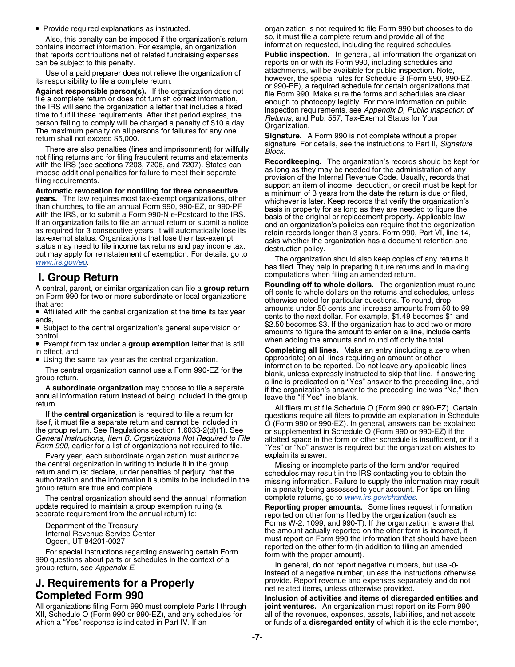### • Provide required explanations as instructed.

Also, this penalty can be imposed if the organization's return so, it must file a complete return and provide all of the<br>Itains incorrect information. For example, an organization information requested, including the requi contains incorrect information. For example, an organization<br>that reports contributions net of related fundraising expenses

Exempt from tax under a **group exemption** letter that is still

Every year, each subordinate organization must authorize explain its answer.<br>the central organization in writing to include it in the group Missing or incor

The central organization should send the annual information complete returns, go to *<www.irs.gov/charities>*.

For special instructions regarding answering certain Form<br>
990 questions about parts or schedules in the context of a<br>
group return, see *Appendix E*.<br>
In general, do not report negative numbers, but use -0-<br>
instead of a

# **J. Requirements for a Properly** provide. Report revenue and expenses separately and do not<br> **Completed Form 990 Completed Form 990 Completed Form 990 Completed Experiment Completed Experiment Complete Parts**

All organizations filing Form 990 must complete Parts I through XII, Schedule O (Form 990 or 990-EZ), and any schedules for all of the revenues, expenses, assets, liabilities, and net assets<br>which a "Yes" response is indicated in Part IV. If an and any sor funds of a **disregarded entit** 

organization is not required to file Form 990 but chooses to do so, it must file a complete return and provide all of the

Public inspection. In general, all information the organization can be subject to this penalty.<br>I lse of a paid preparer does not relieve the organization of attachments, will be available for public inspection. Note,

Use of a paid preparer does not relieve the organization of<br>
its acomplete return. will be a complete return, will be a complete that the complete that the complete that organization does not<br>
its responsible person(s). I

**1. Group Return**<br>
A central, parent, or similar organization can file a **group return**<br>
on Form 990 for two or more subordinate or local organizations<br> **a** Affiliated with the central organization at the time its tax year Affiliated with the central organization at the time its tax year<br>
• Affiliated with the central organization at the time its tax year<br>
• Subject to the central organization's general supervision or<br>
• Subject to the centr Subject to the central organization's general supervision or amounts to figure the amount to enter on a line, include cents control, when adding the amounts and round off only the total.

**Completing all lines.** Make an entry (including a zero when appropriate) on all lines requiring an amount or other • Using the same tax year as the central organization. **a**ppropriate) on all lines requiring an amount or other The central organization cannot use a Form 990-EZ for the<br>group return.<br>A subordinate organization may choose to file a separate<br>annual information return instead of being included in the group<br>aline is predicated on a "Ye

The **central organization** is required to file a return for<br>
If the **central organization** is required to file a return for<br>
itself, it must file a separate return and cannot be included in<br>
the group return. See Regulatio

the central organization in writing to include it in the group<br>return and must declare, under penalties of perjury, that the<br>authorization and the information it submits to be included in the<br>group return are true and comp

update required to maintain a group exemption ruling (a<br>separate requirement from the annual return) to: reported on other forms filed by the organization (such as Department of the Treasury entity and Department of the Treasury the Amount actually reported on the organization is aware that the amount actually reported on the other form is incorrect, it Internal Revenue Service Cente modial increases the contract of the information that should have been<br>Coloring the information that should have been<br>Exampled on the other form (in addition to filing an amended

or funds of a **disregarded entity** of which it is the sole member,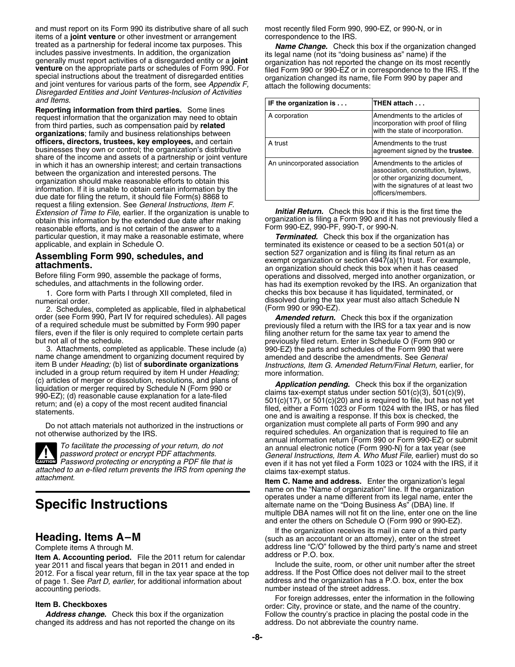and must report on its Form 990 its distributive share of all such most recently filed Form 990, 990-EZ, or 990-N, or in items of a **joint venture** or other investment or arrangement correspondence to the IRS.<br>treated as a partnership for federal income tax purposes. This **Name Change** Check treated as a partnership for federal income tax purposes. This includes passive investments. In addition, the organization<br>includes passive investments. In addition, the organization<br>generally must report activities of a d

**Reporting information from third parties.** Some lines request information that the organization may need to obtain<br>from third parties, such as compensation paid by related<br>organizations; family and business relationships between **officers, directors, trustees, key employees, and certain** businesses they own or control; the organization's distributive share of the income and assets of a partnership or joint venture. share of the income and assets of a partnership or joint venture<br>in which it has an ownership interest; and certain transactions<br>between the organization and interested persons. The<br>organization should make reasonable effo request a filing extension. See *General Instructions, Item F. Extension of Time to File,* earlier. If the organization is unable to *Initial Return.* Check this box if this is the first time the obtain this information by the extended due date after making organization is filing a Form 990 and it h<br>Form 990-EZ, 990-PF, 990-T, or 990-N. reasonable efforts, and is not certain of the answer to a particular question, it may make a reasonable estimate, where **Terminated.** Check this box if the organization has<br>applicable, and explain in Schedule O. **Frankling terminated its existence or ceased to be a section 501**(a

1. Core form with Parts I through XII completed, filed in checks this box because it has liquidated, terminated, or<br>dissolved during the tax year must also attach Schedule

2. Schedules, completed as applicable, filed in alphabetical (Form 990 or 990-EZ). order (see Form 990, Part IV for required schedules). All pages *Amended return.* Check this box if the organization filers, even if the filer is only required to complete certain parts but not all of the schedule.

name change amendment to organizing document required by amended and describe the amendments. See *General*<br>item B under Heading; (b) list of **subordinate organizations** and *Instructions, Item G. Amended Return/Final Retu* included in a group return required by item H under *Heading;* more information.<br>(c) articles of merger or dissolution, resolutions, and plans of

**CAUTION**<br> *Password protecting or encrypting a PDF file that is*<br> *Password protecting or encrypting a PDF file that is* attached to an e-filed return prevents the IRS from opening the claims tax-exempt status.<br>attachment. **Item C. Name and address.** Enter the organization's legal

**Item A. Accounting period.** File the 2011 return for calendar and all all results or P.O. box.<br>
Include the suite, room, or other unit number after the street<br>
Include the suite, room, or other unit number after the stree year 2011 and fiscal years that began in 2011 and ended in **Include the suite, room, or other unit number after the street**<br>2012. For a fiscal year return, fill in the tax year space at the top address. If the Post Office 2012. For a fiscal year return, fill in the tax year space at the top address. If the Post Office does not deliver mail to the street<br>of page 1. See Part D. earlier, for additional information about address and the organiz of page 1. See *Part D, earlier,* for additional information about accounting periods.

changed its address and has not reported the change on its

| and Items.                                                                                                                                                                                                                                                                                                                                                                                                                                                                                                                                                                                                                                                                                                                                                                                      | IF the organization is        | THEN attach                                                                                                                                                      |  |
|-------------------------------------------------------------------------------------------------------------------------------------------------------------------------------------------------------------------------------------------------------------------------------------------------------------------------------------------------------------------------------------------------------------------------------------------------------------------------------------------------------------------------------------------------------------------------------------------------------------------------------------------------------------------------------------------------------------------------------------------------------------------------------------------------|-------------------------------|------------------------------------------------------------------------------------------------------------------------------------------------------------------|--|
| <b>Reporting information from third parties.</b> Some lines<br>request information that the organization may need to obtain<br>from third parties, such as compensation paid by related<br><b>organizations</b> ; family and business relationships between<br>officers, directors, trustees, key employees, and certain<br>businesses they own or control; the organization's distributive<br>share of the income and assets of a partnership or joint venture<br>in which it has an ownership interest; and certain transactions<br>between the organization and interested persons. The<br>organization should make reasonable efforts to obtain this<br>information. If it is unable to obtain certain information by the<br>due date for filing the return, it should file Form(s) 8868 to | A corporation                 | Amendments to the articles of<br>incorporation with proof of filing<br>with the state of incorporation.                                                          |  |
|                                                                                                                                                                                                                                                                                                                                                                                                                                                                                                                                                                                                                                                                                                                                                                                                 | A trust                       | Amendments to the trust<br>agreement signed by the <b>trustee</b> .                                                                                              |  |
|                                                                                                                                                                                                                                                                                                                                                                                                                                                                                                                                                                                                                                                                                                                                                                                                 | An unincorporated association | Amendments to the articles of<br>association, constitution, bylaws,<br>or other organizing document,<br>with the signatures of at least two<br>officers/members. |  |

terminated its existence or ceased to be a section 501(a) or **Assembling Form 990, schedules, and**<br> **attachments.**<br>
Before filing Form 990, assemble the package of forms,<br>
Sefore filing Form 990, assemble the package of forms,<br>
schedules, and attachments in the following order.<br>
Sef dissolved during the tax year must also attach Schedule N

previously filed a return with the IRS for a tax year and is now filing another return for the same tax year to amend the not all of the schedule.<br>3. Attachments, completed as applicable. These include (a) <br>990-EZ) the parts and schedules of the Form 990 that we 990-EZ) the parts and schedules of the Form 990 that were *Instructions, Item G. Amended Return/Final Return, earlier, for* 

(c) articles of merger or dissolution, resolutions, and plans of<br>liquidation **pending.** Check this box if the organization<br>liquidation or merger required by Schedule N (Form 990 or<br>990-EZ); (d) reasonable cause explanatio one and is awaiting a response. If this box is checked, the<br>Do not attach materials not authorized in the instructions or organization must complete all parts of Form 990 and any not otherwise authorized by the IRS.<br>annual information return (Form 990 or Form 990-EZ) or submit<br>annual information return (Form 990 or Form 990-EZ) or submit To facilitate the processing of your return, do not<br>password protect or encrypt PDF attachments.<br>Password protecting or encrypting a PDF file that is<br>Password protecting or encrypting a PDF file that is<br>even if it has not

name on the "Name of organization" line. If the organization **Specific Instructions** and the alternate name different from its legal name, enter the alternate name on the "Doing Business As" (DBA) line. If multiple DBA names will not fit on the line, enter one on the line and enter the others on Schedule O (Form 990 or 990-EZ).

If the organization receives its mail in care of a third party **Heading. Items A–M** (such as an accountant or an attorney), enter on the street Complete items A through M.<br> **Item A Accounting period** File the 2011 return for calendar address or P.O. box.

number instead of the street address.

For foreign addresses, enter the information in the following<br>**Item B. Checkboxes** order: City, province or state, and the name of the country. Address change. Check this box if the organization Follow the country's practice in placing the postal code in the<br>anged its address and has not reported the change on its address. Do not abbreviate the country name.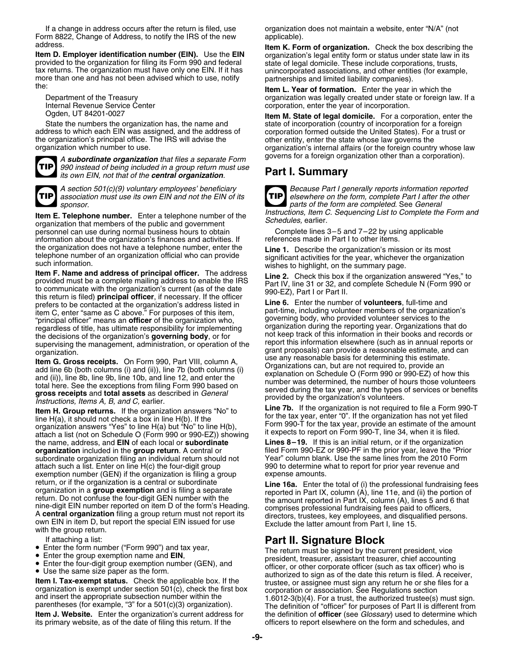Form 8822, Change of Address, to notify the IRS of the new applicable).<br>address.

address.<br> **Item C. Employer identification number (EIN).** Use the **EIN**<br>
provided to the organization for filing its Form 990 and federal<br>
tax returns. The organization must have only one EIN. If it has<br>
more than one and

address to which each EIN was assigned, and the address of corporation formed outside the United States). For a trust or the organization's principal office. The IRS will advise the other entity, enter the state whose law governs the organization which number to use.



*990 instead of being included in a group return must use its own EIN, not that of the central organization.* **Part I. Summary** 

*A section 501(c)(9) voluntary employees' beneficiary Because Part I generally reports information reported* **TIP** association must use its own EIN and not the EIN of its **TIP** elsewhere on the form, complete Part I after the other *sponsor. parts of the form are completed.* **See General** 

**Item E. Telephone number.** Enter a telephone number of the *Instructions, Item C. Sequencing List to Complete the Form and* organization that members of the public and government<br>personnel can use during normal business h personnel can use during normal business hours to obtain Complete lines 3–5 and 7–22 by using information about the organization's finances and activities. If references made in Part I to other items. information about the organization's finances and activities. If the organization does not have a telephone number, enter the<br>telephone number of an organization official who can provide<br>such information.<br>**Item F. Name and address of principal officer.** The address<br>**Item S. Name and add** 

Instructions, Items A, B, and C, earlier.<br> **Item H. Group returns.** If the organization answers "No" to<br>
line 7b. If the organization is not required to file a Form 990-T<br>
line H(a), it should not check a box in line H(b). the name, address, and **EIN** of each local or **subordinate organization** included in the **group return**. A central or filed Form 990-EZ or 990-PF in the prior year, leave the "Prior subordinate organization filing an individual return should not Year" column blank. Use the same l subordinate organization filing an individual return should not attach such a list. Enter on line H(c) the four-digit group exemption number (GEN) if the organization is filing a group expense amounts. return, or if the organization is a central or subordinate<br>organization in a **group exemption** and is filing a separate<br>return. Do not confuse the four-digit GEN number with the<br>nine-digit EIN number reported on item D of

- 
- If attaching a list: **Part II. Signature Block**<br>• Enter the form number ("Form 990") and tax year, The return must be eighed by the su
- 
- 

If a change in address occurs after the return is filed, use organization does not maintain a website, enter "N/A" (not

Department of the Treasury organization was legally created under state or foreign law. If a<br>
Internal Revenue Service Center **Cancel Access Community** corporation, enter the year of incorporation. corporation, enter the year of incorporation.

Ogden, UT 84201-0027<br>State the numbers the organization has, the name and state of incorporation (country of incorporation for a foreign state of incorporation (country of incorporation for a foreign organization's internal affairs (or the foreign country whose law A **subordinate organization** that files a separate Form governs for a foreign organization other than a corporation).



**Iten F. Name and address of principal officer.** The address **Line 2.** Check this box if the organization answered "Yes," to<br>provided must be a complementaling address to enable the IS<br>to communicate with the organization

990 to determine what to report for prior year revenue and

Enter the form number ("Form 990") and tax year,<br>Enter the group exemption name and EIN, enter the president treasurer assistant treasurer, chief accounting president, treasurer, assistant treasurer, chief accounting officer, or other corporate officer (such as tax officer) who is ■ Enter the four-digit group exemption number (GEN), and<br>■ Use the same size paper as the form.<br>authorized to sign as of the date this return is filed. A receiver, **Item I. Tax-exempt status.** Check the applicable box. If the trustee, or assignee must sign any return he or she files for a organization is exempt under section 501(c), check the first box a corporation or association. S **Item J. Website.** Enter the organization's current address for the definition of **officer** (see *Glossary*) used to determine which officers to report elsewhere on the form and schedules, and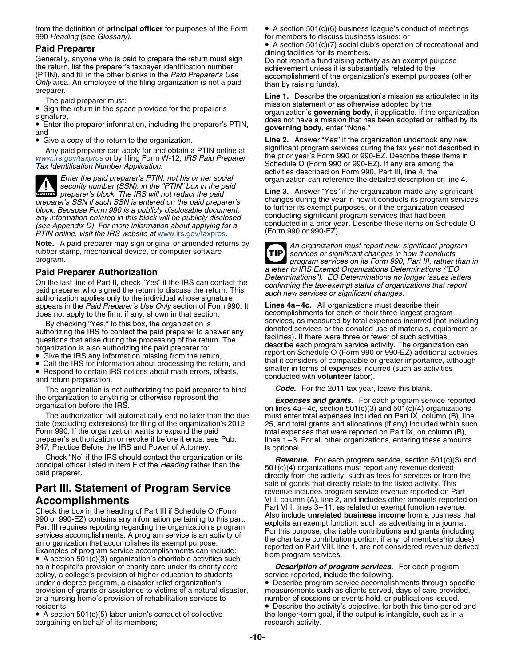from the definition of **principal officer** for purposes of the Form  $\bullet$  A section 501(c)(6) business league's conduct of meetings<br>990 Heading (see Glossary).

**Paid Preparer**<br>
Generally, anyone who is paid to prepare the return must sign<br>
the return, list the preparer's taxpayer identification number<br>
(PTIN), and fill in the other blanks in the *Paid Preparer's Use*<br>
Only area.

 $\bullet$  Enter the preparer information, including the preparer's PTIN, and

•

Enter the paid preparer's PTIN, not his or her social<br>security number (SSN), in the "PTIN" box in the paid<br>preparer's block. The IRS will not redact the paid<br>er's SSN if such SSN is entered on the paid preparer's<br>changes d **CAUTION**<br> **CAUTION**<br> *preparer's block. The IRS will not redact the paid (see Appendix D). For more information about applying for a* conducted in a prior year.<br>PTIN online visit the IRS website at www.irs gov/taxpros (Form 990 or 990-EZ). *PTIN online, visit the IRS website at <www.irs.gov/taxpros>.* 

**Note.** A paid preparer may sign original or amended returns by<br>rubber stamp, mechanical device, or computer software<br>program services or significant changes in how it conducts<br>program services on its Form 990, Part III, r

**Paid Preparer Authorization**<br>
On the last line of Part II, check "Yes" if the IRS can contact the<br>
paid preparer who signed the return to discuss the return. This<br>
authorization applies only to the individual whose signat appears in the *Paid Preparer's Use Only* section of Form 990. It **Lines 4a–4c.** All organizations must describe their

- 
- 

• Call the IRS for information about processing the return, and<br>• Respond to certain IRS notices about math errors, offsets,<br>and return proporation<br>and return assembly. **• Respond to certain IRS notices about math errors, offsets, and return preparation.** 

The organization is not authorizing the paid preparer to bind **Code.** For the 2011 tax year, leave this blank.<br> **Code.** For the 2011 tax year, leave this blank.<br> **Code.** For the 2011 tax year, leave this blank.

The authorization will automatically end no later than the due must enter total expenses included on Part IX, column (B), line date (excluding extensions) for filing of the organization's 2012 25, and total grants and allo date (excluding extensions) for filing of the organization's 2012 25, and total grants and allocations (if any) included within such Form 990. If the organization wants to expand the paid total expenses that were reported Form 990. If the organization wants to expand the paid expenses that were reported on Part IX, on column (B),<br>preparer's authorization or revoke it before it ends, see Pub. | lines 1–3. For all other organizations, enterin preparer's authorization or revoke it before it ends, see Pub.<br>947, Practice Before the IRS and Power of Attorney. is optional. is optional.

 A section 501(c)(3) organization's charitable activities such as a hospital's provision of charity care under its charity care *Description of program services.* For each program policy, a college's provision of higher education to students service reported, include the following.<br>under a degree program, a disaster relief organization's **Computer of the service** accomplis provision of grants or assistance to victims of a natural disaster, measurements such as clients served, days of care provided, or a nursing home's provision of rehabilitation services to number of sessions or events held, or publications issued.<br>
• Describe the activity's objective, for both this time period

• A section 501(c)(5) labor union's conduct of collective bargaining on behalf of its members;

for members to discuss business issues; or

• A section 501(c)(7) social club's operation of recreational and

preparer.<br>
The paid preparer must:<br>
• Sign the return in the space provided for the preparer's<br>
eign the return in the space provided for the preparer's<br>
eign the return in the space provided for the preparer's<br>
eign the o Signature,<br>
• Enter the preparer information, including the preparer's PTIN,<br> **Signature** a mission that has been adopted or ratified by its<br> **governing body**, enter "None."

 Give a copy of the return to the organization. **Line 2.** Answer "Yes" if the organization undertook any new Any paid preparer can apply for and obtain a PTIN online at significant program services during the tax year not described in<br>Whits gov/taxpros or by filing Form W-12, IRS Paid Preparer the prior year's Form 990 or 990-EZ. <www.irs.gov/taxpros> or by filing Form W-12, IRS Paid Preparer<br>Tax Identification Number Application.<br>activities described on Form 990, Part III, line 4, the<br>activities described on Form 990, Part III, line 4, the

preparer's SSN if such SSN is entered on the paid preparer's<br>block. Because Form 990 is a publicly disclosable document,<br>any information entered in this block will be publicly disclosed<br>(see Annendix D) For more informatio

program. *program services on its Form 990, Part III, rather than in*

does not apply to the firm, if any, shown in that section.<br>By checking "Yes" to this hove the organization is services, as measured by total expenses incurred (not including By checking "Yes," to this box, the organization is<br>authorizing the IRS to contact the paid preparer to answer any<br>questions that arise during the processing of the return. The<br>organization is also authorizing the paid pre Give the IRS any information missing from the return,<br>
• Give the IRS any information missing from the return, and<br>
• Call the IRS for information about processing the return, and<br>
• Bespected the smaller in terms of expen

the organization to anything or otherwise represent the *Expenses and grants.* For each program service reported<br>on lines 4a–4c, section 501(c)(3) and 501(c)(4) organizations<br>The authorization will automatically end no lat

Check "No" if the IRS should contact the organization or its<br>principal officer listed in item F of the *Heading* rather than the<br>paid preparer.<br>directly from the activity, such as fees for services or from the **Part III. Statement of Program Service** sale of goods that directly relate to the listed activity. This **Part III. Statement of Program Service** revenue reported on Part **Accomplishments**<br>Chack the base in the baseling of Pert III if Schedule O (Ferm Part VIII, lines 3–11, as related or exempt function revenue. Check the box in the heading of Part III if Schedule O (Form<br>
990 or 990-EZ) contains any information pertaining to this part.<br>
Part III requires reporting regarding the organization's program<br>
Part III requires reporting

• Describe program service accomplishments through specific • Describe the activity's objective, for both this time period and the longer-term goal, if the output is intangible, such as in a research activity.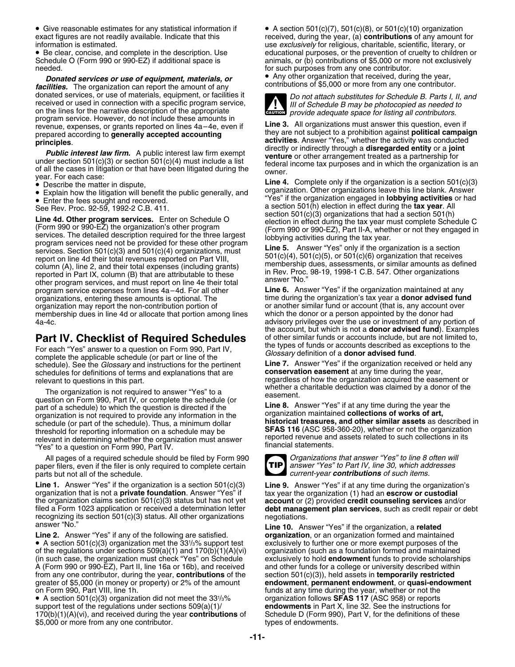• Give reasonable estimates for any statistical information if • A section 501(c)(7), 501(c)(8), or 501(c)(10) organization

• Be clear, concise, and complete in the description. Use needed. for such purposes from any one contributor.

**Donated services or use of equipment, materials, or** The May other organization that received, during the year,<br>facilities. The organization can report the amount of any contributions of \$5,000 or more from any one contri donated services, or use of materials, equipment, or facilities it<br>received or used in connection with a specific program service,<br>on the lines for the narrative description of the appropriate<br>program service. However, do program service. However, do not include these amounts in **Line 3.** All organizations must answer this question, even if revenue, expenses, or grants reported on lines 4a–4e, even if

**Public interest law firm.** A public interest law firm exempt<br>under section 501(c)(3) or section 501(c)(4) must include a list<br>of all the cases in litigation or that have been litigated during the<br>venture or other arrangem

- 
- 
- **Enter the fees sought and recovered.**<br>See Rev. Proc. 92-59, 1992-2 C.B. 411.
- 

Line 4d. Other program services. Enter on Schedule O<br>
(Form 990 or 990-EZ) the organization's other program<br>
services. The detailed description required for the three largest<br>
program services reed not be provided for thes program service expenses from lines 4a–4d. For all other **Line 6.** Answer "Yes" if the organization maintained at any organizations, entering these amounts is optional. The time during the organization's tax year a **donor advised fund**<br>organization may report the non-contribution portion of or another similar fund or account (that is, any membership dues in line 4d or allocate that portion among lines 4a-4c. advisory privileges over the use or investment of any portion of

### **Part IV. Checklist of Required Schedules**

For each "Yes" answer to a question on Form 990, Part IV,<br>complete the applicable schedule (or part or line of the *Glossary* definition of a **donor advised fund**.<br>schedule). See the *Glossary* and instructions for the per schedule). See the *Glossary* and instructions for the pertinent **Line 7.** Answer "Yes" if the organization received or schedules for definitions of terms and explanations that are **conservation easement** at any time durin schedules for definitions of terms and explanations that are **conservation easement** at any time during the year,<br>relevant to questions in this part.<br>or explanations to the year, relevant to questions in this part.

relevant to questions in this part.<br>
The organization is not required to answer "Yes" to a<br>
question on Form 990, Part IV, or complete the schedule (or<br>
part of a schedule) to which the question is directed if the<br>
organiz

All pages of a required schedule should be filed by Form 990 *Organizations that answer "Yes" to line 8 often will* paper filers, even if the filer is only required to complete certain parts but not all of the schedule. *current-year contributions of such items.*

Line 1. Answer "Yes" if the organization is a section 501(c)(3) Line 9. Answer "Yes" if at any time during the organization's organization that is not a **private foundation**. Answer "Yes" if tax year the organization (1) h organization that is not a **private foundation**. Answer "Yes" if the organization claims section 501(c)(3) status but has not yet **account** or (2) provided **credit counseling services** and/or recognizing its section 501(c)(3) status. All other organizations negotiations<br>answer "No."

**Line 2.** Answer "Yes" if any of the following are satisfied. **organization**, or an organization formed and maintained  $\bullet\,$  A section 501(c)(3) organization met the 331 of the regulations under sections  $509(a)(1)$  and  $170(b)(1)(A)(vi)$ (in such case, the organization must check "Yes" on Schedule exclusively to hold **endowment** funds to provide scholarships A (Form 990 or 990-EZ), Part II, line 16a or 16b), and received and other funds for a college or university described within from any one contributor, during the year, **contributions** of the section 501(c)(3)), held assets in **temporarily restricted** on Form 990, Part VIII, line 1h. **Funds** at any time during the year, whether or not the

 $\bullet\,$  A section 501(c)(3) organization did not meet the 331 • A section 501(c)(3) organization did not meet the 33<sup>1</sup>/<sub>3</sub>% organization follows **SFAS 117** (ASC 958) or reports support test of the regulations under sections 509(a)(1)/ **endowments** in Part X, line 32. See the instruc 170(b)(1)(A)(vi), and received during the year **contributions** of Schedule D (Form 990), Part V, for the definitions of these \$5,000 or more from any one contributor. The same state of endowments.

exact figures are not readily available. Indicate that this received, during the year, (a) **contributions** of any amount for information is estimated. use *exclusively* for religious, charitable, scientific, literary, or ● Be clear, concise, and complete in the description. Use educational purposes, or the prevention of cruelty to children or<br>Schedule O (Form 990 or 990-EZ) if additional space is entimals, or (b) contributions of \$5,000 o animals, or (b) contributions of \$5,000 or more not exclusively

• Any other organization that received, during the year,



*provide adequate space for listing all contributors.*

prepared according to **generally accepted accounting** they are not subject to a prohibition against **political campaign principles. activities**. Answer "Yes," whether the activity was conducted<br>**principles**. **activity** was conducted directly or indirectly through a **disregarded entity** or a **joint** 

Cust a complete only if the organization is a section 501(c)(3)<br>■ Describe the matter in dispute, organization. Other organizations leave this line blank. Answer "Yes" if the organization engaged in **lobbying activities** or had a section 501(h) election in effect during the **tax year**. All section 501(h) organizations that had a section 501(h)

or another similar fund or account (that is, any account over which the donor or a person appointed by the donor had the account, but which is not a **donor advised fund**). Examples



debt management plan services, such as credit repair or debt

Line 10. Answer "Yes" if the organization, a related exclusively to further one or more exempt purposes of the organization (such as a foundation formed and maintained endowment, permanent endowment, or quasi-endowment endowments in Part X, line 32. See the instructions for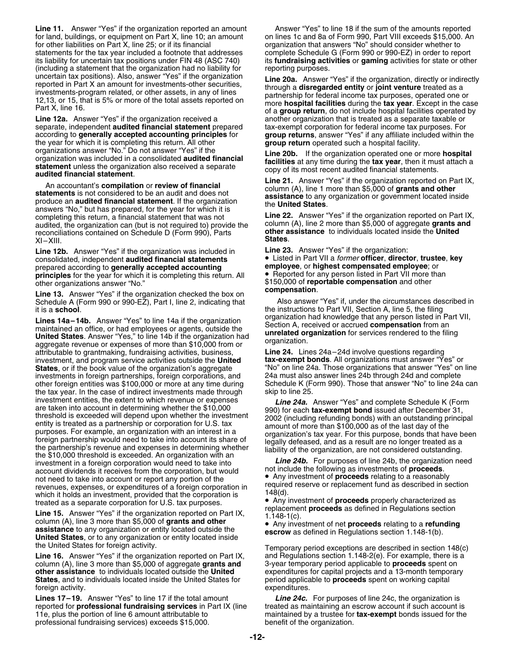Line 11. Answer "Yes" if the organization reported an amount Answer "Yes" to line 18 if the sum of the amounts reported<br>for land, buildings, or equipment on Part X, line 10; an amount on lines 1c and 8a of Form 990, Part V for land, buildings, or equipment on Part X, line 10; an amount for other liabilities on Part X, line 25; or if its financial statements for the tax year included a footnote that addresses its liability for uncertain tax positions under FIN 48 (ASC 740) (including a statement that the organization had no liability for reporting purposes.<br>uncertain tax positions). Also, answer "Yes" if the organization  $\overline{1}$  ine 202 Answer

Line 12a. Answer "Yes" if the organization received a another organization that is treated as a separate taxable or<br>
separate, independent **audited financial statement** prepared tax-exempt corporation for federal income ta according to **generally accepted accounting principles** for **group returns**, answer "Yes" if any affiliate included within the the year for which it is completing this return. All other organizations answer "No." Do not answer "Yes" if the **Line 20b.** If the organization operated one or more **hospital**<br>organization was included in a consolidated **audited financial facilities** at any time during the **tax** 

answers "No," but has prepared, for the year for which it is completing this return, a financial statement that was not<br>audited. the organization can (but is not required to) provide the column (A), line 2 more than \$5,000 of aggregate **grants and** audited, the organization can (but is not required to) provide the column (A), line 2 more than \$5,000 of aggregate **grants a**<br>**other assistance** to individuals located inside the United<br>**other assistance** to individuals l reconciliations contained on Schedule D (Form 990), Parts **other a**<br>**States**. XI–XIII. **States**.

Line 12b. Answer "Yes" if the organization was included in **Line 23.** Answer "Yes" if the organization:<br>
consolidated, independent **audited financial statements** • Listed in Part VII a *former* officer, director, trustee, consolidated, independent **audited financial statements** • Listed in Part VII a *former* officer, director, trustee<br> **employee**, or highest compensated employee; or prepared according to **generally accepted accounting employee**, or **highest compensated employee**; or **principles** for the year for which it is completing this return. All

Line 13. Answer "Yes" if the organization checked the box on<br>Schedule A (Form 990 or 990-EZ), Part I, line 2, indicating that Also answer "Yes" if, under the circumstances described in Schedule A (Form 990 or 990-EZ), Part I, line 2, indicating that

Lines 14a-14b. Answer "Yes" to line 14a if the organization<br>
maintained an office, or had employees or agents, outside the<br>
United States. Answer "Yes," to line 14b if the organization had<br>
aggregate revenue or expenses of attributable to grantmaking, fundraising activities, business, **Line 24.** Lines 24a–24d involve questions regarding investment, and program service activities outside the United States, or if the book value of the organization's aggregate "No" on line 24a. Those organizations that answer "Yes" on line<br>investments in foreign partnerships, foreign corporations, and 24a must also answer lines 24b thr investments in foreign partnerships, foreign corporations, and 24a must also answer lines 24b through 24d and complete other foreign entities was \$100,000 or more at any time during the tax year. In the case of indirect investments made through skip to line 25.<br>investment entities, the extent to which revenue or expenses investment entities, the extent to which revenue or expenses<br>three are taken into account in determining whether the \$10,000<br>threshold is exceeded will depend upon whether the investment<br>entity is treated as a partnership account dividends it receives from the corporation, but would<br>not include the following as investments of **proceeds**.<br>not need to take into account or report any portion of the<br>revenues, expenses, or expenditures of a fore which it holds an investment, provided that the corporation is

treated as a separate corporation for U.S. tax purposes.<br> **Line 15.** Answer "Yes" if the organization reported on Part IX,<br>
column (A), line 3 more than \$5,000 of **grants and other**<br> **assistance** to any organization or ent assistance to any organization or entity located outside the escrow as defined in Regulations section 1.148-1(b).<br>
United States, or to any organization or entity located inside<br>
Temporary period exceptions are described i

Line 16. Answer "Yes" if the organization reported on Part IX, and Regulations section 1.148-2(e). For example, there is column (A), line 3 more than \$5,000 of aggregate grants and  $\sim$  3-year temporary period applicable t column (A), line 3 more than \$5,000 of aggregate **grants and** 3-year temporary period applicable to **proceeds** spent on **other assistance** to individuals located outside the United **States**, and to individuals located inside the United States for period applicable to **proceeds** spent on working capital foreign activity. The state of the state of the state of the state of the state of the state of the state of the state of the state of the state of the state of the state of the state of the state of the state of the state

Lines 17–19. Answer "Yes" to line 17 if the total amount *Line 24c.* For purposes of line 24c, the organization is reported for **professional fundraising services** in Part IX (line treated as maintaining an escrow account reported for **professional fundraising services** in Part IX (line 11e, plus the portion of line 6 amount attributable to maintained by a trustee for **tax-exempt** bonds issued for the professional fundraising services) exceeds \$15,000.

organization that answers "No" should consider whether to complete Schedule G (Form 990 or 990-EZ) in order to report its fundraising activities or gaming activities for state or other

uncertain tax positions). Also, answer "Yes" if the organization<br>reported in Part X an amount for investments-other securities,<br>investments-program related, or other assets, in any of lines<br>12,13, or 15, that is 5% or more tax-exempt corporation for federal income tax purposes. For

An accountant's compilation or review of financial<br>
An accountant's compilation or review of financial<br>
statements is not considered to be an audit and does not<br>
produce an audited financial statement. If the organization<br>

other organizations answer "No."<br> **Solution Street of the Street of the second of the boy on compensation.**<br> **Compensation** 

it is a **school**.<br>**the instructions to Part VII, Section A, line 5, the filing**<br>**tines 14a–14b** Answer "Yes" to line 14a if the organization and knowledge that any person listed in Part VII,

• Any investment of proceeds properly characterized as

Temporary period exceptions are described in section 148(c) and Regulations section 1.148-2(e). For example, there is a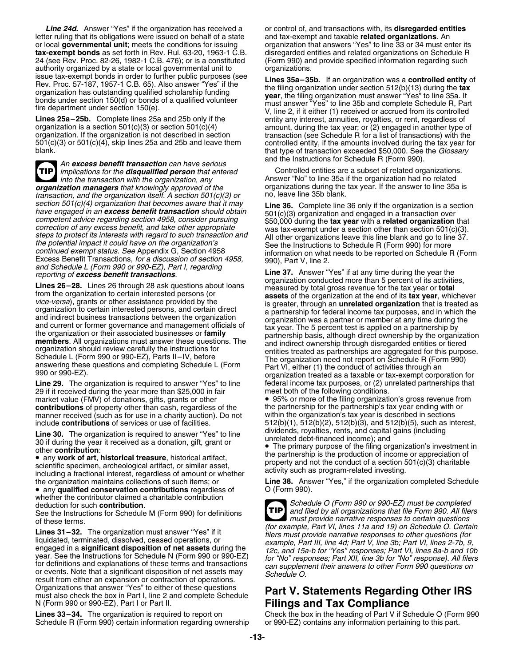*Line 24d.* Answer "Yes" if the organization has received a or control of, and transactions with, its **disregarded entities** letter ruling that its obligations were issued on behalf of a state and tax-exempt and taxable **related organizations**. An **tax-exempt bonds** as set forth in Rev. Rul. 63-20, 1963-1 C.B. disregarded entities and related organizations on Schedule R 24 (see Rev. Proc. 82-26, 1982-1 C.B. 476); or is a constituted authority organized by a state or local governmental unit to organizations.

Lines 25a–25b. Complete lines 25a and 25b only if the entity any interest, annuities, royalties, or rent, regardless of organization is a section 501(c)(3) or section 501(c)(4) and another dype of amount, during the tax ye

and the Instructions for Schedule R (Form 990). *An excess benefit transaction can have serious* **TIP organization managers** that knowingly approved of the organizations during the tans action.<br>transaction, and the organization itself. A section 501(c)(3) or on leave line 35b blank. transaction, and the organization itself. A section 501(c)(3) or section 501(c)(4) organization that becomes aware that it may<br>have engaged in an **excess benefit transaction** should obtain<br>competent advice regarding section 4958, consider pursuing<br>correction of any excess benefit, and

29 if it received during the year more than \$25,000 in fair market value (FMV) of donations, gifts, grants or other • 95% or more of the filing organization's gross revenue from<br> **contributions** of property other than cash, regardless of the the partnership for the partnership's ta **contributions** of property other than cash, regardless of the the partnership for the partnership's tax year ending with manner received (such as for use in a charity auction). Do not within the organization's tax year is manner received (such as for use in a charity auction). Do not

**Line 30.** The organization is required to answer "Yes" to line dividends, royalties, rents, and capital gains (including 30 if during the year it received as a donation, gift, grant or **a** The primary purpose of the filin

<sup>o</sup> any work or art, instantant reasure, instantant antiact,<br>scientific specimen, archeological artifact, or similar asset,<br>including a fractional interest, regardless of amount or whether activity such as program-related

**•** any **qualified conservation contributions** regardless of  $\hspace{1.6cm}$  O (Form 990).

See the Instructions for Schedule M (Form 990) for definitions

Organizations that answer "Yes" to either of these questions N (Form 990 or 990-EZ), Part I or Part II. **Filings and Tax Compliance**

organization that answers "Yes" to line 33 or 34 must enter its

issue tax-exempt bonds in order to further public purposes (see<br>
Rev. Proc. 57-187, 1957-1 C.B. 65). Also answer "Yes" if the<br>
organization under section 512(b)(13) during the **tax**<br>
organization has outstanding qualified organization is a section 501(c)(3) or section 501(c)(4) amount, during the tax year; or (2) engaged in another type of organization is not described in section  $\frac{1}{2}$  amount, during the tax year; or (2) engaged in anot transaction (see Schedule R for a list of transactions) with the 501(c)(3) or 501(c)(4), skip lines 25a and 25b and leave them controlled entity, if the amounts involved during the tax year for<br>that type of transaction exceeded \$50,000. See the Glossary that type of transaction exceeded \$50,000. See the *Glossary* 

Controlled entities are a subset of related organizations. *implications for the disqualified person that entered* Answer "No" to line 35a if the organization had no related organizations during the tax year. If the answer to line 35a is

correction of any excess benefit, and take other appropriate and steps to protect its interests with regard to such transaction and<br>steps to protect its interests with regard to such transaction and<br>the potential impact if Line 29. The organization is required to answer "Yes" to line federal income tax purposes, or (2) unrelated partnerships that <br>29 if it received during the year more than \$25,000 in fair meet both of the following conditio

include **contributions** of services or use of facilities. 512(b)(1), 512(b)(2), 512(b)(3), and 512(b)(5), such as interest,

The primary purpose of the filing organization's investment in other **contribution**: the partnership is the production of income or appreciation of •

the organization maintains collections of such items; or **Line 38.** Answer "Yes," if the organization completed Schedule<br>● any **qualified conservation contributions** regardless of O (Form 990).

whether the contributor claimed a charitable contribution<br>deduction for such **contribution**.<br>See the Instructions for Schedule M (Form 990) for definitions<br>and filed by all organizations that file Form 990. All filers *must provide narrative responses to certain questions* **TIP** of these terms.<br>
Lines 31–32. The organization must answer "Yes" if it<br>
liquidated, terminated, dissolved, ceased operations, or<br>
liquidated, terminated, dissolved, ceased operations, or<br>
engaged in a **significant disposit** 

# **Part V. Statements Regarding Other IRS**

Lines 33–34. The organization is required to report on Check the box in the heading of Part V if Schedule O (Form 990<br>Schedule R (Form 990) certain information regarding ownership or 990-EZ) contains any information pertai or 990-EZ) contains any information pertaining to this part.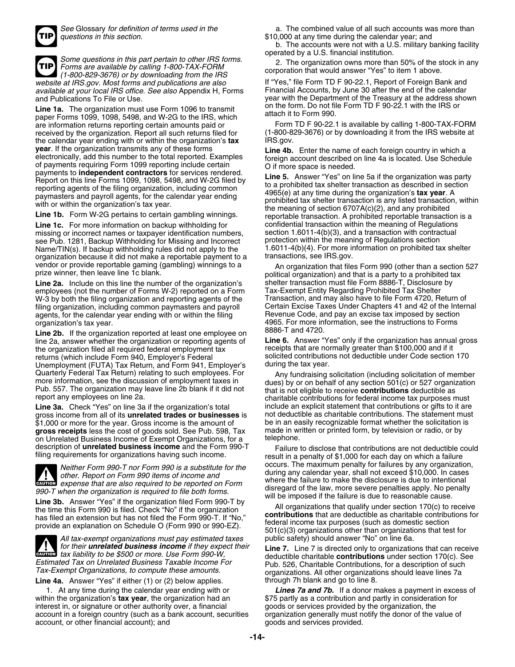

Some questions in this part pertain to other IRS forms.<br>
Forms are available by calling 1-800-TAX-FORM<br>
(1-800-829-3676) or by downloading from the IRS<br>
te at IRS.aov. Most forms and publications are also<br>
If "Yes," file F **TIP** website at IRS.gov. Most forms and publications are also **If "Yes," file Form TD F 90-22.1, Report** of Foreign Bank and<br>available at your local IRS office. See also Appendix H, Forms Financial Accounts, by June 30 after th *available at your local IRS office. See also Appendix H, Forms* 

**Line 1a.** The organization must use Form 1096 to transmit on the form. Do not file Form TD F 90-22.1 with the IRS or paper Forms 1099, 1098, 5498, and W-2G to the IRS, which attach it to Form 990.<br>are information returns are information returns reporting certain amounts paid or Form TD F 90-22.1 is available by calling 1-800-TAX-FORM<br>received by the organization. Report all such returns filed for (1-800-829-3676) or by downloading it from received by the organization. Report all such returns filed for  $(1-800-876)$ <br>the calendar vear ending with or within the organization's **tax** IRS gov. the calendar year ending with or within the organization's **tax year**. If the organization transmits any of these forms<br>electronically, add this number to the total reported. Examples<br>of payments requiring Form 1099 reporting include certain<br>O if more space is needed.

**Line 1c.** For more information on backup withholding for confidential transaction within the meaning of Regulations missing or incorrect names or taxpayer identification numbers, section 1.6011-4(b)(3), and a transaction with contractual see Pub. 1281, Backup Withholding for Missing and Incorrect protection within the meaning of Regulat see Pub. 1281, Backup Withholding for Missing and Incorrect protection within the meaning of Regulations section<br>Name/TIN(s). If backup withholding rules did not apply to the 1.6011-4(b)(4). For more information on prohibi Name/TIN(s). If backup withholding rules did not apply to the 1.6011-4(b)(4). For more in<br>organization because it did not make a reportable payment to a transactions, see IRS.gov. organization because it did not make a reportable payment to a

**Line 2a.** Include on this line the number of the organization's shelter transaction must file Form 8886-T, Disclosure employees (not the number of Forms W-2) reported on a Form  $\overline{a}$  Tax-Exempt Entity Regarding Prohibi employees (not the number of Forms W-2) reported on a Form Tax-Exempt Entity Regarding Prohibited Tax Shelter<br>W-3 by both the filing organization and reporting agents of the Transaction, and may also have to file Form 4720 filing organization, including common paymasters and payroll agents, for the calendar year ending with or within the filing Revenue Code, and pay an excise tax imposed by section

Line 2b. If the organization reported at least one employee on corression and 4720.<br>line 2a, answer whether the organization or reporting agents of Line 6. Answer "Yes" only if the organization has annual gross line 2a, answer whether the organization or reporting agents of **Line 6.** Answer "Yes" only if the organization has annual<br>the organization filed all required federal employment tax exercipts that are normally greater than the organization filed all required federal employment tax returns (which include Form 940, Employer's Federal solicited contributions not deductible under Code section 170<br>Unemployment (FUTA) Tax Return, and Form 941, Employer's during the tax year. Unemployment (FUTA) Tax Return, and Form 941, Employer's Quarterly Federal Tax Return) relating to such employees. For Quarterly Federal Tax Return) relating to such employees. For Any fundraising solicitation (including solicitation of member<br>more information, see the discussion of employment taxes in Pub. 557. The organization may leave

gross income from all of its unrelated trades or businesses is \$1,000 or more for the year. Gross income is the amount of be in an easily recognizable format whether the solicitation is<br>gross receipts less the cost of goods sold. See Pub. 598, Tax made in written or printed form, by t **gross receipts** less the cost of goods sold. See Pub. 598, Tax made in w<br>on Unrelated Business Income of Exempt Organizations, for a structed forme. on Unrelated Business Income of Exempt Organizations, for a description of **unrelated business income** and the Form 990-T Failure to disclose that contributions are not deductible could



other. Report on Form 990 items of income and<br> **EXPLORED EXPENSE that are also required to be reported on Form** 

*All tax-exempt organizations must pay estimated taxes* public safety) should answer "No" on line 6a. **CAUTION** for their **unrelated business income** if they experience that liability to be \$500 or more. Use Form 990-W,

Line 4a. Answer "Yes" if either (1) or (2) below applies. through 7h blank and go to line 8.

within the organization's **tax year**, the organization had an **\$75 partly as a contribution and partly in consideration for**<br>interest in, or signature or other authority over, a financial goods or services provided by the interest in, or signature or other authority over, a financial account in a foreign country (such as a bank account, securities organization generally must notify the donor of the value of account, or other financial account); and **goods** and services provided.

*See* Glossary *for definition of terms used in the* a. The combined value of all such accounts was more than *questions in this section.*<br>\$10,000 at any time during the calendar year; and \$10,000 at any time during the calendar year; and

b. The accounts were not with a U.S. military banking facility

and Publications To File or Use*.* year with the Department of the Treasury at the address shown

of payments requiring Form 1099 reporting include certain<br>
payments to **independent contractors** for services rendered.<br>
Report on this line Forms 1099, 1098, 5498, and W-2G filed by<br>
reporting agents of the filing organiz

vendor or provide reportable gaming (gambling) winnings to a<br>prize winner, then leave line 1c blank.<br>**Line 2a.** Include on this line the number of the organization's shelter transaction must file Form 8886-T, Disclosure by W-3 by both the filing organization and reporting agents of the Transaction, and may also have to file Form 4720, Return of<br>filing organization, including common paymasters and payroll Certain Excise Taxes Under Chapters 4 organization's tax year.<br>
1 ine 2h, If the examization reported at least and employee on 8886-T and 4720.

charitable contributions for federal income tax purposes must<br>include an explicit statement that contributions or gifts to it are Line 3a. Check "Yes" on line 3a if the organization's total include an explicit statement that contributions or gitts to it are gross income from all of its unrelated trades or businesses is on the deductible as charitable

filing requirements for organizations having such income.<br>Result in a penalty of \$1,000 for each day on which a failure of the procurs. The maximum penalty for failures by any organization. Neither Form 990-T nor Form 990 is a substitute for the<br>other. Report on Form 990 items of income and<br>where the failure to make the disclosure is due to intentional

990-T when the organization is required to file both forms.<br> **Line 3b.** Answer "Yes" if the organization is required to file both forms.<br> **Line 3b.** Answer "Yes" if the organization filed Form 990-T by<br>
the time this Form

*for their unrelated business income if they expect their* **Line 7.** Line 7 is directed only to organizations that can receive exalcular rax ilability to be solu or more. Use Form 990-W,<br>Estimated Tax on Unrelated Business Taxable Income For<br>Tax-Exempt Organizations, to compute these amounts.<br>Tax-Exempt Organizations, to compute these amounts.<br>org

1. At any time during the calendar year ending with or *Lines 7a and 7b.* If a donor makes a payment in excess of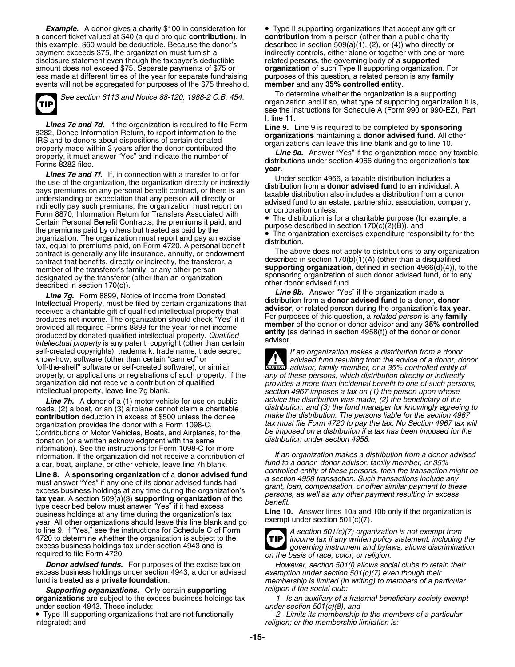**Example.** A donor gives a charity \$100 in consideration for • Type II supporting organizations that accept any gift or<br>oncert ticket valued at \$40 (a quid pro quo **contribution**). In **contribution** from a person (other th a concert ticket valued at \$40 (a quid pro quo contribution). In this example, \$60 would be deductible. Because the donor's described in section 509(a)(1), (2), or (4)) who directly or payment exceeds \$75, the organization must furnish a indirectly controls, either alone or together with one or more<br>disclosure statement even though the taxpayer's deductible entity related persons, the governing body of a disclosure statement even though the taxpayer's deductible related persons, the governing body of a **supported** amount does not exceed \$75. Separate payments of \$75 or less made at different times of the year for separate fundraising purposes of this question, a related person is any **family** events will not be aggregated for purposes of the \$75 threshold. **member** and any **35% controlled entity**.



**Lines 7c and 7d.** If the organization is required to file Form<br>
8282, Donee Information Return, to report information to the<br>
IRS and to donors about dispositions of certain donated<br>
property made within 3 years after the

Lines 7e and 7f. If, in connection with a transfer to or for<br>the use of the organization, the organization directly or indirectly<br>pays premiums on any personal benefit contract, or there is an<br>understanding or expectation Form 8870, Information Return for Transfers Associated with<br>
Certain Personal Benefit Contracts, the premiums it paid, and<br>
the premiums paid by others but treated as paid by the<br>
organization is for a charitable purpose or distribution.<br>
tax, equal to premiums paid, on Form 4720. A personal benefit<br>
contract is generally any life insurance, annuity, or endowment<br>
contract that benefits, directly or indirectly, the transferor, a described member of the transferor's family, or any other person, a<br> **supporting organization**, defined in section 4966(d)(4)), to the<br>
designated by the transferor (other than an organization<br>
organization of such donor advised fun designated by the transferor (other than an organization sponsoring organization of such donor advised fund, or<br>described in section 170(c)).<br>**Line 9b.** Answer "Yes" if the organization made a

**Line 7g.** Form 8899, Notice of Income from Donated<br>
Intellectual Property, must be filed by certain organizations that<br>
received a charitable gift of qualified intellectual property that<br>
produces net income. The organiza self-created copyrights), trademark, trade name, trade secret, *If an organization makes a distribution from a donor*<br>know-how, software (other than certain "canned" or<br>**If an organization makes a distribution from a donor** "off-the-shelf" software or self-created software), or similar property, or applications or registrations of such property. If the *any of these persons, which distribution directly or indirectly* organization did not receive a contribution of qualified *provides a more than incidental benefit to one of such persons,*

**contribution** deduction in excess of \$500 unless the donee Contributions of Motor Vehicles, Boats, and Airplanes, for the *be imposed on a distribution if a tax has been imposed for the* donation (or a written acknowledgment with the same *distribution under section 4958.* information). See the instructions for Form 1098-C for more

**Line 8.** A **sponsoring organization** of a **donor advised fund**<br>
must answer "Yes" if any one of its donor advised funds had<br>
excess business holdings at any time during the organization's<br> **tax year**. A section 509(a)(3) to line 9. If "Yes," see the instructions for Schedule C of Form<br>4720 to determine whether the organization is subject to the<br>excess business holdings tax under section 4943 and is<br>required to file Form 4720.<br>on the basis

*Donor advised funds.* For purposes of the excise tax on *However, section 501(i) allows social clubs to retain their* excess business holdings under section 4943, a donor advised fund is treated as a **private foundation**.

*Supporting organizations.* Only certain **supporting** *religion if the social club:* **organizations** are subject to the excess business holdings tax *1. Is an auxiliary of a frate* under section 4943. These include: *includes under section 501(c)(8), and* under section 4943. These include:

• Type III supporting organizations that are not functionally *2. Limits its membership to the members of a particular* integrated; and *religion; or the membership limitation is:*

To determine whether the organization is a supporting *See section 6113 and Notice 88-120, 1988-2 C.B. 454.* organization and if so, what type of supporting organization it is, see the Instructions for Schedule A (Form 990 or 990-EZ), Part I, line 11.

advised fund resulting from the advice of a donor, donor **CAUTION** *advisor, family member, or a 35% controlled entity of* **!** section 4967 imposes a tax on (1) the person upon whose *Line 7h.* A donor of a (1) motor vehicle for use on public *advice the distribution was made, (2) the beneficiary of the* roads, (2) a boat, or an (3) airplane cannot claim a charitable *distribution, and (3) the fund manager for knowingly agreeing to* organization provides the donor with a Form 1098-C, *tax must file Form 4720 to pay the tax. No Section 4967 tax will*

information. If the organization did not receive a contribution of *If an organization makes a distribution from a donor advised* a car, boat, airplane, or other vehicle, leave line 7h blank. *fund to a donor, donor advisor, family member, or 35%*



on the basis of race, color, or religion.

membership is limited (in writing) to members of a particular *religion* if the social club: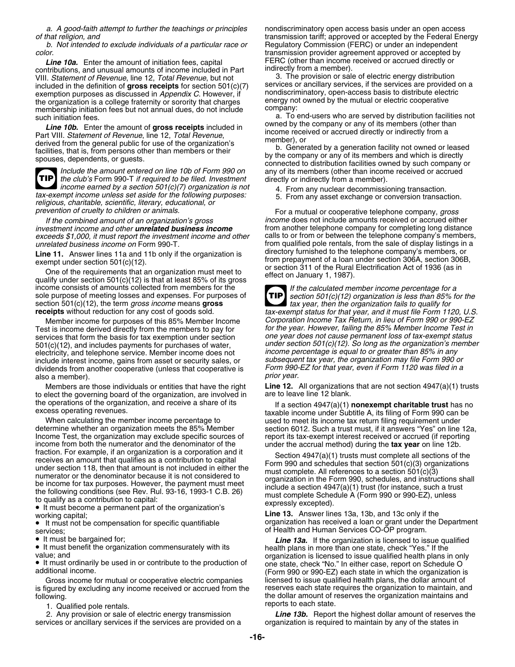*a. A good-faith attempt to further the teachings or principles* nondiscriminatory open access basis under an open access

*color.* transmission provider agreement approved or accepted by

contributions, and unusual amounts of income included in Part and understrive from a member).<br>VIII, Statement of Revenue, line 12, Total Revenue, but not and all only on S. The provision or sale of electric energy distribu VIII. *Statement of Revenue*, line 12, *Total Revenue*, but not 3. The provision or sale of electric energy distribution included in the definition of **gross receipts** for section 501(c)(7) services or ancillary services, if the services are provided on exemption purposes as discussed in *Appendix C*. However, if and anomaliscriminatory, ope exemption purposes as discussed in *Appendix C*. However, if nondiscriminatory, open-access basis to distribute elect<br>the organization is a college fraternity or sorority that charges energy not owned by the mutual or elec the organization is a college fraternity or sorority that charges energy no<br>membership initiation fees but not annual dues, do not include company: membership initiation fees but not annual dues, do not include

**Line 10b.** Enter the amount of **gross receipts** included in<br>
Part VIII. Statement of Revenue, line 12, Total Revenue,<br>
derived from the general public for use of the organization's<br>
facilities, that is, from persons other



*the club's* Form 990-T *if required to be filed. Investment income earned by a section 501(c)(7) organization is not* income earned by a section 501(c)(7) organization is not<br>tax-exempt income unless set aside for the following purposes:<br>religious, charitable, scientific, literary, educational, or<br>religious, charitable, scientific, litera

*If the combined amount of an organization's gross investment income and other unrelated business income exceeds \$1,000, it must report the investment income and other*<br>unrelated business income on Form 990-T.

income consists of amounts collected from members for the *If the calculated member income percentage for a*<br>Sole purpose of meeting losses and expenses. For purposes of **IFIP** section 501(c)(12) organization is less than section 501(c)(12), the term *gross income* means **gross receipts** without reduction for any cost of goods sold.

Test is income derived directly from the members to pay for services that form the basis for tax exemption under section 501(c)(12), and includes payments for purchases of water, electricity, and telephone service. Member income does not include interest income, gains from asset or security sales, or *include subsequent tax year, the organization may file Form 990 or*<br>dividends from another cooperative (unless that cooperative is *Form 990-EZ for that year* dividends from another cooperative (unless that cooperative is *Form 990-*<br>*prior year. prior year.* also a member).

to elect the governing board of the organization, are involved in

When calculating the member income percentage to used to meet its income tax return filing requirement under<br>determine whether an organization meets the 85% Member section 6012. Such a trust must, if it answers "Yes" on li Income Test, the organization may exclude specific sources of report its tax-exempt interest received or accrued (if reporting income from both the numerator and the denominator of the under the accrual method) during the income from both the numerator and the denominator of the under the accrual method) during the **tax year** on line 12b. fraction. For example, if an organization is a corporation and it<br>
receives an amount that qualifies as a contribution to capital<br>
under section 118, then that amount is not included in either the<br>
numerator or the denomi

• It must become a permanent part of the organization's working capital; **Line 13.** Answer lines 13a, 13b, and 13c only if the

• It must not be compensation for specific quantifiable services: **of Health and Human Services CO-OP program.** of the of the and Human Services CO-OP program.

• It must be bargained for;

• It must benefit the organization commensurately with its

• It must ordinarily be used in or contribute to the production of

is figured by excluding any income received or accrued from the

1. Qualified pole rentals.

services or ancillary services if the services are provided on a

*bat religion, and*<br>b. Not intended to exclude individuals of a particular race or a Regulatory Commission (FERC) or under an independent *Regulatory Commission (FERC) or under an independent* **Line 10a.** Enter the amount of initiation fees, capital FERC (other than income received or accrued directly or **FERC** (other than income received or accrued directly or indirectly from a member).

such initiation fees.<br>
such initiation fees.<br> **A. To end-users who are served by distribution facilities not**<br> **A. Shipper the amount of gross receipts** included in owned by the company or any of its members (other than

*Include the amount entered on line 10b of Form 990 on* any of its members (other than income received or accrued

- 
- 

*prevention of cruelty to children or animals.* For a mutual or cooperative telephone company, *gross from another telephone company for completing long distance* calls to or from or between the telephone company's members, *from qualified pole rentals, from the sale of display listings in a directory furnished to the telephone company's members, or* **Line 11.** Answer lines 11a and 11b only if the organization is exempt under section 501(c)(12).<br>
One of the requirements that an organization must meet to qualify under section 501(c)(12) is that at least 85% of its gros

section 501(c)(12) organization is less than 85% for the tax year, then the organization fails to qualify for **TIP** tax-exempt status for that year, and it must file Form 1120, U.S. Member income for purposes of this 85% Member Income *Corporation Income Tax Return, in lieu of Form 990 or 990-EZ* one year does not cause permanent loss of tax-exempt status under section 501(c)(12). So long as the organization's member income percentage is equal to or greater than 85% in any subsequent tax year, the organization may file Form 990 or

Members are those individuals or entities that have the right **Line 12.** All organizations that are not section 4947(a)(1) trusts

the operations of the organization, and receive a share of its<br>
excess operating revenues.<br>
When calculating the member income percentage to<br>
When calculating the member income percentage to<br>
used to meet its income tax re section 6012. Such a trust must, if it answers "Yes" on line 12a,

organization has received a loan or grant under the Department

Line 13a. If the organization is licensed to issue qualified It must benefit the organization commensurately with its bealth plans in more than one state, check "Yes." If the value; and value; and value; and value; and value; and value; and value; and value; and value; and value org additional income.<br>It must or contribute to the production of the production of or contribute to the production of the production<br>Internet of a ditional income. (Form 990 or 990-EZ) each state in which the organization is<br> Gross income for mutual or cooperative electric companies licensed to issue qualified health plans, the dollar amount of<br>igured by excluding any income received or accrued from the lifeserves each state requires the organi following.<br>
the dollar amount of reserves the organization maintains and<br>
1. Qualified pole rentals

2. Any provision or sale of electric energy transmission **Line 13b.** Report the highest dollar amount of reserves the vices or ancillary services if the services are provided on a organization is required to maintain by an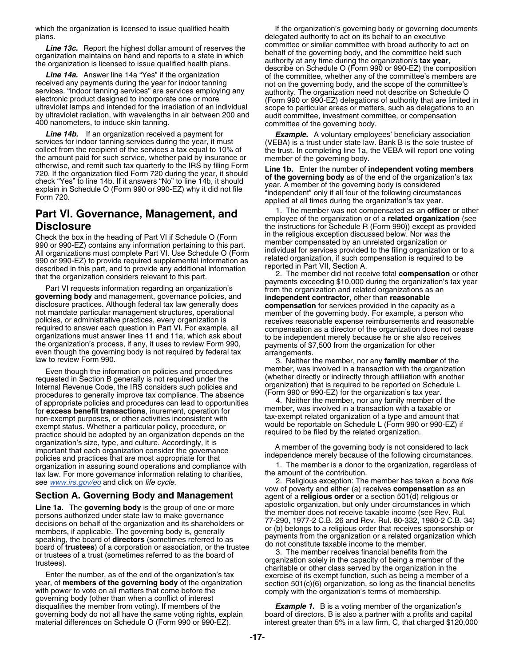**Line 14b.** If an organization received a payment for **Example.** A voluntary employees' beneficiary association services for indoor tanning services during the year, it must (VEBA) is a trust under state law. Bank B is the services for indoor tanning services during the year, it must (VEBA) is a trust under state law. Bank B is the sole trustee of collect from the recipient of the services a tax equal to 10% of the trust. In completing line collect from the recipient of the services a tax equal to 10% of the trust. In completing line 1a, the VEBA will report one voting the amount paid for such service, whether paid by insurance or member of the governing body the amount paid for such service, whether paid by insurance or<br>
otherwise, and remit such tax quarterly to the IRS by filing Form<br>
T20. If the organization filed Form 720 during the year, it should<br>
check "Yes" to line 14b

Check the box in the heading of Part VI if Schedule O (Form in the religious exception discussed below. Nor was the<br>
990 or 990-EZ) contains any information pertaining to this part.<br>
All organizations must complete Part VI

disclosure practices. Although federal tax law generally does<br>not mandate particular management structures, operational<br>policies, or administrative practices, every organization is<br>required to answer each question in Part

requested in Section B generally is not required under the<br>Internal Revenue Code, the IRS considers such policies and<br>procedures to generally improve tax compliance. The absence<br>of appropriate policies and procedures can l organization's size, type, and culture. Accordingly, it is<br>
important that each organization consider the governance<br>
policies and practices that are most appropriate for that<br>
organization in assuring sound operations and organization in assuring sound operations and compliance with The member is a donor to the organization.<br>The domination is the contribution, relation relating to charities. The amount of the contribution. tax law. For more governance information relating to charities, see *[www.irs.gov/eo](http//www.irs.gov/eo)* and click on *life cycle*. 2. Religious exception: The member has taken a *bona fide*

**Line 1a.** The **governing body** is the group of one or more<br>persons authorized under state law to make governance<br>persons contracted under state law to make governance<br> $\chi$  and the organization and its shareholders or<br>mem

disqualifies the member from voting). If members of the *Example 1.* B is a voting member of the organization's governing body do not all have the same voting rights, explain board of directors. B is also a partner with a profits and capital<br>material differences on Schedule O (Form 990 or 990-EZ). The interest greater than 5% in a l

which the organization is licensed to issue qualified health If the organization's governing body or governing documents plans.<br> **delegated authority to act on its behalf to an executive**<br> **delegated authority to act on its behalf to an executive**<br> **delegated authority to act on its behalf to an executive**<br> **delegated authority to act on its Line 13c.** Report the highest dollar amount of reserves the<br>organization maintains on hand and reports to a state in which<br>the organization is licensed to issue qualified health plans.<br>**Line 14a.** Answer line 14a "Yes" if

**1.** The member was not compensated as an **officer** or other employee of the organization or of a **related organization** (see<br>**Disclosure** employee of the organization or of a **related organization** (see<br>the instructions f **Disclosure** the instructions for Schedule R (Form 990)) except as provided

Even though the information on policies and procedures member, was involved in a transaction with the organization<br>uested in Section B generally is not required under the (whether directly or indirectly through affiliation

vow of poverty and either (a) receives **compensation** as an **Section A. Governing Body and Management** agent of a **religious order** or a section 501(d) religious or a section 501(d) religious or a section 501(d) religious or a section 501(d) religious or a postolic organization, bu

interest greater than 5% in a law firm, C, that charged  $$120,000$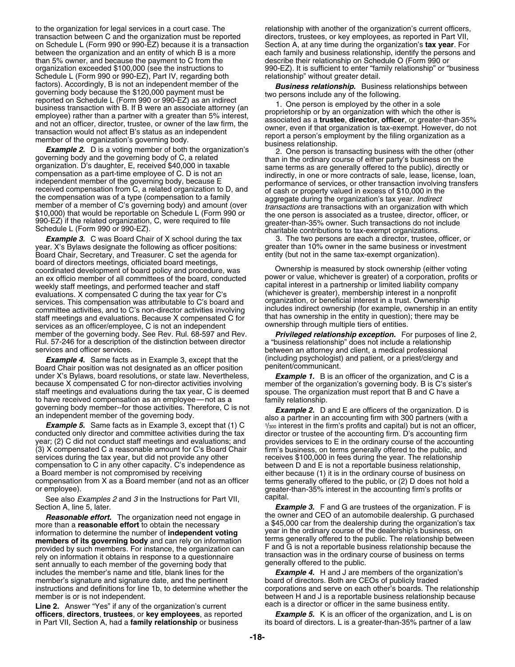to the organization for legal services in a court case. The relationship with another of the organization's current officers, transaction between C and the organization must be reported directors, trustees, or key employees, as reported in Part VII, on Schedule L (Form 990 or 990-EZ) because it is a transaction Section A, at any time during the o on Schedule L (Form 990 or 990-EZ) because it is a transaction between the organization and an entity of which B is a more each family and business relationship, identify the persons and than 5% owner, and because the payment to C from the describe their relationship on Schedule O (Form 990 or<br>describe their relationship or "local describe their structions to describe their sufficient to enter "family rela Schedule L (Form 990 or 990-EZ), Part IV, regarding both relationship" without greater detail. factors). Accordingly, B is not an independent member of the **Business relationship.** Business relationships between<br>
geoverning body because the \$120,000 payment must be<br>
the person is employed by the following.<br>
the foll

*Example 3.* C was Board Chair of X school during the tax year. X's Bylaws designate the following as officer positions: Board Chair, Secretary, and Treasurer. C set the agenda for entity (but not in the same tax-exempt organization). board of directors meetings, officiated board meetings, coordinated development of board policy and procedure, was Ownership is measured by stock ownership (either voting an ex officio member of all committees of the board, conducted power or value, whichever is greater) of a corporation, profits or weekly staff meetings, and performed teacher and staff capital interest in a partnership or limited liability company<br>evaluations, X compensated C during the tax year for C's (whichever is greater), membership interest in evaluations. X compensated C during the tax year for C's (whichever is greater), membership interest in a nonpro<br>services. This compensation was attributable to C's board and organization, or beneficial interest in a trust services. This compensation was attributable to C's board and organization, or beneficial interest in a trust. Ownership<br>committee activities, and to C's non-director activities involving includes indirect ownership (for e committee activities, and to C's non-director activities involving includes indirect ownership (for example, ownership in an entity in question); there may be staff meetings and evaluations. Because X compensated C for tha staff meetings and evaluations. Because X compensated C for that has ownership in the entity in question<br>services as an officer/employee. C is not an independent ownership through multiple tiers of entities. services as an officer/employee, C is not an independent member of the governing body. See Rev. Rul. 68-597 and Rev. Rul. 57-246 for a description of the distinction between director

*Example 4.* Same facts as in Example 3, except that the finduding psychologist<br>ard Chair position was not designated as an officer position fremitent/communicant. Board Chair position was not designated as an officer position. under X's Bylaws, board resolutions, or state law. Nevertheless, **Example 1.** B is an officer of the organization, and C is a because X compensated C for non-director activities involving member of the organization's gover staff meetings and evaluations during the tax year, C is deemed spouse. The organization must report that B and C have a to have received compensation as an employee—not as a family relationship.<br>governing body member--for those activities. Therefore, C is not  $\mathbf{F}$ 

**Example 5.** Same facts as in Example 3, except that (1) C conducted only director and committee activities during the tax director or trustee of the accounting firm. D's accounting firm year; (2) C did not conduct staff meetings and evaluations; and provides services to E in the ordinary course of the accounting<br>(3) X compensated C a reasonable amount for C's Board Chair firm's business, on terms generall (3) X compensated C a reasonable amount for C's Board Chair firm's business, on terms generally offered to the public, and<br>services during the tax year, but did not provide any other enties are receives \$100,000 in fees du compensation to C in any other capacity. C's independence as between D and E is not a reportable business relationship, a Board member is not compromised by receiving either because (1) it is in the ordinary course of busi compensation from X as a Board member (and not as an officer terms generally offered to the public, or (2) D does not hold a or employee). greater-than-35% interest in the accounting firm's profits or

See also *Examples 2* and 3 in the Instructions for Part VII, and papital.

more than a **reasonable effort** obtain the necessary of a \$45,000 car from the dealership during the organization's tax more than a **reasonable effort** to obtain the necessary version of the necessary verse of the dealersh information to determine the number of **independent voting** year in the ordinary course of the dealership's business, on **members of its governing body** and can rely on information terms generally offered to the public. The relationship between<br>provided by such members. For instance, the organization can F and G is not a reportable business provided by such members. For instance, the organization can F and G is not a reportable business relationship because the<br>Felv on information it obtains in response to a questionnaire transaction was in the ordinary cours rely on information it obtains in response to a questionnaire and the ordinary sent annually to each member of the governing body that generally offered to the public. includes the member's name and title, blank lines for the *Example 4.* H and J are members of the organization's member's signature and signature date, and the pertinent

Line 2. Answer "Yes" if any of the organization's current each is a director or officer in the same business entity. **officers**, **directors**, **trustees**, or **key employees**, as reported *Example 5.* K is an officer of the organization, and L is on

990-EZ). It is sufficient to enter "family relationship" or "business

the compensation was of a type (compensation to a family aggregate during the organization's tax year. *Indirect*<br>
member of a member of C's governing body) and amount (over<br>
\$10,000) that would be reportable on Schedule L

greater than 10% owner in the same business or investment

**Privileged relationship exception.** For purposes of line 2, a "business relationship" does not include a relationship services and officer services.<br>**Example 4.** Same facts as in Example 3, except that the (including psychologist) and patient, or a priest/clergy and

member of the organization's governing body. B is C's sister's

governing body member--for those activities. Therefore, C is not **Example 2.** D and E are officers of the organization. D is also a partner in an accounting firm with 300 partners (with a /300 interest in the firm's profits and capital) but is not an officer, receives \$100,000 in fees during the year. The relationship either because (1) it is in the ordinary course of business on

Section A, line 5, later. **Example 3.** F and G are trustees of the organization. F is **Reasonable effort.** The organization need not engage in the owner and CEO of an automobile dealership. G purchased

instructions and definitions for line 1b, to determine whether the corporations and serve on each other's boards. The relationship member is or is not independent. **between H** and J is a reportable business relationship because

its board of directors. L is a greater-than-35% partner of a law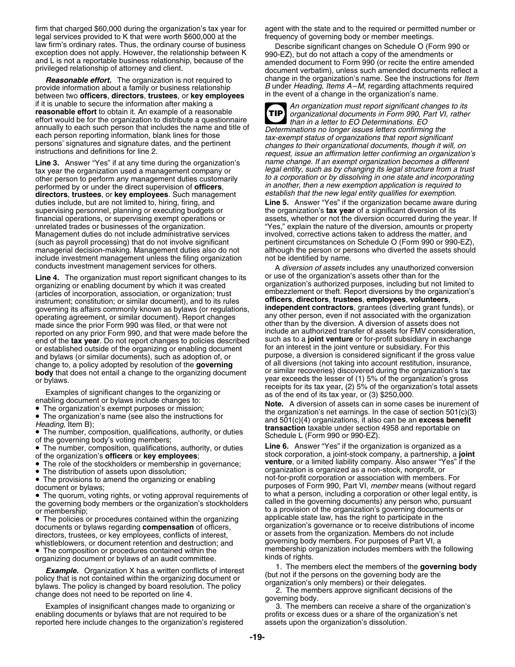firm that charged \$60,000 during the organization's tax year for agent with the state and to the required or permitted number or legal services provided to K that were worth \$600,000 at the frequency of governing body or member meetings. law firm's ordinary rates. Thus, the ordinary course of business<br>exception does not apply. However, the relationship between K<br>and L is not a reportable business relationship, because of the<br>privileged relationship of atto

provide information about a family or business relationship *B* under *Heading, Items A–M*, regarding attachment<br>between two **officers, directors, trustees**, or **key employees** in the event of a change in the organization' between two officers, directors, trustees, or key employees if it is unable to secure the information after making a<br> **Example of a reasonable**<br> **EXAMPLE An organization must report significant changes to its**<br> **EXAMPLE An organization must report significant changes to its**<br> **EXAM** 

other person to perform any management duties customarily performed by or under the direct supervision of **officers**, **directors, trustees, or key employees**. Such management duties include, but are not limited to, hiring, firing, and supervising personnel, planning or executing budgets or the organization's **tax year** of a significant diversion of its unrelated trades or businesses of the organization. "Yes," explain the nature of the diversion, amounts or property Management duties do not include administrative services involved, corrective actions taken to address the matter, and (such as payroll processing) that do not involve significant pertinent circumstances on Schedule O (Form 990 or 990-EZ), include investment management unless the filing organization not be identified by name.

Line 4. The organization must report significant changes to its or use of the organization's assets other than for the organizing or enabling document by which it was created organization's authorized purposes, including but not limited to (articles of incorporation, association, or organization; trust embezzlement or theft. Report diversions by the organization's instrument: constitution: or similar document) and to its rules **officers, directors, trustees,** instrument; constitution; or similar document), and to its rules **constitutions, included in the examployees**, **volunteers**, instruments, or similar document), or similar documents, or similar or similar or similar or simi governing its affairs commonly known as bylaws (or regulations, operating agreement, or similar document). Report changes any other person, even if not associated with the organization made since the prior Form 990 was filed, or that were not<br>reported on any prior Form 990, and that were made before the conclude an authorized transfer of assets for FMV consideration, reported on any prior Form 990, and that were made before the linclude an authorized transfer of assets for FMV consideration,<br>end of the tax year. Do not report changes to policies described such as to a joint venture or end of the **tax year**. Do not report changes to policies described such as to a **joint venture** or for-profit subsidiary in exchanger or established outside of the organizing or enabling document for an interest in the joi or established outside of the organizing or enabling document for an interest in the joint venture or subsidiary. For this<br>and bylaws (or similar documents), such as adoption of, or purpose, a diversion is considered signi and bylaws (or similar documents), such as adoption of, or purpose, a diversion is considered significant if the gross value<br>change to, a policy adopted by resolution of the **governing** of all diversions (not taking into a change to, a policy adopted by resolution of the **governing** of all diversions (not taking into account restitution, insurance,<br>**body** that does not entail a change to the organizing document or similar recoveries) discove **body** that does not entail a change to the organizing document

- The number, composition, qualifications, authority, or duties<br>
of the governing body's voting members;<br>
 The number composition qualifications authority or duties<br>
 The number composition qualifications authority or du
- 
- 

• The role of the stockholders or membership in governance;

• The distribution of assets upon dissolution;

• The quorum, voting rights, or voting approval requirements of to what a person, including a corporation or other legal entity, is the governing body members or the organization's stockholders called in the governing documents) any person who, pursuant

• The policies or procedures contained within the organizing applicable state law, has the right to participate in the directors, trustees, or key employees, conflicts of interest,

• The composition or procedures contained within the organizing document or bylaws of an audit committee.

**Example.** Organization X has a written conflicts of interest policy that is not contained within the organizing document or bylaws. The policy is changed by board resolution. The policy of the persons on the governing bod

enabling documents or bylaws that are not required to be profits or excess dues or a share of the organization's net<br>reported here include changes to the organization's registered assets upon the organization's dissolution reported here include changes to the organization's registered

*Reasonable effort.* The organization is not required to change in the organization's name. See the instructions for *Item*

**TIP** annually to each such person that includes the name and tile of Determinations no longer issues letters confirming the<br>each person reporting information, blank lines for those tax-exempt status of organizations that report **Line 3.** Answer "Yes" if at any time during the organization's *name change. If an exempt organization becomes a different legal entity, such as by changing its legal structure from a trust*<br>to a corporation or by dissolving in one state and incorporating in another, then a new exemption application is required to establish that the new legal entity qualifies for exemption. **Line 5.** Answer "Yes" if the organization became aware during financial operations, or supervising exempt operations or assets, whether or not the diversion occurred during the year. If managerial decision-making. Management duties also do not although the person or persons who diverted the assets should

conducts investment management services for others. <sup>A</sup>*diversion of assets* includes any unauthorized conversion or bylaws.<br>
year exceeds the lesser of (1) 5% of the organization's gross<br>
receipts for its tax year, (2) 5% of the organization's total assets

Examples of significant changes to the organizing or<br>enabling document or bylaws include changes to:<br>The organization's exempt purposes or mission;<br>the enabling of the state of the state of the state of the state of the st The organization's exempt purposes or mission; the organization's net earnings. In the case of section 501(c)(3)<br>• The organization's name (see also the instructions for and  $501(0)(4)$  organizations it also can be an **axag** The organization's name (see also the instructions for and 501(c)(4) organizations, it also can be an **excess benefit** *Heading*, Item B); **transaction** taxable under section 4958 and reportable on •

• The number, composition, qualifications, authority, or duties **Line 6.** Answer "Yes" if the organization is organized as a of the organization's **officers** stock corporation, a joint-stock company, a partnership, a **joint** or **key employees**; venture, or a limited liability company. Also answer "Yes" if the organization is organized as a non-stock, nonprofit, or not-for-profit corporation or association with members. For • The provisions to amend the organizing or enabling not-for-profit corporation or association with members. For document or bylaws;<br>● The quorum, voting rights, or voting approval requirements of to what a person, including a corporation or other legal entity, is or membership;<br>
The nolicies or procedures contained within the organizing applicable state law, has the right to participate in the documents or bylaws regarding **compensation** of officers,<br>directors, trustees, or key employees, conflicts of interest<br>or assets from the organization. Members do not include whistleblowers, or document retention and destruction; and governing body members. For purposes of Part VI, a membership organization includes members with the following<br>kinds of rights.

Examples of insignificant changes made to organizing or 3. The members can receive a share of the organization's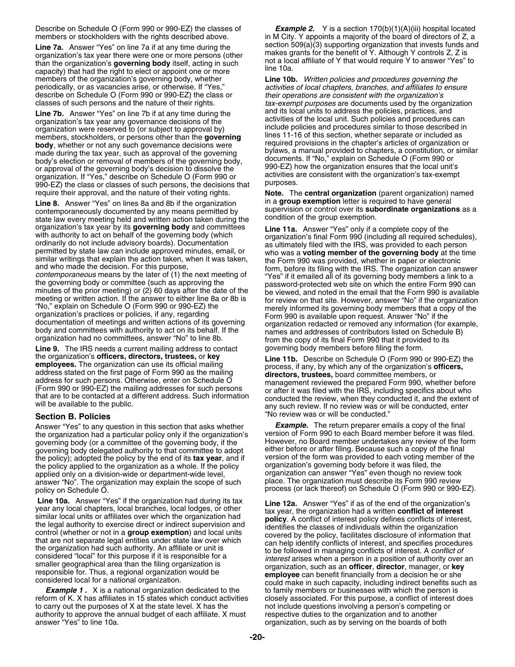Describe on Schedule O (Form 990 or 990-EZ) the classes of *Example 2.* Y is a section 170(b)(1)(A)(iii) hospital located

members of the organization's governing body, whether **Line 10b.** *Written policies and procedures governing the* describe on Schedule O (Form 990 or 990-EZ) the class or *their operations are consistent with the organization's*

Line 7b. Answer "Yes" on line 7b if at any time during the<br>organization's tax year any governance decisions of the<br>organization were reserved to (or subject to approval by) and the members stockholders or persons other tha members, stockholders, or persons other than the **governing**<br> **body**, whether or not any such governance decisions were<br>
made during the tax year, such as approval of the governing<br>
bylaws, a manual provided to chapters, a made during the tax year, such as approval of the governing bylaws, a manual provided to chapters, a constitution, or<br>body's election or removal of members of the governing body documents. If "No," explain on Schedule O (F body's election or removal of members of the governing body,<br>
or approval of the governing body's decision to dissolve the<br>
organization ensures that the local unit's<br>
organization. If "Yes," describe on Schedule O (Form 9

contemporaneously documented by any means permitted by supervision or control over its **sure**<br>state law every meeting held and written action taken during the condition of the group exemption. state law every meeting held and written action taken during the organization's tax year by its **governing body** and committees<br>with authority to act on behalf of the governing body (which<br>organization's final Form 990 (including all required schedules),<br>ordinarily do not include adviso

Line 9. The IRS needs a current mailing address to contact governing body members before filing the form.

Answer "Yes" to any question in this section that asks whether *Example.* The return preparer emails a copy of the final the organization had a particular policy only if the organization's version of Form 990 to each Board member before it was filed.<br>The moverning body (or a committee of the governing body, if the However, no Board member un governing body (or a committee of the governing body, if the governing body delegated authority to that committee to adopt either before or after filing. Because such a copy of the final<br>the policy): adopted the policy by the end of its **tax year**, and if version of the form was pro the policy); adopted the policy by the end of its **tax year**, and if version of the form was provided to each voting mem<br>the policy applied to the organization as a whole. If the policy organization's governing body before the policy applied to the organization as a whole. If the policy applied only on a division-wide or department-wide level, organization can answer "Yes" even though no review took<br>answer "No". The organization may explain the scope of such place. The organization must describe its Form answer "No". The organization may explain the scope of such policy on Schedule O. **process** (or lack thereof) on Schedule O (Form 990 or 990-EZ).

*Example 1.* X is a national organization dedicated to the to family members or businesses with which the person is reform of K. X has affiliates in 15 states which conduct activities closely associated. For this purpose, a conflict of interest does to carry out the purposes of X at the state level. X has the number of the dualing of th to carry out the purposes of  $X$  at the state level.  $X$  has the authority to approve the annual budget of each affiliate. X must respective duties to the organization and to another<br>organization, such as by serving on the boards of bo

members or stockholders with the rights described above. in M City. Y appoints a majority of the board of directors of Z, a **Line 7a.** Answer "Yes" on line 7a if at any time during the section  $509(a)\dot{3}$ ) supporting organization that invests funds and organization's tax year there were one or more persons (other than the organization's **gover** 

periodically, or as vacancies arise, or otherwise. If "Yes," *activities of local chapters, branches, and affiliates to ensure* classes of such persons and the nature of their rights. *tax-exempt purposes* are documents used by the organization

**Note.** The **central organization** (parent organization) named **Line 8.** Answer "Yes" on lines 8a and 8b if the organization in a **group exemption** letter is required to have general

similar writings that explain the action taken, when it was taken,<br>and who made the decision. For this purpose,<br>contemporareous means by the later of (1) the next meeting of<br>the governing body members a link to a<br>the gover

the organization's **officers, directors, trustees,** or **key**<br> **employees.** The organization can use its official mailing<br>
address stated on the first page of Form 990 as the mailing<br>
address for such persons. Otherwise, en **Section B. Policies** The Conducted." The Conducted **"** "No review was or will be conducted."

**Line 10a.** Answer "Yes" if the organization had during its tax<br>
year any local chapters, local local incredibles over which the organization had policy. A conflict of interest<br>
similar local transfillates over which the o organization, such as by serving on the boards of both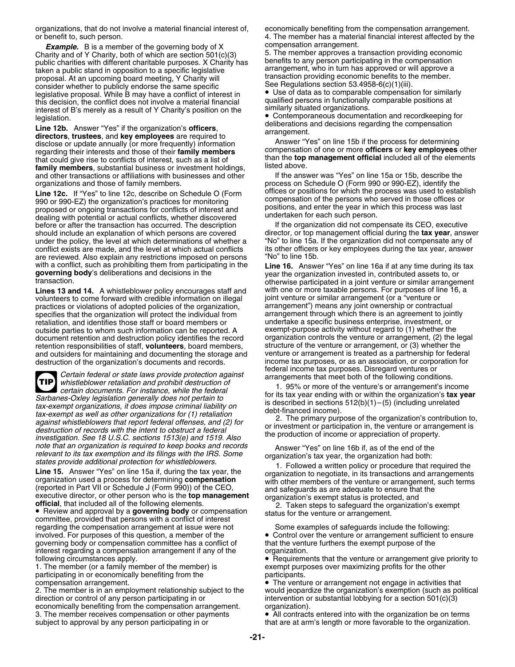organizations, that do not involve a material financial interest of, economically benefiting from the compensation arrangement. or benefit to, such person. 4. The member has a material financial interest affected by the

**Example.** B is a member of the governing body of X compensation arrangement.<br>arity and of Y Charity, both of which are section 501(c)(3) 5. The member approves a transaction providing economic Charity and of Y Charity, both of which are section 501(c)(3) 5. The member approves a transaction providing economic<br>public charities with different charitable purposes. X Charity has benefits to any person participating public charities with different charitable purposes. X Charity has<br>taken a public stand in opposition to a specific legislative<br>proposal. At an upcoming board meeting, Y Charity will<br>consider whether to publicly endorse th this decision, the conflict does not involve a material financial qualified persons in functionally comparable positions at<br>interest of B's merely as a result of Y Charity's position on the similarly situated organizations

Line 12b. Answer "Yes" if the organization's **officers**,<br> **Line 12b.** Answer "Yes" if the organization's **officers**,<br> **directors, trustees**, and **key employees** are required to<br>
disclose or update annually (or more frequen and other transactions or affiliations with businesses and other If the answer was "Yes" on line 15a or 15b, describe the

**Line 12c.** If "Yes" to line 12c, describe on Schedule O (Form offices or positions for which the process was used to establistically compensation of the persons who served in those offices or proposed or ongoing transacti should include an explanation of which persons are covered under the policy, the level at which determinations of whether a "No" to line 15a. If the organization did not compensate any of conflict exists are made, and the level at which actual conflicts its other officers or key e conflict exists are made, and the level at which actual conflicts its other officers are reviewed. Also explain any restrictions imposed on persons "No" to line 15b. are reviewed. Also explain any restrictions imposed on persons

Lines 13 and 14. A whistleblower policy encourages staff and with one or more taxable persons. For purposes of line 16, a volunteers to come forward with credible information on illegal joint venture or similar arrangement volunteers to come forward with credible information on illegal joint venture or similar arrangement (or a "venture or<br>practices or violations of adopted policies of the organization, arrangement") means any joint ownershi practices or violations of adopted policies of the organization, arrangement") means any joint ownership or contractual<br>specifies that the organization will protect the individual from arrangement through which there is an specifies that the organization will protect the individual from arrangement through which there is an agreement to jointly retained in the individual from a serial arrangement to jointly retainent to jointly retainent and retaliation, and identifies those staff or board members or undertake a specific business enterprise, investment, or outside parties to whom such information can be reported. A exempt-purpose activity without regard to (1) whether the document retention and destruction policy identifies the record organization controls the venture or arrangement, (2) the le<br>retention responsibilities of staff, **volunteers**, board members, structure of the venture or arr retention responsibilities of staff, **volunteers**, board members, structure of the venture or arrangement, or (3) whether the and outsiders for maintaining and documenting the storage and

Certain federal or state laws provide protection against<br>
whistleblower retaliation and prohibit destruction of<br>
Certain documents. For instance, while the federal<br>
Sarbanes-Oxley legislation generally does not pertain to<br> **TIP** Sarbanes-Oxley legislation generally does not pertain to<br>tax-exempt organization's tax year is described in sections 512(b)(1)-(5) (including unrelated<br>tax-exempt as well as other organizations for (1) retaliation<br>against

note that an organization is required to keep books and records<br>
relevant to its tax exemption and its filings with the IRS. Some<br>
states provide additional protection for whistleblowers.<br>
Line 15. Answer "Yes" on line 15a

• Review and approval by a **governing body** or compensation status for the venture or arrangement. committee, provided that persons with a conflict of interest regarding the compensation arrangement at issue were not Some examples of safeguards include the following: involved. For purposes of this question, a member of the **•** Control over the venture or arrangement sufficient to ensure governing body or compensation committee has a conflict of that the venture furthers the exempt purp governing body or compensation committee has a conflict of interest regarding a compensation arrangement if any of the organization.

participating in or economically benefiting from the participants.

direction or control of any person participating in or intervention or substantial lobbying for a section 501(c)(3) economically benefiting from the compensation arrangement. organization). 3. The member receives compensation or other payments • All contracts entered into with the organization be on terms subject to approval by any person participating in or the state at arm's length or more favorable to the

organizations and those of family members.<br>**Line 12c** of "Yes" to line 12c, describe on Schedule O (Form offices or positions for which the process was used to establish

before or after the transaction has occurred. The description If the organization did not compensate its CEO, executive<br>should include an explanation of which persons are covered director, or top management official during

with a conflict, such as prohibiting them from participating in the<br> **Eine 16.** Answer "Yes" on line 16a if at any time during its tax<br> **governing body**'s deliberations and decisions in the<br>
transaction.<br>
otherwise partici destruction of the organization's documents and records. income tax purposes, or as an association, or corporation for<br>
deteral income tax purposes. Disregard ventures or

following circumstances apply. **• Requirements that the venture or arrangement give priority to** 1. The member (or a family member of the member) is exempt purposes over maximizing profits for the other

compensation arrangement. • The venture or arrangement not engage in activities that 2. The member is in an employment relationship subject to the would jeopardize the organization's exemption (such as political

that are at arm's length or more favorable to the organization.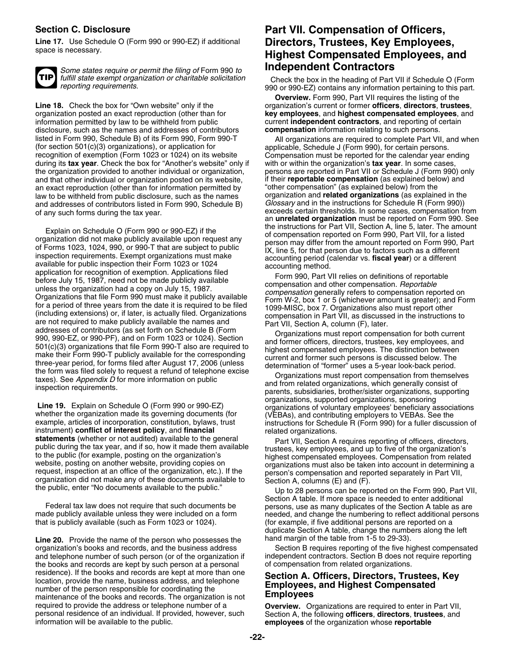

*Some states require or permit the filing of Form 990 to* **Independent Contractors**<br>*fulfill state exempt organization or charitable solicitation* Check the box in the heading of Part

**Line 18.** Check the box for "Own website" only if the organization's current or former **officers**, **directors**, **trustees**, information permitted by law to be withheld from public current **independent contractors**, and reporting of certain disclosure, such as the names and addresses of contributors listed in Form 990, Schedule B) of its Form 990, Form 990-T during its **tax year**. Check the box for "Another's website" only if with or within the organization's **tax year**. In some cases, the organization provided to another individual or organization, persons are reported in Part VII or Schedule J (Form 990) only and that other individual or organization posted on its website, if their **reportable compensa** and that other individual or organization posted on its website, if their **reportable compensation** (as explained below) from the an exact reproduction (other than for information permitted by "other compensation" (as expl an exact reproduction (other than for information permitted by "other compensation" (as explained below) from the<br>law to be withheld from public disclosure, such as the names organization and **related organizations** (as ex law to be withheld from public disclosure, such as the names organization and **related organizations** (as explained in the and addresses of contributors listed in Form 990, Schedule B) of any such forms during the tax year. exceeds certain thresholds. In some cases, compensation from

Explain on Schedule O (Form 990 or 990-EZ) if the the instructions for Part VII, Section A, line 5, later. The amount proportion dig not mention of orms and of forms 1023, 1024, of Porms 990. Part VII, set in the amount re

instrument) **conflict of interest policy**, and **financial** related organizations.<br> **statements** (whether or not audited) available to the general part VII Section A **statements** (whether or not audited) available to the general<br>public during the tax year, and if so, how it made them available<br>to the public (for example, posting on the organization's<br>to the public (for example, posting

that is publicly available (such as Form 1023 or 1024).

**Line 20.** Provide the name of the person who possesses the and telephone number of such person (or of the organization if independent contractors. Section B does not report of the books and records are kept by such person at a personal of compensation from related organizations. the books and records are kept by such person at a personal residence). If the books and records are kept at more than one<br>location, provide the name, business address, and telephone<br>number of the person responsible for coordinating the<br>maintenance of the books and records. The org maintenance of the books and records. The organization is not required to provide the address or telephone number of a required to provide the address or telephone number of a<br>personal residence of an individual. If provided, however, such<br>information will be available to the public.<br>information will be available to the public.<br>**employees** 

# **Section C. Disclosure Part VII. Compensation of Officers, Line 17.** Use Schedule O (Form 990 or 990-EZ) if additional **Directors, Trustees, Key Employees,** space is necessary. **Highest Compensated Employees, and**

*fulfill state exempt organization or charitable solicitation* Check the box in the heading of Part VII if Schedule O (Form *reporting requirements.* 990 or 990-EZ) contains any information pertaining to this part.

> **Overview.** Form 990, Part VII requires the listing of the key employees, and highest compensated employees, and

listed in Form 990, Schedule B) of its Form 990, Form 990-T<br>(for section 501(c)(3) organizations), or application for applicable, Schedule J (Form 990), for certain persons.<br>recognition of exemption (Form 1023 or 1024) on Compensation must be reported for the calendar year ending an **unrelated organization** must be reported on Form 990. See

Line 19. Explain on Schedule O (Form 990 or 990-EZ)<br>whether the organization made its governing documents (for vertically), and contributing employees' beneficiary associations<br>example, articles of incorporation, constitut

Section A table. If more space is needed to enter additional Federal tax law does not require that such documents be persons, use as many duplicates of the Section A table as are made publicly available unless they were included on a form meeded, and change the numbering to reflect meeded, and change the numbering to reflect additional persons (for example, if five additional persons are reported on a duplicate Section A table, change the numbers along the left hand margin of the table from 1-5 to 29-33).

organization's books and records, and the business address Section B requires reporting of the five highest compensated<br>and telephone number of such person (or of the organization if independent contractors. Section B does

**employees** of the organization whose **reportable**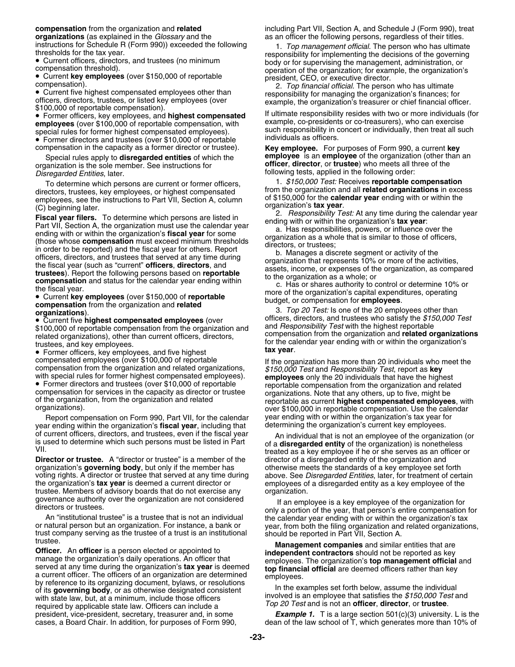## **compensation** from the organization and **related** including Part VII, Section A, and Schedule J (Form 990), treat **organizations** (as explained in the *Glossary* and the **inclusion** as an officer the following persons, re **organizations** (as explained in the *Glossary* and the asses an officer the following persons, regardless of their titles.<br>instructions for Schedule R (Form 990)) exceeded the following and a submanagement official. The p

• Current officers, directors, and trustees (no minimum

• Current **key employees** (over \$150,000 of reportable president, CEO, or executive director. compensation). 2. *Top financial official.* The person who has ultimate

• Current five highest compensated employees other than

employees (over \$100,000 of reportable compensation, with example, co-presidents or co-treasurers), who can exercise<br>special rules for former highest compensated employees).<br>Example special rules for former highest compens Former directors and trustees (over \$10,000 of reportable

organization is the sole member. See instructions for *Disregarded Entities*, later. The state of the following tests, applied in the following order:

directors, trustees, key employees, or highest compensated<br>
(C) beginning later. This case the instructions to Part VII, Section A, column of \$150,000 for the **calendar year**<br>
(C) beginning later. To determine which person

The fiscal year.<br>
• Current **key employees** (over \$150,000 of **reportable** budget, or compensation for **employees**.<br> **compensation** for **employees** of the organization and **related**<br> **compensation** from the organization an

• Former officers, key employees, and five highest compensated employees (over \$100,000 of reportable

• Former directors and trustees (over \$10,000 of reportable

Report compensation on Form 990, Part VII, for the calendar year ending with or within the organization's tax year for<br>ar ending within the organization's **fiscal year**, including that determining the organization's curren year ending within the organization's **fiscal year**, including that of current officers, directors, and trustees, even if the fiscal year<br>is used to determine which such persons must be listed in Part<br>VII. treated as a key employee if he or she serves as an officer or

**Director or trustee.** A "director or trustee" is a member of the director of a disregarded entity of the organization and<br>organization's **governing body**, but only if the member has otherwise meets the standards of a key organization's **governing body**, but only if the member has voting rights. A director or trustee that served at any time during the organization's **tax year** is deemed a current director or employees of a disregarded entity as a key employee of the trustee. Members of advisory boards that do not exercise any organization. trustee. Members of advisory boards that do not exercise any

**Officer.** An **officer** is a person elected or appointed to<br>manage the organization's daily operations. An officer that employees. The organization's **top management official** and<br>served at any time during the organization served at any time during the organization's **tax year** is deemed<br>a current officer. The officers of an organization are determined<br>by reference to its organizing document, bylaws, or resolutions<br>of its **governing body**, o president, vice-president, secretary, treasurer and, in some **Example 1.** T is a large section 501(c)(3) university. L is the cases, a Board Chair. In addition, for purposes of Form 990, dean of the law school of T, which cases, a Board Chair. In addition, for purposes of Form 990,

instructions for Schedule R (Form 990)) exceeded the following 1. *Top management official.* The person who has ultimate thresholds for the tax year.<br>
• Current officers, directors, and trustees (no minimum<br>
body or for su Current of the organization; the management of the management of the management, and the organization; for example, the organization's<br>Current key employees (over \$150,000 of reportable<br>president, CEO, or executive directo

compensation).<br>
• Current five highest compensated employees other than<br>
• Current five highest compensated employees of the responsibility for managing the organization's finances; for<br>
\$100,000 of reportable compensatio

compensation in the capacity as a former director or trustee). **Key employee.** For purposes of Form 990, a current **key** Special rules apply to **disregarded entities** of which the **employee** is an **employee** of the organization (other than an an interval of the sole member. See instructions for **officer**, **director**, or **trustee**) who meets

To determine which persons are current or former officers, 1. *\$150,000 Test:* Receives **reportable compensation**

3. *Top 20 Test:* Is one of the 20 employees other than **organizations**). officers, directors, and trustees who satisfy the *\$150,000 Test* •\$100,000 of reportable compensation from the organization and<br>related organizations), other than current officers, directors,<br>the calendar year ending with or within the organization's<br>for the calendar year ending with or

compensated employees (over \$100,000 of reportable and the organization has more than 20 individuals who meet the<br>compensation from the organization and related organizations, \$150,000 Test and Responsibility Test, report • Former directors and trustees (over \$10,000 of reportable<br>compensation from the organization and related<br>organization, from the organization and related<br>organization, from the organization and related<br>organizations).<br>ove

above. See Disregarded Entities, later, for treatment of certain

governance authority over the organization are not considered<br>directors or trustees.<br>An "institutional trustee" is a trustee that is not an individual<br>or natural person but an organization. For instance, a bank or<br>trust co

trustee. **Management companies** and similar entities that are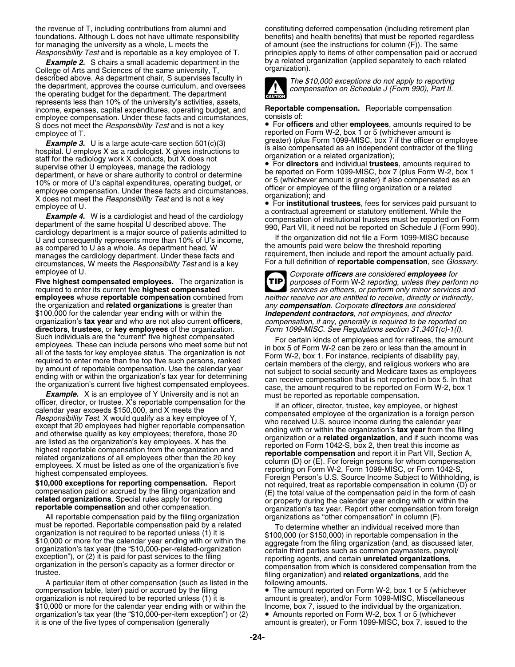the revenue of T, including contributions from alumni and constituting deferred compensation (including retirement plan<br>foundations. Although L does not have ultimate responsibility benefits) and health benefits) that must

College of Arts and Sciences of the same university, T, described above. As department chair, S supervises faculty in<br>the department, approves the course curriculum, and oversees<br>the operating budget for the department. The department<br> $\frac{1}{2}$  above compensation on Schedule J represents less than 10% of the university's activities, assets, income, expenses, capital expenditures, operating budget, and **Reportable compensation.** Reportable compensation employee compensation. Under these facts and circumstances, consists of:<br>S does not meet the *Responsibility Test* and is not a key **e** For **officers** and other **employees**, amounts required to be S does not meet the *Responsibility Test* and is not a key

**Example 3.** U is a large acute-care section 501(c)(3) greater) (plus Form 1099-WISC, box 7 if the office of employer hospital. U employs X as a radiologist. X gives instructions to staff for the radiology work X conducts, Supervise other U employees, manage the radiology<br>department, or have or share authority to control or determine<br>10% or more of U's capital expenditures, operating budget, or<br>employee compensation. Under these facts and ci

U and consequently represents more than 10% of U's income,<br>as compared to U as a whole. As department head, W and the amounts paid were below the threshold reporting as compared to U as a whole. As department head, W and the amounts paid were below the threshold reporting<br>manages the cardiology department Under these facts and a requirement, then include and report the amount actually manages the cardiology department. Under these facts and<br>circumstances. W meets the *Responsibility Test* and is a key. For a full definition of **reportable compensation**, see *Glossary*. For a full definition of **reportable compensation**, see *Glossary*. circumstances, W meets the *Responsibility Test* and is a key

required to enter its current five **highest compensated** *services as officers, or perform only minor services and* the organization and **related organizations** is greater than *any compensation. Corporate directors are considered* organization's **tax year** and who are not also current **officers**, *compensation, if any, generally is required to be reported on* **directors**, **trustees**, or **key employees** of the organization. *Form 1099-MISC. See Regulations section 31.3401(c)-1(f).*

All reportable compensation paid by the filing organization organizations as "other compensation" in column (F). must be reported. Reportable compensation paid by a related To determine whether an individual received more than<br>organization is not required to be reported unless (1) it is \$100,000 (or \$150,000) in reportable compensati

A particular item of other compensation (such as listed in the following amounts. compensation table, later) paid or accrued by the filing • The amount reported on Form W-2, box 1 or 5 (whichever organization is not required to be reported unless (1) it is amount is greater), and/or Form 1099-MISC, Miscellaneous<br>\$10,000 or more for the calendar year ending with or within the Income, box 7, issued to the individual \$10,000 or more for the calendar year ending with or within the Income, box 7, issued to the individual by the organization<br>organization's tax year (the "\$10,000-per-item exception") or (2) • Amounts reported on Form W-2, organization's tax year (the "\$10,000-per-item exception") or (2) it is one of the five types of compensation (generally

foundations. Although L does not have ultimate responsibility benefits) and health benefits) that must be reported regardless for managing the university as a whole, L meets the metally of amount (see the instructions for of amount (see the instructions for column (F)). The same *Responsibility Test* and is reportable as a key employee of T. principles apply to items of other compensation paid or accrued **Example 2.** S chairs a small academic department in the by a related organization (applied separately to each related legen of Arts and Sciences of the same university T



employee of T.<br>**Example 3** Lise a large acute care section 501(c)(3) greater) (plus Form 1099-MISC, box 7 if the officer or employee

X does not meet the *Responsibility Test* and is not a key<br>
employee of U.<br> **Example 4.** W is a cardiologist and head of the cardiology<br>
department of the same hospital U described above. The<br>
cardiology department is a m

employee of U.<br>**Five highest compensated employees.** The organization is *TIP purposes of Form W-2 reporting, unless they perform* **Five highest compensated employees.** The organization is **purposes of Form W-2** reporting, unless they perform no required to enter its current five highest compensated **TIP employees** whose **reportable compensation** combined from *neither receive nor are entitled to receive, directly or indirectly,*  $independent contractors$ , not employees, and director

Such individuals are the "current" five highest compensated more and the result of the tests for the estimate of the compensation is and the test for the estimate of the compensation is not the result of the detail of the

organization is not required to be reported unless (1) it is<br>
\$100,000 (or \$150,000) in reportable compensation in the<br>
\$10,000 or more for the calendar year ending with or within the<br>
organization's tax year (the "\$10,000

amount is greater), or Form 1099-MISC, box 7, issued to the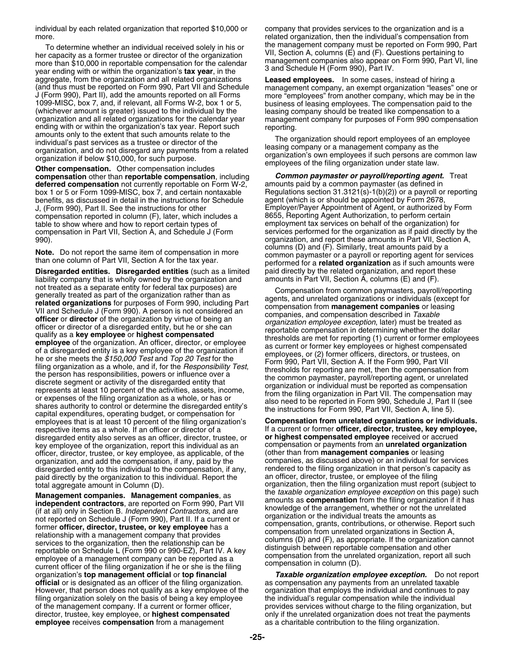individual by each related organization that reported \$10,000 or company that provides services to the organization and is a more. The individual's compensation from the individual's compensation from

more than \$10,000 in reportable compensation for the calendar management companies also appear companies also appear on Form 990), Part IV, year ending with or within the organization's **tax year**, in the aggregate, from the organization and all related organizations<br>(and thus must be reported on Form 990, Part VII and Schedule management company, an exempt organization "leases" one or<br>J (Form 990), Part II), add the amount J (Form 990), Part II), add the amounts reported on all Forms more "employees" from another company, which may be in the<br>1099-MISC, box 7, and, if relevant, all Forms W-2, box 1 or 5, business of leasing employees. The com 1099-MISC, box 7, and, if relevant, all Forms W-2, box 1 or 5, business of leasing employees. The compensation paid to the<br>(whichever amount is greater) issued to the individual by the leasing company should be treated lik (whichever amount is greater) issued to the individual by the leasing company should be treated like compensation to a<br>organization and all related organizations for the calendar year management company for purposes of For ending with or within the organization's tax year. Report such reporting.<br>amounts only to the extent that such amounts relate to the

**compensation** other than **reportable compensation**, including *Common paymaster or payroll/reporting agent.* Treat **deferred compensation** not currently reportable on Form W-2, amounts paid by a common paymaster (as defined in box 1 or 5 or Form 1099-MISC, box 7, and certain nontaxable Regulations section 31.3121(s)-1(b)(2)) or a payro box 1 or 5 or Form 1099-MISC, box 7, and certain nontaxable Regulations section 31.3121(s)-1(b)(2)) or a payroll or<br>benefits, as discussed in detail in the instructions for Schedule agent (which is or should be appointed b benefits, as discussed in detail in the instructions for Schedule J, (Form 990), Part II. See the instructions for other Employer/Payer Appointment of Agent, or authorized by Form<br>compensation reported in column (F), later, which includes a 8655, Reporting Agent Authorization, to perform compensation reported in column (F), later, which includes a table to show where and how to report certain types of employment tax services on behalf of the organization) for compensation in Part VII, Section A, and Schedule J (Form services performed for the organization as if paid directly by the

**Disregarded entities. Disregarded entities** (such as a limited liability company that is wholly owned by the organization and amounts in Part VII, Section A, columns (E) and (F).<br>not treated as a separate entity for federal tax purposes) are compensation from common paymasters payrol not treated as a separate entity for federal tax purposes) are<br>
generally treated organizations of the organization rather than as<br> **related organizations** for purposes of Form 990, including Part<br> **Vill and Schedule J(For** employees that is at least 10 percent of the filing organization's **Compensation from unrelated organizations or individuals.** respective items as a whole. If an officer or director of a **If a current or former officer, director, trustee, key employee**, disrequed or accrued or accrued or accrued disregarded entity also serves as an officer, director, trustee, or **or highest compensated employee** received or accrued key employee of the organization, report this individual as an compensation or payments from an **unrelated organi**<br>officer, director, trustee, or key employee, as applicable, of the (other than from **management companies** officer, director, trustee, or key employee, as applicable, of the (other than from **management companies** or leasing organization, and add the compensation, if any, paid by the companies, as discussed above) or an individual for services<br>disregarded entity to this individual to the compensation, if any, rendered to the filing organizatio disregarded entity to this individual to the compensation, if any, rendered to the filing organization in that person's capacity paid directly by the organization to this individual. Report the an officer, director, truste paid directly by the organization to this individual. Report the total aggregate amount in Column (D).

**Management companies.** Management companies, as<br>
independent contractors, are reported on Form 990, Part VII amounts as compensation employee exception on this page) such<br>
(if at all) only in Section B. Independent Contr organization's **top management official** or **top financial** *Taxable organization employee exception.* Do not report **official** or is designated as an officer of the filing organization. However, that person does not qualify as a key employee of the organization that employs the individual and continues to pay<br>filing organization solely on the basis of being a key employee the individual's regular compensa filing organization solely on the basis of being a key employee of the management company. If a current or former officer, director, trustee, key employee, or **highest compensated** only if the unrelated organization does not treat the payments **employee** receives **compensation** from a management as a charitable contribution to the filing organ **employee** receives **compensation** from a management

To determine whether an individual received solely in his or<br>her capacity as a former trustee or director of the organization<br>management companies also appear on Form 990, Part VI, line<br>mangement companies also appear on F

management company for purposes of Form 990 compensation

amounts only to the extent that such amounts relate to the<br>
individual's past services as a trustee or director of the<br>
organization, and do not disregard any payments from a related<br>
organization's own employees if such p

organization, and report these amounts in Part VII, Section A, columns (D) and (F). Similarly, treat amounts paid by a **Note.** Do not report the same item of compensation in more<br>than one column of Part VII, Section A for the tax year.<br>**Disregarded entities.** Disregarded entities (such as a limited paid directly by the related organization

organization, then the filing organization must report (subject to the *taxable organization employee exception* on this page) such

provides services without charge to the filing organization, but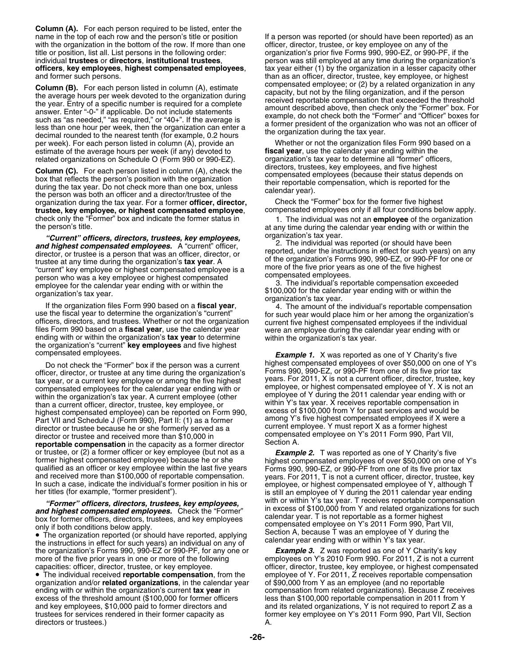**Column (A).** For each person required to be listed, enter the name in the top of each row and the person's title or position If a person was reported (or should have been reported) as an with the organization in the bottom of the row. If more than one officer, director, trustee, or key employee on any of the title or position, list all. List persons in the following order: organization's prior five Forms 990, 990-EZ, or 990-PF, if the individual trustees or directors, institutional trustees, person was still employed at any ti individual **trustees** or **directors**, **institutional trustees**, person was still employed at any time during the organization's

**Column (B).** For each person listed in column (A), estimate<br>the average hours per week devoted to the organization during<br>the year. Entry of a specific number is required for a complete<br>answer. Enter "-0-" if applicable. per week). For each person listed in column (A), provide an Whether or not the organization files Form 990 based on a<br>estimate of the average hours per week (if any) devoted to **fiscal year**, use the calendar year ending w estimate of the average hours per week (if any) devoted to

**Column (C).** For each person listed in column (A), check the<br>box that reflects the person's position with the organization<br>during the tax year. Do not check more than one box, unless<br>the person was both an officer and a d organization during the tax year. For a former **officer, director,** Check the "Former" box for the former five highest<br>trustee, key employee, or highest compensated employee, compensated employees only if all four conditio trustee, key employee, or highest compensated employee,

"Current" officers, directors, trustees, key employees,<br>
and highest compensated employees. The individual was reported (or should have been<br>
director, or trustee is a person that was an officer, director, or<br>
trustee at a

officer, director, or trustee at any time during the organization's years. For 2011, X is not a current officer, director, trustee, key<br>compensated employees for the calendar year ending with or employee, or highest compensated employee of Y. X is not an compensated employees for the calendar year ending with or employee, or highest compensated employee of Y. X is not<br>within the organization's tax year. A current employee (other employee of Y during the 2011 calendar year within the organization's tax year. A current employee (other than a current officer, director, trustee, key employee, or within Y's tax year. X receives reportable compensation in<br>highest compensated employee) can be reported on Form 990 excess of \$100,000 from Y for past services a highest compensated employee) can be reported on Form 990,<br>Part VII and Schedule J (Form 990), Part II: (1) as a former among Y's five highest compensated employees if X were a Part VII and Schedule J (Form 990), Part II: (1) as a former among Y's five highest compensated employees if X w<br>director or trustee because he or she formerly served as a current employee. Y must report X as a former high director or trustee because he or she formerly served as a director or trustee and received more than \$10,000 in compensated employee on Y's 2011 Form 990, Part VII,<br> **reportable compensation** in the capacity as a former director Section A. **reportable compensation** in the capacity as a former director or trustee, or (2) a former officer or key employee (but not as a

The organization reported (or should have reported, applying<br>the instructions in effect for such years) an individual on any of the instructions in effect for such years) an individual on any of the instructions in effect the organization's Forms 990, 990-EZ or 990-PF, for any one or more of the five prior years in one or more of the following employees on Y's 2010 Form 990. For 2011, Z is not a current capacities: officer, director, trustee, or key employee. officer, director, trustee, key employee, or highest compensated

• The individual received **reportable compensation**, from the employee of Y. For 2011, Z receives reportable compensation organization and/or **related organizations**, in the calendar year of \$90,000 from Y as an employee (and no reportable ending with or within the organization's current **tax year** in compensation from related organizations). Because Z receives excess of the threshold amount (\$100,000 for former officers less than \$100,000 reportable compensation in 2011 from Y<br>and its related organizations, Y is not required to report Z as trustees for services rendered in their former capacity as former key employee on Y's 2011 Form 990, Part VII, Section directors or trustees.) A.

tax year either (1) by the organization in a lesser capacity other and former such persons. than as an officer, director, trustee, key employee, or highest

related organizations on Schedule O (Form 990 or 990-EZ). organization's tax year to determine all "former" officers,<br>Column (C). For each person listed in column (A), check the directors, trustees, key employees, and five

check only the "Former" box and indicate the former status in the individual was not an **employee** of the organization<br>the person's title. at any time during the calendar year ending with or within the<br>"Current" officers d

compensated employees. *Example 1.* X was reported as one of Y Charity's five Do not check the "Former" box if the person was a current highest compensated employees of over \$50,000 on one of Y's<br>Cer director, or trustee at any time during the organization's Forms 990, 990-EZ, or 990-PF from one of

or trustee, or (2) a former officer or key employee (but not as a<br>former highest compensated employee) because he or she<br>qualified as an officer or key employee within the last five years<br>and received more than \$100,000 of "Former" officers, directors, trustees, key employees,<br>
and highest compensated employees. Check the "Former"<br>
box for former officers, directors, trustees, and key employees<br>
only if both conditions below apply.<br>
The orga

and its related organizations, Y is not required to report Z as a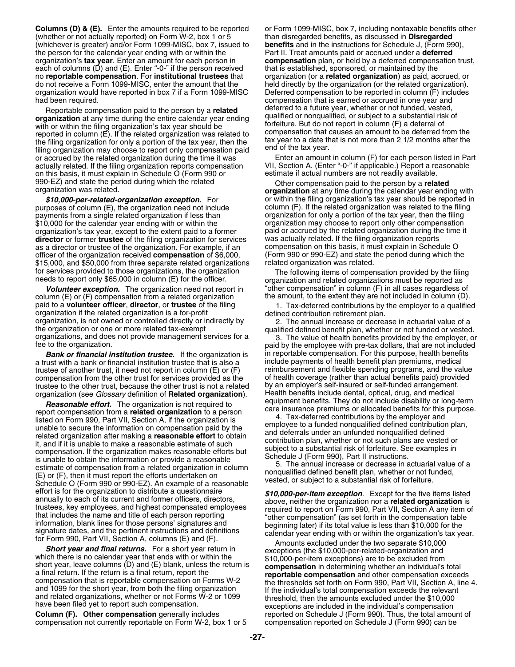**Columns (D) & (E).** Enter the amounts required to be reported or Form 1099-MISC, box 7, including nontaxable benefits other (whether or not actually reported) on Form W-2, box 1 or 5 than disregarded benefits, as discussed in **Disregarded**<br>(whichever is greater) and/or Form 1099-MISC, box 7, issued to **benefits** and in the instructions for Sche (whichever is greater) and/or Form 1099-MISC, box 7, issued to the person for the calendar year ending with or within the Part II. Treat amounts paid or accrued under a **deferred** each of columns  $(D)$  and  $(E)$ . Enter "-0-" if the person received no **reportable compensation**. For **institutional trustees** that organization (or a **related organization**) as paid, accrued, or do not receive a Form 1099-MISC, enter the amount that the held directly by the organization (or the related organization). organization would have reported in box 7 if a Form 1099-MISC Deferred compensation to be reported in column (F) includes had been required. The results of the compensation that is earned or accrued in one year and

Reportable compensation paid to the person by a **related** deferred to a future year, whether or not funded, vested,<br> **organization** at any time during the entire calendar year ending qualified or nonqualified, or subject t with or within the filing organization's tax year should be forfeiture. But do not report in column (F) a deferred from the related organization was related to forecompensation that causes an amount to be deferred from the reported in column (E). If the related organization was related to<br>the filing organization for only a portion of the tax year, then the<br>filing organization for only a portion of the tax year, then the<br>filing organization m or accrued by the related organization during the time it was Enter an amount in column (F) for each person listed in Particular Particular actually related. If the filing organization reports compensation VII, Section A. actually related. If the filing organization reports compensation on this basis, it must explain in Schedule O (Form 990 or estimate if actual numbers are not readily available. 990-EZ) and state the period during which the related **Other compensation paid to the person by a related**<br>**organization** at any time during the calendar year ending organization at any time during the calendar year endin

purposes of column  $(E)$ , the organization need not include payments from a single related organization if less than organization for only a portion of the tax year, then the filing \$10,000 for the calendar year ending with or within the organization may choose to report only other compensation<br>organization's tax year, except to the extent paid to a former paid or accrued by the related organization d organization's tax year, except to the extent paid to a former paid or accrued by the related organization during the **director** or former **trustee** of the filling organization reports **director** or former **trustee** of the filing organization for services was actually related. If the filing organization reports as a director or trustee of the organization. For example, if an compensation on this basis, it must explain in Schedule O<br>officer of the organization received **compensation** of \$6,000, (Form 990 or 990-EZ) and state the p officer of the organization received **compensation** of \$6,000, \$15,000, and \$50,000 from three separate related organizations related organization was related. for services provided to those organizations, the organization<br>needs to report only \$65,000 in column (E) for the officer. organization and related organizations must be reported as

*Volunteer exception.* The organization need not report in "other compensation" in column (F) in all cases regardless of column (E) or (F) compensation from a related organization the amount, to the extent they are not included in column (D).<br>paid to a **volunteer officer, director**, or **trustee** of the filing 1. Tax-deferred contributions by paid to a **volunteer officer**, **director**, or **trustee** of the filing the state of the contributions by the employer to a qualified organization if the related organization is a for-profit organization retirement plan.<br>
or the organization or one or more related tax-exempt qualified defined benefit plan, whether or not funded or vested.<br>1. The value of health benefits provided by the employer, organizations, and does not provided by the empl

**Bank or financial institution trustee.** If the organization is in reportable compensation. For this purpose, health benefits a trust with a bank or financial institution trustee that is also a linclude payments of health trustee of another trust, it need not report in column (E) or (F) reimbursement and flexible spending programs, and the value<br>compensation from the other trust for services provided as the of health coverage (rather than a compensation from the other trust for services provided as the of health coverage (rather than actual benefits paid) provided trust, because the other trust is not a related by an employer's self-insured or self-funded arr trustee to the other trust, because the other trust is not a related by an employer's self-insured or self-funded arrangement<br>organization (see *Glossary* definition of **Related organization**). Health benefits include dent

organization (see *Glossary* definition of **Related organization**). Health benefits include dental, optical, drug, and medical<br> **Reasonable effort.** The organization is not required to<br>
equiment benefits. They do not inclu effort is for the organization to distribute a questionnaire<br>annually to each of its current and former officers, directors,<br>trustees, key employees, and highest compensated employees<br>rustees, key employees, and highest co

**Column (F). Other compensation** generally includes reported on Schedule J (Form 990). Thus, the total amount of compensation not currently reportable on Form W-2, box 1 or 5 compensation reported on Schedule J (Form 990) compensation not currently reportable on Form W-2, box 1 or 5

**compensation** plan, or held by a deferred compensation trust, that is established, sponsored, or maintained by the

organization at any time during the calendar year ending with **\$10,000-per-related-organization exception.** For **or within the filing organization's tax year should be reported in**<br>poses of column (E), the organization need not include column (F). If the related organization was rela

organizations, and does not provide management services for a 3. The value of health benefits provided by the employer, or<br>fee to the organization. paid by the employee with pre-tax dollars, that are not included include payments of health benefit plan premiums, medical

trustees, key employees, and highest compensated employees<br>
that includes the name and title of each person reporting the of those information, blank lines for those persons' signatures and<br>
information, blank lines for th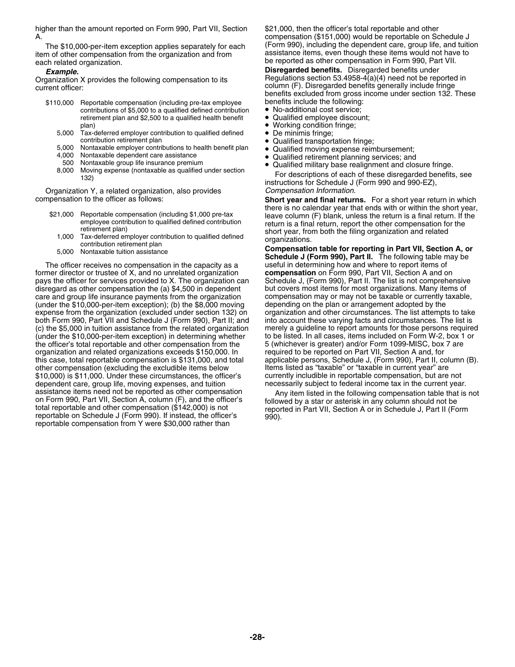higher than the amount reported on Form 990, Part VII, Section \$21,000, then the officer's total reportable and other

item of other compensation from the organization and from each related organization.

Organization X provides the following compensation to its current officer: current officer: column (F). Disregarded benefits generally include fringe

- \$110,000 Reportable compensation (including pre-tax employee benefits include the following<br>:contributions of \$5,000 to a qualified defined contribution No-additional cost service contributions of \$5,000 to a qualified defined contribution • No-additional cost service; retirement plan and \$2,500 to a qualified health benefit  $\bullet$ plan) • Working condition fringe;<br>Tax-deferred employer contribution to qualified defined • De minimis fringe;
	- 5,000 Tax-deferred employer contribution to qualified defined contribution retirement plan
	- 5,000 Nontaxable employer contributions to health benefit plan Qualified moving expense reimbursement; 4,000 Nontaxable dependent care assistance •
	- 4,000 Nontaxable dependent care assistance<br>500 Nontaxable group life insurance premium Qualified military base realignment and closure fringe.
	-

Organization Y, a related organization, also provides *Compensation Information*.

- 
- 
- 

The officer receives no compensation in the capacity as a useful in determining how and where to report items of mer director or trustee of X, and no unrelated organization **compensation** on Form 990, Part VII, Section A a former director or trustee of X, and no unrelated organization **compensation** on Form 990, Part VII, Section A and on pays the officer for services provided to X. The organization can Schedule J, (Form 990), Part II. The l pays the officer for services provided to X. The organization can Schedule J, (Form 990), Part II. The list is not comprehensive<br>disregard as other compensation the (a) \$4,500 in dependent but covers most items for most or disregard as other compensation the (a) \$4,500 in dependent care and group life insurance payments from the organization compensation may or may not be taxable or currently taxable,<br>(under the \$10,000-per-item exception); (b) the \$8,000 moving depending on the plan or arrangement a (under the  $$10,000$ -per-item exception); (b) the  $$8,000$  moving expense from the organization (excluded under section 132) on organization and other circumstances. The list attempts to take<br>both Form 990, Part VII and Schedule J (Form 990), Part II; and into account these varying facts both Form 990, Part VII and Schedule J (Form 990), Part II; and (c) the \$5,000 in tuition assistance from the related organization (under the \$10,000-per-item exception) in determining whether to be listed. In all cases, items included on Form W-2, box 1<br>the officer's total reportable and other compensation from the 5 (whichever is greater) and/or For the officer's total reportable and other compensation from the 5 (whichever is greater) and/or Form 1099-MISC, box organizations exceeds \$150,000. In Forequired to be reported on Part VII, Section A and, for organization and related organizations exceeds \$150,000. In required to be reported on Part VII, Section A and, for<br>this case, total reportable compensation is \$131,000, and total applicable persons, Schedule J, (Form 990) this case, total reportable compensation is \$131,000, and total applicable persons, Schedule J, (Form 990), Part II, colcumn (B). The excludible items below ltems listed as "taxable" or "taxable in current year" are other compensation (excluding the excludible items below Items listed as "taxable" or "taxable in current year<br>\$10,000) is \$11,000. Under these circumstances, the officer's currently includible in reportable compensation, \$10,000) is \$11,000. Under these circumstances, the officer's dependent care, group life, moving expenses, and tuition necessarily subject to federal income tax in the current year.<br>Any item listed in the following compensation assistance items need not be reported as other compensat assistance items need not be reported as other compensation and any item listed in the following compensation table that is not<br>on Form 990, Part VII, Section A, column (F), and the officer's followed by a star or asterisk

A. compensation (\$151,000) would be reportable on Schedule J The \$10,000-per-item exception applies separately for each (Form 990), including the dependent care, group life, and tuition<br>m of other compensation from the organization and from assistance items, even though these items be reported as other compensation in Form 990, Part VII.

**Example.**<br>**Disregarded benefits.** Disregarded benefits benefits under the following compensation to its<br>Regulations section 53.4958-4(a)(4) need not be reported in benefits excluded from gross income under section 132. These benefits include the following:

- 
- 
- 
- 
- 
- Qualified transportation fringe;<br>• Qualified moving expense reimbursement;
- 
- 

8,000 Moving expense (nontaxable as qualified under section<br>132) Tor descriptions of each of these disregarded benefits, see<br>instructions for Schedule J (Form 990 and 990-EZ),

compensation to the officer as follows: **Short year and final returns.** For a short year return in which \$21,000 Reportable compensation (including \$1,000 pre-tax employee contribution to qualified defined contribution<br>
1,000 Tax-deferred employer contribution to qualified defined contribution<br>
1,000 Tax-deferred employer con

merely a guideline to report amounts for those persons required to be listed. In all cases, items included on Form W-2, box 1 or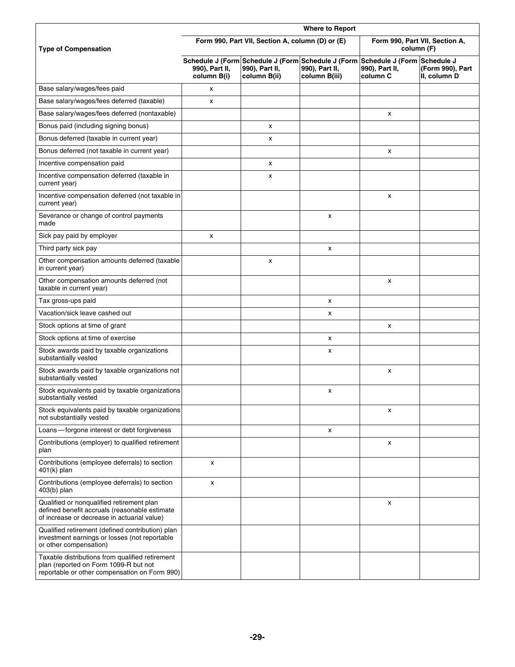|                                                                                                                                           | <b>Where to Report</b>        |                                                                                      |                                 |                                                           |                                              |  |
|-------------------------------------------------------------------------------------------------------------------------------------------|-------------------------------|--------------------------------------------------------------------------------------|---------------------------------|-----------------------------------------------------------|----------------------------------------------|--|
| <b>Type of Compensation</b>                                                                                                               |                               | Form 990, Part VII, Section A, column (D) or (E)                                     |                                 |                                                           | Form 990, Part VII, Section A,<br>column (F) |  |
|                                                                                                                                           | 990), Part II,<br>column B(i) | Schedule J (Form Schedule J (Form Schedule J (Form<br>990), Part II,<br>column B(ii) | 990), Part II,<br>column B(iii) | Schedule J (Form Schedule J<br>990), Part II,<br>column C | (Form 990), Part<br>II, column D             |  |
| Base salary/wages/fees paid                                                                                                               | X                             |                                                                                      |                                 |                                                           |                                              |  |
| Base salary/wages/fees deferred (taxable)                                                                                                 | x                             |                                                                                      |                                 |                                                           |                                              |  |
| Base salary/wages/fees deferred (nontaxable)                                                                                              |                               |                                                                                      |                                 | X                                                         |                                              |  |
| Bonus paid (including signing bonus)                                                                                                      |                               | x                                                                                    |                                 |                                                           |                                              |  |
| Bonus deferred (taxable in current year)                                                                                                  |                               | x                                                                                    |                                 |                                                           |                                              |  |
| Bonus deferred (not taxable in current year)                                                                                              |                               |                                                                                      |                                 | x                                                         |                                              |  |
| Incentive compensation paid                                                                                                               |                               | X                                                                                    |                                 |                                                           |                                              |  |
| Incentive compensation deferred (taxable in<br>current year)                                                                              |                               | X                                                                                    |                                 |                                                           |                                              |  |
| Incentive compensation deferred (not taxable in<br>current year)                                                                          |                               |                                                                                      |                                 | X                                                         |                                              |  |
| Severance or change of control payments<br>made                                                                                           |                               |                                                                                      | X                               |                                                           |                                              |  |
| Sick pay paid by employer                                                                                                                 | x                             |                                                                                      |                                 |                                                           |                                              |  |
| Third party sick pay                                                                                                                      |                               |                                                                                      | x                               |                                                           |                                              |  |
| Other compensation amounts deferred (taxable<br>in current year)                                                                          |                               | X                                                                                    |                                 |                                                           |                                              |  |
| Other compensation amounts deferred (not<br>taxable in current year)                                                                      |                               |                                                                                      |                                 | X                                                         |                                              |  |
| Tax gross-ups paid                                                                                                                        |                               |                                                                                      | x                               |                                                           |                                              |  |
| Vacation/sick leave cashed out                                                                                                            |                               |                                                                                      | x                               |                                                           |                                              |  |
| Stock options at time of grant                                                                                                            |                               |                                                                                      |                                 | X                                                         |                                              |  |
| Stock options at time of exercise                                                                                                         |                               |                                                                                      | x                               |                                                           |                                              |  |
| Stock awards paid by taxable organizations<br>substantially vested                                                                        |                               |                                                                                      | x                               |                                                           |                                              |  |
| Stock awards paid by taxable organizations not<br>substantially vested                                                                    |                               |                                                                                      |                                 | X                                                         |                                              |  |
| Stock equivalents paid by taxable organizations<br>substantially vested                                                                   |                               |                                                                                      | X                               |                                                           |                                              |  |
| Stock equivalents paid by taxable organizations<br>not substantially vested                                                               |                               |                                                                                      |                                 | X                                                         |                                              |  |
| Loans-forgone interest or debt forgiveness                                                                                                |                               |                                                                                      | x                               |                                                           |                                              |  |
| Contributions (employer) to qualified retirement<br>plan                                                                                  |                               |                                                                                      |                                 | X                                                         |                                              |  |
| Contributions (employee deferrals) to section<br>401(k) plan                                                                              | x                             |                                                                                      |                                 |                                                           |                                              |  |
| Contributions (employee deferrals) to section<br>403(b) plan                                                                              | x                             |                                                                                      |                                 |                                                           |                                              |  |
| Qualified or nonqualified retirement plan<br>defined benefit accruals (reasonable estimate<br>of increase or decrease in actuarial value) |                               |                                                                                      |                                 | X                                                         |                                              |  |
| Qualified retirement (defined contribution) plan<br>investment earnings or losses (not reportable<br>or other compensation)               |                               |                                                                                      |                                 |                                                           |                                              |  |
| Taxable distributions from qualified retirement<br>plan (reported on Form 1099-R but not<br>reportable or other compensation on Form 990) |                               |                                                                                      |                                 |                                                           |                                              |  |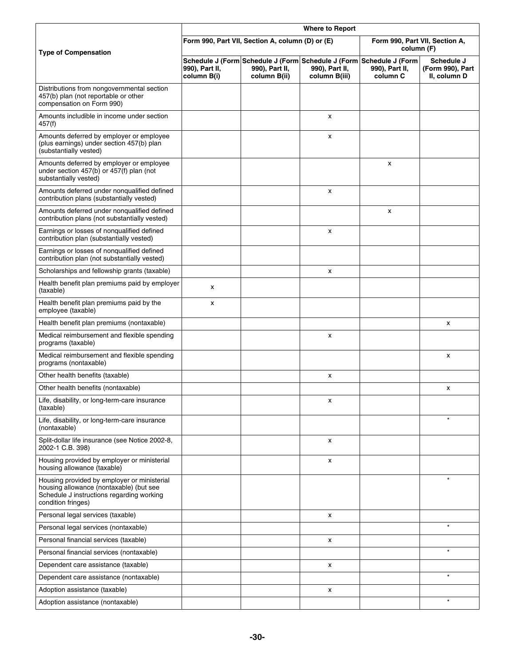|                                                                                                                                                           | <b>Where to Report</b>                                                                           |                                |                                                                                                        |                            |                                                |
|-----------------------------------------------------------------------------------------------------------------------------------------------------------|--------------------------------------------------------------------------------------------------|--------------------------------|--------------------------------------------------------------------------------------------------------|----------------------------|------------------------------------------------|
| <b>Type of Compensation</b>                                                                                                                               | Form 990, Part VII, Section A, column (D) or (E)<br>Form 990, Part VII, Section A,<br>column (F) |                                |                                                                                                        |                            |                                                |
|                                                                                                                                                           | 990), Part II,<br>column B(i)                                                                    | 990), Part II,<br>column B(ii) | Schedule J (Form Schedule J (Form Schedule J (Form Schedule J (Form<br>990), Part II,<br>column B(iii) | 990), Part II,<br>column C | Schedule J<br>(Form 990), Part<br>II, column D |
| Distributions from nongovernmental section<br>457(b) plan (not reportable or other<br>compensation on Form 990)                                           |                                                                                                  |                                |                                                                                                        |                            |                                                |
| Amounts includible in income under section<br>457(f)                                                                                                      |                                                                                                  |                                | x                                                                                                      |                            |                                                |
| Amounts deferred by employer or employee<br>(plus earnings) under section 457(b) plan<br>(substantially vested)                                           |                                                                                                  |                                | x                                                                                                      |                            |                                                |
| Amounts deferred by employer or employee<br>under section 457(b) or 457(f) plan (not<br>substantially vested)                                             |                                                                                                  |                                |                                                                                                        | x                          |                                                |
| Amounts deferred under nonqualified defined<br>contribution plans (substantially vested)                                                                  |                                                                                                  |                                | X                                                                                                      |                            |                                                |
| Amounts deferred under nonqualified defined<br>contribution plans (not substantially vested)                                                              |                                                                                                  |                                |                                                                                                        | x                          |                                                |
| Earnings or losses of nongualified defined<br>contribution plan (substantially vested)                                                                    |                                                                                                  |                                | x                                                                                                      |                            |                                                |
| Earnings or losses of nonqualified defined<br>contribution plan (not substantially vested)                                                                |                                                                                                  |                                |                                                                                                        |                            |                                                |
| Scholarships and fellowship grants (taxable)                                                                                                              |                                                                                                  |                                | x                                                                                                      |                            |                                                |
| Health benefit plan premiums paid by employer<br>(taxable)                                                                                                | x                                                                                                |                                |                                                                                                        |                            |                                                |
| Health benefit plan premiums paid by the<br>employee (taxable)                                                                                            | x                                                                                                |                                |                                                                                                        |                            |                                                |
| Health benefit plan premiums (nontaxable)                                                                                                                 |                                                                                                  |                                |                                                                                                        |                            | x                                              |
| Medical reimbursement and flexible spending<br>programs (taxable)                                                                                         |                                                                                                  |                                | x                                                                                                      |                            |                                                |
| Medical reimbursement and flexible spending<br>programs (nontaxable)                                                                                      |                                                                                                  |                                |                                                                                                        |                            | x                                              |
| Other health benefits (taxable)                                                                                                                           |                                                                                                  |                                | x                                                                                                      |                            |                                                |
| Other health benefits (nontaxable)                                                                                                                        |                                                                                                  |                                |                                                                                                        |                            | x                                              |
| Life, disability, or long-term-care insurance<br>(taxable)                                                                                                |                                                                                                  |                                | x                                                                                                      |                            |                                                |
| Life, disability, or long-term-care insurance<br>(nontaxable)                                                                                             |                                                                                                  |                                |                                                                                                        |                            | $\star$                                        |
| Split-dollar life insurance (see Notice 2002-8,<br>2002-1 C.B. 398)                                                                                       |                                                                                                  |                                | x                                                                                                      |                            |                                                |
| Housing provided by employer or ministerial<br>housing allowance (taxable)                                                                                |                                                                                                  |                                | x                                                                                                      |                            |                                                |
| Housing provided by employer or ministerial<br>housing allowance (nontaxable) (but see<br>Schedule J instructions regarding working<br>condition fringes) |                                                                                                  |                                |                                                                                                        |                            | $\star$                                        |
| Personal legal services (taxable)                                                                                                                         |                                                                                                  |                                | x                                                                                                      |                            |                                                |
| Personal legal services (nontaxable)                                                                                                                      |                                                                                                  |                                |                                                                                                        |                            | $\star$                                        |
| Personal financial services (taxable)                                                                                                                     |                                                                                                  |                                | x                                                                                                      |                            |                                                |
| Personal financial services (nontaxable)                                                                                                                  |                                                                                                  |                                |                                                                                                        |                            | $\star$                                        |
| Dependent care assistance (taxable)                                                                                                                       |                                                                                                  |                                | x                                                                                                      |                            |                                                |
| Dependent care assistance (nontaxable)                                                                                                                    |                                                                                                  |                                |                                                                                                        |                            | $\star$                                        |
| Adoption assistance (taxable)                                                                                                                             |                                                                                                  |                                | x                                                                                                      |                            |                                                |
| Adoption assistance (nontaxable)                                                                                                                          |                                                                                                  |                                |                                                                                                        |                            | $\star$                                        |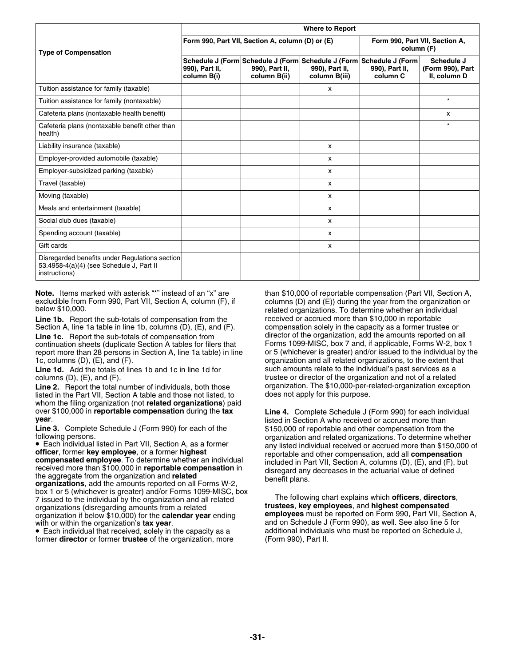|                                                                                                             | <b>Where to Report</b>                           |                                |                                 |                                                                                                   |                                                |
|-------------------------------------------------------------------------------------------------------------|--------------------------------------------------|--------------------------------|---------------------------------|---------------------------------------------------------------------------------------------------|------------------------------------------------|
| <b>Type of Compensation</b>                                                                                 | Form 990, Part VII, Section A, column (D) or (E) |                                |                                 | Form 990, Part VII, Section A,<br>column (F)                                                      |                                                |
|                                                                                                             | 990), Part II,<br>column B(i)                    | 990), Part II,<br>column B(ii) | 990), Part II,<br>column B(iii) | Schedule J (Form Schedule J (Form Schedule J (Form Schedule J (Form<br>990), Part II,<br>column C | Schedule J<br>(Form 990), Part<br>II, column D |
| Tuition assistance for family (taxable)                                                                     |                                                  |                                | $\mathsf{x}$                    |                                                                                                   |                                                |
| Tuition assistance for family (nontaxable)                                                                  |                                                  |                                |                                 |                                                                                                   | $\star$                                        |
| Cafeteria plans (nontaxable health benefit)                                                                 |                                                  |                                |                                 |                                                                                                   | $\mathsf{x}$                                   |
| Cafeteria plans (nontaxable benefit other than<br>health)                                                   |                                                  |                                |                                 |                                                                                                   | $\star$                                        |
| Liability insurance (taxable)                                                                               |                                                  |                                | $\mathsf{x}$                    |                                                                                                   |                                                |
| Employer-provided automobile (taxable)                                                                      |                                                  |                                | $\mathsf{x}$                    |                                                                                                   |                                                |
| Employer-subsidized parking (taxable)                                                                       |                                                  |                                | $\mathsf{x}$                    |                                                                                                   |                                                |
| Travel (taxable)                                                                                            |                                                  |                                | $\mathsf{x}$                    |                                                                                                   |                                                |
| Moving (taxable)                                                                                            |                                                  |                                | $\mathsf{x}$                    |                                                                                                   |                                                |
| Meals and entertainment (taxable)                                                                           |                                                  |                                | $\mathsf{x}$                    |                                                                                                   |                                                |
| Social club dues (taxable)                                                                                  |                                                  |                                | $\mathsf{x}$                    |                                                                                                   |                                                |
| Spending account (taxable)                                                                                  |                                                  |                                | $\mathsf{x}$                    |                                                                                                   |                                                |
| Gift cards                                                                                                  |                                                  |                                | $\mathsf{x}$                    |                                                                                                   |                                                |
| Disregarded benefits under Regulations section<br>53.4958-4(a)(4) (see Schedule J, Part II<br>instructions) |                                                  |                                |                                 |                                                                                                   |                                                |

Line 1b. Report the sub-totals of compensation from the received or accrued more than \$10,000 in reportable<br>Section A, line 1a table in line 1b, columns (D), (E), and (F), compensation solely in the capacity as a former tr Section A, line 1a table in line 1b, columns  $(D)$ ,  $(E)$ , and  $(F)$ . Line 1c. Report the sub-totals of compensation from director of the organization, add the amounts reported on all<br>continuation sheets (duplicate Section A tables for filers that Forms 1099-MISC, box 7 and, if applicable, F continuation sheets (duplicate Section A tables for filers that Forms 1099-MISC, box 7 and, if applicable, Forms W-2, box 1 report more than 28 persons in Section A, line 1a table) in line or 5 (whichever is greater) and/o 1c, columns (D), (E), and (F). organization and all related organizations, to the extent that

listed in the Part VII, Section A table and those not listed, to whom the filing organization (not **related organizations**) paid over \$100,000 in **reportable compensation** during the tax over \$100,000 in **reportable compensation** during the **tax Line 4.** Complete Schedule J (Form 990) for each individual

**Line 3.** Complete Schedule J (Form 990) for each of the \$150,000 of reportable and other compensation from the following persons.

• Each individual listed in Part VII, Section A, as a former • Each individual listed in Part VII, Section A, as a former<br>
officer, former key employee, or a former highest<br>
compensated employee. To determine whether an individual<br>
received more than \$100,000 in reportable compensat box 1 or 5 (whichever is greater) and/or Forms 1099-MISC, box<br>
7 issued to the individual by the organization and all related<br> **The following chart explains which officers, directors**,<br> **The following chart explains which** organizations (disregarding amounts from a related **trustees**, **key employees**, and **highest compensated** organization if below \$10,000) for the **calendar year** ending

• Each individual that received, solely in the capacity as a andditional individuals who must be reported on Schedule J, former **director** or former **trustee** of the organization, more (Form 990), Part II.

**Note.** Items marked with asterisk "\*" instead of an "x" are than \$10,000 of reportable compensation (Part VII, Section A, excludible from Form 990, Part VII, Section A, column (F), if columns (D) and (E)) during the year excludible from Form 990, Part VII, Section A, column (F), if columns (D) and (E)) during the year from the organization or below \$10,000.<br>
Line 1b. Report the sub-totals of compensation from the received or accrued more or 5 (whichever is greater) and/or issued to the individual by the Line 1d. Add the totals of lines 1b and 1c in line 1d for such amounts relate to the individual's past services as a columns (D), (E), and (F). trustee or director of the organization and not of a related Line 2. Report the total number of individuals, both those organization. The \$10,000-per-related-organization exception<br>listed in the Part VII. Section A table and those not listed, to does not apply for this purpose.

> listed in Section A who received or accrued more than organization and related organizations. To determine whether<br>any listed individual received or accrued more than \$150,000 of

with or within the organization's **tax year.** and on Schedule J (Form 990), as well. See also line 5 for<br>• Each individual that received, solely in the capacity as a additional individuals who must be reported on Schedule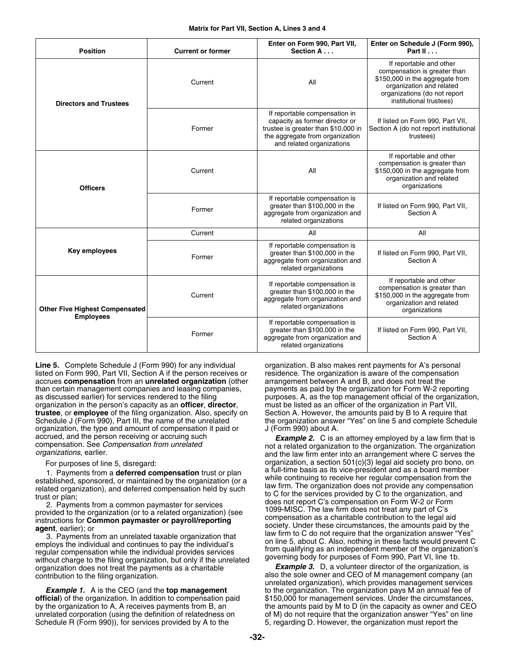| <b>Position</b>                                           | <b>Current or former</b> | Enter on Form 990, Part VII,<br>Section A                                                                                                                              | Enter on Schedule J (Form 990),<br>Part II                                                                                                                                        |
|-----------------------------------------------------------|--------------------------|------------------------------------------------------------------------------------------------------------------------------------------------------------------------|-----------------------------------------------------------------------------------------------------------------------------------------------------------------------------------|
| <b>Directors and Trustees</b>                             | Current                  | All                                                                                                                                                                    | If reportable and other<br>compensation is greater than<br>\$150,000 in the aggregate from<br>organization and related<br>organizations (do not report<br>institutional trustees) |
|                                                           | Former                   | If reportable compensation in<br>capacity as former director or<br>trustee is greater than \$10,000 in<br>the aggregate from organization<br>and related organizations | If listed on Form 990, Part VII,<br>Section A (do not report institutional<br>trustees)                                                                                           |
| <b>Officers</b>                                           | Current                  | All                                                                                                                                                                    | If reportable and other<br>compensation is greater than<br>\$150,000 in the aggregate from<br>organization and related<br>organizations                                           |
|                                                           | Former                   | If reportable compensation is<br>greater than \$100,000 in the<br>aggregate from organization and<br>related organizations                                             | If listed on Form 990, Part VII,<br>Section A                                                                                                                                     |
|                                                           | Current                  | All                                                                                                                                                                    | All                                                                                                                                                                               |
| Key employees                                             | Former                   | If reportable compensation is<br>greater than \$100,000 in the<br>aggregate from organization and<br>related organizations                                             | If listed on Form 990, Part VII,<br>Section A                                                                                                                                     |
| <b>Other Five Highest Compensated</b><br><b>Employees</b> | Current                  | If reportable compensation is<br>greater than \$100,000 in the<br>aggregate from organization and<br>related organizations                                             | If reportable and other<br>compensation is greater than<br>\$150,000 in the aggregate from<br>organization and related<br>organizations                                           |
|                                                           | Former                   | If reportable compensation is<br>greater than \$100,000 in the<br>aggregate from organization and<br>related organizations                                             | If listed on Form 990, Part VII,<br>Section A                                                                                                                                     |

Line 5. Complete Schedule J (Form 990) for any individual organization. B also makes rent payments for A's personal listed on Form 990, Part VII, Section A if the person receives or residence. The organization is aware of listed on Form 990, Part VII, Section A if the person receives or accrues **compensation** from an **unrelated organization** (other arrangement between A and B, and does not treat the than certain management companies and leasing companies, as discussed earlier) for services rendered to the filing purposes. A, as the top management official of the organization, organization, organization, organization, organization, organization, organization, organization in organization in the person's capacity as an **officer**, **director**, **trustee**, or **employee** of the filing organization. Also, specify on Section A. However, the amounts paid by B to A require that Schedule J (Form 990), Part III, the name of the unrelated the organization answer "Yes" on organization, the type and amount of compensation it paid or J (Form 990) about A.<br>accrued, and the person receiving or accruing such **Example 2.** C is a

organization does not treat the payments as a charitable *Boverning body for purposes of Form 990*, Part VI, line TD.<br>
organization does not treat the payments as a charitable **Example 3.** D, a volunteer director of the or

the organization answer "Yes" on line 5 and complete Schedule

accrued, and the person receiving or accruing such<br>compensation. See *Compensation from unrelated*<br>organizations, earlier. and the law firm enter into an arrangement where C serves the<br>and the law firm enter into an arrang For purposes of line 5, disregard:<br>
1. Payments from a **deferred compensation** trust or plan a full-time basis as its vice-president and as a board member 1. Payments from a **deferred compensation** trust or plan<br>established, sponsored, or maintained by the organization (or a<br>related organization), and deferred compensation held by such<br>trust or plan;<br>2. Payments from a commo does not report C's compensation on Form W-2 or Form<br>1099-MISC. The law firm does not treat any part of C's Frovided to the organization (or to a related organization) (see<br>instructions for **Common paymaster or payroll/reporting**<br>agent, earlier); or<br>3. Payments from an unrelated taxable organization that<br>employs the individual a

also the sole owner and CEO of M management company (an unrelated organization), which provides management services **Example 1.** A is the CEO (and the **top management** to the organization. The organization pays M an annual fee of **official**) of the organization. In addition to compensation paid \$150,000 for management services. Under th **official**) of the organization. In addition to compensation paid \$150,000 for management services. Under the circumstances<br>by the organization to A, A receives payments from B, an the amounts paid by M to D (in the capaci the amounts paid by M to D (in the capacity as owner and CEO unrelated corporation (using the definition of relatedness on of M) do not require that the organization answer "Yes" on line<br>Schedule R (Form 990)), for services provided by A to the 5, regarding D. However, the organizat 5, regarding D. However, the organization must report the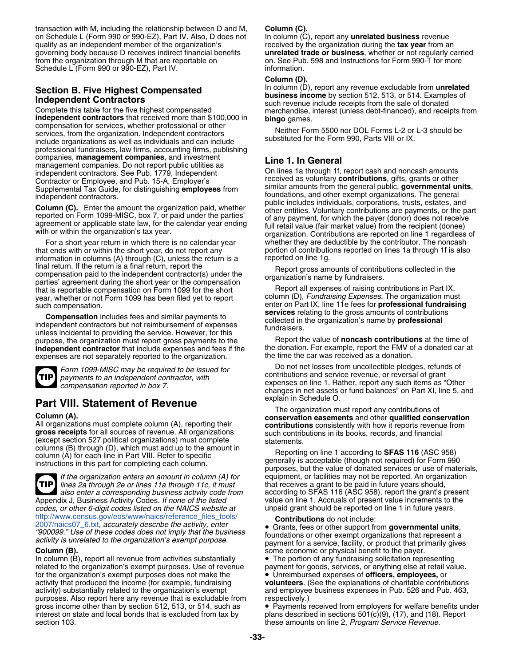transaction with M, including the relationship between D and M, **Column (C).**<br>on Schedule L (Form 990 or 990-EZ), Part IV. Also, D does not ln column (C), report any **unrelated business** revenue on Schedule L (Form 990 or 990-EZ), Part IV. Also, D does not qualify as an independent member of the organization's received by the organization during the **tax year** from an governing body because D receives indirect financial benefits **unrelated trade or business**, whether or not regularly carried from the organization through M that are reportable on on See Pub. 598 and Instructions for Form Schedule L (Form 990 or 990-EZ), Part IV. information.

**Section B. Five Highest Compensated**<br> **In column (D), report any revenue excludable from unrelated**<br> **In column (D), report any revenue excludable from unrelated**<br> **Complete this table for the five highest compensated**<br> professional fundraisers, law firms, accounting firms, publishing companies, management companies, and investment companies, **management companies**, and investment<br>management companies. Do not report public utilities as<br>independent contractors. See Pub. 1779, Independent<br>Contractor or Employee, and Pub. 17-9, Independent<br>Contractor or Contractor or Employee, and Pub. 15-A, Employer's **received as voluntary contributions**, gifts, grants or other and Public, governmental units, Gupplemental units, and Public, governmental units,

that ends with or within the short year, do not report any portion of contributions reported on lines 1a through 1f is also<br>information in columns (A) through (C), unless the return is a reported on line 1g. information in columns (A) through (C), unless the return is a final return. If the return is a final return, report the method of contributions collected in the compensation paid to the independent contractor(s) under the organization's name by fundraisers.<br>
parties' agreement during year, whether or not Form 1099 has been filed yet to report column (D), *Fundraising Expenses*. The organization must

**Compensation** includes fees and similar payments to<br>
independent contractors but not reimbursement of expenses<br>
unless incidental to providing the service. However, for this<br>
purpose, the organization must report gross pa purpose, the organization must report gross payments to the **independent contractor** that include expenses and fees if the expenses are not separately reported to the organization.





*lines 2a through 2e or lines 11a through 11c, it must* that receives a grant to be paid in future years should, Appendix J, Business Activity Codes. If none of the listed value on line 1. Accruals of present value increments to the codes, or other 6-digit codes listed on the NAICS website at unpaid grant should be reported on line 1 *codes, or other 6-digit codes listed on the NAICS website at* [http://www.census.gov/eos/www/naics/reference](http://www.census.gov/eos/www/naics/reference_files_tools/2007/naics07_6.txt)\_[files](http://www.census.gov/eos/www/naics/reference_files_tools/2007/naics07_6.txt)\_[tools/](http://www.census.gov/eos/www/naics/reference_files_tools/2007/naics07_6.txt)<br>[2007/naics07\\_6.txt](http://www.census.gov/eos/www/naics/reference_files_tools/2007/naics07_6.txt)*, accurately describe the activity, enter* • Grants, fees or other support from **governmental units**,

**Column (B).**<br>In column (B), report all revenue from activities substantially **be a some economic or physical benefit to the payer.** In column (B), report all revenue from activities substantially related to the organization's exempt purposes. Use of revenue payment for goods, services, or anything else at retail value.<br>
for the organization's exempt purposes does not make the **•** Unreimbursed expenses of **officers,** for the organization's exempt purposes does not make the activity that produced the income (for example, fundraising activity) substantially related to the organization's exempt and employee business expenses in Pub. 526 and Pub. 463, purposes. Also report here any revenue that is excludable from respectively.)<br>gross income other than by section 512, 513, or 514, such as • Payments interest on state and local bonds that is excluded from tax by plans described in sections 501(c)(9), (17), and (18). Report section 103.<br>section 103.

on. See Pub. 598 and Instructions for Form 990-T for more

**Column (D).**<br>In column (D), report any revenue excludable from **unrelated** 

Supplemental Tax Guide, for distinguishing employees from<br>
independent contractors.<br>
Column (C). Enter the amount the organization paid, whether<br>
reported on Form 1099-MISC, box 7, or paid under the parties'<br>
agreement or For a short year return in which there is no calendar year whether they are deductible by the contributor. The noncash

such compensation. enter on Part IX, line 11e fees for **professional fundraising**<br> **Services** relating to the gross amounts of contributions

the donation. For example, report the FMV of a donated car at the time the car was received as a donation.

Form 1099-MISC may be required to be issued for<br>
payments to an independent contractor, with<br>
compensation reported in box 7.<br>
Compensation reported in box 7. changes in net assets or fund balances" on Part XI, line 5, and

**Part VIII. Statement of Revenue**<br>
Column (A).<br>
Column (A).<br>
Column (A) conservation easements and other qualified conservation<br>
All organizations must complete column (A), reporting their<br>
gross receipts for all sources o

columns (B) through (D), which must add up to the amount in<br>
column (A) for each line in Part VIII. Refer to specific<br>
instructions in this part for completing each column.<br>
purposes, but the value of donated services or u *If the organization enters an amount in column (A) for* equipment, or facilities may not be reported. An organization *lines 2a through 2e or lines 11a through 11c, it must* that receives a grant to be paid in future year *also enter a corresponding business activity code from* according to SFAS 116 (ASC 958), report the grant's present

For these codes does not imply that the business<br>activity is unrelated to the organization's exempt purpose.<br>activity is unrelated to the organization's exempt purpose.<br>payment for a service, facility, or product that prim

volunteers. (See the explanations of charitable contributions

• Payments received from employers for welfare benefits under these amounts on line 2, *Program Service Revenue*.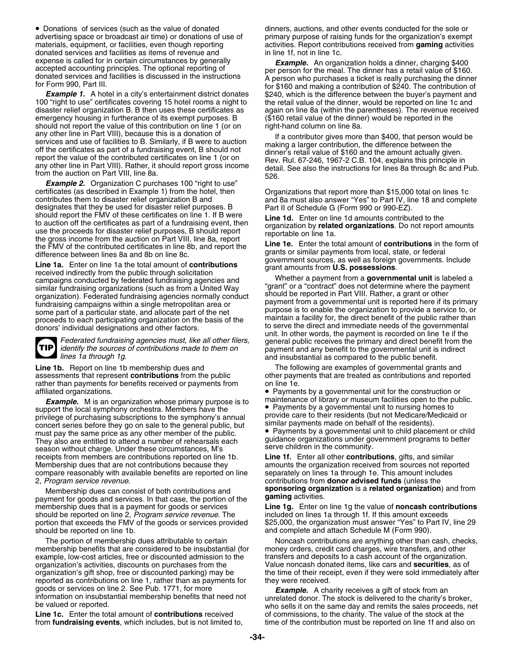• Donations of services (such as the value of donated advertising space or broadcast air time) or donations of use of primary purpose of raising funds for the organization's exempt<br>materials, equipment, or facilities, even though reporting activities. Report contributions rec donated services and facilities as items of revenue and in line 1f, not in line 1c.

*Example 1.* A hotel in a city's entertainment district donates \$240, which is the difference between the buyer's payment and<br>100 "right to use" certificates covering 15 hotel rooms a night to the retail value of the dinne disaster relief organization B. B then uses these certificates as again on line 8a (within the parentheses). The revenue received emergency housing in furtherance of its exempt purposes. B (\$160 retail value of the dinner) emergency housing in furtherance of its exempt purposes. B should not report the value of this contribution on line 1 (or on right-hand column on line 8a.<br>any other line in Part VIII), because this is a donation of result a contributor gives more any other line in Part VIII), because this is a donation of<br>services and use of facilities to B. Similarly, if B were to auction<br>off the certificates as part of a fundraising event, B should not<br>report the value of the con

**Example 2.** Organization C purchases 100 "right to use" certificates (as described in Example 1) from the hotel, then certificates (as described in Example 1) from the hotel, then Organizations that report more than \$15,000 total on lines 1c<br>contributes them to disaster relief organization B and and and 8a must also answer "Yes" to Part I designates that they be used for disaster relief purposes. B should report the FMV of these certificates on line 1. If B were



**TIP** identify the sources<br>lines 1a through 1g.

rather than payments for benefits received or payments from on line 1e. affiliated organizations. • Payments by a governmental unit for the construction or

**Example.** M is an organization whose primary purpose is to maintenance of library or museum facilities open to the public.<br>support the local symphony orchestra. Members have the **Payments by a governmental unit to nursing** provide care to their residents (but not Medicare/Medicaid or<br>privilege of purchasing subscriptions to the symphony's annual<br>concert series before they go on sale to the general public, but<br>must nav the same price as any o must pay the same price as any other member of the public. They also are entitled to attend a number of rehearsals each guidance organizations under government programs to better<br>season without charge. Under these circumstances. M's serve children in the community. season without charge. Under these circumstances, M's receipts from members are contributions reported on line 1b. **Line 1f.** Enter all other **contributions**, gifts, and similar compare reasonably with available benefits are reported on line separately on lines 1a through 1e. This amount includes 2, *Program service revenue*. contributions from **donor advised funds** (unless the

payment for goods and services. In that case, the portion of the **gaming** activities.<br>membership dues that is a payment for goods or services **Line 1g.** Enter on line 1g the value of **noncash contributions** membership dues that is a payment for goods or services **Line 1g.** Enter on line 1g the value of **noncash contributions** should be reported on line 2, *Program service revenue*. The included on lines 1a through 1f. If this amount exceeds portion that exceeds the FMV of the goods or services provided \$25,000, the organization must answer "Yes" to Part IV, line 29 should be reported on line 1b. and complete and attach Schedule M (Form 990).

membership benefits that are considered to be insubstantial (for example, low-cost articles, free or discounted admission to the transfers and deposits to a cash account of the organization.<br>The version organization's activities, discounts on purchases from the Value noncash donated ite organization's gift shop, free or discounted parking) may be the time of their receipt, even if they were sold immediately after reported as contributions on line 1, rather than as payments for they were received.

**Line 1c.** Enter the total amount of **contributions** received of commissions, to the charity. The value of the stock at the from **fundraising events**, which includes, but is not limited to, time of the contribution must be

dinners, auctions, and other events conducted for the sole or activities. Report contributions received from gaming activities

expense is called for in certain circumstances by generally<br>accepted accounting principles. The optional reporting of<br>donated services and facilities is discussed in the instructions<br>for Form 990, Part III. The dinner for the retail value of the dinner, would be reported on line 1c and

and 8a must also answer "Yes" to Part IV, line 18 and complete Part II of Schedule G (Form 990 or 990-EZ).

should report the FMV of these certificates on line 1. If B were the change that is point that Form in the current and any bend that original to the touching the proceeds for disaster relief purposes, B should report<br>the p

Line 1b. Report on line 1b membership dues and The following are examples of governmental grants and assessments that represent **contributions** from the public other payments that are treated as contributions and reported

• Payments by a governmental unit to nursing homes to

amounts the organization received from sources not reported Membership dues can consist of both contributions and **sponsoring organization** is a **related organization**) and from

The portion of membership dues attributable to certain Noncash contributions are anything other than cash, checks, checks, mbership benefits that are considered to be insubstantial (for money orders, credit card charges, w Value noncash donated items, like cars and **securities**, as of

goods or services on line 2. See Pub. 1771, for more<br>information on insubstantial membership benefits that need not<br>be valued or reported. who sells it on the same day and remits the sales proceeds, net time of the contribution must be reported on line 1f and also on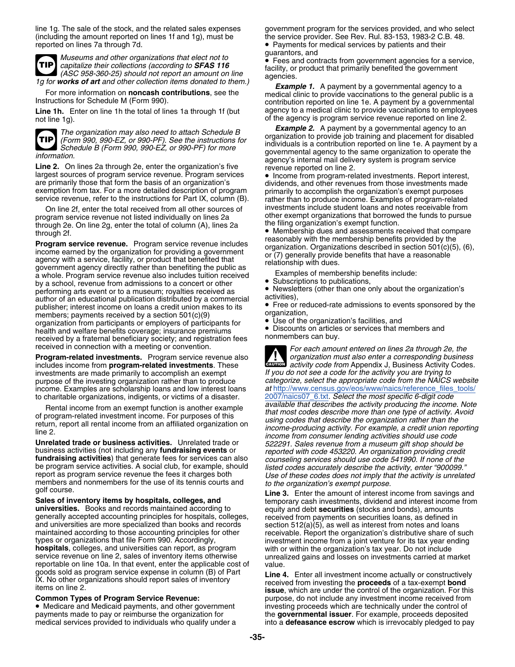line 1g. The sale of the stock, and the related sales expenses government program for the services provided, and who select (including the amount reported on lines 1f and 1g), must be the service provider. See Rev. Rul. 83-153, 1983-2 C.B. 48.<br>
• Payments for medical services by patients and their<br>
• Payments for medical services by patients an





Example to the 2. On lines 2a through 2e, enter the organization's five<br>
largest sources of program service revenue. Program services<br>
are primarily those that form the basis of an organization's<br>
exemption from tax. For a

program service revenue not listed individually on lines 2a other exempt organizations that borrowe<br>through 2e. On line 2g, enter the total of column (A), lines 2a the filing organization's exempt function. through 2e. On line 2g, enter the total of column (A), lines 2a

**Program service revenue.** Program service revenue includes<br>income earned by the organization for providing a government<br>agency with a service, facility, or product that benefited that<br>government agency directly rather tha Subscriptions to membership benefits include:<br>Subscriptions to publications,<br>performing arts event or to a museum; royalties received as<br> $\bullet$  Newsletters (other than one only about the organization's newsletters (outdoor than one or to a must be organization of an educational publication distributed by a commercial activities), publisher; interest income on loans a credit union makes to its • Free or members; payments received by a section  $501(c)(9)$ organization from participants or employers of participants for  $\bullet$  Use or the organization's facilities, and health and welfare benefits coverage; insurance premiums received by a fraternal beneficiary society; and registration fees nonmembers can buy.<br>received in connection with a meeting or convention.

**Program-related investments.** Program service revenue also *organization must also enter a corresponding business* includes income from **program-related investments**. These investments are made primarily to accomplish an exempt *If you do not see a code for the activity you are trying to* income. Examples are scholarship loans and low interest loans *at [http://www.census.gov/eos/www/naics/reference](http://www.census.gov/eos/www/naics/reference_files_tools/2007/naics07_6.txt)\_[files](http://www.census.gov/eos/www/naics/reference_files_tools/2007/naics07_6.txt)\_*<br>to charitable organizations, indigents, or victims of a disaster. 2007/naics07\_6.txt. Select the most

**universities.** Books and records maintained according to equity and debt **securities** (stocks and bonds), amounts generally accepted accounting principles for hospitals, colleges, received from payments on securities loan generally accepted accounting principles for hospitals, colleges, and universities are more specialized than books and records and universities are more specialized than books and records section 512(a)(5), as well as interest from notes and loans<br>maintained according to those accounting principles for other receivable. Report the organization's d maintained according to those accounting principles for other receivable. Report the organization's distributive share of such<br>types or organizations that file Form 990. Accordingly, investment income from a joint venture **hospitals**, colleges, and universities can report, as program with or within the organization's tax year. Do not include service revenue on line 2, sales of inventory items otherwise unrealized gains and losses on investm reportable on line 10a. In that event, enter the applicable cost of value.

• Medicare and Medicaid payments, and other government medical services provided to individuals who qualify under a • Payments for medical services by patients and their

guarantors, and *Museums and other organizations that elect not to* •capitalize their collections (according to **SFAS 116** facility, or product that primarily benefited the government<br>(ASC 958-360-25) should not report an amount on line agencies.

1g for works of art and other collection items donated to them.)<br>For more information on noncash contributions, see the lastructions for Schedule M (Form 990).<br>Instructions for Schedule M (Form 990). Line 1h. Enter on line 1h the total of lines 1a through 1f (but agency to a medical clinic to provide vaccinations to employees of the agency is program service revenue reported on line 2. of the agency is program service revenue reported on line 2.

The organization may also need to attach Schedule B<br>
From 990, 990-EZ, or 990-PF). See the instructions for<br>
Individuals is a contribution reported on line 1e. A payment by a<br>
Schedule B (Form 990, 990-EZ, or 990-PF) for m

exemption from tax. For a more detailed description of program primarily to accomplish the organization's exempt purposes<br>service revenue, refer to the instructions for Part IX, column (B). rather than to produce income. E On line 2f, enter the total received from all other sources of investments include student loans and notes receivable from<br>Intram service revenue not listed individually on lines 2a other exempt organizations that borrowed

through 2f.<br> **Example 2 From and assessments received that compare**<br> **Example 2 Constant of the structure Constant Compare**<br> **Reasonably with the membership benefits provided by the** 

• Free or reduced-rate admissions to events sponsored by the organization,

• Use of the organization's facilities, and

For each amount entered on lines 2a through 2e, the **CAUTION** *activity code from* Appendix J, Business Activity Codes*.* **!** purpose of the investing organization rather than to produce *categorize, select the appropriate code from the NAICS website* to charitable organizations, indigents, or victims of a disaster. [2007/naics07\\_6.txt](http://www.census.gov/eos/www/naics/reference_files_tools/2007/naics07_6.txt)*. Select the most specific 6-digit code* Fental income from an exempt function is another example<br>of program-related investment income. For purposes of this<br>that most codes describe the organization rather than the<br>ince 2.<br>Ilne 2.<br>Unrelated trade or business acti

investment income from a joint venture for its tax year ending unrealized gains and losses on investments carried at market

goods sold as program service expense in column (B) of Part<br>IX. No other organizations should report sales of inventory<br>items on line 2.<br>**issue**, which are under the control of the organization. For this **Common Types of Program Service Revenue:** purpose, do not include any investment income received from investing proceeds which are technically under the control of payments made to pay or reimburse the organization for the **governmental issuer**. For example, proceeds deposited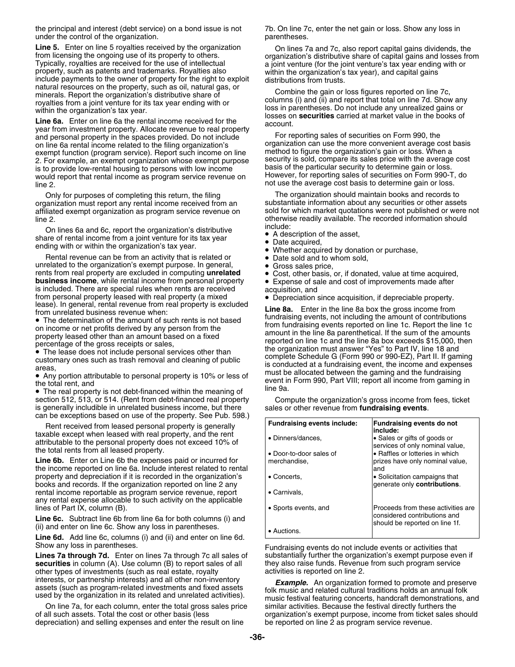the principal and interest (debt service) on a bond issue is not 7b. On line 7c, enter the net gain or loss. Show any loss in under the control of the organization. **parameters** are parentheses.

**Line 5.** Enter on line 5 royalties received by the organization On lines 7a and 7c, also report capital gains dividends, the from licensing the ongoing use of its property to others. from licensing the ongoing use of its property to others.<br>
Typically, royalties are received for the use of intellectual<br>
property, such as patents and trademarks. Royalties also<br>
include payments to the owner of property natural resources on the property, such as oil, natural gas, or minerals. Report the organization's distributive share of combine the gain or loss figures reported on line 7c,<br>royalties from a joint venture for its tax year ending with or columns (i) and (ii) and report that total on l

within the organization's tax year.<br>
Line 6a. Enter on line 6a the rental income received for the<br>
year from investment property. Allocate revenue to real property<br>
and personal property in the spaces provided. Do not incl and personal property in the spaces provided. Do not include For reporting sales of securities on Form 990, the<br>on line 6a rental income related to the filing organization's organization can use the more convenient average on line 6a rental income related to the filing organization's organization can use the more convenient average cost<br>exempt function (program service). Report such income on line method to figure the organization's gain or exempt function (program service). Report such income on line method to figure the organization's gain or loss. When a<br>2. For example, an exempt organization whose exempt purpose security is sold, compare its sales price w 2. For example, an exempt organization whose exempt purpose security is sold, compare its sales price with the average<br>is to provide low-rental housing to persons with low income basis of the particular security to determi is to provide low-rental housing to persons with low income basis of the particular security to determine gain or loss.<br>would report that rental income as program service revenue on However, for reporting sales of securiti would report that rental income as program service revenue on line 2. Conserved the average cost basis to determine gain or loss.

affiliated exempt organization as program service revenue on line 2. otherwise readily available. The recorded information should

On lines 6a and 6c, report the organization's distributive include:<br>Some of reptal income from a joint venture for its tax year. A description of the asset, share of rental income from a joint venture for its tax year •  $\overrightarrow{A}$  description  $\overrightarrow{A}$ ending with or within the organization's tax year.<br>• Whether acquired by donation or purchase,

Rental revenue can be from an activity that is related or • Date sold and to whom sold, unrelated to the organization's exempt purpose. In general, • Gross sales price, unrelated to the organization's exempt purpose. In general,<br>
rents from real property are excluded in computing **unrelated**<br> **business income**, while rental income from personal property<br>
is included. There are special rul

 The real property is not debt-financed within the meaning of section 512, 513, or 514. (Rent from debt-financed real property Compute the organization's gross income from fees, ticket is generally includible in unrelated business income, but there sales or other revenue from **fundra** is generally includible in unrelated business income, but there sales or other revenue from **fundraising events**. can be exceptions based on use of the property. See Pub. 598.)

**Line 6d.** Add line 6c, columns (i) and (ii) and enter on line 6d.

Lines 7a through 7d. Enter on lines 7a through 7c all sales of substantially further the organization's exempt purpose eve<br>securities in column (A). Use column (B) to report sales of all they also raise funds. Revenue from **securities** in column (A). Use column (B) to report sales of all they also raise funds. Revenu<br>other types of investments (such as real estate, rovalty activities is reported on line 2. other types of investments (such as real estate, royalty

On line 7a, for each column, enter the total gross sales price depreciation) and selling expenses and enter the result on line

Only for purposes of completing this return, the filing The organization should maintain books and records to<br>The organization must report any rental income received from an substantiate information about any securities or organization must report any rental income received from an substantiate information about any securities or other assets<br>affiliated exempt organization as program service revenue on sold for which market quotations were n

- 
- 
- 
- 
- 
- 
- 
- 

• The determination of the amount of such rents is not based<br>
• The determination of the amount of such rents is not based<br>
• The determination of the amount based by any person from the<br>
property leased other than an amou • The reason of the strash removal and cleaning of public<br>areas,<br>• Any portion attributable to personal property is 10% or less of<br>• Any portion attributable to personal property is 10% or less of<br>• Any portion attributab Any portion attributable to personal property is 10% or less of event in Form 990, Part VIII; report all income from gaming in the total rent, and line 9a.

| carrie exceptions based on use or the property. See F up. 350.)                                                                                                          |                                              |                                                                                                                    |  |
|--------------------------------------------------------------------------------------------------------------------------------------------------------------------------|----------------------------------------------|--------------------------------------------------------------------------------------------------------------------|--|
| Rent received from leased personal property is generally                                                                                                                 | <b>Fundraising events include:</b>           | Fundraising events do not                                                                                          |  |
| taxable except when leased with real property, and the rent<br>attributable to the personal property does not exceed 10% of<br>the total rents from all leased property. | • Dinners/dances.<br>• Door-to-door sales of | linclude:<br>Sales or gifts of goods or<br>services of only nominal value,<br><b>Raffles or lotteries in which</b> |  |
| <b>Line 6b.</b> Enter on Line 6b the expenses paid or incurred for<br>the income reported on line 6a. Include interest related to rental                                 | merchandise.                                 | prizes have only nominal value,<br>and                                                                             |  |
| property and depreciation if it is recorded in the organization's<br>books and records. If the organization reported on line 2 any                                       | • Concerts.                                  | • Solicitation campaigns that<br>generate only contributions.                                                      |  |
| rental income reportable as program service revenue, report<br>any rental expense allocable to such activity on the applicable                                           | • Carnivals.                                 |                                                                                                                    |  |
| lines of Part IX, column (B).                                                                                                                                            | • Sports events, and                         | <b>Proceeds from these activities are</b>                                                                          |  |
| <b>Line 6c.</b> Subtract line 6b from line 6a for both columns (i) and<br>(ii) and enter on line 6c. Show any loss in parentheses.                                       | • Auctions.                                  | considered contributions and<br>should be reported on line 1f.                                                     |  |
| <b>Line Cal</b> , Add line Co. columns (i) and (ii) and optar an line Cd.                                                                                                |                                              |                                                                                                                    |  |

Fundraising events do not include events or activities that substantially further the organization's exempt purpose even if

interests, or partnership interests) and all other non-inventory<br>assets (such as program-related investments and fixed assets<br>used by the organization in its related and unrelated activities).<br>On line 7a, for each column, of all such assets. Total the cost or other basis (less organization's exempt purpose, income from ticket sales should depreciation) and selling expenses and enter the result on line be reported on line 2 as program servic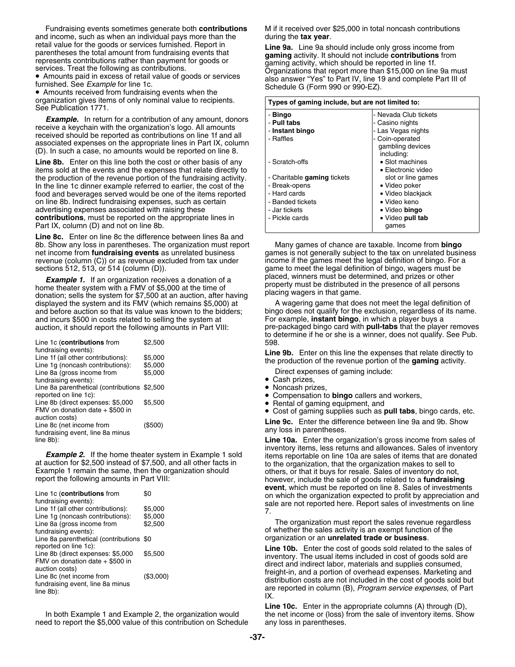Fundraising events sometimes generate both **contributions** M if it received over \$25,000 in total noncash contributions and income, such as when an individual pays more than the during the **tax year**.<br>
retail value for the goods or services furnished. Report in

 Amounts received from fundraising events when the organization gives items of only nominal value to recipients.<br>See Publication 1771.

**Example.** In return for a contribution of any amount, donors<br>
receive a keychain with the organization's logo. All amounts<br>
received should be reported as contributions on line 1f and all<br>
associated expenses on the appro

**Line 8b.** Enter on this line both the cost or other basis of any items sold at the events and the expenses that relate directly to the production of the revenue portion of the fundraising activity. In the line 1c dinner example referred to earlier, the cost of the food and beverages served would be one of the items reported on line 8b. Indirect fundraising expenses, such as certain advertising expenses associated with raising these **contributions**, must be reported on the appropriate lines in Part IX, column (D) and not on line 8b.

**Line 8c.** Enter on line 8c the difference between lines 8a and 8b. Show any loss in parentheses. The organization must report Many games of chance are taxable. Income from **bingo** net income from **fundraising events** as unrelated business games is not generally subject to the tax on unrelated business revenue (column (C)) or as revenue excluded from tax under income if the games meet the legal definition of bingo. For a<br>sections 512, 513, or 514 (column (D)).

**Example 1.** If an organization receives a donation of a<br>home theater system with a FMV of \$5,000 at the time of<br>donation; sells the system for \$7,500 at an auction, after having<br>displayed the system and its FMV (which rem displayed the system and its FMV (which remains \$5,000) at A wagering game that does not meet the legal definition of and before auction so that its value was known to the bidders: bingo does not qualify for the exclusion, and before auction so that its value was known to the bidders; bingo does not qualify for the exclusion, regardless of and incurs \$500 in costs related to selling the system at For example, **instant bingo**, in which a play and incurs \$500 in costs related to selling the system at auction, it should report the following amounts in Part VIII:

| Line 1c (contributions from                   | \$2,500 | 598.        |
|-----------------------------------------------|---------|-------------|
| fundraising events):                          |         | Line        |
| Line 1f (all other contributions):            | \$5,000 | the p       |
| Line 1g (noncash contributions):              | \$5,000 |             |
| Line 8a (gross income from                    | \$5,000 | С           |
| fundraising events):                          |         | $\bullet$ C |
| Line 8a parenthetical (contributions \$2,500) |         | $\bullet$ N |
| reported on line 1c):                         |         | $\bullet$ C |
| Line 8b (direct expenses: \$5,000             | \$5,500 | $\bullet$ R |
| FMV on donation date $+$ \$500 in             |         | $\bullet$ C |
| auction costs)                                |         | Line        |
| Line 8c (net income from                      | (\$500) |             |
| fundraising event, line 8a minus              |         | any         |
| $line 8b$ :                                   |         | Line        |

| Line 1c (contributions from<br>fundraising events): | \$በ       |
|-----------------------------------------------------|-----------|
| Line 1f (all other contributions):                  | \$5,000   |
| Line 1g (noncash contributions):                    | \$5,000   |
| Line 8a (gross income from                          | \$2,500   |
| fundraising events):                                |           |
| Line 8a parenthetical (contributions \$0            |           |
| reported on line 1c):                               |           |
| Line 8b (direct expenses: \$5,000                   | \$5.500   |
| FMV on donation date $+$ \$500 in                   |           |
| auction costs)                                      |           |
| Line 8c (net income from                            | (\$3,000) |
| fundraising event, line 8a minus                    |           |
| line 8b):                                           |           |

need to report the \$5,000 value of this contribution on Schedule

retail value for the goods or services furnished. Report in<br>
parentheses the total amount from fundraising events that<br>
represents contributions rather than payment for goods or<br>
services. Treat the following as contributi Services. Treat the following as contributions.<br>
• Amounts paid in excess of retail value of goods or services<br>
furnished. See *Example* for line 1c. Schedule G (Form 990 or 990-EZ).<br>
Schedule G (Form 990 or 990-EZ).

| Types of gaming include, but are not limited to: |                                |  |
|--------------------------------------------------|--------------------------------|--|
| - Bingo                                          | - Nevada Club tickets          |  |
| - Pull tabs                                      | - Casino nights                |  |
| - Instant bingo                                  | - Las Vegas nights             |  |
| - Raffles                                        | - Coin-operated                |  |
|                                                  | gambling devices<br>including: |  |
| - Scratch-offs                                   | • Slot machines                |  |
|                                                  | • Electronic video             |  |
| - Charitable gaming tickets                      | slot or line games             |  |
| - Break-opens                                    | • Video poker                  |  |
| - Hard cards                                     | • Video blackjack              |  |
| - Banded tickets                                 | • Video keno                   |  |
| - Jar tickets                                    | • Video bingo                  |  |
| - Pickle cards                                   | • Video pull tab               |  |
|                                                  | games                          |  |

game to meet the legal definition of bingo, wagers must be

pre-packaged bingo card with **pull-tabs** that the player removes to determine if he or she is a winner, does not qualify. See Pub.

Line 9b. Enter on this line the expenses that relate directly to the production of the revenue portion of the gaming activity.

Direct expenses of gaming include:

- Cash prizes,
- Noncash prizes,
- Compensation to **bingo** callers and workers,
- 

■ Rental of gaming equipment, and<br>■ Cost of gaming supplies such as **pull tabs**, bingo cards, etc.

Line 9c. Enter the difference between line 9a and 9b. Show any loss in parentheses.

Line 10a. Enter the organization's gross income from sales of **Example 2.** If the home theater system in Example 1 sold<br>at auction for \$2,500 instead of \$7,500, and all other facts in<br>Example 1 remain the same, then the organization should<br>report the following amounts in Part VIII:<br>r on which the organization expected to profit by appreciation and<br>sale are not reported here. Report sales of investments on line<br>7.

> The organization must report the sales revenue regardless of whether the sales activity is an exempt function of the organization or an *unrelated trade or business*.

reported on line 1c):<br>
Line **10b.** Enter the cost of goods sold related to the sales of<br>
EMV on donation date + \$500 in<br>
EMV on donation date + \$500 in<br>
EMV on donation date + \$500 in<br>
auction costs)<br>
auction costs<br>
(\$3,00

**Line 10c.** Enter in the appropriate columns (A) through (D), In both Example 1 and Example 2, the organization would the net income or (loss) from the sale of inventory items. Show ed to report the \$5,000 value of this contribution on Schedule any loss in parentheses.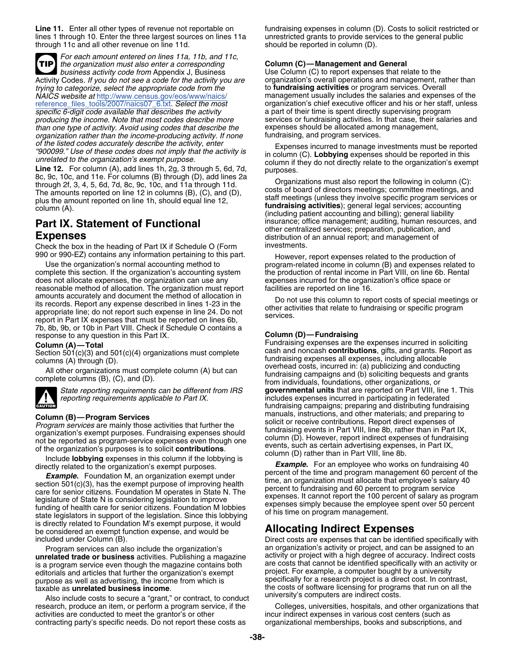Line 11. Enter all other types of revenue not reportable on fundraising expenses in column (D). Costs to solicit restricted or lines 1 through 10. Enter the three largest sources on lines 11a unrestricted grants to provide services to the general public through 11c and all other revenue on line 11d. Should be reported in column (D). through 11c and all other revenue on line 11d.

*For each amount entered on lines 11a, 11b, and 11c, the organization must also enter a corresponding* **Column (C)—Management and General TIP** Activity Codes. If you do not see a code for the activity you are organization's overall operations and management, rather thanks of productions and management, rather thanks of thanks of thanks of thanks of thanks of than *NAICS website at [http://www.census.gov/eos/www/naics/](http://www.census.gov/eos/www/naics/reference_files_tools/2007/naics07_6.txt)* reference files tools/2007/naics07 6.txt. Select the most *producing the income. Note that most codes describe more* services or fundraising activities. In that case, their s<br>than one type of activity. Avoid using codes that describe the expenses should be allocated among managem *than one type of activity. Avoid using codes that describe the* expenses should be allocated amo<br>*organization rather than the income-producing activity. If none* fundraising, and program services. organization rather than the income-producing activity. If none

of the listed codes accurately describe the activity, enter<br>
"900099." Use of these codes does not imply that the activity is<br>
unrelated to the organization's exempt purpose.<br>
Line 12. For column (A), and lines 1b, 2g, 3 t

Check the box in the heading of Part IX if Schedule  $O$  (Form

complete this section. If the organization's accounting system the production of rental income in Part VIII, on line 6b. Rental does not allocate expenses, the organization can use any expenses incurred for the organizatio does not allocate expenses, the organization can use any reasonable method of allocation. The organization must report facilities are reported on line 16. amounts accurately and document the method of allocation in<br>
its records. Report any expense described in lines 1-23 in the<br>
appropriate line; do not report such expense in line 24. Do not<br>
report in Part IX expenses that 7b, 8b, 9b, or 10b in Part VIII. Check if Schedule O contains a response to any question in this Part IX. **Column (D)—Fundraising**

Section 501(c)(3) and 501(c)(4) organizations must complete cash and noncash **contributions**, gifts, and grants. Re<br>columns (A) through (D)



**Example.** Foundation M, an organization exempt under<br>section 501(c)(3), has the exempt purpose of improving health<br>care for senior citizens. Foundation M operates in State N. The<br>legislature of State N is considering legi is directly related to Foundation M's exempt purpose, it would be considered an exempt function expense, and would be **Allocating Indirect Expenses**

is a program service even though the magazine contains both are costs that cannot be identified specifically with an activity or is a project. For example, a computer bought by a university editorials and articles that further the organization's exempt purpose as well as advertising, the income from which is specifically for a research project is a direct cost. In contrast, taxable as **unrelated business income**.<br>the costs of software licensing for programs that run on a

Also include costs to secure a "grant," or contract, to conduct university's computers are indirect costs.<br>earch, produce an item, or perform a program service, if the Colleges, universities, hospitals, and other organizat research, produce an item, or perform a program service, if the activities are conducted to meet the grantor's or other incur indirect expenses in various cost centers (such as contracting party's specific needs. Do not report these costs as organizational memberships, books and subscriptions, and

*business activity code from* Appendix J, Business Use Column (C) to report expenses that relate to the<br>Codes. If you do not see a code for the activity you are organization's overall operations and management, rather than *trying to categorize, select the appropriate code from the* to **fundraising activities** or program services. Overall organization's chief executive officer and his or her staff, unless *specific 6-digit code available that describes the activity* a part of their time is spent directly supervising program

**Part IX. Statement of Functional** insurance; office management; auditing, human resources, and other centralized services; preparation, publication, and **Expenses**<br>Check the box in the beading of Part IX if Schedule O (Form investments.

990 or 990-EZ) contains any information pertaining to this part. However, report expenses related to the production of program-related income in column (B) and expenses related income in column (B) and expenses related inc program-related income in column (B) and expenses related to

**Column (A)—Total**<br>
Section 501(c)(3) and 501(c)(4) organizations must complete cash and noncash **contributions**, gifts, and grants. Report as columns (A) through (D).<br>
All other organizations must complete column (A) but can<br>
complete columns (B), (C), and (D).<br>
All other organizations must complete column (A) but can<br>
complete columns (B), (C), and (D).<br>
from i *State reporting requirements can be different from IRS* **governmental units** that are reported on Part VIII, line 1. This *reporting requirements applicable to Part IX.* includes expenses incurred in participating in federated fundraising campaigns; preparing and distributing fundraising<br>manuals, instructions, and other materials; and preparing to **Column (B)—Program Services**<br> *Program services*<br> *Program services* are mainly those activities that further the<br>
organization's exempt purposes. Fundraising expenses should<br>
not be reported as program-service expenses e

Include lobbying expenses in this column if the lobbying is<br>directly related to the organization's exempt purposes.<br>**Example.** For an employee who works on fundraising 40<br>**Example.** Foundation M, an organization exempt und

included under Column (B). Direct costs are expenses that can be identified specifically with Program services can also include the organization's an organization's activity or project, and can be assigned to an<br>related trade or business activities. Publishing a magazine activity or project with a high degree of ac **unrelated trade or business** activities. Publishing a magazine activity or project with a high degree of accuracy. Indirect costs the costs of software licensing for programs that run on all the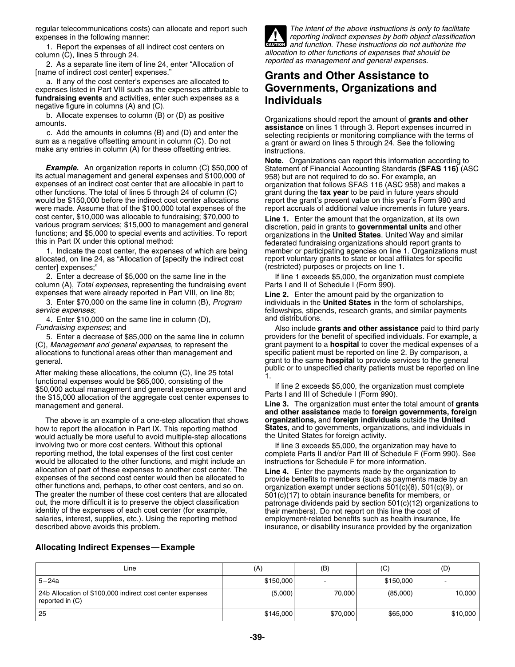regular telecommunications costs) can allocate and report such *The intent of the above instructions is only to facilitate* expenses in the following manner: *reporting indirect expenses by both object classification* 

[name of indirect cost center] expenses." **Grants and Other Assistance to**

a. If any of the cost center's expenses are allocated to **fundraising events** and activities, enter such expenses as a **Individuals** negative figure in columns (A) and (C).

other functions. The total of lines 5 through 24 of column (C) would be \$150,000 before the indirect cost center allocations were made. Assume that of the \$100,000 total expenses of the cost center, \$10,000 was allocable to fundraising; \$70,000 to<br>various program services; \$15,000 to management and general<br>functions; and \$5,000 to special events and activities. To report<br>this in Part IX under this optiona

allocated, on line 24, as "Allocation of [specify the indirect cost center] expenses;"

column (A), *Total expenses*, representing the fundraising event

4. Enter  $$10,000$  on the same line in column (D),

allocations to functional areas other than management and specific patient must be reported on line 2. By comparison, a

After making these allocations, the column (C), line 25 total<br>functional expenses would be \$65,000, consisting of the<br>\$50,000 actual management and general expense amount and<br>the \$15,000 allocation of the aggregate cost ce management and general. **Line 3.** The organization must enter the total amount of **grants**

how to report the allocation in Part IX. This reporting method **States**, and to governments, organiz<br>would actually be more useful to avoid multiple-step allocations the United States for foreign activity. would actually be more useful to avoid multiple-step allocations involving two or more cost centers. Without this optional If line 3 exceeds \$5,000, the organization may have to<br>
If line 3 exceeds \$5,000, the organization may have to<br>
If line 3 exceeds \$5,000, the organization may have would be allocated to the other functions, and might include an instructions for Schedule F for more information. allocation of part of these expenses to another cost center. The<br>expenses of the second cost center would then be allocated to<br>other functions and, perhaps, to other cost centers, and so on.<br>The greater the number of thes identity of the expenses of each cost center (for example, salaries, interest, supplies, etc.). Using the reporting method salaries, interest, supplies, etc.). Using the reporting method employment-related benefits such as health insurance, life<br>described above avoids this problem. If the reporting method insurance, or disability insurance pro



*and function. These instructions do not authorize the* 1. Report the expenses of all indirect cost centers on<br>column (C), lines 5 through 24.<br>2. As a separate line item of line 24, enter "Allocation of *reported as management and general expenses.* 

# Governments, Organizations and

b. Allocate expenses to column (B) or (D) as positive<br>amounts.<br>c. Add the amounts in columns (B) and (D) and enter the<br>sum as a negative offsetting amount in column (C). Do not<br>make any entries in column (A) for these offs

**Example.** An organization reports in column (C) \$50,000 of **Note.** Organizations can report this information according to this actual management and general expenses and \$100,000 of its actual management and general expen organization that follows SFAS 116 (ASC 958) and makes a grant during the **tax year** to be paid in future years should report the grant's present value on this year's Form 990 and<br>report accruals of additional value increments in future years.

1. Indicate the cost center, the expenses of which are being member or participating agencies on line 1. Organizations must<br>located, on line 24, as "Allocation of [specify the indirect cost report voluntary grants to state (restricted) purposes or projects on line 1.

2. Enter a decrease of \$5,000 on the same line in the If line 1 exceeds \$5,000, the organization must complete umn (A), Total expenses, representing the fundraising event Parts I and II of Schedule I (Form 990).

expenses that were already reported in Part VIII, on line 8b; **Line 2.** Enter the amount paid by the organization to individuals in the **United States** in the form of scholarships, *service expenses*;<br>4 Forter \$10,000 on the same line in column (D). and distributions.

Fundraising expenses; and **Also include grants and other assistance** paid to third party 5. Enter a decrease of \$85,000 on the same line in column providers for the benefit of specified individuals. For example, a (C), *Management and general expenses*, to represent the grant payment to a **hospital** to cover the medical expenses of a grant to the same **hospital** to provide services to the general<br>public or to unspecified charity patients must be reported on line

**and other assistance** made to **foreign governments, foreign** The above is an example of a one-step allocation that shows **organizations,** and **foreign individuals** outside the **United**

complete Parts II and/or Part III of Schedule F (Form 990). See

patronage dividends paid by section  $501(c)(12)$  organizations to their members). Do not report on this line the cost of insurance, or disability insurance provided by the organization

## **Allocating Indirect Expenses—Example**

| Line                                                                         | (A)       | (B)      | (C)       | (D)      |
|------------------------------------------------------------------------------|-----------|----------|-----------|----------|
| $5 - 24a$                                                                    | \$150,000 |          | \$150,000 |          |
| 24b Allocation of \$100,000 indirect cost center expenses<br>reported in (C) | (5,000)   | 70.000   | (85,000)  | 10,000   |
| 25                                                                           | \$145,000 | \$70,000 | \$65,000  | \$10,000 |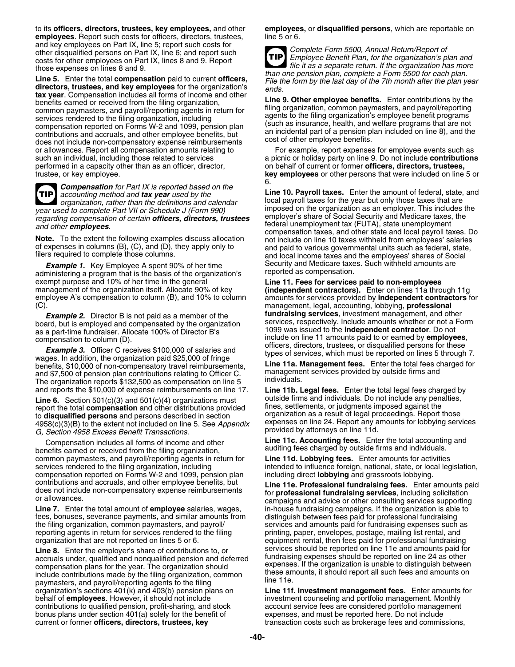to its **officers, directors, trustees, key employees,** and other **employees,** or **disqualified persons**, which are reportable on **employees**. Report such costs for officers, directors, trustees, line 5 or 6. and key employees on Part IX, line 5; report such costs for<br>other disqualified persons on Part IX, line 6; and report such<br>costs for other employees on Part IX, lines 8 and 9. Report<br>those expenses on lines 8 and 9.<br>than o

Line 5. Enter the total compensation paid to current officers,<br>directors, trustees, and key employees for the organization's<br>tax year. Compensation includes all forms of income and other<br>tax year. Compensation includes all tax year. Compensation includes all forms of income and other<br>
benefits earned or received from the filing organization,<br>
common paymasters, and payroll/reporting agents in return for<br>
services rendered to the filing organ or allowances. Report all compensation amounts relating to For example, report expenses for employee events such as

**Compensation** for Part IX is reported based on the<br>accounting method and **tax year** used by the<br>organization, rather than the definitions and calendar local payroll taxes for the year but only those taxes that are<br>local p **TIP**

administering a program that is the basis of the organization's exempt purpose and 10% of her time in the general exempt purpose and 10% of her time in the general **Line 11. Fees for services paid to non-employees** management of the organization itself. Allocate 90% of key **(independent contractors).** Enter on lines 11a through 11g<br>employee A's compensation to column (B), and 10% to column amounts for services provided by **independen** 

board, but is employed and compensated by the organization services, respectively. Include amounts whether or not a Form as a part-time fundraiser. Allocate 100% of Director B's

as a part-time fundraiser. Allocate 100% of Director B's<br>
compensation to column (D).<br> **Example 3.** Officer C receives \$100,000 of salaries and<br>
wages. In addition, the organization paid \$25,000 of fringe<br>
benefits, \$10,00 and \$7,500 of pension plan contributions relating to Officer C. The organization reports \$132,500 as compensation on line 5

report the total **compensation** and other distributions provided<br>to **disqualified persons** and persons described in section<br>4958(c)(3)(B) to the extent not included on line 5. See *Appendix*<br>6. Section 4958 Excess Benefit *G, Section 4958 Excess Benefit Transactions.* 

benefits earned or received from the filing organization,<br>common paymasters, and payroll/reporting agents in return for **Line 11d. Lobbying fees.** Enter amounts for activities common paymasters, and payroll/reporting agents in return for services rendered to the filing organization, including compensation reported on Forms W-2 and 1099, pension plan including direct **lobbying** and grassroots lobbying.

Line 7. Enter the total amount of *employee* salaries, wages, in-house fundraising campaigns. If the organization is able to fees, bonuses, severance payments, and similar amounts from distinguish between fees paid for pro fees, bonuses, severance payments, and similar amounts from the filing organization, common paymasters, and payroll/ services and amounts paid for fundraising expenses such as reporting agents in return for services rendered to the filing printing, paper, envelopes, postage, mailing list rental, and<br>organization that are not reported on lines 5 or 6. equipment rental, then fees paid for professi

**Line 8.** Enter the employer's share of contributions to, or<br>accruals under, qualified and nonqualified pension and deferred<br>compensation plans for the year. The organization should<br>include contributions made by the filing organization's sections 401(k) and 403(b) pension plans on **Line 11f. Investment management fees.** Enter amounts for behalf of **employees**. However, it should not include investment counseling and portfolio management. Monthly contributions to qualified pension, profit-sharing, and stock account service fees are considered portfolio mana bonus plans under section 401(a) solely for the benefit of expenses, and must be reported here. Do not include<br>current or former **officers, directors, trustees, key** expenses transaction costs such as brokerage fees and co

**TIP**

such an individual, including those related to services a picnic or holiday party on line 9. Do not include **contributions**<br>performed in a capacity other than as an officer, director, on behalf of current or former **office** on behalf of current or former officers, directors, trustees, trustee, or key employee. **key employees** or other persons that were included on line 5 or

year used to complete Part VII or Schedule J (Form 990)<br>
regarding compensation of certain **officers, directors, trustees**<br>
and other **employees**.<br>
Note. To the extent the following examples discuss allocation<br>
of expenses **Example 1.** Key Employee A spent 90% of her time Security and Medicare taxes. Such withheld amounts are Security and Medicare taxes. Such withheld amounts are singletic and the basis of the organization's reported as comp

amounts for services provided by **independent contractors** for (C). management, legal, accounting, lobbying, **professional Example 2.** Director B is not paid as a member of the **fundraising services**, investment management, and other comprised the organization services, respectively. Include amounts whether or not a Form

and reports the \$10,000 of expense reimbursements on line 17. **Line 11b. Legal fees.** Enter the total legal fees charged by Line 6. Section 501(c)(3) and 501(c)(4) organizations must outside firms and individuals. Do not include any penalties,<br>report the total **compensation** and other distributions provided fines, settlements, or judgments impo

Compensation includes all forms of income and other **Line 11c. Accounting fees.** Enter the total accounting and <br>
nefits earned or received from the filing organization **auditing fees charged by outside firms and individua** 

intended to influence foreign, national, state, or local legislation,

contributions and accruals, and other employee benefits, but<br>does not include non-compensatory expense reimbursements<br>or allowances. The consulting services supporting<br>campaigns and advice or other consulting services supp equipment rental, then fees paid for professional fundraising

> account service fees are considered portfolio management transaction costs such as brokerage fees and commissions,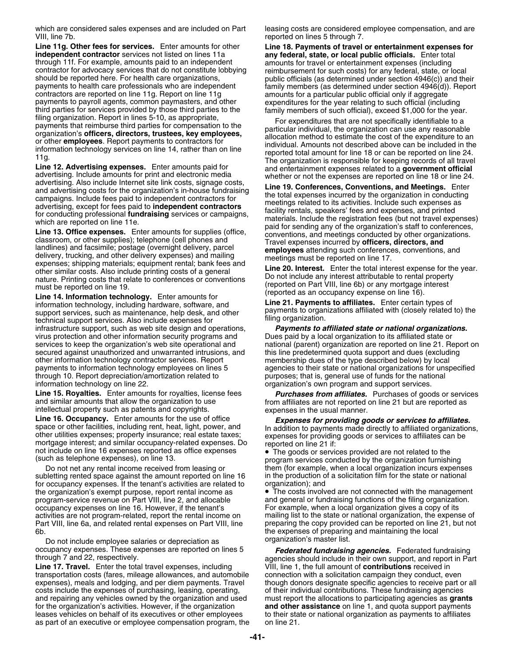which are considered sales expenses and are included on Part leasing costs are considered employee compensation, and are VIII, line 7b. **reported on lines 5 through 7.** The second of the second version of the second version of the second version of the second version of the second version of the second version of the second version of the se

**Line 11g. Other fees for services.** Enter amounts for other **Line 18. Payments of travel or entertainment expenses for independent contractor** services not listed on lines 11a **any federal, state, or local public officials.** Enter total through 11f. For example, amounts paid to an independent amounts for travel or entertainment expenses (including<br>contractor for advocacy services that do not constitute lobbying reimbursement for such costs) for any federa should be reported here. For health care organizations, end and bublic officials (as determined under section 4946(c)) and their<br>payments to health care professionals who are independent family members (as determined under contractors are reported on line 11g. Report on line 11g amounts for a particular public official only if aggregate<br>payments to payroll agents, common paymasters, and other and expenditures for the year relating to such of third parties for services provided by those third parties to the family members of such official), exceed \$1,000 for the year.<br>
filing organization. Report in lines 5-10, as appropriate.

(reported as an occupancy expense on line 16). **Line 14. Information technology.** Enter amounts for information technology, including hardware, software, and<br>support services, such as maintenance, help desk, and other<br>technical support services. Also include expenses for<br>infrastructure support, such as web site design an infrastructure support, such as web site design and operations, virus protection and other information security programs and Dues paid by a local organization to its affiliated state or secured against unauthorized and unwarranted intrusions, and this line predetermined quota support and dues (excluding<br>other information technology contractor services. Report membership dues of the type described below) b other information technology contractor services. Report payments to information technology employees on lines 5 agencies to their state or national organizations for unspecified through 10. Report depreciation/amortization related to purposes; that is, general use of funds for information technology on line 22. **organization's own program and support services**.

intellectual property such as patents and copyrights. expenses in the usual manner.

**Line 16. Occupancy.** Enter amounts for the use of office **Expenses for providing goods or services to affiliates.**<br>
space or other facilities, including rent, heat, light, power, and<br>
other utilities expenses; property in

subletting rented space against the amount reported on line 16 for occupancy expenses. If the tenant's activities are related to organization); and<br>the organization's exempt purpose, report rental income as **•** The costs involved are not connected with the management the organization's exempt purpose, report rental income as program-service revenue on Part VIII, line 2, and allocable program-service revenue on Part VIII, line 2, and allocable and general or fundraising functions of the filing organization.<br>
occupancy expenses on line 16. However, if the tenant's For example, when a local organization g activities are not program-related, report the rental income on 6b. the expenses of preparing and maintaining the local

Do not include employee salaries or depreciation as organization's master list.

**Line 17. Travel.** Enter the total travel expenses, including VIII, line 1, the full amount of **contributions** received in transportation costs (fares, mileage allowances, and automobile connection with a solicitation campaign they conduct, even costs include the expenses of purchasing, leasing, operating, of their individual contributions. These fundraising agencies and repairing any vehicles owned by the organization and used must report the allocations to participating agencies as **grants** leases vehicles on behalf of its executives or other employees to their state or national organization as payments to affiliates as part of an executive or employee compensation program, the online 21. as part of an executive or employee compensation program, the

payments to health care professionals who are independent family members (as determined under section 4946(d)). Report contractors are reported on line 11g. Report on line 11g amounts for a particular public official only

filing organization. Report in lines 5-10, as appropriate, the paramaterion freportation of the paramation of the paramation of the paramation of the organization's **officers, directors, trustees, key employees** and alloca

nature. Printing costs that relate to conferences or conventions<br>
must be reported on line 19.<br>
Tine 14 Information tochnology. Estatements for (reported as an occupancy expense on line 16).

services to keep the organization's web site operational and national (parent) organization are reported on line 21. Report on purposes; that is, general use of funds for the national

Line 15. Royalties. Enter amounts for royalties, license fees *Purchases from affiliates*. Purchases of goods or services and similar amounts that allow the organization to use from affiliates are not reported on line 21 b from affiliates are not reported on line 21 but are reported as

Do not net any rental income received from leasing or entil them (for example, when a local organization incurs expenses<br>)letting rented space against the amount reported on line 16 and the production of a solicitation fil

For example, when a local organization gives a copy of its mailing list to the state or national organization, the expense of Part VIII, line 6a, and related rental expenses on Part VIII, line preparing the copy provided can be reported on line 21, but not

occupancy expenses. These expenses are reported on lines 5 **Federated fundraising agencies.** Federated fundraising through 7 and 22, respectively.<br>depencies should include in their own support, and report in Part though donors designate specific agencies to receive part or all and other assistance on line 1, and quota support payments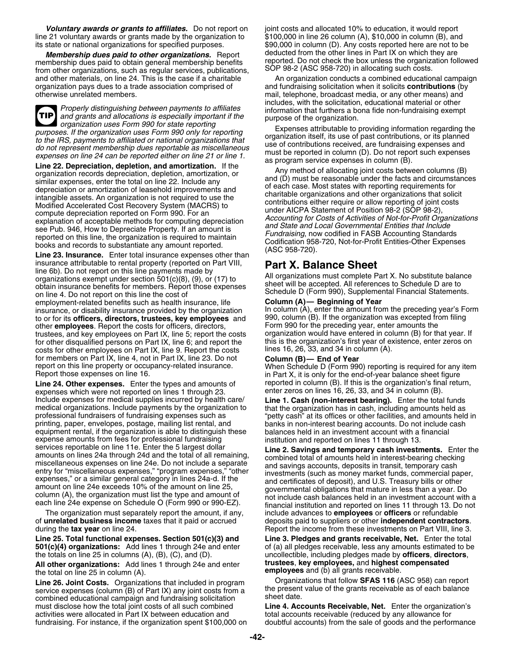**Voluntary awards or grants to affiliates.** Do not report on joint costs and allocated 10% to education, it would report  $\overline{2}$  and  $\overline{2}$  and  $\overline{2}$  and  $\overline{2}$  and  $\overline{2}$  and  $\overline{2}$  and  $\overline{2}$  and  $\overline{2}$  a line 21 voluntary awards or grants made by the organization to its state or national organizations for specified purposes.

membership dues paid to obtain general membership benefits reported. Do not check the box unless the organizations,<br>from other organizations, such as regular services, publications, SOP 98-2 (ASC 958-720) in allocating suc and other materials, on line 24. This is the case if a charitable An organization conducts a combined educational campaign organization pays dues to a trade association comprised of and fundraising solicitation when it sol

Properly distinguishing between payments to affiliates<br>and grants and allocations is especially important if the<br>organization uses Form 990 for state reporting<br>Expenses attributable to providing information regarding the<br>E **TIP**

insurance attributable to rental property (reported on Part VIII,<br>  $\begin{array}{ll}\n\text{In the 6b). Do not report on this line payments made by  
organizations exempt under section 501(c)(8), (9), or (17) to  
obtain insurance benefits for members. Report those expenses  
on line 4. Do not report on this line the cost of  
emboyment-related benefits such as health insurance, life\n\end{array}\n\qquad\n\begin{array}{ll}\n\text{Part X. Balance Sheet} \\
\text{All organizations must complete Part X. No substitute balance  
sheet will be accepted. All references to Schedule D are to  
Scheduler D (Form$ employment-related benefits such as health insurance, life **Column (A)— Beginning of Year**<br>insurance, or disability insurance provided by the organization ln column (A), enter the amount from the preceding year's Form insurance, or disability insurance provided by the organization In column (A), enter the amount from the preceding year's Form tiling<br>to or for its **officers, directors, trustees, key employees** and 990, column (B). If the to or for its **officers, directors, trustees, key employees** and 990, column (B). If the organization was excepted from the costs for officers, directors, Form 990 for the preceding year, enter amounts the other **employees**. Report the costs for officers, directors, Form 990 for the preceding year, enter amounts the<br>trustees, and key employees on Part IX, line 5; report the costs organization would have entered in column (B) trustees, and key employees on Part IX, line 5; report the costs for other disqualified persons on Part IX, line 6; and report the costs for other employees on Part IX, line 9. Report the costs for members on Part IX, line 4, not in Part IX, line 23. Do not<br>report on this line property or occupancy-related insurance. When Schedule D (Form 990) reporting is required for any item

expenses which were not reported on lines 1 through 23. Include expenses for medical supplies incurred by health care/ medical organizations. Include payments by the organization to that the organization has in cash, including amounts held as<br>professional fundraisers of fundraising expenses such as "petty cash" at its offices or other faci printing, paper, envelopes, postage, mailing list rental, and banks in non-interest bearing accounts. Do not include cash equipment rental, if the organization is able to distinguish these balances held in an investment account with a financial expense amounts from fees for professional fundraising institution and reported on lines 11 through 13.<br>Services reportable on line 11e. Enter the 5 largest dollar

The organization must separately report the amount, if any, of **unrelated business income** taxes that it paid or accrued during the **tax year** on line 24. **Report the income from these investments on Part VIII, line 3.** Report the income from these investments on Part VIII, line 3.

**employees** and (b) all grants receivable. the total on line 25 in column (A).

service expenses (column (B) of Part IX) any joint costs from a the present combined educational campaign and fundraising solicitation combined educational campaign and fundraising solicitation<br>must disclose how the total joint costs of all such combined activities were allocated in Part IX between education and total accounts receivable (reduced by any allowance for<br>fundraising. For instance, if the organization spent \$100,000 on doubtful accounts) from the sale of goods fundraising. For instance, if the organization spent \$100,000 on

\$90,000 in column (D). Any costs reported here are not to be *Membership dues paid to other organizations.* Report deducted from the other lines in Part IX on which they are<br>mbership dues paid to obtain general membership benefits reported. Do not check the box unless the organizati

and fundraising solicitation when it solicits **contributions** (by otherwise unrelated members.<br>
and includes, with the solicitation, educational material or other means) and includes, with the solicitation, educational material or other

burposes. If the organization uses Form 990 only for reporting<br>
out for reporting the term of the and contributions that<br>
to the IRS, payments to affiliated or national organization isses Form 990 only for reporting<br>
do no

this is the organization's first year of existence, enter zeros on lines 16, 26, 33, and 34 in column (A).

Report those expenses on line 16. This is all property of the Schedule D (Form 990) report those expenses on line 16. Line 24. Other expenses. Enter the types and amounts of reported in column (B). If this is the organization's final return, expenses which were not reported on lines 1 through 23.

> Line 1. Cash (non-interest bearing). Enter the total funds "petty cash" at its offices or other facilities, and amounts held in

services reportable on line 11e. Enter the 5 largest dollar<br>amounts on lines 24a through 24d and the total of all remaining,<br>miscellaneous expenses," "program expenses," "other<br>entry for "miscellaneous expenses," program e deposits paid to suppliers or other **independent contractors**.

**Line 25. Total functional expenses. Section 501(c)(3) and Line 3. Pledges and grants receivable, Net.** Enter the total of (a) all pledges receivable, less any amounts estimated to be the totals on line 25 in columns (A), (B), (C), and (D). uncollectible, including pledges made by **officers**, **directors**, **All other organizations:** Add lines 1 through 24e and enter **trustees**, **key employees,** and **highest compensated**

**Line 26. Joint Costs.** Organizations that included in program Organizations that follow **SFAS 116** (ASC 958) can report

Line 4. Accounts Receivable, Net. Enter the organization's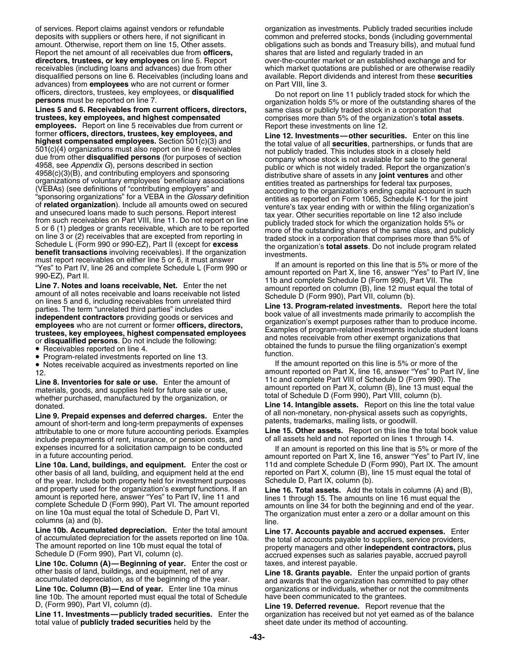of services. Report claims against vendors or refundable organization as investments. Publicly traded securities include deposits with suppliers or others here, if not significant in deposits with suppliers or others here, deposits with suppliers or others here, if not significant in excommon and preferred stocks, bonds (including governmental<br>amount. Otherwise, report them on line 15, Other assets. The obligations such as bonds and Treasury Report the net amount of all receivables due from **officers,** shares that are listed and regularly traded in an<br>**directors, trustees, or key employees** on line 5. Report over-the-counter market or an established excha receivables (including loans and advances) due from other disqualified persons on line 6. Receivables (including loans and available. Report dividends and interest from these **securities** advances) from **employees** who are not current or former on Part VIII, line 3.

**Lines 5 and 6. Receivables from current officers, directors,** same class or publicly traded stock in a corporation that **employees.** Report on line 5 receivables due from current or a Report these investments on line 12.<br>
former officers, directors, trustees, key employees, and **the analytic index** investments—other secu former officers, directors, trustees, key employees, and <br>time 12. Investments—other securities. Enter on this line<br>501(c)(4) organizations must also report on line 6 receivables<br>for publicly traded. This includes forch i

must report receivables on either line 5 or 6, it must answer<br>
"Yes" to Part IV, line 26 and complete Schedule L (Form 990 or<br>
"The amount reported on Part X, line 16, answer "Yes" to Part IV, line<br>
990-EZ), Part II.<br>
Line

● Receivables reported on line 4.<br>● Program-related investments reported on line 13. https://www.function.

• Notes receivable acquired as investments reported on line If the amount reported on this line is 5% or more of the

whether purchased, manufactured by the organization, or

Line 9. Prepaid expenses and deferred charges. Enter the of all non-monetary, non-physical assets such as copyrights,<br>amount of short-term and long-term prepayments of expenses patents, trademarks, mailing lists, or goodwi attributable to one or more future accounting periods. Examples **Line 15. Other assets.** Report on this line the total boo<br>include prepayments of rent, insurance, or pension costs, and of all assets held and not reported o include prepayments of rent, insurance, or pension costs, and

Line 10a. Land, buildings, and equipment. Enter the cost or 11d and complete Schedule D (Form 990), Part IX. The amount other basis of all land, building, and equipment held at the end reported on Part X, column (B), line other basis of all land, building, and equipment held at the end reported on Part X, column (B), line 15 of the year. Include both property held for investment purposes Schedule D, Part IX, column (b). of the year. Include both property held for investment purposes and property used for the organization's exempt functions. If an<br>amount is reported here, answer "Yes" to Part IV, line 11 and<br>complete Schedule D (Form 990), Part VI. The amount reported<br>on line 16 must equal the complete

Line 10b. Accumulated depreciation. Enter the total amount **Line 17. Accounts payable and accrued expenses.** Enter<br>of accumulated depreciation for the assets reported on line 10a. **the total of accounts payable to supplier** 

**Line 10c. Column (A)—Beginning of year.** Enter the cost or taxes, and interest payable.

line 10b. The amount reported must equal the total of Schedule have been communicated to the grantees. D, (Form 990), Part VI, column (d). **Line 19. Deferred revenue.** Report revenue that the

**Line 11. Investments—publicly traded securities.** Enter the organization has received but not yet earned as of the balance total value of **publicly traded securities** held by the

obligations such as bonds and Treasury bills), and mutual fund over-the-counter market or an established exchange and for<br>which market quotations are published or are otherwise readily

officers, directors, trustees, key employees, or **disqualified** Do not report on line 11 publicly traded stock for which the persons must be reported on line 7. **trustees, key employees, and highest compensated** comprises more than 5% of the organization's **total assets**.

12. amount reported on Part X, line 16, answer "Yes" to Part IV, line 11c and complete Part VIII of Schedule D (Form 990). The **Line 8. Inventories for sale or use.** Enter the amount of materials, goods, and supplies held for future sale or use, amount reported on Part X, column (B), line 13 must equal the materials, goods, and supplies held for future sale or use, whether nurchased manufactured by the or

donated.<br>**Line 14. Intangible assets.** Report on this line the total value<br>**Line 9. Prepaid expenses and deferred charges.** Enter the of all non-monetary, non-physical assets such as copyrights,

expenses incurred for a solicitation campaign to be conducted If an amount is reported on this line that is 5% or more of the in a future accounting period. <br>in a future accounting period. amount reported on Part X, line 1

of accumulated depreciation for the assets reported on line 10a. <br>The amount reported on line 10b must equal the total of property managers and other **independent contractors**, plus<br>Schedule D (Form 990), Part VI, column (

other basis of land, buildings, and equipment, net of any<br>accumulated depreciation, as of the beginning of the year.<br>Line 10c. Column (B)—End of year. Enter line 10a minus organizations or individuals, whether or not the c organizations or individuals, whether or not the commitments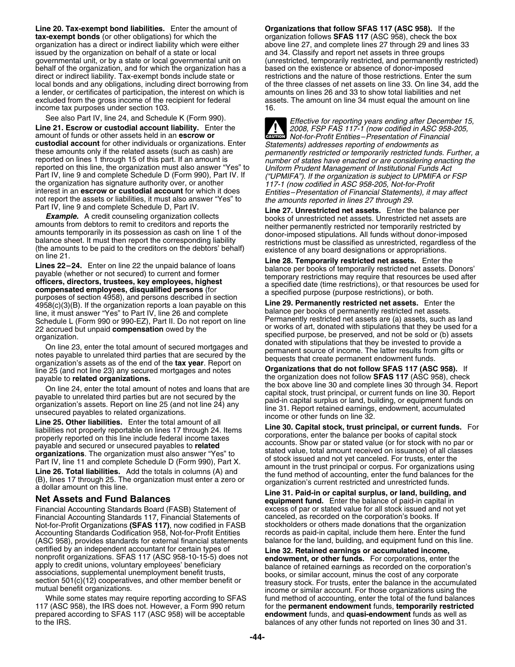**Line 20. Tax-exempt bond liabilities.** Enter the amount of **Organizations that follow SFAS 117 (ASC 958).** If the **tax-exempt bonds** (or other obligations) for which the organization follows **SFAS 117** (ASC 958), check the box organization has a direct or indirect liability which were either above line 27, and complete lines 27 throug issued by the organization on behalf of a state or local and 34. Classify and report net assets in three groups<br>governmental unit, or by a state or local governmental unit on (unrestricted, temporarily restricted, and perm governmental unit, or by a state or local governmental unit on (unrestricted, temporarily restricted, and permanently<br>behalf of the organization, and for which the organization has a based on the existence or absence of do behalf of the organization, and for which the organization has a direct or indirect liability. Tax-exempt bonds include state or restrictions and the nature of those restrictions. Enter the sum a lender, or certificates of participation, the interest on which is amounts on lines 26 and 33 to show total liabilities and net excluded from the gross income of the recipient for federal assets. The amount on line 34 must equal the amount on line income tax purposes under section 103. The same section 103.

See also Part IV, line 24, and Schedule K (Form 990).<br>
Line 21. Escrow or custodial account liability. Enter the 21. Escrow or custodial account liability. Enter the<br>
2008, FSP FAS 117-1 (now codified in ASC 958-205,<br>
2008 custodial account for other individuals or organizations. Enter<br>these amounts only if the related assets (such as cash) are<br>the proted on lines 1 through 15 of this part. If an amount is<br>reported on this line, the organiza

amounts from debtors to remit to creditors and reports the<br>
announts temporarily restricted by<br>
announts temporarily in its possession as cash on line 1 of the<br>
balance sheet. It must then report the corresponding liabilit

Financial Accounting Standards Board (FASB) Statement of excess of par or stated value for all stock issued and not yet<br>Financial Accounting Standards 117, Financial Statements of canceled, as recorded on the corporation's Financial Accounting Standards 117, Financial Statements of canceled, as recorded on the corporation's books. If<br>Not-for-Profit Organizations (SFAS 117), now codified in FASB stockholders or others made donations that the Not-for-Profit Organizations (SFAS 117), now codified in FASB stockholders or others made donations that the organization<br>Accounting Standards Codification 958, Not-for-Profit Entities records as paid-in capital, include t Accounting Standards Codification 958, Not-for-Profit Entities records as paid-in capital, include them here. Enter the fund<br>(ASC 958), provides standards for external financial statements balance for the land, building, a (ASC 958), provides standards for external financial statements certified by an independent accountant for certain types of

117 (ASC 958), the IRS does not. However, a Form 990 return prepared according to SFAS 117 (ASC 958) will be acceptable **endowment** funds, and **quasi-endowment** funds as well as

above line 27, and complete lines 27 through 29 and lines 33 local bonds and any obligations, including direct borrowing from of the three classes of net assets on line 33. On line 34, add the

> $\frac{1}{2}$ *Not-for-Profit Entities–Presentation of Financial*

line, it must answer "Yes" to Part IV, line 26 and complete balance per books of permanently restricted net assets.<br>Schedule L (Form 990 or 990-EZ), Part II. Do not report on line Permanently restricted net assets are (a) 22 accrued but unpaid **compensation** owed by the<br>
or works of art, donated with stipulations that they be used for a<br>
or works of art, donated with stipulations that they be used for a<br>
or works of art, donated with stipul

line 25 (and not line 23) any secured mortgages and notes<br>payable to **related organizations.** the organization does not follow **SFAS 117** (ASC 958), check<br>On line 24, enter the total smount of pates and lone that are the b On line 24, enter the total amount of notes and loans that are<br>
payable to unrelated third parties but are not secured by the<br>
organization's assets. Report on line 25 (and not line 24) any<br>
unsecured payables to related o

Line 25. Other liabilities. Enter the total amount of all<br>
liabilities not properly reportable on lines 17 through 24. Items<br>
properly reported on this line include federal income taxes<br>
payable and secured or unsecured pa

a dollar amount on this line.<br> **Net Assets and Fund Balances expanding to the 31. Paid-in or capital surplus, or land, building, and**<br> **Net Assets and Fund Balances equipment fund.** Enter the balance of paid-in capital

certified by an independent accountant for certain types of<br>nonprofit organizations. SFAS 117 (ASC 958-10-15-5) does not<br>apply to credit unions, voluntary employees' beneficiary<br>associations, supplemental unemployment bene While some states may require reporting according to SFAS fund method of accounting, enter the total of the fund balances<br>T (ASC 958), the IRS does not. However, a Form 990 return for the **permanent endowment** funds, **temp** balances of any other funds not reported on lines 30 and 31.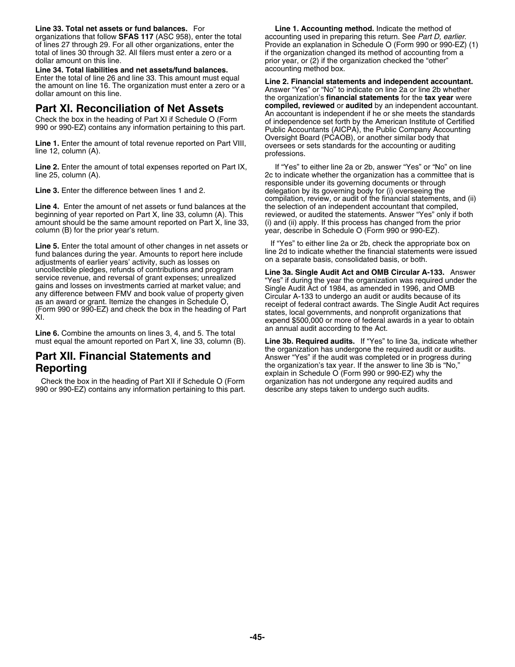organizations that follow **SFAS 117** (ASC 958), enter the total accounting used in preparing this return. See *Part D, earlier*. total of lines 30 through 32. All filers must enter a zero or a if the organization changed its method of accounting from a dollar amount on this line.

Line 34. Total liabilities and net assets/fund balances.

Line 1. Enter the amount of total revenue reported on Part VIII,<br>line 12, column (A).<br>professions.

line 25, column (A). 2c to indicate whether the organization has a committee that is

Line 4. Enter the amount of net assets or fund balances at the the selection of an independent accountant that compiled,<br>beginning of year reported on Part X, line 33, column (A). This reviewed, or audited the statements. beginning of year reported on Part X, line 33, column (A). This amount should be the same amount reported on Part X, line 33, amount should be the same amount reported on Part X, line 33, (i) and (ii) apply. If this process has changed from the prior column (B) for the prior year's return.

Line 5. Enter the total amount of other changes in net assets or lif "Yes" to either line 2a or 2b, check the appropriate box on fund balances during the year. Amounts to report here include<br>adjustments of earlier years' a

an annual audit according to the Act. **Line 6.** Combine the amounts on lines 3, 4, and 5. The total

Check the box in the heading of Part XII if Schedule O (Form organization has not undergone any required audits and<br>90 or 990-EZ) contains any information pertaining to this part. describe any steps taken to undergo such a 990 or 990-EZ) contains any information pertaining to this part.

**Line 33. Total net assets or fund balances.** For **Line 1. Accounting method.** Indicate the method of organizations that follow **SFAS 117** (ASC 958), enter the total accounting used in preparing this return. See Part D, ea of lines 27 through 29. For all other organizations, enter the Provide an explanation in Schedule O (Form 990 or 990-EZ) (1) prior year, or  $(2)$  if the organization checked the "other" accounting method box.

Enter the total of line 26 and line 33. This amount must equal<br>the amount on line 16. The organization must enter a zero or a<br>dollar amount on this line.<br>**Dart YI Beconciliation of Net Assets** compiled, reviewed or audite **Part XI. Reconciliation of Net Assets**<br>Check the box in the heading of Part XI if Schedule O (Form<br>990 or 990-EZ) contains any information pertaining to this part.<br>990 or 990-EZ) contains any information pertaining to thi

Line 2. Enter the amount of total expenses reported on Part IX, If "Yes" to either line 2a or 2b, answer "Yes" or "No" on line responsible under its governing documents or through Line 3. Enter the difference between lines 1 and 2. delegation by its governing body for (i) overseeing the compilation, review, or audit of the financial statements, and (ii) year, describe in Schedule O (Form 990 or 990-EZ).

uncollectible pledges, refunds of contributions and program<br>service revenue, and reversal of grant expenses; unrealized<br>gains and losses on investments carried at market value; and<br>any difference between FMV and book value

must equal the amount reported on Part X, line 33, column (B). **Line 3b. Required audits.** If "Yes" to line 3a, indicate whether the organization has undergone the required audit or audits.<br>**Part XII. Financial Statements and** Answer "Yes" if the audit was completed or in progress during **the organization's tax year. If the answer to line 3b is "No,"** the **Reporting** the organization's tax year. If the answer to line 3b is "No," explain in Schedule O (Form 990 or 990-EZ) why the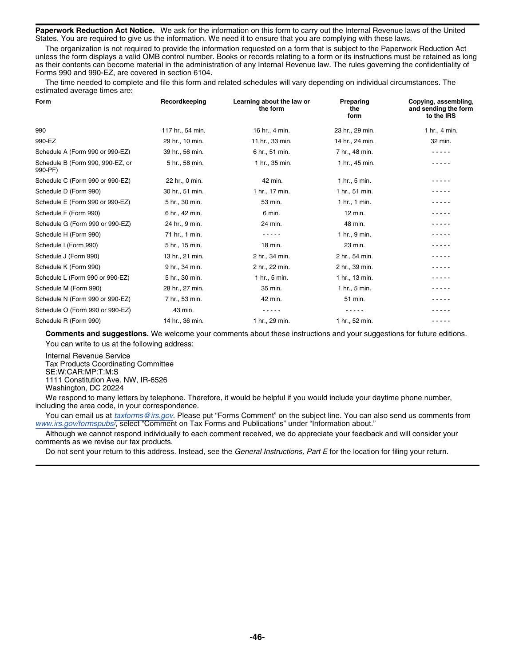**Paperwork Reduction Act Notice.** We ask for the information on this form to carry out the Internal Revenue laws of the United States. You are required to give us the information. We need it to ensure that you are complying with these laws.

The organization is not required to provide the information requested on a form that is subject to the Paperwork Reduction Act unless the form displays a valid OMB control number. Books or records relating to a form or its instructions must be retained as long as their contents can become material in the administration of any Internal Revenue law. The rules governing the confidentiality of Forms 990 and 990-EZ, are covered in section 6104.

The time needed to complete and file this form and related schedules will vary depending on individual circumstances. The estimated average times are:

| Form                                        | Recordkeeping    | Learning about the law or<br>the form | Preparing<br>the<br>form | Copying, assembling,<br>and sending the form<br>to the IRS |
|---------------------------------------------|------------------|---------------------------------------|--------------------------|------------------------------------------------------------|
| 990                                         | 117 hr., 54 min. | 16 hr., 4 min.                        | 23 hr., 29 min.          | 1 hr., 4 min.                                              |
| 990-EZ                                      | 29 hr., 10 min.  | 11 hr., 33 min.                       | 14 hr., 24 min.          | 32 min.                                                    |
| Schedule A (Form 990 or 990-EZ)             | 39 hr., 56 min.  | 6 hr., 51 min.                        | 7 hr., 48 min.           |                                                            |
| Schedule B (Form 990, 990-EZ, or<br>990-PF) | 5 hr., 58 min.   | 1 hr., 35 min.                        | 1 hr., 45 min.           |                                                            |
| Schedule C (Form 990 or 990-EZ)             | 22 hr., 0 min.   | 42 min.                               | 1 hr., 5 min.            |                                                            |
| Schedule D (Form 990)                       | 30 hr., 51 min.  | 1 hr., 17 min.                        | 1 hr., 51 min.           |                                                            |
| Schedule E (Form 990 or 990-EZ)             | 5 hr., 30 min.   | 53 min.                               | 1 hr., 1 min.            |                                                            |
| Schedule F (Form 990)                       | 6 hr., 42 min.   | 6 min.                                | 12 min.                  |                                                            |
| Schedule G (Form 990 or 990-EZ)             | 24 hr., 9 min.   | 24 min.                               | 48 min.                  |                                                            |
| Schedule H (Form 990)                       | 71 hr., 1 min.   |                                       | 1 hr., 9 min.            |                                                            |
| Schedule I (Form 990)                       | 5 hr., 15 min.   | 18 min.                               | 23 min.                  |                                                            |
| Schedule J (Form 990)                       | 13 hr., 21 min.  | 2 hr., 34 min.                        | 2 hr., 54 min.           |                                                            |
| Schedule K (Form 990)                       | 9 hr., 34 min.   | 2 hr., 22 min.                        | 2 hr., 39 min.           |                                                            |
| Schedule L (Form 990 or 990-EZ)             | 5 hr., 30 min.   | 1 hr., 5 min.                         | 1 hr., 13 min.           |                                                            |
| Schedule M (Form 990)                       | 28 hr., 27 min.  | 35 min.                               | 1 hr., 5 min.            |                                                            |
| Schedule N (Form 990 or 990-EZ)             | 7 hr., 53 min.   | 42 min.                               | 51 min.                  |                                                            |
| Schedule O (Form 990 or 990-EZ)             | 43 min.          |                                       |                          |                                                            |
| Schedule R (Form 990)                       | 14 hr., 36 min.  | 1 hr., 29 min.                        | 1 hr., 52 min.           |                                                            |

**Comments and suggestions.** We welcome your comments about these instructions and your suggestions for future editions. You can write to us at the following address:

Internal Revenue Service Tax Products Coordinating Committee SE:W:CAR:MP:T:M:S 1111 Constitution Ave. NW, IR-6526 Washington, DC 20224

We respond to many letters by telephone. Therefore, it would be helpful if you would include your daytime phone number, including the area code, in your correspondence.

You can email us at *[taxforms@irs.gov](mailto:taxforms@irs.gov)*. Please put "Forms Comment" on the subject line. You can also send us comments from *[www.irs.gov/formspubs/](http://www.irs.gov/formspubs/)*, select "Comment on Tax Forms and Publications" under "Information about."

Although we cannot respond individually to each comment received, we do appreciate your feedback and will consider your comments as we revise our tax products.

Do not sent your return to this address. Instead, see the *General Instructions, Part E* for the location for filing your return.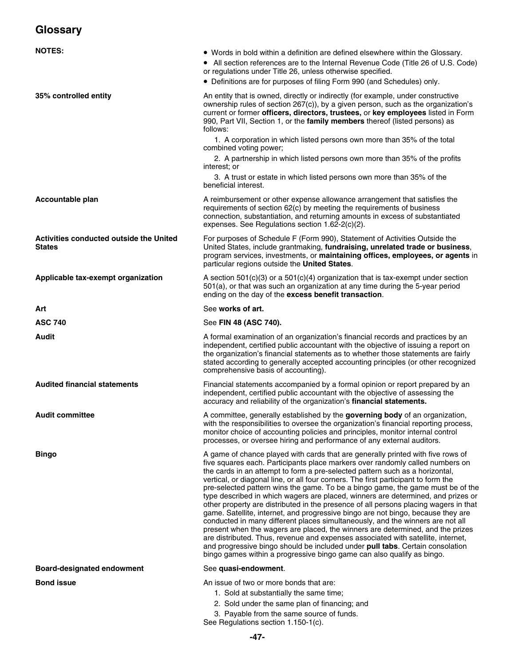# **Glossary**

| <b>NOTES:</b>                                            | • Words in bold within a definition are defined elsewhere within the Glossary.<br>• All section references are to the Internal Revenue Code (Title 26 of U.S. Code)<br>or regulations under Title 26, unless otherwise specified.<br>• Definitions are for purposes of filing Form 990 (and Schedules) only.                                                                                                                                                                                                                                                                                                                                                                                                                                                                                                                                                                                                                                                                                                                                                                                                 |
|----------------------------------------------------------|--------------------------------------------------------------------------------------------------------------------------------------------------------------------------------------------------------------------------------------------------------------------------------------------------------------------------------------------------------------------------------------------------------------------------------------------------------------------------------------------------------------------------------------------------------------------------------------------------------------------------------------------------------------------------------------------------------------------------------------------------------------------------------------------------------------------------------------------------------------------------------------------------------------------------------------------------------------------------------------------------------------------------------------------------------------------------------------------------------------|
| 35% controlled entity                                    | An entity that is owned, directly or indirectly (for example, under constructive<br>ownership rules of section 267(c)), by a given person, such as the organization's<br>current or former officers, directors, trustees, or key employees listed in Form<br>990, Part VII, Section 1, or the family members thereof (listed persons) as<br>follows:<br>1. A corporation in which listed persons own more than 35% of the total<br>combined voting power;<br>2. A partnership in which listed persons own more than 35% of the profits<br>interest; or<br>3. A trust or estate in which listed persons own more than 35% of the<br>beneficial interest.                                                                                                                                                                                                                                                                                                                                                                                                                                                      |
| Accountable plan                                         | A reimbursement or other expense allowance arrangement that satisfies the<br>requirements of section 62(c) by meeting the requirements of business<br>connection, substantiation, and returning amounts in excess of substantiated<br>expenses. See Regulations section 1.62-2(c)(2).                                                                                                                                                                                                                                                                                                                                                                                                                                                                                                                                                                                                                                                                                                                                                                                                                        |
| Activities conducted outside the United<br><b>States</b> | For purposes of Schedule F (Form 990), Statement of Activities Outside the<br>United States, include grantmaking, fundraising, unrelated trade or business,<br>program services, investments, or maintaining offices, employees, or agents in<br>particular regions outside the United States.                                                                                                                                                                                                                                                                                                                                                                                                                                                                                                                                                                                                                                                                                                                                                                                                               |
| Applicable tax-exempt organization                       | A section $501(c)(3)$ or a $501(c)(4)$ organization that is tax-exempt under section<br>501(a), or that was such an organization at any time during the 5-year period<br>ending on the day of the excess benefit transaction.                                                                                                                                                                                                                                                                                                                                                                                                                                                                                                                                                                                                                                                                                                                                                                                                                                                                                |
| Art                                                      | See works of art.                                                                                                                                                                                                                                                                                                                                                                                                                                                                                                                                                                                                                                                                                                                                                                                                                                                                                                                                                                                                                                                                                            |
| <b>ASC 740</b>                                           | See FIN 48 (ASC 740).                                                                                                                                                                                                                                                                                                                                                                                                                                                                                                                                                                                                                                                                                                                                                                                                                                                                                                                                                                                                                                                                                        |
| Audit                                                    | A formal examination of an organization's financial records and practices by an<br>independent, certified public accountant with the objective of issuing a report on<br>the organization's financial statements as to whether those statements are fairly<br>stated according to generally accepted accounting principles (or other recognized<br>comprehensive basis of accounting).                                                                                                                                                                                                                                                                                                                                                                                                                                                                                                                                                                                                                                                                                                                       |
| <b>Audited financial statements</b>                      | Financial statements accompanied by a formal opinion or report prepared by an<br>independent, certified public accountant with the objective of assessing the<br>accuracy and reliability of the organization's financial statements.                                                                                                                                                                                                                                                                                                                                                                                                                                                                                                                                                                                                                                                                                                                                                                                                                                                                        |
| <b>Audit committee</b>                                   | A committee, generally established by the governing body of an organization,<br>with the responsibilities to oversee the organization's financial reporting process,<br>monitor choice of accounting policies and principles, monitor internal control<br>processes, or oversee hiring and performance of any external auditors.                                                                                                                                                                                                                                                                                                                                                                                                                                                                                                                                                                                                                                                                                                                                                                             |
| <b>Bingo</b>                                             | A game of chance played with cards that are generally printed with five rows of<br>five squares each. Participants place markers over randomly called numbers on<br>the cards in an attempt to form a pre-selected pattern such as a horizontal,<br>vertical, or diagonal line, or all four corners. The first participant to form the<br>pre-selected pattern wins the game. To be a bingo game, the game must be of the<br>type described in which wagers are placed, winners are determined, and prizes or<br>other property are distributed in the presence of all persons placing wagers in that<br>game. Satellite, internet, and progressive bingo are not bingo, because they are<br>conducted in many different places simultaneously, and the winners are not all<br>present when the wagers are placed, the winners are determined, and the prizes<br>are distributed. Thus, revenue and expenses associated with satellite, internet,<br>and progressive bingo should be included under pull tabs. Certain consolation<br>bingo games within a progressive bingo game can also qualify as bingo. |
| <b>Board-designated endowment</b>                        | See quasi-endowment.                                                                                                                                                                                                                                                                                                                                                                                                                                                                                                                                                                                                                                                                                                                                                                                                                                                                                                                                                                                                                                                                                         |
| <b>Bond issue</b>                                        | An issue of two or more bonds that are:<br>1. Sold at substantially the same time;<br>2. Sold under the same plan of financing; and<br>3. Payable from the same source of funds.                                                                                                                                                                                                                                                                                                                                                                                                                                                                                                                                                                                                                                                                                                                                                                                                                                                                                                                             |

See Regulations section 1.150-1(c).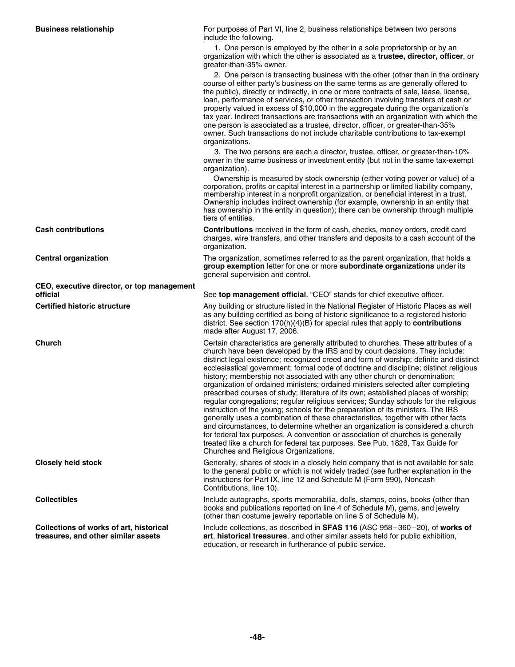**Business relationship** For purposes of Part VI, line 2, business relationships between two persons include the following.

> 1. One person is employed by the other in a sole proprietorship or by an organization with which the other is associated as a **trustee, director, officer**, or greater-than-35% owner.

2. One person is transacting business with the other (other than in the ordinary course of either party's business on the same terms as are generally offered to the public), directly or indirectly, in one or more contracts of sale, lease, license, loan, performance of services, or other transaction involving transfers of cash or property valued in excess of \$10,000 in the aggregate during the organization's tax year. Indirect transactions are transactions with an organization with which the one person is associated as a trustee, director, officer, or greater-than-35% owner. Such transactions do not include charitable contributions to tax-exempt organizations.

3. The two persons are each a director, trustee, officer, or greater-than-10% owner in the same business or investment entity (but not in the same tax-exempt organization).

Ownership is measured by stock ownership (either voting power or value) of a corporation, profits or capital interest in a partnership or limited liability company, membership interest in a nonprofit organization, or beneficial interest in a trust. Ownership includes indirect ownership (for example, ownership in an entity that has ownership in the entity in question); there can be ownership through multiple tiers of entities.

**Cash contributions Contributions** received in the form of cash, checks, money orders, credit card charges, wire transfers, and other transfers and deposits to a cash account of the organization.

**Central organization** The organization, sometimes referred to as the parent organization, that holds a **group exemption** letter for one or more **subordinate organizations** under its general supervision and control.

**official** See **top management official**. "CEO" stands for chief executive officer.

**Certified historic structure** Any building or structure listed in the National Register of Historic Places as well as any building certified as being of historic significance to a registered historic district. See section 170(h)(4)(B) for special rules that apply to **contributions** made after August 17, 2006.

**Church** Certain characteristics are generally attributed to churches. These attributes of a church have been developed by the IRS and by court decisions. They include: distinct legal existence; recognized creed and form of worship; definite and distinct ecclesiastical government; formal code of doctrine and discipline; distinct religious history; membership not associated with any other church or denomination; organization of ordained ministers; ordained ministers selected after completing prescribed courses of study; literature of its own; established places of worship; regular congregations; regular religious services; Sunday schools for the religious instruction of the young; schools for the preparation of its ministers. The IRS generally uses a combination of these characteristics, together with other facts and circumstances, to determine whether an organization is considered a church for federal tax purposes. A convention or association of churches is generally treated like a church for federal tax purposes. See Pub. 1828, Tax Guide for Churches and Religious Organizations.

**Closely held stock** Generally, shares of stock in a closely held company that is not available for sale to the general public or which is not widely traded (see further explanation in the instructions for Part IX, line 12 and Schedule M (Form 990), Noncash Contributions, line 10).

**Collectibles** Include autographs, sports memorabilia, dolls, stamps, coins, books (other than books and publications reported on line 4 of Schedule M), gems, and jewelry (other than costume jewelry reportable on line 5 of Schedule M).

**Collections of works of art, historical** Include collections, as described in **SFAS 116** (ASC 958–360–20), of **works of treasures, and other similar assets art**, **historical treasures**, and other similar assets held for public exhibition, education, or research in furtherance of public service.

**CEO, executive director, or top management**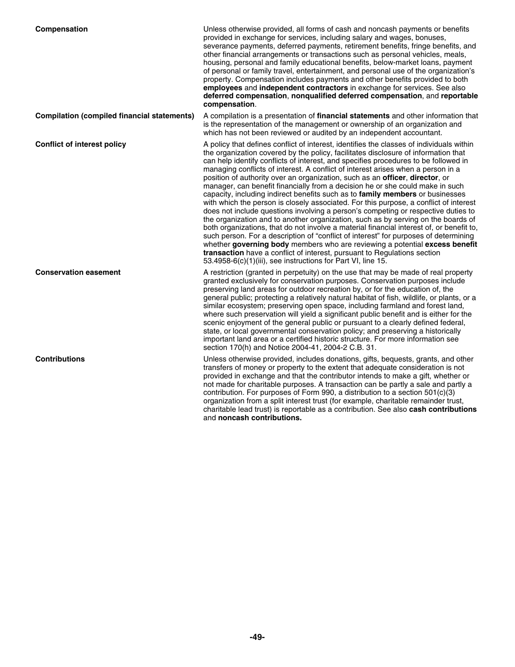| Compensation                                       | Unless otherwise provided, all forms of cash and noncash payments or benefits<br>provided in exchange for services, including salary and wages, bonuses,<br>severance payments, deferred payments, retirement benefits, fringe benefits, and<br>other financial arrangements or transactions such as personal vehicles, meals,<br>housing, personal and family educational benefits, below-market loans, payment<br>of personal or family travel, entertainment, and personal use of the organization's<br>property. Compensation includes payments and other benefits provided to both<br>employees and independent contractors in exchange for services. See also<br>deferred compensation, nonqualified deferred compensation, and reportable<br>compensation.                                                                                                                                                                                                                                                                                                                                                                                                                                                                                                                                    |
|----------------------------------------------------|------------------------------------------------------------------------------------------------------------------------------------------------------------------------------------------------------------------------------------------------------------------------------------------------------------------------------------------------------------------------------------------------------------------------------------------------------------------------------------------------------------------------------------------------------------------------------------------------------------------------------------------------------------------------------------------------------------------------------------------------------------------------------------------------------------------------------------------------------------------------------------------------------------------------------------------------------------------------------------------------------------------------------------------------------------------------------------------------------------------------------------------------------------------------------------------------------------------------------------------------------------------------------------------------------|
| <b>Compilation (compiled financial statements)</b> | A compilation is a presentation of financial statements and other information that<br>is the representation of the management or ownership of an organization and<br>which has not been reviewed or audited by an independent accountant.                                                                                                                                                                                                                                                                                                                                                                                                                                                                                                                                                                                                                                                                                                                                                                                                                                                                                                                                                                                                                                                            |
| <b>Conflict of interest policy</b>                 | A policy that defines conflict of interest, identifies the classes of individuals within<br>the organization covered by the policy, facilitates disclosure of information that<br>can help identify conflicts of interest, and specifies procedures to be followed in<br>managing conflicts of interest. A conflict of interest arises when a person in a<br>position of authority over an organization, such as an officer, director, or<br>manager, can benefit financially from a decision he or she could make in such<br>capacity, including indirect benefits such as to family members or businesses<br>with which the person is closely associated. For this purpose, a conflict of interest<br>does not include questions involving a person's competing or respective duties to<br>the organization and to another organization, such as by serving on the boards of<br>both organizations, that do not involve a material financial interest of, or benefit to,<br>such person. For a description of "conflict of interest" for purposes of determining<br>whether governing body members who are reviewing a potential excess benefit<br><b>transaction</b> have a conflict of interest, pursuant to Regulations section<br>53.4958-6(c)(1)(iii), see instructions for Part VI, line 15. |
| <b>Conservation easement</b>                       | A restriction (granted in perpetuity) on the use that may be made of real property<br>granted exclusively for conservation purposes. Conservation purposes include<br>preserving land areas for outdoor recreation by, or for the education of, the<br>general public; protecting a relatively natural habitat of fish, wildlife, or plants, or a<br>similar ecosystem; preserving open space, including farmland and forest land,<br>where such preservation will yield a significant public benefit and is either for the<br>scenic enjoyment of the general public or pursuant to a clearly defined federal,<br>state, or local governmental conservation policy; and preserving a historically<br>important land area or a certified historic structure. For more information see<br>section 170(h) and Notice 2004-41, 2004-2 C.B. 31.                                                                                                                                                                                                                                                                                                                                                                                                                                                          |
| <b>Contributions</b>                               | Unless otherwise provided, includes donations, gifts, bequests, grants, and other<br>transfers of money or property to the extent that adequate consideration is not<br>provided in exchange and that the contributor intends to make a gift, whether or<br>not made for charitable purposes. A transaction can be partly a sale and partly a<br>contribution. For purposes of Form 990, a distribution to a section 501(c)(3)<br>organization from a split interest trust (for example, charitable remainder trust,<br>charitable lead trust) is reportable as a contribution. See also cash contributions<br>and noncash contributions.                                                                                                                                                                                                                                                                                                                                                                                                                                                                                                                                                                                                                                                            |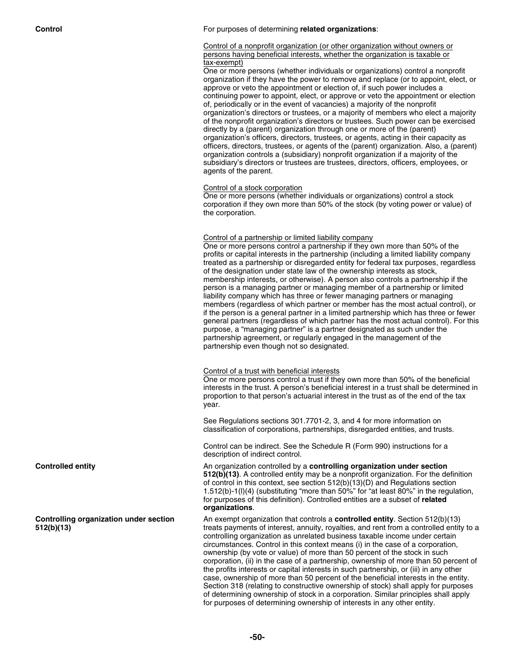## **Control** For purposes of determining **related organizations**:

### Control of a nonprofit organization (or other organization without owners or persons having beneficial interests, whether the organization is taxable or tax-exempt)

One or more persons (whether individuals or organizations) control a nonprofit organization if they have the power to remove and replace (or to appoint, elect, or approve or veto the appointment or election of, if such power includes a continuing power to appoint, elect, or approve or veto the appointment or election of, periodically or in the event of vacancies) a majority of the nonprofit organization's directors or trustees, or a majority of members who elect a majority of the nonprofit organization's directors or trustees. Such power can be exercised directly by a (parent) organization through one or more of the (parent) organization's officers, directors, trustees, or agents, acting in their capacity as officers, directors, trustees, or agents of the (parent) organization. Also, a (parent) organization controls a (subsidiary) nonprofit organization if a majority of the subsidiary's directors or trustees are trustees, directors, officers, employees, or agents of the parent.

## Control of a stock corporation

One or more persons (whether individuals or organizations) control a stock corporation if they own more than 50% of the stock (by voting power or value) of the corporation.

## Control of a partnership or limited liability company

One or more persons control a partnership if they own more than 50% of the profits or capital interests in the partnership (including a limited liability company treated as a partnership or disregarded entity for federal tax purposes, regardless of the designation under state law of the ownership interests as stock, membership interests, or otherwise). A person also controls a partnership if the person is a managing partner or managing member of a partnership or limited liability company which has three or fewer managing partners or managing members (regardless of which partner or member has the most actual control), or if the person is a general partner in a limited partnership which has three or fewer general partners (regardless of which partner has the most actual control). For this purpose, a "managing partner" is a partner designated as such under the partnership agreement, or regularly engaged in the management of the partnership even though not so designated.

## Control of a trust with beneficial interests

One or more persons control a trust if they own more than 50% of the beneficial interests in the trust. A person's beneficial interest in a trust shall be determined in proportion to that person's actuarial interest in the trust as of the end of the tax year.

See Regulations sections 301.7701-2, 3, and 4 for more information on classification of corporations, partnerships, disregarded entities, and trusts.

Control can be indirect. See the Schedule R (Form 990) instructions for a description of indirect control.

**Controlled entity** An organization controlled by a **controlling organization under section 512(b)(13)**. A controlled entity may be a nonprofit organization. For the definition of control in this context, see section 512(b)(13)(D) and Regulations section 1.512(b)-1(l)(4) (substituting "more than 50%" for "at least 80%" in the regulation, for purposes of this definition). Controlled entities are a subset of **related organizations**.

**Controlling organization under section** An exempt organization that controls a **controlled entity**. Section 512(b)(13) **512(b)(13)** treats payments of interest, annuity, royalties, and rent from a controlled entity to a controlling organization as unrelated business taxable income under certain circumstances. Control in this context means (i) in the case of a corporation, ownership (by vote or value) of more than 50 percent of the stock in such corporation, (ii) in the case of a partnership, ownership of more than 50 percent of the profits interests or capital interests in such partnership, or (iii) in any other case, ownership of more than 50 percent of the beneficial interests in the entity. Section 318 (relating to constructive ownership of stock) shall apply for purposes of determining ownership of stock in a corporation. Similar principles shall apply for purposes of determining ownership of interests in any other entity.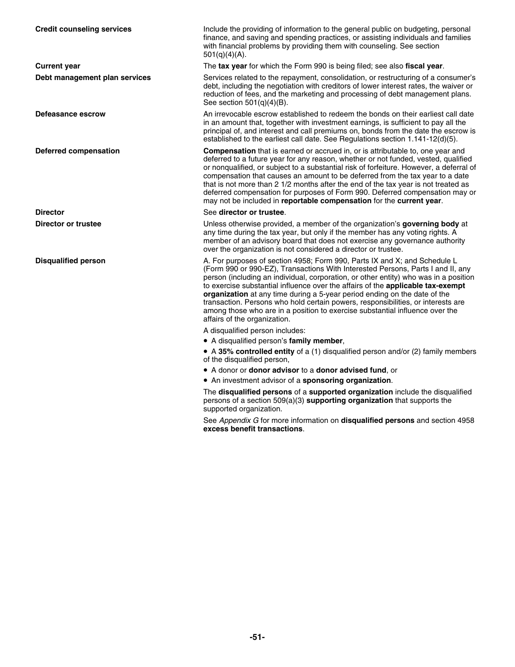**Credit counseling services** Include the providing of information to the general public on budgeting, personal finance, and saving and spending practices, or assisting individuals and families with financial problems by providing them with counseling. See section  $501(q)(4)(A)$ .

**Current year The tax year** for which the Form 990 is being filed; see also **fiscal year**.

**Debt management plan services** Services related to the repayment, consolidation, or restructuring of a consumer's debt, including the negotiation with creditors of lower interest rates, the waiver or reduction of fees, and the marketing and processing of debt management plans. See section 501(q)(4)(B).

**Defeasance escrow** entitled a state of the irrevocable escrow established to redeem the bonds on their earliest call date in an amount that, together with investment earnings, is sufficient to pay all the principal of, and interest and call premiums on, bonds from the date the escrow is established to the earliest call date. See Regulations section 1.141-12(d)(5).

**Deferred compensation Compensation** that is earned or accrued in, or is attributable to, one year and deferred to a future year for any reason, whether or not funded, vested, qualified or nonqualified, or subject to a substantial risk of forfeiture. However, a deferral of compensation that causes an amount to be deferred from the tax year to a date that is not more than 2 1/2 months after the end of the tax year is not treated as deferred compensation for purposes of Form 990. Deferred compensation may or may not be included in **reportable compensation** for the **current year**.

## **Director** See **director or trustee**.

**Director or trustee** Unless otherwise provided, a member of the organization's **governing body** at any time during the tax year, but only if the member has any voting rights. A member of an advisory board that does not exercise any governance authority over the organization is not considered a director or trustee.

**Disqualified person** A. For purposes of section 4958; Form 990, Parts IX and X; and Schedule L (Form 990 or 990-EZ), Transactions With Interested Persons, Parts I and II, any person (including an individual, corporation, or other entity) who was in a position to exercise substantial influence over the affairs of the **applicable tax-exempt organization** at any time during a 5-year period ending on the date of the transaction. Persons who hold certain powers, responsibilities, or interests are among those who are in a position to exercise substantial influence over the affairs of the organization.

A disqualified person includes:

- A disqualified person's **family member**,
- A **35% controlled entity** of a (1) disqualified person and/or (2) family members of the disqualified person,
- A donor or **donor advisor** to a **donor advised fund**, or
- An investment advisor of a **sponsoring organization**.

The **disqualified persons** of a **supported organization** include the disqualified persons of a section 509(a)(3) **supporting organization** that supports the supported organization.

See *Appendix G* for more information on **disqualified persons** and section 4958 **excess benefit transactions**.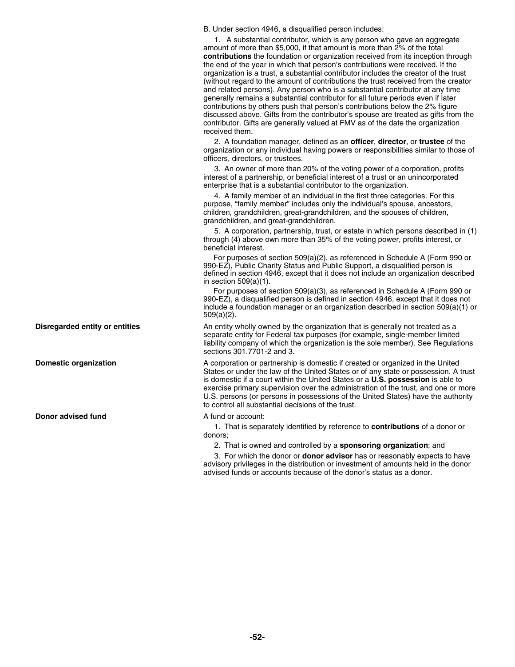B. Under section 4946, a disqualified person includes:

1. A substantial contributor, which is any person who gave an aggregate amount of more than \$5,000, if that amount is more than 2% of the total **contributions** the foundation or organization received from its inception through the end of the year in which that person's contributions were received. If the organization is a trust, a substantial contributor includes the creator of the trust (without regard to the amount of contributions the trust received from the creator and related persons). Any person who is a substantial contributor at any time generally remains a substantial contributor for all future periods even if later contributions by others push that person's contributions below the 2% figure discussed above. Gifts from the contributor's spouse are treated as gifts from the contributor. Gifts are generally valued at FMV as of the date the organization received them.

2. A foundation manager, defined as an **officer**, **director**, or **trustee** of the organization or any individual having powers or responsibilities similar to those of officers, directors, or trustees.

3. An owner of more than 20% of the voting power of a corporation, profits interest of a partnership, or beneficial interest of a trust or an unincorporated enterprise that is a substantial contributor to the organization.

4. A family member of an individual in the first three categories. For this purpose, "family member" includes only the individual's spouse, ancestors, children, grandchildren, great-grandchildren, and the spouses of children, grandchildren, and great-grandchildren.

5. A corporation, partnership, trust, or estate in which persons described in (1) through (4) above own more than 35% of the voting power, profits interest, or beneficial interest.

For purposes of section 509(a)(2), as referenced in Schedule A (Form 990 or 990-EZ), Public Charity Status and Public Support, a disqualified person is defined in section 4946, except that it does not include an organization described in section 509(a)(1).

For purposes of section 509(a)(3), as referenced in Schedule A (Form 990 or 990-EZ), a disqualified person is defined in section 4946, except that it does not include a foundation manager or an organization described in section  $509(a)(1)$  or 509(a)(2).

**Disregarded entity or entities** An entity wholly owned by the organization that is generally not treated as a separate entity for Federal tax purposes (for example, single-member limited liability company of which the organization is the sole member). See Regulations sections 301.7701-2 and 3.

**Domestic organization** A corporation or partnership is domestic if created or organized in the United States or under the law of the United States or of any state or possession. A trust is domestic if a court within the United States or a **U.S. possession** is able to exercise primary supervision over the administration of the trust, and one or more U.S. persons (or persons in possessions of the United States) have the authority to control all substantial decisions of the trust.

1. That is separately identified by reference to **contributions** of a donor or donors;

2. That is owned and controlled by a **sponsoring organization**; and

3. For which the donor or **donor advisor** has or reasonably expects to have advisory privileges in the distribution or investment of amounts held in the donor advised funds or accounts because of the donor's status as a donor.

**Donor advised fund** A fund or account: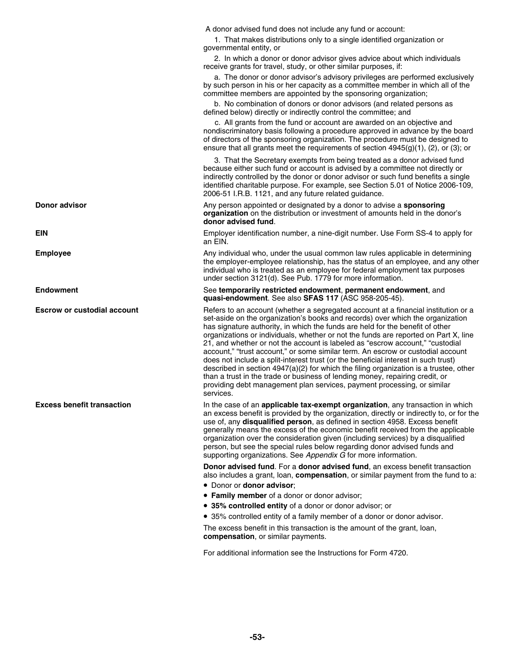A donor advised fund does not include any fund or account:

1. That makes distributions only to a single identified organization or governmental entity, or

2. In which a donor or donor advisor gives advice about which individuals receive grants for travel, study, or other similar purposes, if:

a. The donor or donor advisor's advisory privileges are performed exclusively by such person in his or her capacity as a committee member in which all of the committee members are appointed by the sponsoring organization;

b. No combination of donors or donor advisors (and related persons as defined below) directly or indirectly control the committee; and

c. All grants from the fund or account are awarded on an objective and nondiscriminatory basis following a procedure approved in advance by the board of directors of the sponsoring organization. The procedure must be designed to ensure that all grants meet the requirements of section 4945(g)(1), (2), or (3); or

3. That the Secretary exempts from being treated as a donor advised fund because either such fund or account is advised by a committee not directly or indirectly controlled by the donor or donor advisor or such fund benefits a single identified charitable purpose. For example, see Section 5.01 of Notice 2006-109, 2006-51 I.R.B. 1121, and any future related guidance.

**Donor advisor** Any person appointed or designated by a donor to advise a **sponsoring organization** on the distribution or investment of amounts held in the donor's **donor advised fund**.

**EIN** Employer identification number, a nine-digit number. Use Form SS-4 to apply for an EIN.

**Employee Any individual who, under the usual common law rules applicable in determining** the employer-employee relationship, has the status of an employee, and any other individual who is treated as an employee for federal employment tax purposes under section 3121(d). See Pub. 1779 for more information.

**Endowment** See **temporarily restricted endowment**, **permanent endowment**, and **quasi-endowment**. See also **SFAS 117** (ASC 958-205-45).

**Escrow or custodial account** Refers to an account (whether a segregated account at a financial institution or a set-aside on the organization's books and records) over which the organization has signature authority, in which the funds are held for the benefit of other organizations or individuals, whether or not the funds are reported on Part X, line 21, and whether or not the account is labeled as "escrow account," "custodial account," "trust account," or some similar term. An escrow or custodial account does not include a split-interest trust (or the beneficial interest in such trust) described in section  $4947(a)(2)$  for which the filing organization is a trustee, other than a trust in the trade or business of lending money, repairing credit, or providing debt management plan services, payment processing, or similar services.

**Excess benefit transaction** In the case of an **applicable tax-exempt organization**, any transaction in which an excess benefit is provided by the organization, directly or indirectly to, or for the use of, any **disqualified person**, as defined in section 4958. Excess benefit generally means the excess of the economic benefit received from the applicable organization over the consideration given (including services) by a disqualified person, but see the special rules below regarding donor advised funds and supporting organizations. See *Appendix G* for more information.

> **Donor advised fund**. For a **donor advised fund**, an excess benefit transaction also includes a grant, loan, **compensation**, or similar payment from the fund to a:

- Donor or **donor advisor**;
- **Family member** of a donor or donor advisor;
- **35% controlled entity** of a donor or donor advisor; or
- 35% controlled entity of a family member of a donor or donor advisor.

The excess benefit in this transaction is the amount of the grant, loan, **compensation**, or similar payments.

For additional information see the Instructions for Form 4720.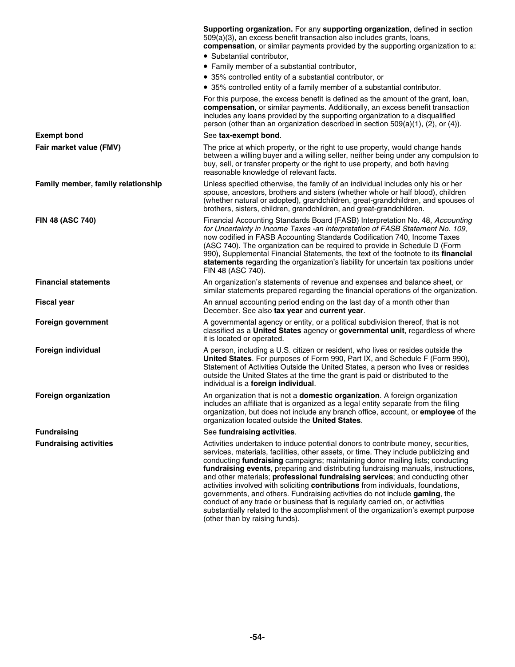|                                    | <b>Supporting organization.</b> For any <b>supporting organization</b> , defined in section<br>509(a)(3), an excess benefit transaction also includes grants, loans,<br>compensation, or similar payments provided by the supporting organization to a:                                                                                                                                                                                                                                                                                                                                                                                                                                                                                                                                                        |
|------------------------------------|----------------------------------------------------------------------------------------------------------------------------------------------------------------------------------------------------------------------------------------------------------------------------------------------------------------------------------------------------------------------------------------------------------------------------------------------------------------------------------------------------------------------------------------------------------------------------------------------------------------------------------------------------------------------------------------------------------------------------------------------------------------------------------------------------------------|
|                                    | • Substantial contributor.                                                                                                                                                                                                                                                                                                                                                                                                                                                                                                                                                                                                                                                                                                                                                                                     |
|                                    | • Family member of a substantial contributor,                                                                                                                                                                                                                                                                                                                                                                                                                                                                                                                                                                                                                                                                                                                                                                  |
|                                    | • 35% controlled entity of a substantial contributor, or                                                                                                                                                                                                                                                                                                                                                                                                                                                                                                                                                                                                                                                                                                                                                       |
|                                    | • 35% controlled entity of a family member of a substantial contributor.                                                                                                                                                                                                                                                                                                                                                                                                                                                                                                                                                                                                                                                                                                                                       |
|                                    | For this purpose, the excess benefit is defined as the amount of the grant, loan,<br>compensation, or similar payments. Additionally, an excess benefit transaction<br>includes any loans provided by the supporting organization to a disqualified<br>person (other than an organization described in section 509(a)(1), (2), or (4)).                                                                                                                                                                                                                                                                                                                                                                                                                                                                        |
| <b>Exempt bond</b>                 | See tax-exempt bond.                                                                                                                                                                                                                                                                                                                                                                                                                                                                                                                                                                                                                                                                                                                                                                                           |
| Fair market value (FMV)            | The price at which property, or the right to use property, would change hands<br>between a willing buyer and a willing seller, neither being under any compulsion to<br>buy, sell, or transfer property or the right to use property, and both having<br>reasonable knowledge of relevant facts.                                                                                                                                                                                                                                                                                                                                                                                                                                                                                                               |
| Family member, family relationship | Unless specified otherwise, the family of an individual includes only his or her<br>spouse, ancestors, brothers and sisters (whether whole or half blood), children<br>(whether natural or adopted), grandchildren, great-grandchildren, and spouses of<br>brothers, sisters, children, grandchildren, and great-grandchildren.                                                                                                                                                                                                                                                                                                                                                                                                                                                                                |
| <b>FIN 48 (ASC 740)</b>            | Financial Accounting Standards Board (FASB) Interpretation No. 48, Accounting<br>for Uncertainty in Income Taxes -an interpretation of FASB Statement No. 109,<br>now codified in FASB Accounting Standards Codification 740, Income Taxes<br>(ASC 740). The organization can be required to provide in Schedule D (Form<br>990), Supplemental Financial Statements, the text of the footnote to its financial<br>statements regarding the organization's liability for uncertain tax positions under<br>FIN 48 (ASC 740).                                                                                                                                                                                                                                                                                     |
| <b>Financial statements</b>        | An organization's statements of revenue and expenses and balance sheet, or<br>similar statements prepared regarding the financial operations of the organization.                                                                                                                                                                                                                                                                                                                                                                                                                                                                                                                                                                                                                                              |
| <b>Fiscal year</b>                 | An annual accounting period ending on the last day of a month other than<br>December. See also tax year and current year.                                                                                                                                                                                                                                                                                                                                                                                                                                                                                                                                                                                                                                                                                      |
| Foreign government                 | A governmental agency or entity, or a political subdivision thereof, that is not<br>classified as a United States agency or governmental unit, regardless of where<br>it is located or operated.                                                                                                                                                                                                                                                                                                                                                                                                                                                                                                                                                                                                               |
| Foreign individual                 | A person, including a U.S. citizen or resident, who lives or resides outside the<br>United States. For purposes of Form 990, Part IX, and Schedule F (Form 990),<br>Statement of Activities Outside the United States, a person who lives or resides<br>outside the United States at the time the grant is paid or distributed to the<br>individual is a foreign individual.                                                                                                                                                                                                                                                                                                                                                                                                                                   |
| Foreign organization               | An organization that is not a <b>domestic organization</b> . A foreign organization<br>includes an affiliate that is organized as a legal entity separate from the filing<br>organization, but does not include any branch office, account, or employee of the<br>organization located outside the United States.                                                                                                                                                                                                                                                                                                                                                                                                                                                                                              |
| <b>Fundraising</b>                 | See fundraising activities.                                                                                                                                                                                                                                                                                                                                                                                                                                                                                                                                                                                                                                                                                                                                                                                    |
| <b>Fundraising activities</b>      | Activities undertaken to induce potential donors to contribute money, securities,<br>services, materials, facilities, other assets, or time. They include publicizing and<br>conducting <b>fundraising</b> campaigns; maintaining donor mailing lists; conducting<br>fundraising events, preparing and distributing fundraising manuals, instructions,<br>and other materials; professional fundraising services; and conducting other<br>activities involved with soliciting contributions from individuals, foundations,<br>governments, and others. Fundraising activities do not include gaming, the<br>conduct of any trade or business that is regularly carried on, or activities<br>substantially related to the accomplishment of the organization's exempt purpose<br>(other than by raising funds). |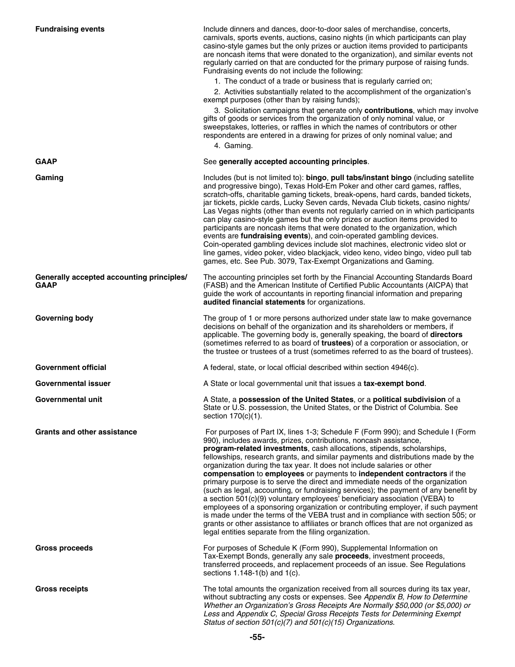| <b>Fundraising events</b>                                | Include dinners and dances, door-to-door sales of merchandise, concerts,<br>carnivals, sports events, auctions, casino nights (in which participants can play<br>casino-style games but the only prizes or auction items provided to participants<br>are noncash items that were donated to the organization), and similar events not<br>regularly carried on that are conducted for the primary purpose of raising funds.<br>Fundraising events do not include the following:<br>1. The conduct of a trade or business that is regularly carried on;<br>2. Activities substantially related to the accomplishment of the organization's<br>exempt purposes (other than by raising funds);<br>3. Solicitation campaigns that generate only <b>contributions</b> , which may involve<br>gifts of goods or services from the organization of only nominal value, or<br>sweepstakes, lotteries, or raffles in which the names of contributors or other<br>respondents are entered in a drawing for prizes of only nominal value; and<br>4. Gaming.            |
|----------------------------------------------------------|------------------------------------------------------------------------------------------------------------------------------------------------------------------------------------------------------------------------------------------------------------------------------------------------------------------------------------------------------------------------------------------------------------------------------------------------------------------------------------------------------------------------------------------------------------------------------------------------------------------------------------------------------------------------------------------------------------------------------------------------------------------------------------------------------------------------------------------------------------------------------------------------------------------------------------------------------------------------------------------------------------------------------------------------------------|
| <b>GAAP</b>                                              | See generally accepted accounting principles.                                                                                                                                                                                                                                                                                                                                                                                                                                                                                                                                                                                                                                                                                                                                                                                                                                                                                                                                                                                                              |
| Gaming                                                   | Includes (but is not limited to): <b>bingo, pull tabs/instant bingo</b> (including satellite<br>and progressive bingo), Texas Hold-Em Poker and other card games, raffles,<br>scratch-offs, charitable gaming tickets, break-opens, hard cards, banded tickets,<br>jar tickets, pickle cards, Lucky Seven cards, Nevada Club tickets, casino nights/<br>Las Vegas nights (other than events not regularly carried on in which participants<br>can play casino-style games but the only prizes or auction items provided to<br>participants are noncash items that were donated to the organization, which<br>events are fundraising events), and coin-operated gambling devices.<br>Coin-operated gambling devices include slot machines, electronic video slot or<br>line games, video poker, video blackjack, video keno, video bingo, video pull tab<br>games, etc. See Pub. 3079, Tax-Exempt Organizations and Gaming.                                                                                                                                 |
| Generally accepted accounting principles/<br><b>GAAP</b> | The accounting principles set forth by the Financial Accounting Standards Board<br>(FASB) and the American Institute of Certified Public Accountants (AICPA) that<br>guide the work of accountants in reporting financial information and preparing<br>audited financial statements for organizations.                                                                                                                                                                                                                                                                                                                                                                                                                                                                                                                                                                                                                                                                                                                                                     |
| <b>Governing body</b>                                    | The group of 1 or more persons authorized under state law to make governance<br>decisions on behalf of the organization and its shareholders or members, if<br>applicable. The governing body is, generally speaking, the board of directors<br>(sometimes referred to as board of trustees) of a corporation or association, or<br>the trustee or trustees of a trust (sometimes referred to as the board of trustees).                                                                                                                                                                                                                                                                                                                                                                                                                                                                                                                                                                                                                                   |
| <b>Government official</b>                               | A federal, state, or local official described within section 4946(c).                                                                                                                                                                                                                                                                                                                                                                                                                                                                                                                                                                                                                                                                                                                                                                                                                                                                                                                                                                                      |
| <b>Governmental issuer</b>                               | A State or local governmental unit that issues a tax-exempt bond.                                                                                                                                                                                                                                                                                                                                                                                                                                                                                                                                                                                                                                                                                                                                                                                                                                                                                                                                                                                          |
| Governmental unit                                        | A State, a possession of the United States, or a political subdivision of a<br>State or U.S. possession, the United States, or the District of Columbia. See<br>section $170(c)(1)$ .                                                                                                                                                                                                                                                                                                                                                                                                                                                                                                                                                                                                                                                                                                                                                                                                                                                                      |
| <b>Grants and other assistance</b>                       | For purposes of Part IX, lines 1-3; Schedule F (Form 990); and Schedule I (Form<br>990), includes awards, prizes, contributions, noncash assistance,<br>program-related investments, cash allocations, stipends, scholarships,<br>fellowships, research grants, and similar payments and distributions made by the<br>organization during the tax year. It does not include salaries or other<br>compensation to employees or payments to independent contractors if the<br>primary purpose is to serve the direct and immediate needs of the organization<br>(such as legal, accounting, or fundraising services); the payment of any benefit by<br>a section $501(c)(9)$ voluntary employees' beneficiary association (VEBA) to<br>employees of a sponsoring organization or contributing employer, if such payment<br>is made under the terms of the VEBA trust and in compliance with section 505; or<br>grants or other assistance to affiliates or branch offices that are not organized as<br>legal entities separate from the filing organization. |
| <b>Gross proceeds</b>                                    | For purposes of Schedule K (Form 990), Supplemental Information on<br>Tax-Exempt Bonds, generally any sale proceeds, investment proceeds,<br>transferred proceeds, and replacement proceeds of an issue. See Regulations<br>sections $1.148-1(b)$ and $1(c)$ .                                                                                                                                                                                                                                                                                                                                                                                                                                                                                                                                                                                                                                                                                                                                                                                             |
| <b>Gross receipts</b>                                    | The total amounts the organization received from all sources during its tax year,<br>without subtracting any costs or expenses. See Appendix B, How to Determine<br>Whether an Organization's Gross Receipts Are Normally \$50,000 (or \$5,000) or<br>Less and Appendix C, Special Gross Receipts Tests for Determining Exempt                                                                                                                                                                                                                                                                                                                                                                                                                                                                                                                                                                                                                                                                                                                             |

*Status of section 501(c)(7) and 501(c)(15) Organizations*.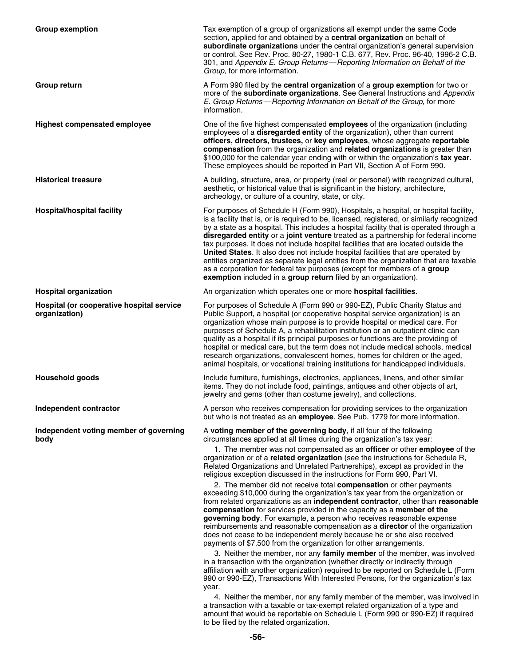| <b>Group exemption</b>                                     | Tax exemption of a group of organizations all exempt under the same Code<br>section, applied for and obtained by a central organization on behalf of<br>subordinate organizations under the central organization's general supervision<br>or control. See Rev. Proc. 80-27, 1980-1 C.B. 677, Rev. Proc. 96-40, 1996-2 C.B.<br>301, and Appendix E. Group Returns-Reporting Information on Behalf of the<br>Group, for more information.                                                                                                                                                                                                                                                                                                                                           |
|------------------------------------------------------------|-----------------------------------------------------------------------------------------------------------------------------------------------------------------------------------------------------------------------------------------------------------------------------------------------------------------------------------------------------------------------------------------------------------------------------------------------------------------------------------------------------------------------------------------------------------------------------------------------------------------------------------------------------------------------------------------------------------------------------------------------------------------------------------|
| Group return                                               | A Form 990 filed by the central organization of a group exemption for two or<br>more of the subordinate organizations. See General Instructions and Appendix<br>E. Group Returns-Reporting Information on Behalf of the Group, for more<br>information.                                                                                                                                                                                                                                                                                                                                                                                                                                                                                                                           |
| <b>Highest compensated employee</b>                        | One of the five highest compensated employees of the organization (including<br>employees of a disregarded entity of the organization), other than current<br>officers, directors, trustees, or key employees, whose aggregate reportable<br>compensation from the organization and related organizations is greater than<br>\$100,000 for the calendar year ending with or within the organization's tax year.<br>These employees should be reported in Part VII, Section A of Form 990.                                                                                                                                                                                                                                                                                         |
| <b>Historical treasure</b>                                 | A building, structure, area, or property (real or personal) with recognized cultural,<br>aesthetic, or historical value that is significant in the history, architecture,<br>archeology, or culture of a country, state, or city.                                                                                                                                                                                                                                                                                                                                                                                                                                                                                                                                                 |
| <b>Hospital/hospital facility</b>                          | For purposes of Schedule H (Form 990), Hospitals, a hospital, or hospital facility,<br>is a facility that is, or is required to be, licensed, registered, or similarly recognized<br>by a state as a hospital. This includes a hospital facility that is operated through a<br>disregarded entity or a joint venture treated as a partnership for federal income<br>tax purposes. It does not include hospital facilities that are located outside the<br>United States. It also does not include hospital facilities that are operated by<br>entities organized as separate legal entities from the organization that are taxable<br>as a corporation for federal tax purposes (except for members of a group<br>exemption included in a group return filed by an organization). |
| <b>Hospital organization</b>                               | An organization which operates one or more <b>hospital facilities</b> .                                                                                                                                                                                                                                                                                                                                                                                                                                                                                                                                                                                                                                                                                                           |
| Hospital (or cooperative hospital service<br>organization) | For purposes of Schedule A (Form 990 or 990-EZ), Public Charity Status and<br>Public Support, a hospital (or cooperative hospital service organization) is an<br>organization whose main purpose is to provide hospital or medical care. For<br>purposes of Schedule A, a rehabilitation institution or an outpatient clinic can<br>qualify as a hospital if its principal purposes or functions are the providing of<br>hospital or medical care, but the term does not include medical schools, medical<br>research organizations, convalescent homes, homes for children or the aged,<br>animal hospitals, or vocational training institutions for handicapped individuals.                                                                                                    |
| <b>Household goods</b>                                     | Include furniture, furnishings, electronics, appliances, linens, and other similar<br>items. They do not include food, paintings, antiques and other objects of art,<br>jewelry and gems (other than costume jewelry), and collections.                                                                                                                                                                                                                                                                                                                                                                                                                                                                                                                                           |
| Independent contractor                                     | A person who receives compensation for providing services to the organization<br>but who is not treated as an employee. See Pub. 1779 for more information.                                                                                                                                                                                                                                                                                                                                                                                                                                                                                                                                                                                                                       |
| Independent voting member of governing<br>body             | A voting member of the governing body, if all four of the following<br>circumstances applied at all times during the organization's tax year:                                                                                                                                                                                                                                                                                                                                                                                                                                                                                                                                                                                                                                     |
|                                                            | 1. The member was not compensated as an officer or other employee of the<br>organization or of a related organization (see the instructions for Schedule R,<br>Related Organizations and Unrelated Partnerships), except as provided in the<br>religious exception discussed in the instructions for Form 990, Part VI.                                                                                                                                                                                                                                                                                                                                                                                                                                                           |
|                                                            | 2. The member did not receive total compensation or other payments<br>exceeding \$10,000 during the organization's tax year from the organization or<br>from related organizations as an independent contractor, other than reasonable<br>compensation for services provided in the capacity as a member of the<br>governing body. For example, a person who receives reasonable expense<br>reimbursements and reasonable compensation as a director of the organization<br>does not cease to be independent merely because he or she also received<br>payments of \$7,500 from the organization for other arrangements.                                                                                                                                                          |
|                                                            | 3. Neither the member, nor any family member of the member, was involved<br>in a transaction with the organization (whether directly or indirectly through<br>affiliation with another organization) required to be reported on Schedule L (Form<br>990 or 990-EZ), Transactions With Interested Persons, for the organization's tax<br>year.                                                                                                                                                                                                                                                                                                                                                                                                                                     |
|                                                            | 4. Neither the member, nor any family member of the member, was involved in<br>a transaction with a taxable or tax-exempt related organization of a type and<br>amount that would be reportable on Schedule L (Form 990 or 990-EZ) if required                                                                                                                                                                                                                                                                                                                                                                                                                                                                                                                                    |

to be filed by the related organization.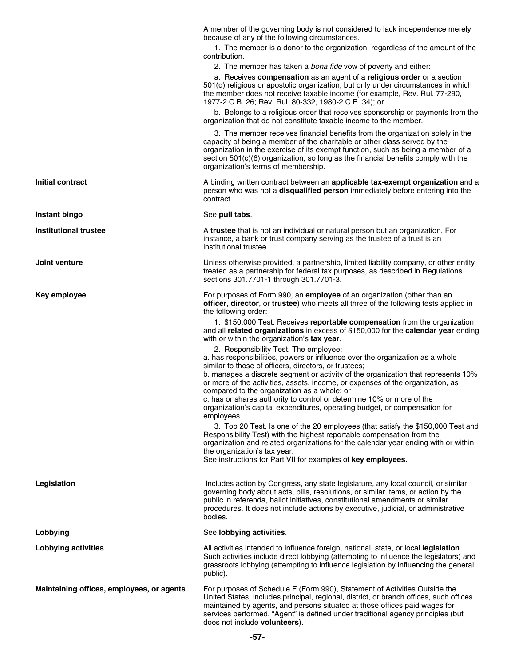because of any of the following circumstances. 1. The member is a donor to the organization, regardless of the amount of the contribution. 2. The member has taken a *bona fide* vow of poverty and either: a. Receives **compensation** as an agent of a **religious order** or a section 501(d) religious or apostolic organization, but only under circumstances in which the member does not receive taxable income (for example, Rev. Rul. 77-290, 1977-2 C.B. 26; Rev. Rul. 80-332, 1980-2 C.B. 34); or b. Belongs to a religious order that receives sponsorship or payments from the organization that do not constitute taxable income to the member. 3. The member receives financial benefits from the organization solely in the capacity of being a member of the charitable or other class served by the organization in the exercise of its exempt function, such as being a member of a section 501(c)(6) organization, so long as the financial benefits comply with the organization's terms of membership. **Initial contract Initial contract A binding written contract between an applicable tax-exempt organization** and a person who was not a **disqualified person** immediately before entering into the contract. **Instant bingo** See pull tabs. **Institutional trustee** A **trustee** that is not an individual or natural person but an organization. For instance, a bank or trust company serving as the trustee of a trust is an institutional trustee. **Joint venture Interpretatal Unless otherwise provided, a partnership, limited liability company, or other entity** treated as a partnership for federal tax purposes, as described in Regulations sections 301.7701-1 through 301.7701-3. **Key employee** For purposes of Form 990, an **employee** of an organization (other than an **officer**, **director**, or **trustee**) who meets all three of the following tests applied in the following order: 1. \$150,000 Test. Receives **reportable compensation** from the organization and all **related organizations** in excess of \$150,000 for the **calendar year** ending with or within the organization's **tax year**. 2. Responsibility Test. The employee: a. has responsibilities, powers or influence over the organization as a whole similar to those of officers, directors, or trustees; b. manages a discrete segment or activity of the organization that represents 10% or more of the activities, assets, income, or expenses of the organization, as compared to the organization as a whole; or c. has or shares authority to control or determine 10% or more of the organization's capital expenditures, operating budget, or compensation for employees. 3. Top 20 Test. Is one of the 20 employees (that satisfy the \$150,000 Test and Responsibility Test) with the highest reportable compensation from the organization and related organizations for the calendar year ending with or within the organization's tax year. See instructions for Part VII for examples of **key employees. Legislation Includes action by Congress, any state legislature, any local council, or similar** governing body about acts, bills, resolutions, or similar items, or action by the public in referenda, ballot initiatives, constitutional amendments or similar procedures. It does not include actions by executive, judicial, or administrative bodies. **Lobbying** See **lobbying activities**. **Lobbying activities** All activities intended to influence foreign, national, state, or local **legislation**. Such activities include direct lobbying (attempting to influence the legislators) and grassroots lobbying (attempting to influence legislation by influencing the general public). **Maintaining offices, employees, or agents** For purposes of Schedule F (Form 990), Statement of Activities Outside the United States, includes principal, regional, district, or branch offices, such offices maintained by agents, and persons situated at those offices paid wages for services performed. "Agent" is defined under traditional agency principles (but

A member of the governing body is not considered to lack independence merely

does not include **volunteers**).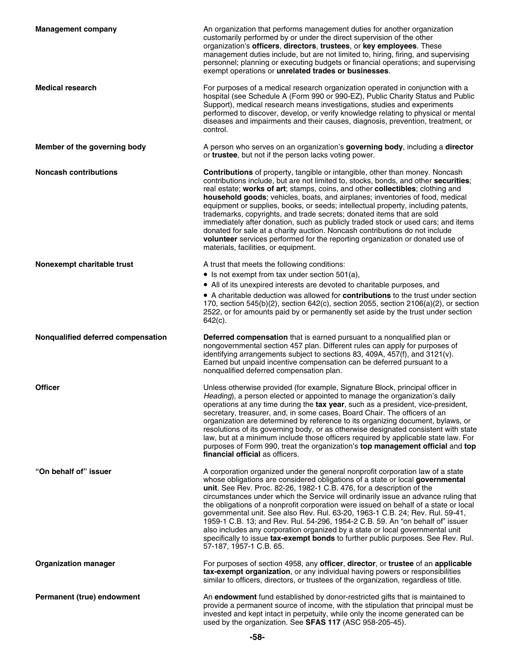| <b>Management company</b>          | An organization that performs management duties for another organization<br>customarily performed by or under the direct supervision of the other<br>organization's officers, directors, trustees, or key employees. These<br>management duties include, but are not limited to, hiring, firing, and supervising<br>personnel; planning or executing budgets or financial operations; and supervising<br>exempt operations or unrelated trades or businesses.                                                                                                                                                                                                                                                                                                                                             |
|------------------------------------|-----------------------------------------------------------------------------------------------------------------------------------------------------------------------------------------------------------------------------------------------------------------------------------------------------------------------------------------------------------------------------------------------------------------------------------------------------------------------------------------------------------------------------------------------------------------------------------------------------------------------------------------------------------------------------------------------------------------------------------------------------------------------------------------------------------|
| <b>Medical research</b>            | For purposes of a medical research organization operated in conjunction with a<br>hospital (see Schedule A (Form 990 or 990-EZ), Public Charity Status and Public<br>Support), medical research means investigations, studies and experiments<br>performed to discover, develop, or verify knowledge relating to physical or mental<br>diseases and impairments and their causes, diagnosis, prevention, treatment, or<br>control.                                                                                                                                                                                                                                                                                                                                                                        |
| Member of the governing body       | A person who serves on an organization's governing body, including a director<br>or trustee, but not if the person lacks voting power.                                                                                                                                                                                                                                                                                                                                                                                                                                                                                                                                                                                                                                                                    |
| <b>Noncash contributions</b>       | <b>Contributions</b> of property, tangible or intangible, other than money. Noncash<br>contributions include, but are not limited to, stocks, bonds, and other securities;<br>real estate; works of art; stamps, coins, and other collectibles; clothing and<br>household goods; vehicles, boats, and airplanes; inventories of food, medical<br>equipment or supplies, books, or seeds; intellectual property, including patents,<br>trademarks, copyrights, and trade secrets; donated items that are sold<br>immediately after donation, such as publicly traded stock or used cars; and items<br>donated for sale at a charity auction. Noncash contributions do not include<br>volunteer services performed for the reporting organization or donated use of<br>materials, facilities, or equipment. |
| Nonexempt charitable trust         | A trust that meets the following conditions:                                                                                                                                                                                                                                                                                                                                                                                                                                                                                                                                                                                                                                                                                                                                                              |
|                                    | • Is not exempt from tax under section 501(a),                                                                                                                                                                                                                                                                                                                                                                                                                                                                                                                                                                                                                                                                                                                                                            |
|                                    | • All of its unexpired interests are devoted to charitable purposes, and                                                                                                                                                                                                                                                                                                                                                                                                                                                                                                                                                                                                                                                                                                                                  |
|                                    | • A charitable deduction was allowed for <b>contributions</b> to the trust under section<br>170, section 545(b)(2), section 642(c), section 2055, section 2106(a)(2), or section<br>2522, or for amounts paid by or permanently set aside by the trust under section<br>$642(c)$ .                                                                                                                                                                                                                                                                                                                                                                                                                                                                                                                        |
| Nonqualified deferred compensation | Deferred compensation that is earned pursuant to a nonqualified plan or<br>nongovernmental section 457 plan. Different rules can apply for purposes of<br>identifying arrangements subject to sections 83, 409A, 457(f), and 3121(v).<br>Earned but unpaid incentive compensation can be deferred pursuant to a<br>nonqualified deferred compensation plan.                                                                                                                                                                                                                                                                                                                                                                                                                                               |
| <b>Officer</b>                     | Unless otherwise provided (for example, Signature Block, principal officer in<br>Heading), a person elected or appointed to manage the organization's daily<br>operations at any time during the tax year, such as a president, vice-president,<br>secretary, treasurer, and, in some cases, Board Chair. The officers of an<br>organization are determined by reference to its organizing document, bylaws, or<br>resolutions of its governing body, or as otherwise designated consistent with state<br>law, but at a minimum include those officers required by applicable state law. For<br>purposes of Form 990, treat the organization's top management official and top<br>financial official as officers.                                                                                         |
| "On behalf of" issuer              | A corporation organized under the general nonprofit corporation law of a state<br>whose obligations are considered obligations of a state or local governmental<br>unit. See Rev. Proc. 82-26, 1982-1 C.B. 476, for a description of the<br>circumstances under which the Service will ordinarily issue an advance ruling that<br>the obligations of a nonprofit corporation were issued on behalf of a state or local<br>governmental unit. See also Rev. Rul. 63-20, 1963-1 C.B. 24; Rev. Rul. 59-41,<br>1959-1 C.B. 13; and Rev. Rul. 54-296, 1954-2 C.B. 59. An "on behalf of" issuer<br>also includes any corporation organized by a state or local governmental unit<br>specifically to issue tax-exempt bonds to further public purposes. See Rev. Rul.<br>57-187, 1957-1 C.B. 65.                 |
| <b>Organization manager</b>        | For purposes of section 4958, any officer, director, or trustee of an applicable<br>tax-exempt organization, or any individual having powers or responsibilities<br>similar to officers, directors, or trustees of the organization, regardless of title.                                                                                                                                                                                                                                                                                                                                                                                                                                                                                                                                                 |
| Permanent (true) endowment         | An endowment fund established by donor-restricted gifts that is maintained to<br>provide a permanent source of income, with the stipulation that principal must be<br>invested and kept intact in perpetuity, while only the income generated can be<br>used by the organization. See SFAS 117 (ASC 958-205-45).                                                                                                                                                                                                                                                                                                                                                                                                                                                                                          |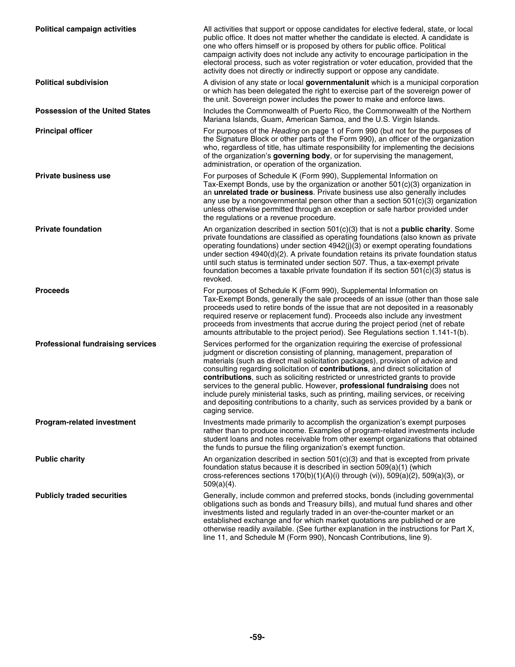| <b>Political campaign activities</b>     | All activities that support or oppose candidates for elective federal, state, or local<br>public office. It does not matter whether the candidate is elected. A candidate is<br>one who offers himself or is proposed by others for public office. Political<br>campaign activity does not include any activity to encourage participation in the<br>electoral process, such as voter registration or voter education, provided that the<br>activity does not directly or indirectly support or oppose any candidate.                                                                                                                                                                         |
|------------------------------------------|-----------------------------------------------------------------------------------------------------------------------------------------------------------------------------------------------------------------------------------------------------------------------------------------------------------------------------------------------------------------------------------------------------------------------------------------------------------------------------------------------------------------------------------------------------------------------------------------------------------------------------------------------------------------------------------------------|
| <b>Political subdivision</b>             | A division of any state or local governmentalunit which is a municipal corporation<br>or which has been delegated the right to exercise part of the sovereign power of<br>the unit. Sovereign power includes the power to make and enforce laws.                                                                                                                                                                                                                                                                                                                                                                                                                                              |
| <b>Possession of the United States</b>   | Includes the Commonwealth of Puerto Rico, the Commonwealth of the Northern<br>Mariana Islands, Guam, American Samoa, and the U.S. Virgin Islands.                                                                                                                                                                                                                                                                                                                                                                                                                                                                                                                                             |
| <b>Principal officer</b>                 | For purposes of the Heading on page 1 of Form 990 (but not for the purposes of<br>the Signature Block or other parts of the Form 990), an officer of the organization<br>who, regardless of title, has ultimate responsibility for implementing the decisions<br>of the organization's governing body, or for supervising the management,<br>administration, or operation of the organization.                                                                                                                                                                                                                                                                                                |
| <b>Private business use</b>              | For purposes of Schedule K (Form 990), Supplemental Information on<br>Tax-Exempt Bonds, use by the organization or another 501(c)(3) organization in<br>an unrelated trade or business. Private business use also generally includes<br>any use by a nongovernmental person other than a section $501(c)(3)$ organization<br>unless otherwise permitted through an exception or safe harbor provided under<br>the regulations or a revenue procedure.                                                                                                                                                                                                                                         |
| <b>Private foundation</b>                | An organization described in section $501(c)(3)$ that is not a <b>public charity</b> . Some<br>private foundations are classified as operating foundations (also known as private<br>operating foundations) under section 4942(j)(3) or exempt operating foundations<br>under section 4940(d)(2). A private foundation retains its private foundation status<br>until such status is terminated under section 507. Thus, a tax-exempt private<br>foundation becomes a taxable private foundation if its section $501(c)(3)$ status is<br>revoked.                                                                                                                                             |
| <b>Proceeds</b>                          | For purposes of Schedule K (Form 990), Supplemental Information on<br>Tax-Exempt Bonds, generally the sale proceeds of an issue (other than those sale<br>proceeds used to retire bonds of the issue that are not deposited in a reasonably<br>required reserve or replacement fund). Proceeds also include any investment<br>proceeds from investments that accrue during the project period (net of rebate<br>amounts attributable to the project period). See Regulations section 1.141-1(b).                                                                                                                                                                                              |
| <b>Professional fundraising services</b> | Services performed for the organization requiring the exercise of professional<br>judgment or discretion consisting of planning, management, preparation of<br>materials (such as direct mail solicitation packages), provision of advice and<br>consulting regarding solicitation of contributions, and direct solicitation of<br>contributions, such as soliciting restricted or unrestricted grants to provide<br>services to the general public. However, professional fundraising does not<br>include purely ministerial tasks, such as printing, mailing services, or receiving<br>and depositing contributions to a charity, such as services provided by a bank or<br>caging service. |
| Program-related investment               | Investments made primarily to accomplish the organization's exempt purposes<br>rather than to produce income. Examples of program-related investments include<br>student loans and notes receivable from other exempt organizations that obtained<br>the funds to pursue the filing organization's exempt function.                                                                                                                                                                                                                                                                                                                                                                           |
| <b>Public charity</b>                    | An organization described in section $501(c)(3)$ and that is excepted from private<br>foundation status because it is described in section 509(a)(1) (which<br>cross-references sections $170(b)(1)(A)(i)$ through (vi)), $509(a)(2)$ , $509(a)(3)$ , or<br>$509(a)(4)$ .                                                                                                                                                                                                                                                                                                                                                                                                                     |
| <b>Publicly traded securities</b>        | Generally, include common and preferred stocks, bonds (including governmental<br>obligations such as bonds and Treasury bills), and mutual fund shares and other<br>investments listed and regularly traded in an over-the-counter market or an<br>established exchange and for which market quotations are published or are<br>otherwise readily available. (See further explanation in the instructions for Part X,<br>line 11, and Schedule M (Form 990), Noncash Contributions, line 9).                                                                                                                                                                                                  |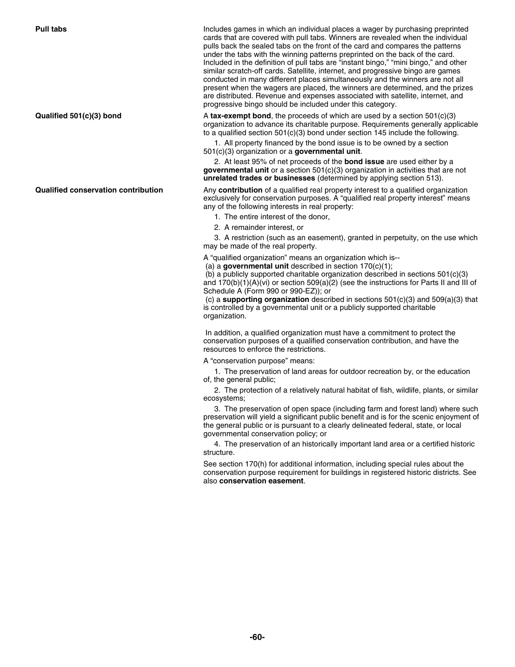**Pull tabs Includes games in which an individual places a wager by purchasing preprinted** cards that are covered with pull tabs. Winners are revealed when the individual pulls back the sealed tabs on the front of the card and compares the patterns under the tabs with the winning patterns preprinted on the back of the card. Included in the definition of pull tabs are "instant bingo," "mini bingo," and other similar scratch-off cards. Satellite, internet, and progressive bingo are games conducted in many different places simultaneously and the winners are not all present when the wagers are placed, the winners are determined, and the prizes are distributed. Revenue and expenses associated with satellite, internet, and progressive bingo should be included under this category.

**Qualified 501(c)(3) bond** A **tax-exempt bond**, the proceeds of which are used by a section 501(c)(3) organization to advance its charitable purpose. Requirements generally applicable to a qualified section 501(c)(3) bond under section 145 include the following.

> 1. All property financed by the bond issue is to be owned by a section 501(c)(3) organization or a **governmental unit**.

2. At least 95% of net proceeds of the **bond issue** are used either by a **governmental unit** or a section 501(c)(3) organization in activities that are not **unrelated trades or businesses** (determined by applying section 513).

**Qualified conservation contribution** Any **contribution** of a qualified real property interest to a qualified organization exclusively for conservation purposes. A "qualified real property interest" means any of the following interests in real property:

- 1. The entire interest of the donor,
- 2. A remainder interest, or

3. A restriction (such as an easement), granted in perpetuity, on the use which may be made of the real property.

A "qualified organization" means an organization which is--

(a) a **governmental unit** described in section 170(c)(1);

(b) a publicly supported charitable organization described in sections  $501(c)(3)$ and  $170(b)(1)(A)(vi)$  or section  $509(a)(2)$  (see the instructions for Parts II and III of Schedule A (Form 990 or 990-EZ)); or

 (c) a **supporting organization** described in sections 501(c)(3) and 509(a)(3) that is controlled by a governmental unit or a publicly supported charitable organization.

 In addition, a qualified organization must have a commitment to protect the conservation purposes of a qualified conservation contribution, and have the resources to enforce the restrictions.

A "conservation purpose" means:

1. The preservation of land areas for outdoor recreation by, or the education of, the general public;

2. The protection of a relatively natural habitat of fish, wildlife, plants, or similar ecosystems;

3. The preservation of open space (including farm and forest land) where such preservation will yield a significant public benefit and is for the scenic enjoyment of the general public or is pursuant to a clearly delineated federal, state, or local governmental conservation policy; or

4. The preservation of an historically important land area or a certified historic structure.

See section 170(h) for additional information, including special rules about the conservation purpose requirement for buildings in registered historic districts. See also **conservation easement**.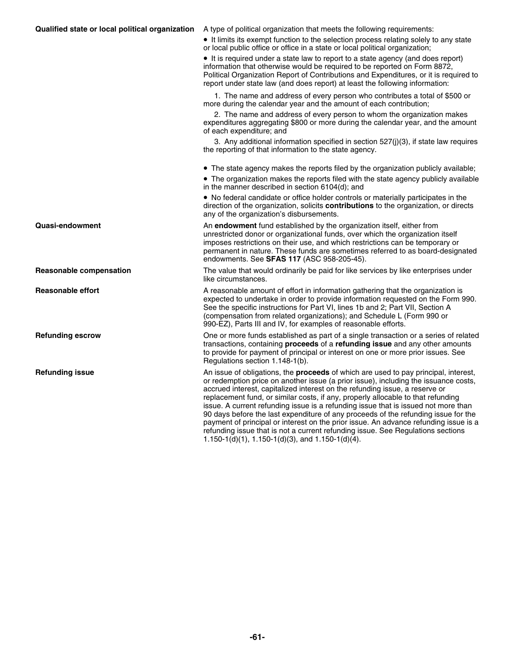**Qualified state or local political organization** A type of political organization that meets the following requirements:

• It limits its exempt function to the selection process relating solely to any state or local public office or office in a state or local political organization;

• It is required under a state law to report to a state agency (and does report) information that otherwise would be required to be reported on Form 8872, Political Organization Report of Contributions and Expenditures, or it is required to report under state law (and does report) at least the following information:

1. The name and address of every person who contributes a total of \$500 or more during the calendar year and the amount of each contribution;

2. The name and address of every person to whom the organization makes expenditures aggregating \$800 or more during the calendar year, and the amount of each expenditure; and

3. Any additional information specified in section 527(j)(3), if state law requires the reporting of that information to the state agency.

• The state agency makes the reports filed by the organization publicly available;

• The organization makes the reports filed with the state agency publicly available in the manner described in section 6104(d); and

• No federal candidate or office holder controls or materially participates in the direction of the organization, solicits **contributions** to the organization, or directs any of the organization's disbursements.

**Quasi-endowment** An **endowment** fund established by the organization itself, either from unrestricted donor or organizational funds, over which the organization itself imposes restrictions on their use, and which restrictions can be temporary or permanent in nature. These funds are sometimes referred to as board-designated endowments. See **SFAS 117** (ASC 958-205-45).

**Reasonable compensation** The value that would ordinarily be paid for like services by like enterprises under like circumstances.

**Reasonable effort** A reasonable amount of effort in information gathering that the organization is expected to undertake in order to provide information requested on the Form 990. See the specific instructions for Part VI, lines 1b and 2; Part VII, Section A (compensation from related organizations); and Schedule L (Form 990 or 990-EZ), Parts III and IV, for examples of reasonable efforts.

**Refunding escrow** Summan Che or more funds established as part of a single transaction or a series of related transactions, containing **proceeds** of a **refunding issue** and any other amounts to provide for payment of principal or interest on one or more prior issues. See Regulations section 1.148-1(b).

**Refunding issue** An issue of obligations, the **proceeds** of which are used to pay principal, interest, or redemption price on another issue (a prior issue), including the issuance costs, accrued interest, capitalized interest on the refunding issue, a reserve or replacement fund, or similar costs, if any, properly allocable to that refunding issue. A current refunding issue is a refunding issue that is issued not more than 90 days before the last expenditure of any proceeds of the refunding issue for the payment of principal or interest on the prior issue. An advance refunding issue is a refunding issue that is not a current refunding issue. See Regulations sections 1.150-1(d)(1), 1.150-1(d)(3), and 1.150-1(d)(4).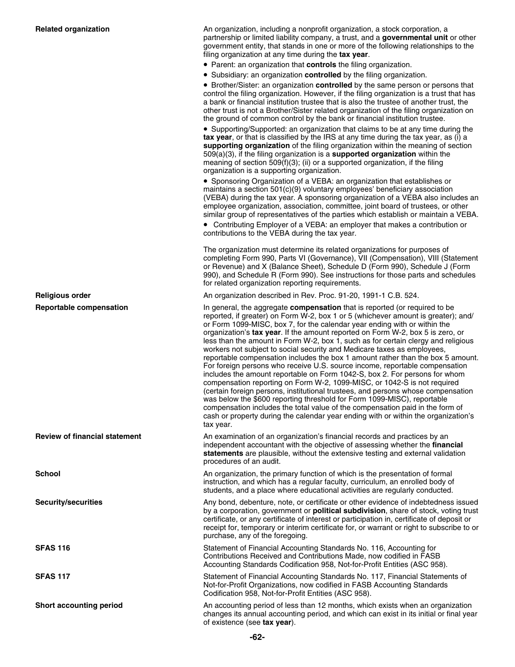**Related organization** An organization, including a nonprofit organization, a stock corporation, a stock corporation, a partnership or limited liability company, a trust, and a **governmental unit** or other government entity, that stands in one or more of the following relationships to the filing organization at any time during the **tax year**.

- Parent: an organization that **controls** the filing organization.
- Subsidiary: an organization **controlled** by the filing organization.

• Brother/Sister: an organization **controlled** by the same person or persons that control the filing organization. However, if the filing organization is a trust that has a bank or financial institution trustee that is also the trustee of another trust, the other trust is not a Brother/Sister related organization of the filing organization on the ground of common control by the bank or financial institution trustee.

• Supporting/Supported: an organization that claims to be at any time during the **tax year**, or that is classified by the IRS at any time during the tax year, as (i) a **supporting organization** of the filing organization within the meaning of section 509(a)(3), if the filing organization is a **supported organization** within the meaning of section 509(f)(3); (ii) or a supported organization, if the filing organization is a supporting organization.

• Sponsoring Organization of a VEBA: an organization that establishes or maintains a section 501(c)(9) voluntary employees' beneficiary association (VEBA) during the tax year. A sponsoring organization of a VEBA also includes an employee organization, association, committee, joint board of trustees, or other similar group of representatives of the parties which establish or maintain a VEBA.

• Contributing Employer of a VEBA: an employer that makes a contribution or contributions to the VEBA during the tax year.

The organization must determine its related organizations for purposes of completing Form 990, Parts VI (Governance), VII (Compensation), VIII (Statement or Revenue) and X (Balance Sheet), Schedule D (Form 990), Schedule J (Form 990), and Schedule R (Form 990). See instructions for those parts and schedules for related organization reporting requirements.

**Religious order An organization described in Rev. Proc. 91-20, 1991-1 C.B. 524.** 

Reportable compensation **In general, the aggregate compensation** that is reported (or required to be reported, if greater) on Form W-2, box 1 or 5 (whichever amount is greater); and/ or Form 1099-MISC, box 7, for the calendar year ending with or within the organization's **tax year**. If the amount reported on Form W-2, box 5 is zero, or less than the amount in Form W-2, box 1, such as for certain clergy and religious workers not subject to social security and Medicare taxes as employees, reportable compensation includes the box 1 amount rather than the box 5 amount. For foreign persons who receive U.S. source income, reportable compensation includes the amount reportable on Form 1042-S, box 2. For persons for whom compensation reporting on Form W-2, 1099-MISC, or 1042-S is not required (certain foreign persons, institutional trustees, and persons whose compensation was below the \$600 reporting threshold for Form 1099-MISC), reportable compensation includes the total value of the compensation paid in the form of cash or property during the calendar year ending with or within the organization's tax year.

**Review of financial statement** An examination of an organization's financial records and practices by an and practices by an independent accountant with the objective of assessing whether the **financial statements** are plausible, without the extensive testing and external validation procedures of an audit.

**School** School **An** organization, the primary function of which is the presentation of formal instruction, and which has a regular faculty, curriculum, an enrolled body of students, and a place where educational activities are regularly conducted.

**Security/securities** Any bond, debenture, note, or certificate or other evidence of indebtedness issued by a corporation, government or **political subdivision**, share of stock, voting trust certificate, or any certificate of interest or participation in, certificate of deposit or receipt for, temporary or interim certificate for, or warrant or right to subscribe to or purchase, any of the foregoing.

**SFAS 116** Statement of Financial Accounting Standards No. 116, Accounting for Contributions Received and Contributions Made, now codified in FASB Accounting Standards Codification 958, Not-for-Profit Entities (ASC 958).

**SFAS 117** Statement of Financial Accounting Standards No. 117, Financial Statements of Not-for-Profit Organizations, now codified in FASB Accounting Standards Codification 958, Not-for-Profit Entities (ASC 958).

**Short accounting period An accounting period of less than 12 months, which exists when an organization** changes its annual accounting period, and which can exist in its initial or final year of existence (see **tax year**).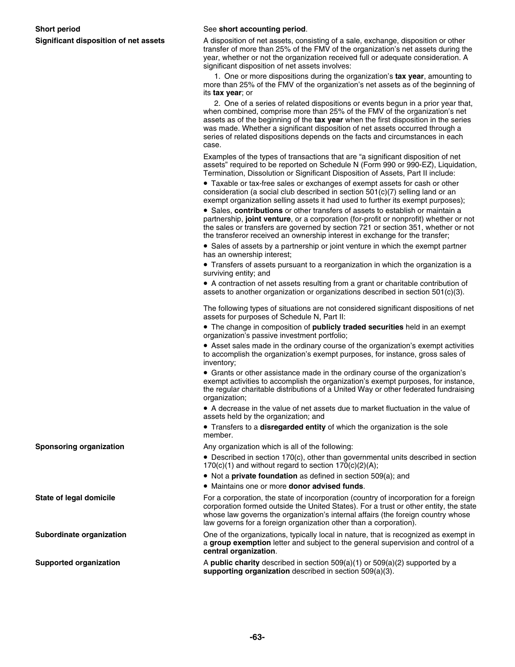## **Short period** See short accounting period.

**Significant disposition of net assets** A disposition of net assets, consisting of a sale, exchange, disposition or other transfer of more than 25% of the FMV of the organization's net assets during the year, whether or not the organization received full or adequate consideration. A significant disposition of net assets involves:

> 1. One or more dispositions during the organization's **tax year**, amounting to more than 25% of the FMV of the organization's net assets as of the beginning of its **tax year**; or

2. One of a series of related dispositions or events begun in a prior year that, when combined, comprise more than 25% of the FMV of the organization's net assets as of the beginning of the **tax year** when the first disposition in the series was made. Whether a significant disposition of net assets occurred through a series of related dispositions depends on the facts and circumstances in each case.

Examples of the types of transactions that are "a significant disposition of net assets" required to be reported on Schedule N (Form 990 or 990-EZ), Liquidation, Termination, Dissolution or Significant Disposition of Assets, Part II include:

• Taxable or tax-free sales or exchanges of exempt assets for cash or other consideration (a social club described in section 501(c)(7) selling land or an exempt organization selling assets it had used to further its exempt purposes);

• Sales, **contributions** or other transfers of assets to establish or maintain a partnership, **joint venture**, or a corporation (for-profit or nonprofit) whether or not the sales or transfers are governed by section 721 or section 351, whether or not the transferor received an ownership interest in exchange for the transfer;

• Sales of assets by a partnership or joint venture in which the exempt partner has an ownership interest;

• Transfers of assets pursuant to a reorganization in which the organization is a surviving entity; and

• A contraction of net assets resulting from a grant or charitable contribution of assets to another organization or organizations described in section 501(c)(3).

The following types of situations are not considered significant dispositions of net assets for purposes of Schedule N, Part II:

• The change in composition of **publicly traded securities** held in an exempt organization's passive investment portfolio;

• Asset sales made in the ordinary course of the organization's exempt activities to accomplish the organization's exempt purposes, for instance, gross sales of inventory;

• Grants or other assistance made in the ordinary course of the organization's exempt activities to accomplish the organization's exempt purposes, for instance, the regular charitable distributions of a United Way or other federated fundraising organization;

• A decrease in the value of net assets due to market fluctuation in the value of assets held by the organization; and

• Transfers to a **disregarded entity** of which the organization is the sole member.

**Sponsoring organization Any organization which is all of the following:** 

• Described in section 170(c), other than governmental units described in section  $170(c)(1)$  and without regard to section  $170(c)(2)(A);$ 

- Not a **private foundation** as defined in section 509(a); and
- Maintains one or more **donor advised funds**.

**State of legal domicile** For a corporation, the state of incorporation (country of incorporation for a foreign corporation formed outside the United States). For a trust or other entity, the state whose law governs the organization's internal affairs (the foreign country whose law governs for a foreign organization other than a corporation).

**Subordinate organization** One of the organizations, typically local in nature, that is recognized as exempt in <sup>a</sup>**group exemption** letter and subject to the general supervision and control of a **central organization**.

**Supported organization** A **public charity** described in section 509(a)(1) or 509(a)(2) supported by a **supporting organization** described in section 509(a)(3).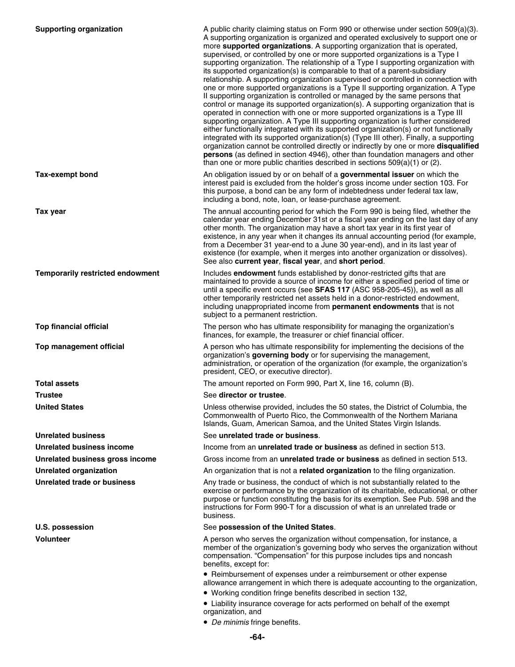| <b>Supporting organization</b>          | A public charity claiming status on Form 990 or otherwise under section 509(a)(3).<br>A supporting organization is organized and operated exclusively to support one or<br>more supported organizations. A supporting organization that is operated,<br>supervised, or controlled by one or more supported organizations is a Type I<br>supporting organization. The relationship of a Type I supporting organization with<br>its supported organization(s) is comparable to that of a parent-subsidiary<br>relationship. A supporting organization supervised or controlled in connection with<br>one or more supported organizations is a Type II supporting organization. A Type<br>Il supporting organization is controlled or managed by the same persons that<br>control or manage its supported organization(s). A supporting organization that is<br>operated in connection with one or more supported organizations is a Type III<br>supporting organization. A Type III supporting organization is further considered<br>either functionally integrated with its supported organization(s) or not functionally<br>integrated with its supported organization(s) (Type III other). Finally, a supporting<br>organization cannot be controlled directly or indirectly by one or more disqualified<br><b>persons</b> (as defined in section 4946), other than foundation managers and other<br>than one or more public charities described in sections $509(a)(1)$ or (2). |
|-----------------------------------------|-----------------------------------------------------------------------------------------------------------------------------------------------------------------------------------------------------------------------------------------------------------------------------------------------------------------------------------------------------------------------------------------------------------------------------------------------------------------------------------------------------------------------------------------------------------------------------------------------------------------------------------------------------------------------------------------------------------------------------------------------------------------------------------------------------------------------------------------------------------------------------------------------------------------------------------------------------------------------------------------------------------------------------------------------------------------------------------------------------------------------------------------------------------------------------------------------------------------------------------------------------------------------------------------------------------------------------------------------------------------------------------------------------------------------------------------------------------------------------------|
| Tax-exempt bond                         | An obligation issued by or on behalf of a governmental issuer on which the<br>interest paid is excluded from the holder's gross income under section 103. For<br>this purpose, a bond can be any form of indebtedness under federal tax law,<br>including a bond, note, loan, or lease-purchase agreement.                                                                                                                                                                                                                                                                                                                                                                                                                                                                                                                                                                                                                                                                                                                                                                                                                                                                                                                                                                                                                                                                                                                                                                        |
| Tax year                                | The annual accounting period for which the Form 990 is being filed, whether the<br>calendar year ending December 31st or a fiscal year ending on the last day of any<br>other month. The organization may have a short tax year in its first year of<br>existence, in any year when it changes its annual accounting period (for example,<br>from a December 31 year-end to a June 30 year-end), and in its last year of<br>existence (for example, when it merges into another organization or dissolves).<br>See also current year, fiscal year, and short period.                                                                                                                                                                                                                                                                                                                                                                                                                                                                                                                                                                                                                                                                                                                                                                                                                                                                                                              |
| <b>Temporarily restricted endowment</b> | Includes endowment funds established by donor-restricted gifts that are<br>maintained to provide a source of income for either a specified period of time or<br>until a specific event occurs (see <b>SFAS 117</b> (ASC 958-205-45)), as well as all<br>other temporarily restricted net assets held in a donor-restricted endowment,<br>including unappropriated income from <b>permanent endowments</b> that is not<br>subject to a permanent restriction.                                                                                                                                                                                                                                                                                                                                                                                                                                                                                                                                                                                                                                                                                                                                                                                                                                                                                                                                                                                                                      |
| <b>Top financial official</b>           | The person who has ultimate responsibility for managing the organization's<br>finances, for example, the treasurer or chief financial officer.                                                                                                                                                                                                                                                                                                                                                                                                                                                                                                                                                                                                                                                                                                                                                                                                                                                                                                                                                                                                                                                                                                                                                                                                                                                                                                                                    |
| Top management official                 | A person who has ultimate responsibility for implementing the decisions of the<br>organization's governing body or for supervising the management,<br>administration, or operation of the organization (for example, the organization's<br>president, CEO, or executive director).                                                                                                                                                                                                                                                                                                                                                                                                                                                                                                                                                                                                                                                                                                                                                                                                                                                                                                                                                                                                                                                                                                                                                                                                |
| <b>Total assets</b>                     | The amount reported on Form 990, Part X, line 16, column (B).                                                                                                                                                                                                                                                                                                                                                                                                                                                                                                                                                                                                                                                                                                                                                                                                                                                                                                                                                                                                                                                                                                                                                                                                                                                                                                                                                                                                                     |
| <b>Trustee</b>                          | See director or trustee.                                                                                                                                                                                                                                                                                                                                                                                                                                                                                                                                                                                                                                                                                                                                                                                                                                                                                                                                                                                                                                                                                                                                                                                                                                                                                                                                                                                                                                                          |
| <b>United States</b>                    | Unless otherwise provided, includes the 50 states, the District of Columbia, the<br>Commonwealth of Puerto Rico, the Commonwealth of the Northern Mariana<br>Islands, Guam, American Samoa, and the United States Virgin Islands.                                                                                                                                                                                                                                                                                                                                                                                                                                                                                                                                                                                                                                                                                                                                                                                                                                                                                                                                                                                                                                                                                                                                                                                                                                                 |
| <b>Unrelated business</b>               | See unrelated trade or business.                                                                                                                                                                                                                                                                                                                                                                                                                                                                                                                                                                                                                                                                                                                                                                                                                                                                                                                                                                                                                                                                                                                                                                                                                                                                                                                                                                                                                                                  |
| <b>Unrelated business income</b>        | Income from an <b>unrelated trade or business</b> as defined in section 513.                                                                                                                                                                                                                                                                                                                                                                                                                                                                                                                                                                                                                                                                                                                                                                                                                                                                                                                                                                                                                                                                                                                                                                                                                                                                                                                                                                                                      |
| Unrelated business gross income         | Gross income from an <b>unrelated trade or business</b> as defined in section 513.                                                                                                                                                                                                                                                                                                                                                                                                                                                                                                                                                                                                                                                                                                                                                                                                                                                                                                                                                                                                                                                                                                                                                                                                                                                                                                                                                                                                |
| <b>Unrelated organization</b>           | An organization that is not a related organization to the filing organization.                                                                                                                                                                                                                                                                                                                                                                                                                                                                                                                                                                                                                                                                                                                                                                                                                                                                                                                                                                                                                                                                                                                                                                                                                                                                                                                                                                                                    |
| <b>Unrelated trade or business</b>      | Any trade or business, the conduct of which is not substantially related to the<br>exercise or performance by the organization of its charitable, educational, or other<br>purpose or function constituting the basis for its exemption. See Pub. 598 and the<br>instructions for Form 990-T for a discussion of what is an unrelated trade or<br>business.                                                                                                                                                                                                                                                                                                                                                                                                                                                                                                                                                                                                                                                                                                                                                                                                                                                                                                                                                                                                                                                                                                                       |
| <b>U.S. possession</b>                  | See possession of the United States.                                                                                                                                                                                                                                                                                                                                                                                                                                                                                                                                                                                                                                                                                                                                                                                                                                                                                                                                                                                                                                                                                                                                                                                                                                                                                                                                                                                                                                              |
| Volunteer                               | A person who serves the organization without compensation, for instance, a<br>member of the organization's governing body who serves the organization without<br>compensation. "Compensation" for this purpose includes tips and noncash<br>benefits, except for:                                                                                                                                                                                                                                                                                                                                                                                                                                                                                                                                                                                                                                                                                                                                                                                                                                                                                                                                                                                                                                                                                                                                                                                                                 |
|                                         | • Reimbursement of expenses under a reimbursement or other expense<br>allowance arrangement in which there is adequate accounting to the organization,<br>• Working condition fringe benefits described in section 132,                                                                                                                                                                                                                                                                                                                                                                                                                                                                                                                                                                                                                                                                                                                                                                                                                                                                                                                                                                                                                                                                                                                                                                                                                                                           |
|                                         | • Liability insurance coverage for acts performed on behalf of the exempt<br>organization, and                                                                                                                                                                                                                                                                                                                                                                                                                                                                                                                                                                                                                                                                                                                                                                                                                                                                                                                                                                                                                                                                                                                                                                                                                                                                                                                                                                                    |

• *De minimis* fringe benefits.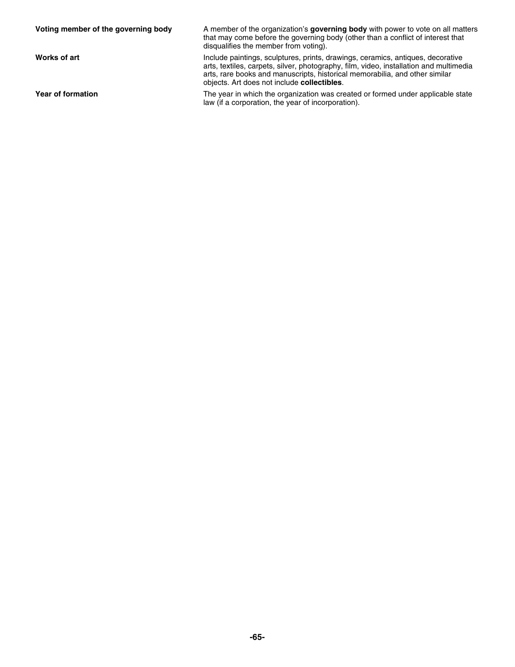| Voting member of the governing body | A member of the organization's governing body with power to vote on all matters<br>that may come before the governing body (other than a conflict of interest that<br>disqualifies the member from voting).                                                                                             |
|-------------------------------------|---------------------------------------------------------------------------------------------------------------------------------------------------------------------------------------------------------------------------------------------------------------------------------------------------------|
| Works of art                        | Include paintings, sculptures, prints, drawings, ceramics, antiques, decorative<br>arts, textiles, carpets, silver, photography, film, video, installation and multimedia<br>arts, rare books and manuscripts, historical memorabilia, and other similar<br>objects. Art does not include collectibles. |
| <b>Year of formation</b>            | The year in which the organization was created or formed under applicable state                                                                                                                                                                                                                         |

law (if a corporation, the year of incorporation).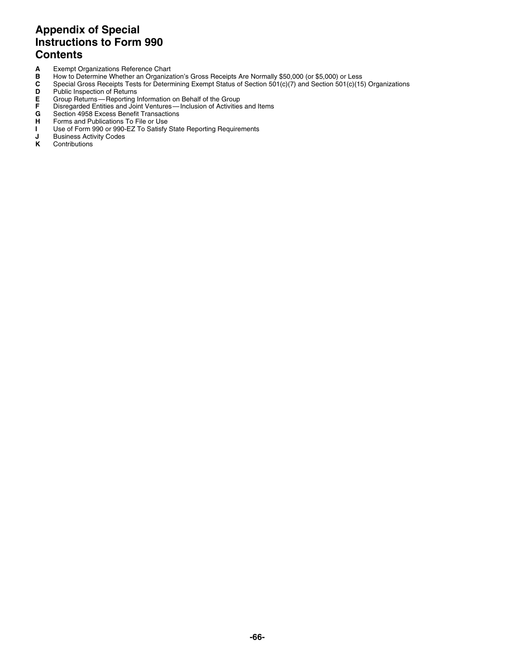## **Appendix of Special Instructions to Form 990 Contents**

- **A** Exempt Organizations Reference Chart<br>**B** How to Determine Whether an Organiza
- **B** How to Determine Whether an Organization's Gross Receipts Are Normally \$50,000 (or \$5,000) or Less **C** Special Gross Receipts Tests for Determining Exempt Status of Section 501(c)(7) and Section 501(c)(15
- **C** Special Gross Receipts Tests for Determining Exempt Status of Section 501(c)(7) and Section 501(c)(15) Organizations **D** Public Inspection of Returns
- **D** Public Inspection of Returns<br> **E** Group Returns—Reporting I<br> **F** Disregarded Entities and Joir **E** Group Returns—Reporting Information on Behalf of the Group
- **F** Disregarded Entities and Joint Ventures—Inclusion of Activities and Items
- **G** Section 4958 Excess Benefit Transactions
- **H** Forms and Publications To File or Use
- **I** Use of Form 990 or 990-EZ To Satisfy State Reporting Requirements
- **J** Business Activity Codes<br>**K** Contributions
- **K** Contributions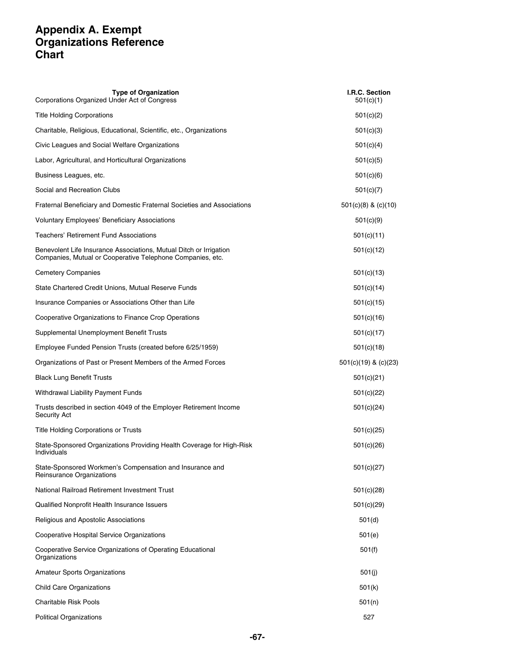## **Appendix A. Exempt Organizations Reference Chart**

| <b>Type of Organization</b><br>Corporations Organized Under Act of Congress                                                      | I.R.C. Section<br>501(c)(1) |
|----------------------------------------------------------------------------------------------------------------------------------|-----------------------------|
| <b>Title Holding Corporations</b>                                                                                                | 501(c)(2)                   |
| Charitable, Religious, Educational, Scientific, etc., Organizations                                                              | 501(c)(3)                   |
| Civic Leagues and Social Welfare Organizations                                                                                   | 501(c)(4)                   |
| Labor, Agricultural, and Horticultural Organizations                                                                             | 501(c)(5)                   |
| Business Leagues, etc.                                                                                                           | 501(c)(6)                   |
| Social and Recreation Clubs                                                                                                      | 501(c)(7)                   |
| Fraternal Beneficiary and Domestic Fraternal Societies and Associations                                                          | $501(c)(8)$ & $(c)(10)$     |
| <b>Voluntary Employees' Beneficiary Associations</b>                                                                             | 501(c)(9)                   |
| <b>Teachers' Retirement Fund Associations</b>                                                                                    | 501(c)(11)                  |
| Benevolent Life Insurance Associations, Mutual Ditch or Irrigation<br>Companies, Mutual or Cooperative Telephone Companies, etc. | 501(c)(12)                  |
| <b>Cemetery Companies</b>                                                                                                        | 501(c)(13)                  |
| State Chartered Credit Unions, Mutual Reserve Funds                                                                              | 501(c)(14)                  |
| Insurance Companies or Associations Other than Life                                                                              | 501(c)(15)                  |
| Cooperative Organizations to Finance Crop Operations                                                                             | 501(c)(16)                  |
| Supplemental Unemployment Benefit Trusts                                                                                         | 501(c)(17)                  |
| Employee Funded Pension Trusts (created before 6/25/1959)                                                                        | 501(c)(18)                  |
| Organizations of Past or Present Members of the Armed Forces                                                                     | $501(c)(19)$ & $(c)(23)$    |
| <b>Black Lung Benefit Trusts</b>                                                                                                 | 501(c)(21)                  |
| Withdrawal Liability Payment Funds                                                                                               | 501(c)(22)                  |
| Trusts described in section 4049 of the Employer Retirement Income<br><b>Security Act</b>                                        | 501(c)(24)                  |
| <b>Title Holding Corporations or Trusts</b>                                                                                      | 501(c)(25)                  |
| State-Sponsored Organizations Providing Health Coverage for High-Risk<br>Individuals                                             | 501(c)(26)                  |
| State-Sponsored Workmen's Compensation and Insurance and<br>Reinsurance Organizations                                            | 501(c)(27)                  |
| National Railroad Retirement Investment Trust                                                                                    | 501(c)(28)                  |
| Qualified Nonprofit Health Insurance Issuers                                                                                     | 501(c)(29)                  |
| Religious and Apostolic Associations                                                                                             | 501(d)                      |
| <b>Cooperative Hospital Service Organizations</b>                                                                                | 501(e)                      |
| Cooperative Service Organizations of Operating Educational<br>Organizations                                                      | 501(f)                      |
| <b>Amateur Sports Organizations</b>                                                                                              | 501(j)                      |
| <b>Child Care Organizations</b>                                                                                                  | 501(k)                      |
| Charitable Risk Pools                                                                                                            | 501(n)                      |
| <b>Political Organizations</b>                                                                                                   | 527                         |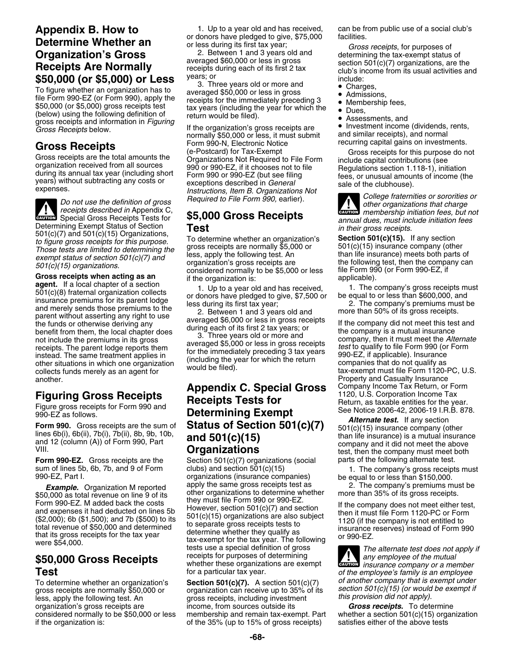# **Determine Whether an**<br>
Organization's Gross<br>
Mecelpts Are Normally<br>
The end of the strength and 3 years old and<br>
The end of the strengthe strengthe strengths are the<br>
Recelpts Are Normally<br>
The end of the strengthe streng \$50,000 (or \$5,000) or Less years; or **Superficient of the set of the set of the set of the set of the set of the set of the set of the set of the set of the set of the set of the set of the set of the set of the set of th**

To figure whether an organization has to averaged \$50,000 or less in gross • Charges,<br>file Form 990-EZ (or Form 990), apply the receipts for the immediately preceding 3 • Admissions, \$50,000 (or \$5,000) gross receipts test tax years (including the year for which the • Dues, (below) using the following definition of return would be filed).<br>cross receipts and information in Figuring gross receipts and information in *Figuring*<br>Gross Receipts below. The organization's gross receipts are **•** Investment income (dividends, rents,



*receipts described in Appendix C,*<br>Special Gross Receipts Tests for **\$5,000 Gross Receipts** 

agent. If a local chapter of a section<br>
insurance premiums for its parent lodes<br>
insurance premiums for its parent lodes<br>
insurance premiums for its parent lodes<br>
insurance premiums for its parent lodes<br>
and merely sends t another. Property and Casualty Insurance

gross receipts are normally \$50,000 or organization can receive up to 35% of its section 501(C)(15) (or would be exi<br>less, apply the following test. An gross receipts, including investment this provision did not apply).<br>or considered normally to be \$50,000 or less membership and remain tax-exempt. Part whether a section 501(c)(15) organization is:<br>if the organization is: of the 35% (up to 15% of gross receipts) satisfies either of the above

**Appendix B. How to** 1. Up to a year old and has received, can be from public use of a social club's can be from public use of a social club's can be from public use of a social club's can be **n** 

3. Three years old or more and<br>averaged \$50,000 or less in gross receipts for the immediately preceding 3 • Membership fees,

If the organization's gross receipts are **Canadical Controllet Containers**, if the organization's promal normal cormal and similar receipts), and normal normally \$50,000 or less, it must submit and similar receipts), and normal<br>Form 990-N, Electronic Notice studies are recurring capital gains on investments. Gross Receipts<br>
Gross receipts are the total amounts the<br>
organization received from all sources<br>
organization solutions of this purpose do not<br>
organization received from all sources<br>
organizations Not Required to File Fo

Determining Exempt Status of Section<br>
501(c)(7) and 501(c)(15) Organizations,<br>
to figure gross receipts for this purpose.<br>
To determine whether an organization's<br>
to figure gross receipts for this purpose.<br>
Those tests ar

# **Appendix C. Special Gross** Company Income Tax Return, or Form<br>
1120, U.S. Corporation Income Tax Figuring Gross Receipts<br>
Figure gross receipts for Form 990 and<br>
990-EZ as follows.<br> **Exerceipts Tests for**<br> **Exerceipts Tests for**<br> **Exerceipts Tests for**<br>
990-EZ as follows.<br> **Exerceipts Tests for**<br>
990-EZ as follows.<br>

**Form 990-EZ.** Gross receipts are the Section 501(c)(7) organizations (social parts of the following alternate test.<br>
sum of lines 5b, 6b, 7b, and 9 of Form clubs) and section 501(c)(15) 1. The company's gross receipt sum of lines 5b, 6b, 7b, and 9 of Form clubs) and section  $501(c)(15)$  1. The company's gross receipts must organizations (insurance companies) be equal to or less than \$150,000.<br>**Example.** Organization M reported apply the **Example.** Organization M reported apply the same gross receipts test as 2. The company's premiums must be same gross receipts test as a more than 35% of its gross receipts. \$50,000 as total revenue on line 9 of its<br>
Form 990-EZ. M added back the costs<br>
Form 990-EZ. M added back the costs<br>
and expenses it had deducted on lines 5b<br>
and expenses it had deducted on lines 5b<br>  $(52,000)$ ; 6b (\$1,5

> income, from sources outside its **Gross receipts.** To determine<br>membership and remain tax-exempt. Part whether a section 501(c)(15) organization of the 35% (up to 15% of gross receipts)

- 
- 
- 
- 

Do not use the definition of gross<br>receipts described in Appendix C,<br>receipts described in Appendix C,<br>**CALC CYOSS BOCOIDTS** 

**CAUTION** *insurance company or a member* **!** whether these organizations are exempt **for a particular of the employee's family is an employee**<br>
Test for a particular tax year. *of the employee's family is an employee*<br>
To determine whether an organization's Section 5 To determine whether an organization's **Section 501(c)(7).** A section 501(c)(7) *of another company that is exempt under*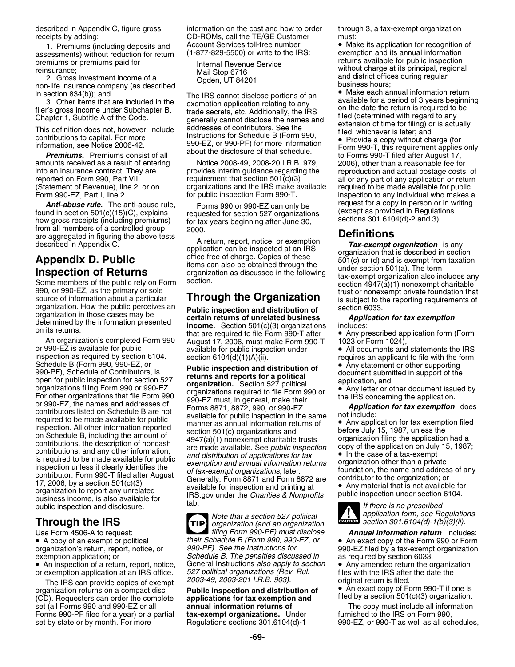assessments) without reduction for return (1-877-829-5500) or write to the IRS: exemption and its annual information<br>premiums or premiums paid for strategy internal Peyenue Sention

**Anti-abuse rule.** The anti-abuse rule, Forms 990 or 990-EZ can only be request for a copy in person or in writing<br>found in section 501(c)(15)(C), explains requested for section 527 organizations (except as provided in Reg from all members of a controlled group<br>are aggregated in figuring the above tests<br>described in Appendix C above tests<br>described in Appendix C above tests<br> $\overline{A}$  return, report, notice, or exemption

inspection as required by section 6104(a)(1)(A)(ii). The section statement of the with the form,<br>Schedule B (Form 990, 990-Ez, or<br>section 6104(a)(1)(A)(ii). The detection and distribution of  $\bullet$  Any statement or other su

## **Through the IRS**

• A copy of an exempt or political

The IRS can provide copies of exempt organization returns on a compact disc **Public inspection and distribution of** An exact copy of Form 990-1 if one is<br>(CD). Requesters can order the complete applications for tax exemption and filed by a section 501(c)(3) o Forms 990-PF filed for a year) or a partial **tax-exempt organizations.** Under furnished to the IRS on Form 990, set by state or by month. For more Regulations sections 301.6104(d)-1 990-EZ, or 990-T as well as all scl

described in Appendix C, figure gross information on the cost and how to order through 3, a tax-exempt organization receipts by adding:<br>
1 Premiums (including deposits and Account Services toll-free number • Make its application for recognition of 1. Premiums (including deposits and  $\overline{a}$  Account Services toll-free number  $\overline{a}$  Make its application for recognition for return  $\overline{a}$  (1-877-829-5500) or write to the IRS: exemption and its annual information

in section 834(b)); and<br>3. Other items that are included in the<br>die Subchapter B,<br>chapter 1, Subtile A of the Code.<br>This definition does not, however, include<br>contributions to capital. For more<br>contributions for Schedule B

amounts received as a result of entering and Notice 2008-49, 2008-20 I.R.B. 979, and 2006), other than a reasonable fee for<br>into an insurance contract. They are a provides interim guidance regarding the reproduction and ac into an insurance contract. They are entity of provides interim guidance regarding the reproduction and actual postage costs, of reported on Form 990, Part VIII requirement that section 501(c)(3) all or any part of any app requirement that section 501(c)(3) all or any part of any application or return<br>organizations and the IRS make available required to be made available for public (Statement of Revenue), line 2, or on organizations and the IRS make available required to be made available for public Form 990-EZ, Part I, line 2. for public inspection Form 990-T. inspection to any individual who makes a

organization in those cases may be<br>
determined by the information presented<br>
on its returns.<br>
Section 501(c)(3) organizations<br>
on its returns.<br>
An organization's completed Form 990<br>
An organization's completed Form 990<br>
or

*organization (and an organization* **TIP** exemption application; or *Schedule B. The penalties discussed in* as required by section 6033.<br>• An inspection of a return, report, notice, General Instructions also apply to section • Any amended return the organization • An inspection of a return, report, notice, General Instructions *also apply to section* • Any amended return the organization or exemption application at an IRS office. *527 political organizations (Rev. Rul.* files with the IRS after the date the

premiums or premiums paid for<br>
reinsurance;<br>
2. Gross investment income of a<br>
2. Gross investment income of a<br>
2. Gross investment income of a<br>
2. Gross investment income of a<br>
2. Gross investment income of a<br>
2. Gross inv

contributions to capital. For more<br>information, see Notice 2006-42. <br>**Provide a** contributions to capital. For more<br>information a contributions to capital. For more<br>information<br>**Premiums.** Premiums consist of all<br>about the

described in Appendix C.<br> **A** return, report, notice, or exemption<br> **A** return, report, notice, or exemption<br>
of the scribed in secribed in section<br> **Appendix D. Public**<br> **C.**<br> **Public**<br> **Process** of the public tell on For



*Note that a section 527 political application form, see Regulations* **CAUTION** *section 301.6104(d)-1(b)(3)(ii).* 

Use Form 4506-A to request:<br>• A copy of an exempt or political *their Schedule B (Form 990, 990-EZ, or* • An exact copy of the Form 990 or Form their Schedule B (Form 990, 990-EZ, or • **An exact copy of the Form 990 or Form** *990-FF*). See the Instructions for **990-EZ** filed by a tax-exempt organization organization's return, report, notice, or *990-PF). See the Instructions for* 990-EZ filed by a tax-exempt organization

• An exact copy of Form 990-T if one is

The copy must include all information 990-EZ, or 990-T as well as all schedules,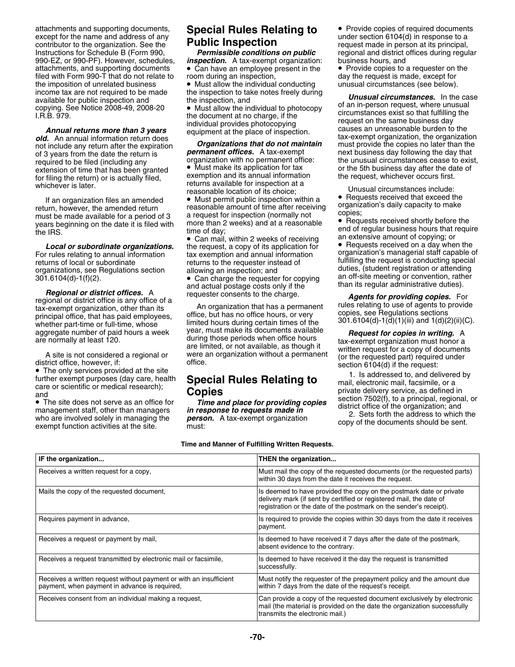attachments and supporting documents, **Special Rules Relating to** • Provide copies of required documents except for the name and address of any  $\overline{\mathbf{c}}$  **Public Inspection** contributor to the organization. See the contributor to the organization. See the **PUDIIC INSPECTION** request made in person at its principal,<br>Instructions for Schedule B (Form 990, **Permissible conditions on public** regional and district offices during regu Instructions for Schedule B (Form 990, **Permissible conditions on public** regional and district offices during regular<br>990-EZ, or 990-PF). However, schedules, **inspection.** A tax-exempt organization: business hours, and 990-EZ, or 990-PF). However, schedules, *inspection.* A tax-exempt organization: business hours, and attachments, and supporting documents  $\bullet$  Can have an employee present in the  $\bullet$  Provide copies to a requester on th attachments, and supporting documents filed with Form 990-T that do not relate to room during an inspection, a really the request is made, except for the imposition of unrelated business **•** Must allow the individual conducting unusual circumstances (see below).<br>income tax are not required to be made the inspection to take notes freely during

of 3 years from the date the return is **permanent offices.** A tax-exempt next business day following the day that<br>required to be filed (including any organization with no permanent office: the unusual circumstances cease t extension of time that has been granted • Must make its application for tax or the 5th business day after the da<br>for filing the return) or is actually filed. exemption and its annual information be request, whichever occur for filing the return) or is actually filed,

must be made available for a period of 3 a request for inspection (normally not<br>years beginning on the date it is filed with end of regular business hours that require<br>time of day;<br> $\bullet$  Can mail, within 2 weeks of receivi

For rules relating to annual information tax exemption and annual information organization's managerial start capable of returns to the requester instead of tulfilling the request is conducting special returns of local or organizations, see Regulations section allowing an inspection; and duties, (student registration or attending  $\overline{301.6104(d)}$ -1(f)(2).

301.6104(d)-1(f)(2). an off-site meeting or convention, rather • Can charge the requester for copying than its regular administrative duties). and actual postage costs only if the *Regional or district offices.* <sup>A</sup> requester consents to the charge. *Agents for providing copies.* For regional or district office is any office of a An organization that has a permanent rules relating to use of agents to provide tax-exempt organization, other than its office, but has no office hours, or very copies, see Regulations sections principal office, that has paid employees, 301.6104(d)-1(d)(1)(iii) and 1(d)(2)(ii)(C). whether part-time or full-time, whose limited hours during certain times of the

whichever is later. The assessment are turns available for inspection at a unichever is later.<br>
reasonable location of its choice;<br>
Thusual circumstances include:

If an organization files an amended<br>return, however, the amended return and the section within a last the section of time after receiving<br>must be made available for a period of 3 a request for inspection (normally not copi

Can mail, within 2 weeks of receiving

whether part-time or full-time, whose limited hours during certain times of the  $\frac{301.6104(0)-1(0)(1)(11)}{2}$  and  $\frac{1}{10}(1)(2)(1)(1)(1)(11)}$  and  $\frac{1}{10}(2)(1)(1)(11)(11)$  and  $\frac{1}{10}(2)(1)(1)(11)(11)$  and  $\frac{1}{10}(2)(1)(1)(11)(11)$  and

• The site does not serve as an office for **Time and place for providing copies**  $\frac{360,0011,302,001,000}{300,000,000}$ , to a philopal, regional, or management staff, other than managers  $\frac{360,0000}{30}$  in **response to** 

**Time and Manner of Fulfilling Written Requests.**

income tax are not required to be made<br>available for public inspection and<br>copying. See Notice 2008-49, 2008-20<br>I.R.B. 979.<br>**Annual returns more than 3 years** equipment at the place of inspection.<br>**Annual returns more than** old. An annual information return does<br>
not include any return after the expiration **Organizations that do not maintain** must provide the copies no later than the<br>
of 3 years from the date the return is **permanent offices.** organization with no permanent office: the unusual circumstances cease to exist,<br>• Must make its application for tax or the 5th business day after the date of

• Requests received that exceed the

**Local or subordinate organizations.** • the request, a copy of its application for **COM** requests received on a day when the request, a copy of its application for COM **COM** reducts received on a day when the request, a co

are normally at least 120. during those periods when office hours<br>
are limited, or not available, as though it<br>
A site is not considered a regional or<br>
district office, however, if:<br>
The only services provided at the site<br>

• The only services provided at the site<br>further exempt purposes (day care, health **Special Rules Relating to**<br>care or scientific or medical research);<br>and **Copies Copies Copies Copies Copies Copies Copies Co** 

| IF the organization                                                                                                 | THEN the organization                                                                                                                                                                                            |
|---------------------------------------------------------------------------------------------------------------------|------------------------------------------------------------------------------------------------------------------------------------------------------------------------------------------------------------------|
| Receives a written request for a copy,                                                                              | Must mail the copy of the requested documents (or the requested parts)<br>within 30 days from the date it receives the request.                                                                                  |
| Mails the copy of the requested document,                                                                           | Is deemed to have provided the copy on the postmark date or private<br>delivery mark (if sent by certified or registered mail, the date of<br>registration or the date of the postmark on the sender's receipt). |
| Requires payment in advance,                                                                                        | Is required to provide the copies within 30 days from the date it receives<br>payment.                                                                                                                           |
| Receives a request or payment by mail,                                                                              | Is deemed to have received it 7 days after the date of the postmark,<br>absent evidence to the contrary.                                                                                                         |
| Receives a request transmitted by electronic mail or facsimile,                                                     | Is deemed to have received it the day the request is transmitted<br>successfully.                                                                                                                                |
| Receives a written request without payment or with an insufficient<br>payment, when payment in advance is required, | Must notify the requester of the prepayment policy and the amount due<br>within 7 days from the date of the request's receipt.                                                                                   |
| Receives consent from an individual making a request,                                                               | Can provide a copy of the requested document exclusively by electronic<br>mail (the material is provided on the date the organization successfully<br>transmits the electronic mail.)                            |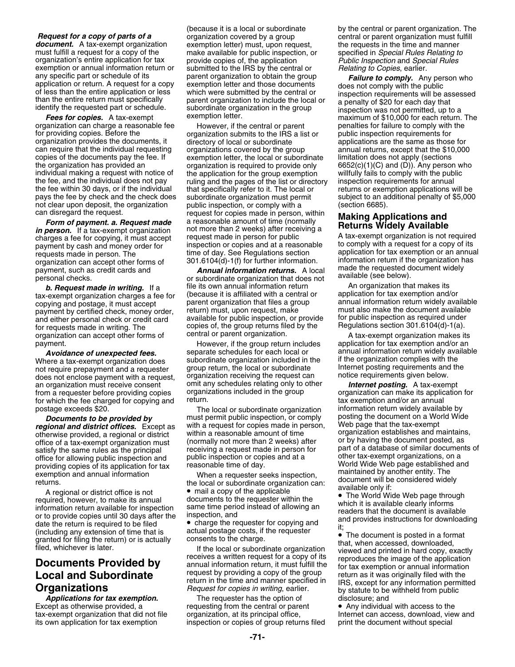must fulfill a request for a copy of the make available for public inspection, or specified in *Special Rules Relating to*<br>organization's entire application for tax provide copies of, the application *Public Inspection* an exemption or annual information return or submitted to the IRS by the central or *Relating to Copies*, earlier.<br>any specific part or schedule of its parent organization to obtain the group **Failure to comply** An

organization can charge a reasonable fee However, if the central or parent penalties for failure to comply with the<br>
for providing copies. Before the organization submits to the IRS a list or public inspection requirements organization provides the documents, it can require that the individual requesting can require that the individual requesting organizations covered by the group annual returns, except that the \$10,000<br>copies of the documents pay the fee. If exemption letter, the local or subordinate limitation does not a copies of the documents pay the fee. If exemption letter, the local or subordinate the organization has provided an organization is required to provide only the organization has provided an organization is required to provide only 6652(c)(1)(C) and (D)). Any person who<br>individual making a request with notice of the application for the group exemption willfully fails to comply the fee, and the individual does not pay a ruling and the pages of the list or directory inspection requirements for annual<br>the fee within 30 days, or if the individual that specifically refer to it. The local or a returns the fee within 30 days, or if the individual that specifically refer to it. The local or pays the fee by check and the check does subordinate organization must permit not clear upon deposit, the organization public inspection, or comply with a (section 6685).<br>can disregard the request. example of request for copies made in person, within **nucling App** 

charges a fee for copying, it must accept request made in person for public payment by cash and money order for<br>payment by cash and money order for imspection or copies and at a reasonable<br>requests made in person. The time

tax-exempt organization charges a fee for (because it is affiliated with a central or application for tax exemption and/or copying and postage, it must accept parent organization that files a group annual information retur for requests made in writing. The copies or, the group returns filed by the regulations section 301.6104(0)-1(a).<br>The central or parent organization. A tax-exempt organization makes its

Where a tax-exempt organization does subordinate organization included in the if the organization complies with the<br>not require prepayment and a requester group return, the local or subordinate linternet posting requiremen not require prepayment and a requester group return, the local or subordinate Internet posting requirements and<br>does not enclose payment with a request organization receiving the request can Intice requirements given below does not enclose payment with a request, organization receiving the request can notice requirements given below<br>an organization must receive consent omit any schedules relating only to other **Internet posting.** A tax-exemp an organization must receive consent omit any schedules relating only to other **Internet posting.** A tax-exempt from a requester before providing copies organizations included in the group organization can make its applica from a requester before providing copies organizations included in the fee charged for copying and for which the fee charged for copying and return.<br>The local or subordinate organization information return widely available by<br>postage exceeds \$20.

Fragment of the required, however, to make its annual<br>
information return available for inspection<br>
or to provide copies until 30 days after the<br>
or to provide copies until 30 days after the<br>
date the return is required to

*Request for a copy of parts of a* **organization covered by a group** central or parent organization must fulfill **document.** A tax-exempt organization exemption letter) must, upon request, the requests in the time and mann exemption letter) must, upon request, provide copies of, the application *Public Inspection* and *Special Rules* submitted to the IRS by the central or *Relating to Copies*, earlier. any specific part or schedule of its parent organization to obtain the group **Failure to comply.** Any person who application or return. A request for a copy exemption letter and those documents of less than the entire appl

organization submits to the IRS a list or detail public inspection requirements for<br>directory of local or subordinate diffusions are the same as those for the application for the group exemption subordinate organization must permit subject to an additional penalty of \$5,000 can disregard the request.<br>Form of payment. a. Request made a reasonable amount of time (normally **Making Applications and Form of payment.**<br>In person. If a tax-exempt organization and more than 2 weeks) after receiving a

**b. Request made in writing.** If a file its own annual information return and an organization that makes its its and the verture of the case of the case of an and/or charges a fee for (because it is affiliated with a centr

Avoidance of unexpected fees. Separate schedules for each local or annual information return widely available ava<br>Lere a tax-exempt organization does subordinate organization included in the said the organization complies

postage exceeds \$20. The local or subordinate organization information return widely available by<br>Documents to be provided by must permit public inspection, or comply posting the document on a World Wide **Documents to be provided by** must permit public inspection, or comply posting the document on a Wo<br>**gional and district offices.** Except as with a request for copies made in person, Web page that the tax-exempt

**Applications for tax exemption.** The requester has the option of disclosure; and<br>Except as otherwise provided, a exercy requesting from the central or parent **COM** and individual with access to the requesting from the central or parent its own application for tax exemption inspection or copies of group returns filed print the document without special

(because it is a local or subordinate by the central or parent organization. The

fluity the requested part or scriedule. The subordinate organization in the group the spection was not permitted, up to a<br>**Fees for copies.** A tax-exempt the exemption letter. The maximum of \$10,000 for each return. The

payment.<br>**However, if the group return includes** application for tax exemption and/or an and-<br>**Avoidance of unexpected fees** separate schedules for each local or annual information return widely available

**Figures regional and district offices.** Except as with a request for copies made in person, web page that the tax-exempt<br>otherwise provided, a regional or district within a reasonable amount of time<br>office of a tax-exem

Grand for filing the return) or is actually<br>
granded for filing the return) or is actually<br>
if the local or subordinate organization<br>
If the local or subordinate organization<br>
If the local or subordinate organization<br>
If t

tax-exempt organization that did not file organization, at its principal office, **Internet can access, download, view and**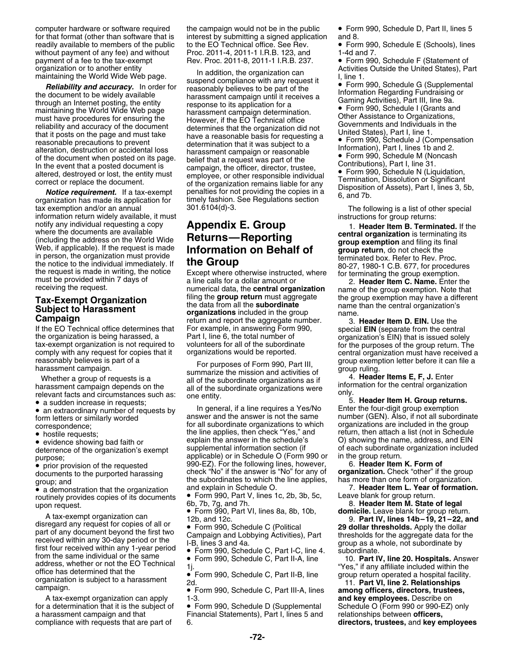without payment of any fee) and without Proc. 2011-4, 2011-1 I.R.B. 123, and 1-4d and 7.<br>
payment of a fee to the tax-exempt Rev. Proc. 2011-8, 2011-1 I.R.B. 237. • Form 990 payment of a fee to the tax-exempt Rev. Proc. 2011-8, 2011-1 I.R.B. 237. • Form 990, Schedule F (Statement of organization or to another entity level and this article at the correction con

Form 990, Schedule J (Compensation reasonable precautions to prevent determination that it was subject to a Information), Part I, lines 1b and 2.<br>
alteration, destruction or accidental loss harassment campaign or reasonabl Form 990, Schedule M (Noncash of the document when posted on its page. belief that a request was part of the Contributions), Part I, line 31.<br>In the event that a posted document is campaign, the officer, director, trustee,

organization has made its application for timely fashion. See Regulations section<br>tax exemption and/or an annual 301.6104(d)-3. The following is a list of other special information return widely available, it must<br>
notify any individual requesting a copy **interpretical Appendix E. Group 1. Header Item B. Termin** notify any individual requesting a copy **Appendix E. Group** 1. **Header Item B. Terminated.** If the vhere the documents are available **Replaced Benneting Connective Central organization** is terminating its where the documents are available<br>(including the address on the World Wide<br>Web, if applicable). If the request is made<br>in person, the organization must provide<br>in person, the organization must provide<br>in person, the organi the notice to the individual immediately. If the Group<br>the request is made in writing, the notice<br>must be provided within 7 days of a line calls for a dollar amount or the request in **Reflection**<br>must be provided within 7

the organization is being harassed, a Fart I, line 6, the total number of organization's EIN) that is issued solely<br>tax-exempt organization is not required to volunteers for all of the subordinate for the purposes of the g tax-exempt organization is not required to volunteers for all of the subordinate for the purposes of the group return. The comply with any request for copies that it organizations would be reported.

Whether a group of requests is a<br>harassment campaign depends on the all of the subordinate organizations as if<br>relevant facts and circumstances such as:<br>• a sudden increase in requests;<br>• a sudden increase in requests;<br>• a

• a sudden increase in requests;

• hostile requests;

• evidence showing bad faith or

• prior provision of the requested

routinely provides copies of its documents  $\bullet$  Form 990, Part V, lines 1c, 2b, 3b, 5c, Leave blank for group return. routinely provides copies of its documents <br>6b, 7b, 7g, and 7h. 8. **Header Item M. State of legal**<br>8. **Header Item M. State of legal** 

Form 990, Part VI, lines 8a, 8b, 10b, **domicile.** Leave blank for group return.<br>A tax-exempt organization can 12b, and 12c. 9. **Part IV, lines 14b–19, 21–22, and**<br>**e** Form 990, Schedule C (Political **1998)** 29 **dollar thre** and any request for copies of an of the Form 990, Schedule C (Political **29 dollar thresholds.** Apply the dollar<br>part of any document beyond the first two<br>received within any 30-day period or the  $\begin{array}{c|c} 1-B, \text{ lines 3 and 4a} &$ first four received within any 1-year period • Form 990, Schedule C, Part I-C, line 4. subordinate.<br>from the same individual or the same<br>• Form 990, Schedule C, Part II-A, line 10. **Part IV, line 20. Hospitals.** Answer Form 990, Schedule C, Part II-B, line 10. **Part II-A, increased Properties**, whether or not the EO Technical 1j. while the experimed that the experiment of the Form 990, Schedule C, Part II-B, line group return operated a organization is subject to a harassment <sub>2d.</sub><br>Form 990, Schedule C, Part III-A, lines **among officers, directors, trustees exercity e** Form 990, Schedule C, Part III-A, lines **among officers, directors, trustees** 

for a determination that it is the subject of a harassment campaign and that Financial Statements), Part I, lines 5 and relationships between **officers,**

computer hardware or software required the campaign would not be in the public • Form 990, Schedule D, Part II, lines 5 for that format (other than software that is interest by submitting a signed application and 8.<br>
readily available to members of the public to the EO Technical office. See Rev. • Form 990, Schedule E (Schools), lines to the EO Technical office. See Rev.

organization or to another entity<br> **Reliability and accuracy.** In order for<br> **Reliability and accuracy.** In order for<br>
the document to be widely available<br>
the document to be widely available<br>
maintaining the World Wide We altered, destroyed or lost, the entity must<br>correct or replace the document. The term of the organization remains liable for any<br>**Notice requirement.** If a tax-exempt penalties for not providing the copies in a<br>organizatio

receiving the request.<br> **Tax-Exempt Organization**<br> **Subject to Harassment**<br> **Campaign**<br> **Campaign Campaign Campaign Campaign Campaign Campaign Campaign Campaign Campaign Campaign Campaign C** If the EO Technical office determines that For example, in answering Form 990, special **EIN** (separate from the central the organization is being harassed, a Part I, line 6, the total number of organization's EIN) that is

reasonably believes is part of a group exemption letter before it can file a<br>harassment campaign. summarize the mission and activities of group ruling.<br>Whether a group of requests is a glot the subordinate organizations as

• an extraordinary number of requests by In general, if a line requires a Yes/No Enter the four-digit group exemption for all subordinate organizations to which<br>the line applies, then check "Yes," and the line applies, then check "Yes," and return, then attach a list (not in Schedule explain the answer in the schedule's 0) showing the name, address, and EIN explain the answer in the schedule's (a) showing the name, address, and EIN supplemental information section (if  $\qquad \qquad$  of each subordinate organization include purpose;<br>
purpose;<br>
purpose;<br>
prior provision of the requested applicable) or in Schedule O (Form 990 or in the group return.<br>
990-EZ). For the following lines, however, 6. Header Item K. Form of **prior provision of the requested** 990-EZ). For the following lines, however, 6. **Header Item K. Form of**<br>documents to the purported harassing check "No" if the answer is "No" for any of **organization.** Check "other" if th check "No" if the answer is "No" for any of **organization.** Check "other" if the group the subordinates to which the line applies, has more than one form of organization. group; and the subordinates to which the line applies, has more than one form of organization.<br>• a demonstration that the organization and explain in Schedule O. 7. Header Item L. Year of formation.

• Form 990, Part VI, lines 8a, 8b, 10b,

- 
- 
- 

comply with any request for copies that it organizations would be reported. central organization must have received a<br>central organization must have received a complexemption letter before it can file a

form letters or similarly worded answer and the answer is not the same number (GEN). Also, if not all subordinate correspondence;<br>correspondence; to all subordinate organizations to which organizations are included in the deterrence of the organization's exempt supplemental information section (if of each subordinate organization included<br>
applicable) or in Schedule O (Form 990 or in the group return.

• a demonstration that the organization and explain in Schedule O. 7. **Header Item L. Year of formation.** 

 Form 990, Schedule C, Part III-A, lines **among officers, directors, trustees,** A tax-exempt organization can apply 1-3. **and key employees.** Describe on compliance with requests that are part of 6. **directors, trustees,** and **key employees**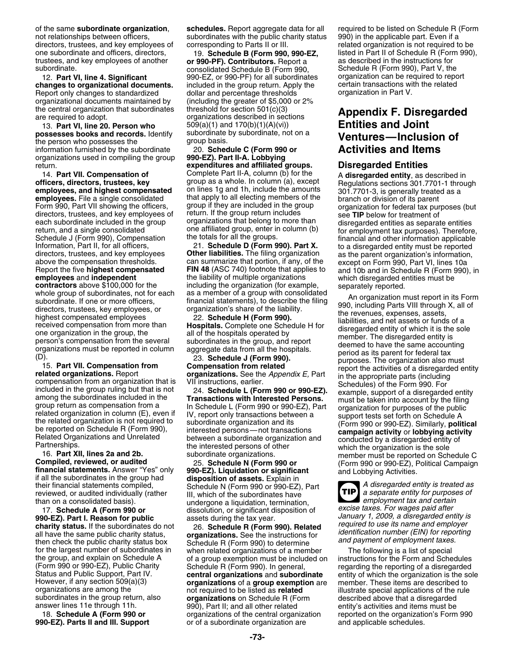directors, trustees, and key employees of corresponding to Parts II or III. trustees, and key employees of another **or 990-PF). Contributors.** Report a as described in the instructions for<br>subordinate. **and Karlo in the instructions for** consolidated Schedule B (Form 990, **Schedule R (Form 990), P** 

**changes to organizational documents.** included in the group return. Apply the certain transactions with Report only changes to standardized dollar and percentage thresholds organization in Part V. Report only changes to standardized dollar and percentage thresholds organizational documents maintained by (including the greater of \$5,000 or 2% the central organization that subordinates threshold for section 501(c)(3)

13. **Part VI, line 20. Person who** 509(a)(1) and 170(b)(1)(A)(vi))<br>**pssesses books and records.** Identify subordinate by subordinate, not on a **possesses books and records.** Identify subordinate by subordinate, not on a **Ventures—Inclusion of**<br>the person who possesses the group basis.<br>information furnished by the subordinate 20. Schedule C (Form 990 or **Activitie** information furnished by the subordinate 20. **Schedule C (Form 990** organizations used in compiling the group **990-EZ). Part II-A. Lobbying** organizations used in compiling the group

14. **Part VII. Compensation of** Complete Part II-A, column (b) for the A **disregarded entity**, as described in **officers**, directors, trustees, key group as a whole. In column (a), except Regulations sections 301.7701-1 th officers, directors, trustees, key group as a whole. In column (a), except Regulations sections 301.7701-1 through<br>
employees, and highest compensated on lines 1g and 1h, include the amounts and the streamend on the employ

reviewed, or audited individually (rather **all in the set of the subordinates have** and in the separate entity is treated as<br>
reviewed, or audited individually (rather **a** iii), which of the subordinates have **a** separate

990-EZ). Part I. Reason for public *January 1, 2009, a disregarded entity is*<br> *Anuary 1, 2009, a disregarded entity is***<br>
charity status. If the subordinates do not 26. Schedule R (Form 990). Related** *required to use it* **Charity status.** If the subordinates do not and the subset of the subset of the subset of the same public charity status,<br>
all have the same public charity status, and payment of employer or the largest number of subordin

of the same **subordinate organization**, **schedules.** Report aggregate data for all required to be listed on Schedule R (Form not relationships between officers, subordinates with the public charity status 990) in the applicable part. Even if a<br>directors, trustees, and key employees of corresponding to Parts II or III. The annel organization is n

bordinate.<br>12. Part VI, line 4. Significant consolidated Schedule B (Form 990, Schedule R (Form 990), Part V, the<br>12. Part VI, line 4. Significant 990-EZ, or 990-PF) for all subordinates organization can be required to rep 990-EZ, or 990-PF) for all subordinates organization can be required to reporting in the substantial substanti<br>included in the group return, Apply the certain transactions with the related the central organization that subordinates threshold for section 501(c)(3) **Appendix F. Disregarded**<br>are required to adopt. organizations described in sections **Appendix F. Disregarded**<br>13. Part VI, line 20. Person who 509

return. **expenditures and affiliated groups. Disregarded Entities**

**employees** and **independent** the liability of multiple organizations which disregarded entities must be **contractors** above \$100,000 for the including the organization (for example, separately reported.

than on a consolidated basis). **Example 2** and certain undergone a liquidation, termination,

(Form 990 or 990-EZ), Public Charity Schedule R (Form 990). In general, regarding the reporting of a disregarded<br>Status and Public Support, Part IV. central organizations and subordinate entity of which the organization is organizations are among the hot required to be listed as **related constant illustrate** special applications of the rule<br>subordinates in the group return, also **conding organizations** on Schedule R (Form described above tha 18. **Schedule A (Form 990 or** organizations of the central organization reported on the organization's Form 990 **990-EZ). Parts II and III. Support** or of a subordinate organization are and applicable schedules.

one subordinate and officers, directors, 19. **Schedule B (Form 990, 990-EZ,** listed in Part II of Schedule R (Form 990), trustees, and key employees of another **or 990-PF). Contributors.** Report a as described in the instr

each subordinate included in the group<br>return, and a single consolidated one affiliated group, enter in column (b)<br>Schedule J (Form 990), Compensation<br>Information, Part II, for all officers, 21. Schedule D (Form 990). Part

contractors above \$100,000 for the  $-$  including the organization for example, separately reported.<br>
subroding experiments, the section as a member of a group with consolidated An organization must report in its Form<br>
sub

**TIP** 17. **Schedule A (Form 990 or** *excise taxes. For wages paid after* dissolution, or significant disposition of *excise taxes. For wages paid after*<br>**1998** and **FZ), Part L Beason for public** assets during the tax year *Janu*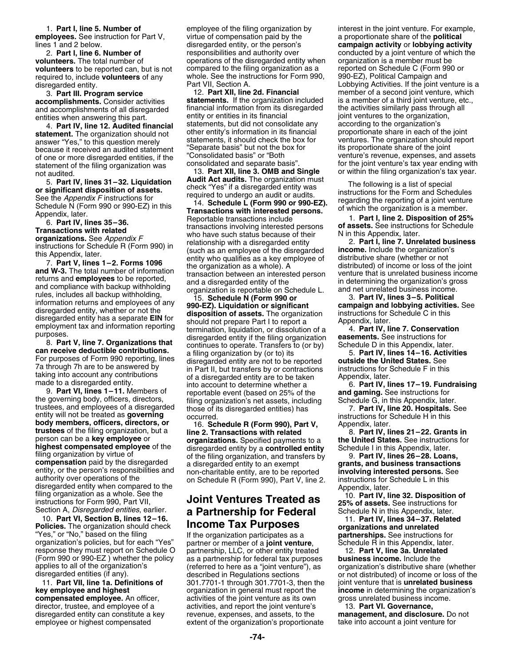required to, include **volunteers** of any whole. See the instructions for Form 900-E<br>disregarded entity, each of Part VII, Section A.

and accomplishments of all disregarded financial information from its discreption answering this part.

For purposes of Form 990 reporting, lines disregarded entity are not to be reported **outside the United States.** See 7a through 7h are to be answered by in Part II, but transfers by or contractions taking into account any contributions

9. Part VI, lines 1–11. Members of reportable event (based on 25% of the and gaming. See instructions for the governing body, officers, directors, filing organization's net assets, including Schedule G, in this Appendix, l entity will not be treated as **governing** occurred.<br>**body members, officers, directors, or** 16. Sc body members, officers, directors, or do the Schedule R (Form 990), Part V, Appendix, later.<br>
trustees of the filing organization, but a line 2. Transactions with related and the United States. See instructions for<br>
person person can be a **key employee** or **organizations.** Specified payments to a **the United States.** See instructions for highest compensated employee of the disregarded entity by a controlled entity Schedule I in this Appendix, later.<br>
filing organization by virtue of of the filing organization, and transfers by 9. Part IV, lines 26–28. Loan entity, or the person's responsibilities and non-charitable entity, are to be reported **involving interested persons.** See authority over operations of the on Schedule R (Form 990), Part V, line 2. instructions for Schedul filing organization as a whole. See the **Unit Ventures Treated as** 10. Part IV, line 32. Disposition of instructions for Form 990, Part VII,

10. **Part VI, Section B, lines 12–16. 11. <b>Part IV, lines 34–37.** Relation should check **11. COME Tax Purposes** organizations and unrelated **Policies.** The organization should check **INCOME TAX PUIPOSES**<br>"Yes," or "No," based on the filing **interpoly of the organization participates** as a "Yes," or "No," based on the filing If the organization participates as a **partnerships.** See instructions for<br>The organization's policies, but for each "Yes" partner or member of a **joint venture**, Schedule R in this Appe response they must report on Schedule O<br>(Form 990 or 990-EZ) whether the policy (Form 990 or 990-EZ ) whether the policy as a partnership for federal tax purposes **business income.** Include the

**employees.** See instruction for Part V, virtue of compensation paid by the a proportionate share of the **political** lines 1 and 2 below. disregarded entity, or the person's **campaign activity** or **lobbying activity** 2. **Part I, line 6. Number of** responsibilities and authority over conducted by a joint venture of which the **volunteers.** The total number of operations of the disregarded entity when organization is a member must be **volunteers** to be reported can, but is not compared to the filing organization as a reported on Schedule C (Form **volunteers** to be reported can, but is not compared to the filing organization as a reported on Schedule C (Form 99<br>required to, include **volunteers** of any whole. See the instructions for Form 990, 990-EZ), Political Cam

3. **Part III. Program service** 12. **Part XII, line 2d. Financial** member of a second joint venture, which **accomplishments.** Consider activities **inclusted in the organization included** is a member of a third joint venture, etc.<br>and accomplishments of all disregarded financial information from its disregarded the activities si entities when answering this part. entity or entities in its financial entities any interpret to the organization,<br>A **Part IV line 12 Audited financial** statements, but did not consolidate any according to the organization

5. **Part IV, lines 31–32. Liquidation Addit Act audits.** The organization is a list of special<br>See the Appendix Finstructions for equived to undergo an audit or audits.<br>See the Appendix Finstructions for required to und

purposes.<br>
8. Part V, line 7. Organizations that continues to operate. Transfers to (or by)<br>
can receive deductible contributions.<br>
For purposes of Form 990 reporting, lines<br>  $\frac{1}{2}$  a filing organization by (or to) its<br> taking into account any contributions of a disregarded entity are to be taken Appendix, later.<br>The made to a disregarded entity. The material of a disregarded entity are to be taken the Appendix, later.<br>19. **Part VI, lines** 

# Section A, *Disregarded entities*, earlier. **a Partnership for Federal** Schedule N in this Appendix, later.<br>10. Part VI, Section B, lines 12–16. **In agama Tay Durmage Canal 11. Part IV**, lines 34–37. Related

partner or member of a **joint venture**, Schedule R in this Appendix, later.<br>
partnership, LLC, or other entity treated 12. **Part V, line 3a. Unrelated** applies to all of the organization's (referred to here as a "joint venture"), as disregarded entities (if any). 11. **Part VII, line 1a. Definitions of** 301.7701-1 through 301.7701-3, then the joint venture that is **unrelated business compensated employee.** An officer, activities of the joint venture as its own gross unrelated business income. director, trustee, and employee of a activities, and report the joint venture's 13. Part VI. Governance, activities, and report the joint venture's disregarded entity can constitute a key revenue, expenses, and assets, to the **management, and disclosure.** Do not employee or highest compensated extent of the organization's proportionate take into account a joint ventur extent of the organization's proportionate

1. **Part I, line 5. Number of** employee of the filing organization by interest in the joint venture. For example, disregarded entity.<br>
2. Part VII, Section A. Lobbying Activities. If the joint venture is a<br>
3. Part III. Program service 12. Part XII, line 2d. Financial member of a second joint venture, which 4. **Part IV, line 12. Audited financial** statements, but did not consolidate any according to the organization's<br>
statement. The organization should not<br>
answer "Yes," to this question merely statements, it should check th

sregarded entities (if any). described in Regulations sections or not distributed) of income or loss of the st<br>11. **Part VII, line 1a. Definitions of** 301.7701-1 through 301.7701-3, then the joint venture that is **unrelate key employee and highest** organization in general must report the **income** in determining the organization's compensated employee. An officer, and activities of the joint venture as its own gross unrelated business income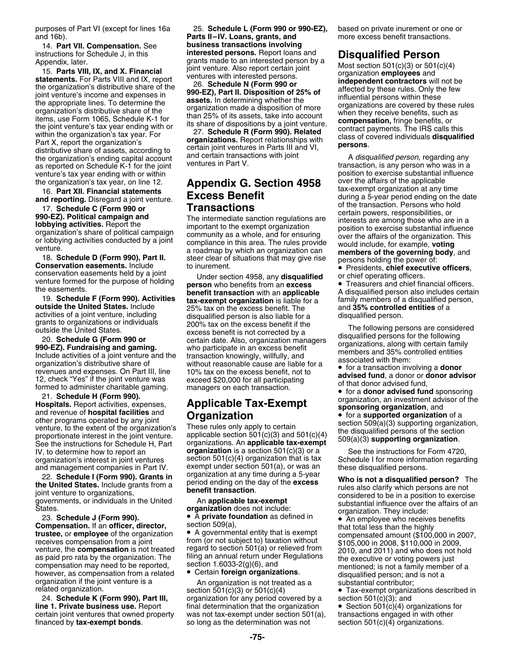instructions for Schedule J, in this interested persons. Report loans and<br>Appendix, later.<br>
Appendix, and X. Financial giont venture. Also report certain joint<br>
15. Parts VIII, IX, and X. Financial giont ventures with inte distributive share of assets, according to<br>
the organization's ending capital account<br>
and certain transactions with joint and transaction, is any person, regarding any<br>
as reported on Schedule K-1 for the joint ventures i venture's tax year ending with or within<br>the organization's tax year, on line 12. **Annendix G. Section 4958** over the affairs of the applicable

Conservation easements. Include<br>
conservation easements held by a joint<br>
verture formed for the purpose of holding<br>
the easements.<br>
the easements.<br> **benefit transaction** with an **applicable**<br> **benefit transaction** with an

21. Schedule H (Form 990).<br>
analoges of each transaction.<br> **Example 18.** For a donor advised fund sponsoring<br>
and revenue of hospital facilities and<br>
other programs operated by any joint<br>
venture, to the extent of the org See the instructions for Schedule H, Part organizations. An **applicable tax-exempt**<br>IV, to determine how to report an **organization** is a section 501(c)(3) or a See the instructions for Form 4720,<br>organization's interest i

and management companies in Part IV.<br>
22. **Schedule I (Form 990). Grants in**<br>
interestion and the during a 5-year<br>
the United States. Include grants from a<br>
joint venture to organizations,<br>
governments, or individuals in t

venture, the **compensation** is not treated<br>as paid pro rata by the organization. The filing an annual return under Regulations<br>compensation may need to be reported,<br>however, as compensation from a related<br>organization if t

24. **Schedule K (Form 990), Part III,** organization for any period covered by a section 501(c)(3); and certain joint ventures that owned property was not tax-exempt under section 501(a), transactions engaged in with other<br>financed by **tax-exempt bonds**. so long as the determination was not section 501(c)(4) organizations.

purposes of Part VI (except for lines 16a 25. **Schedule L (Form 990 or 990-EZ),** based on private inurement or one or and 16b). **Parts II–IV. Loans, grants, and** more excess benefit transactions. 14. **Part VII. Compensation.** See **business transactions involving**

# e organization's tax year, on line 12. **Appendix G. Section 4958** over the affairs of the applicable<br>16. **Part XII. Financial statements Cycene Banafit by the activity of the army time**

the easemerics.<br>19. Schedule F (Form 990). Activities<br>19. Schedule F (Form 990). Activities<br>25% tax on the excess benefit. The and 35% controlled entities of a<br>25% tax on the excess benefit. The and 35% controlled entities activities of a joint venture, including<br>grants to organizations or individuals and gauging and gauging and gauging and the United States.<br>
200% tax on the excess benefit if the<br>
200% tax on the excess benefit if the<br>
200% Exercise of the contraction involving a **donor**<br>12, check "Yes" if the joint venture was exceed \$20,000 for all participating<br>formed to administer charitable gaming. managers on each transaction.

section 501(c)(4) organization that is tax Schedule I for more inform<br>exempt under section 501(a), or was an these disqualified persons.

organization if the joint venture is a  $\begin{array}{ccc}\n\text{A}\n\text{A}\n\text{A}\n\text{A}\n\text{A}\n\text{A}\n\text{A}\n\text{A}\n\text{A}\n\text{A}\n\text{A}\n\text{A}\n\text{A}\n\text{A}\n\text{A}\n\text{A}\n\text{A}\n\text{A}\n\text{A}\n\text{A}\n\text{A}\n\text{A}\n\text{A}\n\text{A}\n\text{A}\n\text{A}\n\text{A}\n\text{A}\n\text{A}\$ final determination that the organization so long as the determination was not

16. Part XII. Financial statements<br>
and reporting. Disregard a joint venture.<br>
17. Schedule C (Form 990 or<br>
17. Schedule C (Form 990 or<br>
18. Schedule D (Form 990), Part II.<br>
18. Schedule D (Form 990), Part II.<br>
18. Schedul

**Compensation.** If an **officer, director,** section 509(a), that is exempt<br> **trustee,** or **employee** of the organization <br> **e** A governmental entity that is exempt<br>
from (or not subject to) taxation without \$105,000 in 200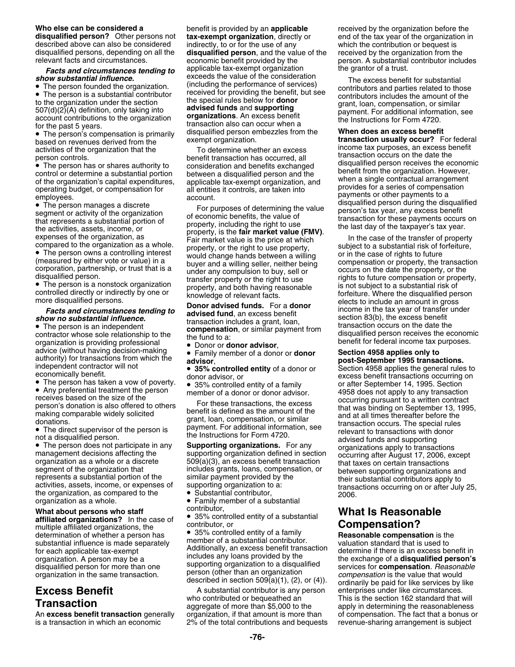described above can also be considered

organization is providing professional<br>advice (without having decision-making **•** Family member of a donor or **donor** Family member of a donor or **donor Section 4958 applies only to** authority) for transactions from which the **advisor**, **post-September 1995 transactions.** independent contractor will not •

economically benefit.<br>• The person has taken a vow of poverty. • a 35% controlled

organization as a whole. • • • Family member of a substantial

**What about persons who staff** contributor,<br>**affiliated organizations?** In the case of  $\bullet$  35% controlled entity of a substantial **Common partiana** multiple affiliated organizations, the contributor, or<br>
determination of whether a person has <br> **e** 35% controlled entity of a family<br> **e** 35% controlled entity of a family<br> **Reasonable compensation** is the

**Who else can be considered a** benefit is provided by an **applicable** received by the organization before the **disqualified person?** Other persons not **tax-exempt organization**, directly or end of the tax year of the organization in described above can also be considered indirectly, to or for the use of any which the contribution disqualified persons, depending on all the **disqualified person**, and the value of the received by the organization from the **Facts and circumstances tending to** applicable tax-exempt organization the grantor of a trust.<br>
show substantial influence. exceeds the value of the consideration The excess benefit for substantial<br>
• The person founded t • The person founded the organization. This including the performance of services of contributors and parties related to those • The person is a substantial contributor • received for providing the benefit, but see • • con • The person is a substantial contributor<br>to the organization under the section<br> $507(d)(2)(A)$  definition, only taking into<br>account contributions to the organization<br>account contributions to the organization<br>tensats be organ

• The person manages a discrete For purposes of determining the value<br>
segment or activity of the organization of economic benefits, the value of transaction for these payments a substantial portion of<br>
the activities, as

management decisions affecting the supporting organization defined in section<br>occurring after August 17, 2006, except<br>segment of the organization that includes grants, loans, compensation, or hetween supporting organizatio

- 
- 
- 35% controlled entity of a substantial contributor, or

**Excess Benefit** A substantial contributor is any person enterprises under like circumstances. Who contributed or bequeathed an This is the section 162 standard that will **Transaction**<br>aggregate of more than \$5,000 to the apply in determining the reasonableness 2% of the total contributions and bequests revenue-sharing arrangement is subject

person. A substantial contributor includes.

• The person's compensation is primarily disqualitied person embezzies from the transaction usually occur? For federal<br>activities of the organization that the To determine whether an excess<br>person controls.<br>• The person ha • The person has or shares authority to consideration and benefits exchanged<br>
control or determine a substantial portion between a disqualified person and the benefit from the organization. However,<br>
of the organization's

• The person owns a controlling interest would change hands between a willing or in the case of rights to future<br>
(measured by either vote or value) in a buyer and a willing seller, neither being compensation or property, • The person is a nonstock organization<br>
controlled directly or indirectly by one or<br>
more disqualified persons.<br> **Facts and circumstances tending to**<br> **Eacts and circumstances tending to**<br> **Eacts and circumstances tending** • The person is an independent<br>contractor whose sole relationship to the **compensation**, or similar payment from transaction occurs on the date the<br>organization is providing professional the fund to a:<br>organization is prov

**Independent contractor will not a very section 4958** applies the general rules to economically benefit.<br>Conomically benefit. donor advisor, or excess benefit transactions occurring on • excess benefit transactions occu • The person has taken a vow of poverty  $\bullet$  35% controlled entity of a family or after September 14, 1995. Section • Any preferential treatment the person • member of a donor or donor advisor. 4958 does not apply to any t • Any preferential treatment the person<br>
receives based on the size of the<br>
person's donation is also offered to others<br>
making comparable widely solicited<br>
donations.<br>
The direct supervisor of the person is<br> **Exceptible o** The direct supervisor of the person is any ment. For additional information, see<br>
• The direct supervisor of the person is a disqualified person.<br>
• The person does not participate in any **Supporting organizations.** For an segment of the organization that includes grants, loans, compensation, or between supporting organizations and<br>represents a substantial portion of the similar payment provided by the their substantial contributors apply to

determination of whether a person has<br>substantial influence is made separately<br>for each applicable tax-exempt<br>organization. A person may be a<br>disqualified person for more than one<br>organization in the same transaction.<br>orga An **excess benefit transaction** generally organization, if that amount is more than of compensation. The fact that a bonus or<br>is a transaction in which an economic 2% of the total contributions and bequests revenue-sharing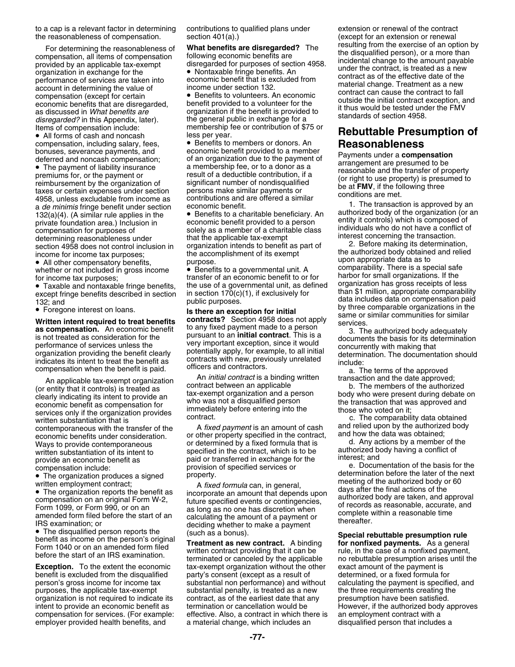to a cap is a relevant factor in determining contributions to qualified plans under extension or renewal of the contract the reasonableness of compensation. section 401(a).) (except for an extension or renewal

● All forms of cash and noncash less per year.<br>compensation, including salary, fees. ● Benefits to members or donors, An

excludable from income as contributions and are offered a similar<br>a *de minimis* fringe benefit under section economic benefit.<br>1. The transaction is approved by an expression the **exploration of the section** or an authori 132(a)(4). (A similar rule applies in the **C** Benefits to a charitable beneficiary. An authorized body of the organization (or an private foundation area.) Inclusion in economic benefit provided to a person compensation fo organization intends to benefit as part of the authorized body obtained and relied<br>section 4958 does not control inclusion in organization intends to benefit as part of and the authorized body obtained and relied<br>income fo

• All other compensatory benefits, exercise purpose.<br>whether or not included in gross income **•** Benefits to a governmental unit. A sure comparability. There is a special safe

except fringe benefits described in section in section 170(c)(1), if exclusively for than \$1 million, appropriate comparability public purposes.<br>132; and data includes data on compensation paid

Written intent required to treat benefits<br>
as compensation. An economic benefit to any fixed payment made to a person as<br>
is not treated as consideration for the pursuant to an initial contract. This is a<br>
is not treated a

services only if the organization provides<br>written substantiation that is contract.<br>c. The comparability data obtained<br>contemporaneous with the transfer of the and fixed payment is an amount of cash and relied upon by the

• The organization produces a signed

• The disqualified person reports the

compensation for services. (For example: effective. Also, a contract in which there is an employment contract with a employer provided health benefits, and

Items of compensation include: membership fee or contribution of \$75 or **Rebuttable Presumption of** •

compensation, including salary, fees, **•** Benefits to members or donors. An **Reasonableness**<br>bonuses, severance payments, and economic benefit provided to a member **Reasonable raceme** bonuses, severance payments, and economic benefit provided to a member Payments under a **compensation**<br>
• The payment of liability insurance a membership fee, or to a donor as a<br>
• The payment of liability insurance a memb • The payment of liability insurance a membership fee, or to a donor as a<br>premiums for, or the payment or result of a deductible contribution, if a<br>reimbursement by the organization of significant number of nondisqualified

• Benefits to a charitable beneficiary. An income for income tax purposes; the accomplishment of its exempt the authorized body obtaine<br>• All other compensatory benefits. The purpose income income the authorized body obtaine

• Benefits to a governmental unit. A whether or not included in gross income<br>for income tax purposes;<br>transfer of an economic benefit to or for<br>**a** transfer of an economic benefit to or for<br>**a** transfer of an economic benefit to or for<br>**a** transfer of an eco

contemporaneous with the transfer of the authorized body<br>economic benefits under consideration. The original or other property specified in the contract, and how the data was obtained;<br>Ways to provide contemporaneous or de Ways to provide contemporaneous or determined by a fixed formula that is d. Any actions by a member of the vari<br>written substantiation of its intent to specified in the contract, which is to be authorized body having a con written substantiation of its intent to specified in the contract, which is to be authorized b<br>provide an economic henefit as sensual provide a contract, which is to be interest; and provide an economic benefit as paid or transferred in exchange for the interest; and<br>compensation include: provision of specified services or e. Documentation of the basis for the<br>The organization produces a signed propert

• The organization reports the benefit as incorporate an amount that depends upon<br>compensation on an original Form W-2, future specified events or contingencies,<br>Form 1099, or Form 990, or on an as long as no one has discr

**Exception.** To the extent the economic tax-exempt organization without the other exact amount of the payment is benefit is excluded from the disqualified party's consent (except as a result of determined, or a fixed formula for<br>person's gross income for income tax substantial non performance) and without calculating the payment is s substantial non performance) and without purposes, the applicable tax-exempt substantial penalty, is treated as a new the three requirements creating the organization is not required to indicate its contract, as of the earliest date that any presumption have been satisfied.<br>
intent to provide an economic benefit as termination or cancellation would be However, if the author

For determining the reasonableness of<br>
provided by an applicable tax-exempt<br>
provided by an applicable tax-exempt<br>
provided by an applicable tax-exempt<br>
organization in exchange for the<br>
organization in exchange for the co

purposes. The purposes of the purposes data of the purposes of the purposes of the exception for initial by three comparable organizations in the • Foregone interest on loans. **IS there are exception for linual same or similar communities for similar contracts?** Section 4958 does not apply

written employment contract; meeting of the authorized body or 60<br>written employment contract; a a *fixed formula* can, in general,<br>The organization reports the benefit as incorporate an amount that depends upon

• The disqualified person reports the (such as a bonus). Special rebuttable presumption rule<br>benefit as income on the person's original<br>Form 1040 or on an amended form filed written contract providing that it can be rule, However, if the authorized body approves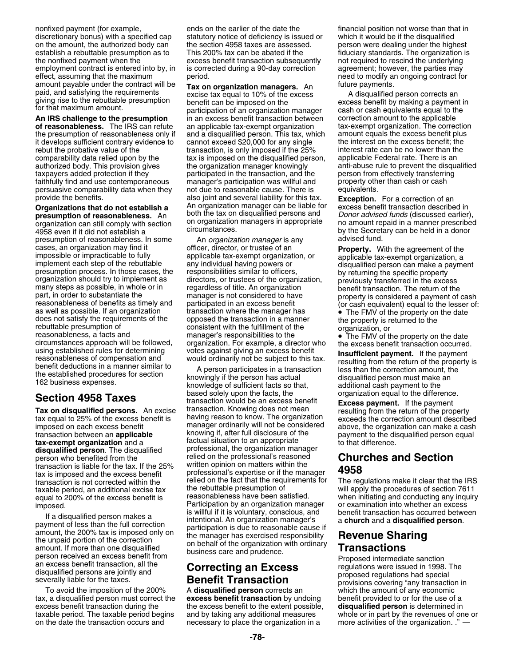nonfixed payment (for example, ends on the earlier of the date the financial position not worse than that in discretionary bonus) with a specified cap statutory notice of deficiency is issued or which it would be if the disqualified on the amount, the authorized body can the section 4958 taxes are assessed. person were dealing under the highest establish a rebuttable presumption as to This 200% tax can be abated if the fiduciary standards. The organization is<br>the nonfixed payment when the excess benefit transaction subsequently not required to rescind the underly employment contract is entered into by, in effect, assuming that the maximum period. need to modify an ongoing contract for amount payable under the contract will be **Tax on organization managers.** An future payments.<br>
paid, and satisfying the requirements excise tax equal to 10% of the excess and satisfying the reputtable presumption benefit c

**of reasonableness.** The IRS can refute an applicable tax-exempt organization the presumption of reasonableness only if and a disqualified person. This tax, which amount equals the excess benefit plus<br>it develops sufficient contrary evidence to cannot exceed \$20,000 for any single the interest on th it develops sufficient contrary evidence to rebut the probative value of the transaction, is only imposed if the 25% interest rate can be no lower than the<br>comparability data relied upon by the tax is imposed on the disqualified person, applicable Federal rate. Ther authorized body. This provision gives the organization manager knowingly anti-abuse rule to prevent the disqualified taxpayers added protection if they participated in the transaction, and the person from effectively trans faithfully find and use contemporaneous persuasive comparability data when they not due to reasonable cause. There is equivalents.<br>provide the benefits. [15] also joint and several liability for this tax. [15] Exception.

**Organizations that do not establish a** An organization manager can be liable to **presumption of reasonableness.** An both the tax on disqualified persons and organization can still comply with section on organization managers in appropriate no amount repaid in a manner prescribed<br>4958 even if it did not establish a circumstances. but he Secretary can be held in a donor presumption of reasonableness. In some An *organization manager* is any advised fund. cases, an organization may find it officer, director, or trustee of an **Property**. With the agreement of the applicable to fully applicable tax-exempt organization, or implement each step of the rebuttable any individual h manager is not considered to have the property is considered a payment of cash<br>reasonableness of benefits as timely and<br>as well as possible. If an organization transaction where the manager has<br>does not satisfy the require

**Tax on disqualified persons.** An excise transaction. Knowing does not mean resulting from the return of the property<br>tax equal to 25% of the excess benefit is having reason to know. The organization exceeds the correction tax equal to 25% of the excess benefit is a having reason to know. The organization exceeds the correction amount described<br>imposed on each excess benefit is manager ordinarily will not be considered above the organization imposed on each excess benefit manager ordinarily will not be considered above, the organization can make a cash<br>transaction between an **applicable** have a knowing if, after full disclosure of the same and the disqualified transaction between an **applicable** knowing if, after full disclosure of the payment to the disqualified person equal<br> **tax-exempt organization** and a factual situation to an appropriate to that difference. **disqualified person**. The disqualified professional, the organization manager . The disqualified professional's reasoned transaction is liable for the tax. If the 25% tax is imposed and the excess benefit<br>transaction is not corrected within the the manager and the excess benefit<br>transaction is not corrected within the select on the fact that the requirements for The reg taxable period, an additional excise tax the rebuttable presumption of will apply the procedures of section 7611<br>equal to 200% of the excess benefit is ereasonableness have been satisfied. The when initiating and conductin

person received an excess benefit from the business stars and proceived in the proposed intermediate sanction<br>an excess benefit transaction, all the **Correcting an Excess** regulations were issued in 1998. The<br>severally lia

tax, a disqualified person must correct the **excess benefit transaction** by undoing benefit provided to or for the use of a<br>excess benefit transaction during the the excess benefit to the extent possible, **disqualified per** excess benefit transaction during the the excess benefit to the extent possible, taxable period. The taxable period begins and by taking any additional measures whole or in part by the revenues of one or<br>on the date the transaction occurs and recessary to place the organization in a more activities of

excess benefit transaction subsequently and required to rescind the underlying<br>is corrected during a 90-day correction agreement; however, the parties may

**An IRS challenge to the presumption** in an excess benefit transaction between correction amount to the applicable tax is imposed on the disqualified person, participated in the transaction, and the earth person from effectively transferring<br>manager's participation was willful and earth property other than cash or cash also joint and several liability for this tax. **Exception.** For a correction of an<br>An organization manager can be liable for excess benefit transaction described in both the tax on disqualified persons and *Donor advised funds* (discussed earlier),<br>on organization managers in appropriate *no amount repaid in a manner prescribe* 

**Section 4958 Taxes**<br>**Section 4958 Taxes** transaction would be an excess benefit **Excess payment.** If the payment<br>**Tax on disqualified persons.** An excise transaction. Knowing does not mean resulting from the return of the factual situation to an appropriate<br>professional, the organization manager person who benefited from the relied on the professional's reasoned **Churches and Section** relied on the fact that the requirements for The regulations make it clear that the IRS<br>the rebuttable presumption of will apply the procedures of section 7611 imposed.<br>Imposed. Participation by an organization manager or examination into whether an excess<br>If a diagualitied parson malics a society is willful if it is voluntary, conscious, and benefit transaction has occurred betw If a disqualified person makes a<br>payment of less than the full correction<br>amount, the 200% tax is imposed only on<br>the manager has exercised responsibility<br>the unpaid portion of the correction<br>amount. If more than one disqu

To avoid the imposition of the 200% A **disqualified person** corrects an which the amount of any economic necessary to place the organization in a

by the Secretary can be held in a donor

using established rules for determining votes against giving an excess benefit **Insufficient payment**. If the payment<br>
reasonableness of compensation and would ordinarily not be subject to this tax.<br>
the established proced

when initiating and conducting any inquiry<br>or examination into whether an excess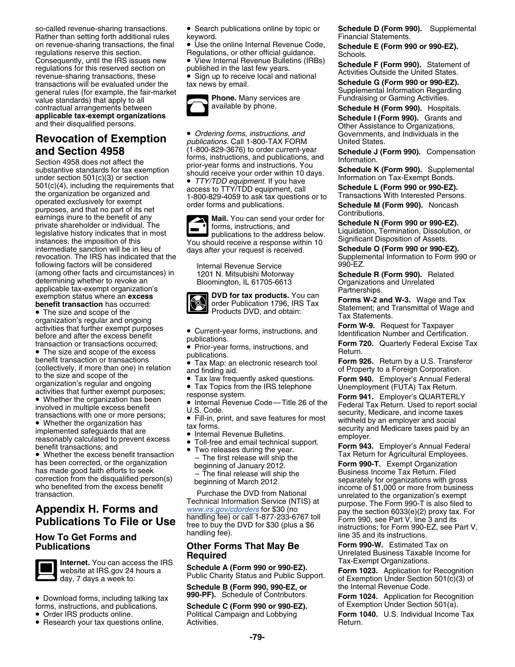Rather than setting forth additional rules keyword.<br>The vertility on the manufactional statements on the statements. Code. on revenue-sharing transactions, the final • Use the online Internal Revenue Code, **Schedule E (Form 990 or 990-EZ).**<br>
regulations reserve this section. Regulations, or other official guidance. Schools.<br>
Consequently, unti Consequently, until the IRS issues new • View Internal Revenue Bulletins (IRBs) **Schedule F (Form 990).** Statement of regulations for this reserved section on published in the last few years. <br>
revenue-sharing transactions transactions will be evaluated under the tax news by email. Scried vertex supplemental Information Regarding<br>general rules (for example, the fair-market Supplemental Information Regarding<br>value standards) that apply to all value standards) that apply to all **Phone.** Many services contractual arrangements between contractual arrangements between **Tallable by phone.** Schedule H (Form 990). Hospitals. **applicable tax-exempt organizations**<br>and their disqualified persons. **Schedule I (Form 990).** Grants and their disqualified persons.

under section 501(c)(3) or section<br>501(c)(4), including the requirements that<br>the organization be organized and<br>operated exclusively for exempt<br>order forms and publications.<br>order forms and publications.<br>Scheedule M (Form operated exclusively for exempt<br>purposes, and that no part of its net<br>earnings inure to the benefit of any<br>private shareholder or individual. The<br>legislative history indicates that in most<br>instances, the imposition of this intermediate sanction will be in lieu of days after your request is received. **Schedule O (Form 990 or 990-EZ).**<br>The IRS has indicated that the state of the Supplemental Information to Form 990 or following factors will be considered and revenue Service between will be considered by the Internal Revenue Service (among other facts and circumstances) in 1201 N. Mitsubishi Motorway **Schedule R (Form 990).** Related determining whether to revoke an Bloomington, IL 61705-6613 determining whether to revoke an Bloomington, IL 61705-6613 Organizations and Unrelated<br>applicable tax-exempt organization's<br>exemption status where an **excess DVD for tax products.** You can<br>**benefit transaction** has occu

The size and scope of the **Form Tax Statements** organization's regular and ongoing **Form W-9. Request for Taxpayer and Statements.**<br>
organization's regular and ongoing **Form W-9. Request for Taxpayer activities that furthe** Current-year forms, instructions, and Interest and after the excess benefit publications.<br>
Interest and after the excess benefit publications. Transaction or transactions occurred; **Form 720.** Quarterly Federal Excise Tax

 $\begin{array}{r} \text{parallel} \\ \text{parallel} \\ \text{real} \end{array}$  benefit transaction or transactions.<br>  $\begin{array}{r} \bullet \\ \bullet \text{ max} \\ \bullet \text{ max} \end{array}$  and finding aid Tax Iaw frequently asked questions.<br>
Tax Map: Transferor to the size and scope of the **Form 946.** Transferor organization's regular and ongoing **Form the IBS telephone Form 940.** Employer's Annual Federal organization's

• Whether the organization has been Internal Revenue Code—Title 26 of the Federal Tax Return. Used to report social transactions with one or more persons;<br>Internal revenue Code. Security, Medicare, and income taxes transactions with one or more persons; very Whether the organization has tax forms. security and Medicare taxes paid by an implemented safeguards that are •reasonably calculated to prevent excess • Toll-free and email technical support.<br>benefit transactions: and • Two releases during the vector

• Whether the excess benefit transaction  $-$  The first release will ship the has been corrected, or the organization<br>has made good faith efforts to seek beginning of January 2012.<br>Correction from the disqualified person(s) beginning of January 2012.<br>Correction from the disqualified person(s) beginn

Internet. You can access the IRS<br>website at IRS.gov 24 hours a<br>day, 7 days a week to: Public Charity Status and Public Support. Form 1023. Application for Recognition<br>day, 7 days a week to: Public Charity Status and Public

• Download forms, including talking tax

- Order IRS products online.
- 



• Ordering forms, instructions, and **Procation of Exemption** *Collections, Maturities, and* Covernments, and **Section 4958** (1-800-829-3676) to order current-year **Schedule 16 and Section 4958** (1-800-829-3676) to order current-year<br>Section 4958 does not affect the forms, instructions, and publications, and Information.<br>Section 4958 does not affect the prior-year forms and instructions. You<br>sh



- 
- Prior-year forms, instructions, and publications.
- 
- 
- 
- 
- Fill-in, print, and save features for most with held by an employer and social vertillies with the organization has tax forms.
	-
	-
	-

# **Publications Other Forms That May Be Form 990-W.** Estimated Tax on

**Schedule B (Form 990, 990-EZ, or the Internal Revenue Code.** 

Schedule C (Form 990 or 990-EZ).  $\bullet$  Research your tax questions online.  $\qquad$  Activities.  $\qquad \qquad$  Return.

so-called revenue-sharing transactions. • Search publications online by topic or **Schedule D (Form 990).** Supplemental Rather than setting forth additional rules keyword. Financial Statements.

Other Assistance to Organizations,<br>Governments, and Individuals in the

Tax law frequently asked questions. **Form 940.** Employer's Annual Federal organizations **Form 940.** Employer's Annual Federal organization.

The Tax Topics from the ITO deephone Unemployment (FUTA) Tax Return.<br>• Whether the organization has been esponse system.<br>involved in multiple excess bonefit • Internal Revenue Code—Title 26 of the Federal Tax Return. Used

• Toll-free and email technical support. **Form 943.** Employer's Annual Federal • Two releases during the year.<br>• The first release will shin the **Form 943.** Tax Return for Agricultural Employees.

Example the disqualitied person(s)<br>
who benefited from the excess benefit<br>
transaction.<br> **Appendix H. Forms and**<br> **Publications To File or Use**<br>
How To Get Forms and<br>
the Same of \$1,000 or more from business<br>
transaction.<br>

Unrelated Business Taxable Income for<br>Tax-Exempt Organizations.

Download forms, including talking tax **990-PF).** Schedule of Contributors. **Form 1024.** Application for Recognition

Political Campaign and Lobbying **Form 1040.** U.S. Individual Income Tax<br>Activities. **Activities**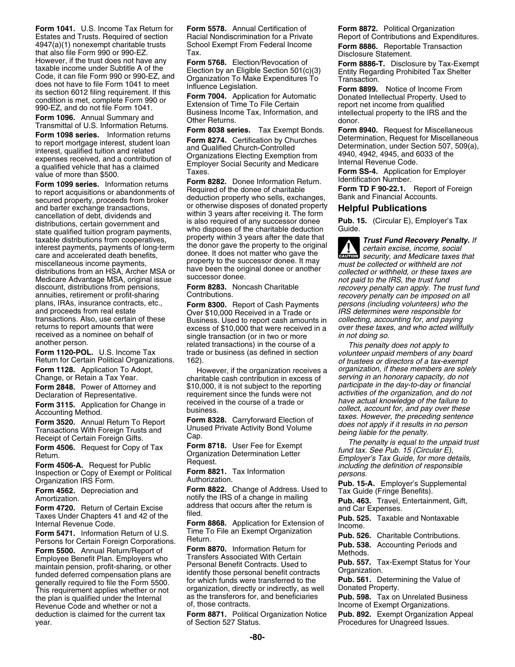**Form 1041.** U.S. Income Tax Return for **Form 5578.** Annual Certification of **Form 8872.** Political Organization Form 8872. Political Organization **Form 8872.** Political Organization 4947(a)(1) nonexempt charitable trusts School Exempt From Federal Income **Form 8886.** Reportable Transaction<br>that also file Form 990 or 990-EZ. Tax. Disclosure Statement.<br>However, if the trust does not have any **Form 5768** However, if the trust does not have any<br>
taxable income under Subtitle A of the<br>
Code, it can file Form 990 or 990-EZ, and<br>
does not have to file Form 1041 to meet<br>
the Code of Make Expenditures To<br>
Influence Legislation.<br>

care and accelerated death benefits,<br>miscellaneous income payments,<br>distributions from an HSA, Archer MSA or<br>Maxie been the original donee or another<br>Mediever Adventage MSA, activity and Medicare taxes that<br>distributions f Medicare Advantage MSA, original issue successor donee.<br> **Form 8283.** Noncash Charitable *not paid to the IRS, the trust fund* discount, distributions from pensions, **Form 8283.** Noncash Charitable *recovery penalty can ap* annuities, retirement or profit-sharing Contributions.<br>
plans, IRAs, insurance contracts, etc., **Form 8300.** Report of Cash Payments persons (including volunteers) who the plans, IRAs, insurance contracts, etc.,<br>and proceeds from real estate over \$10,000 Received in a Trade or and proceeds from real estate or transactions.<br>The determines were responsible for<br>Business. Used to report cash amo transactions. Also, use certain of these Business. Used to report cash amounts in *collecting, accounting for, and paying*<br>The pay of the port amounts that were excess of \$10,000 that were received in a over these taxes, a returns to report amounts that were excess of \$10,000 that were received in a *over these taxe*<br>Freceived as a nominee on behalf of single transaction (or in two or more *in not doing so.* received as a nominee on behalf of single transaction (or in two or more another person.<br>*in nother person. in the course of a* 

Inspection or Copy of Exempt or Political **Form 8821.** Tax Information *persons.*<br>Organization IRS Form. Authorization. Authorization. **Pub. 15-A.** Employer's Supplemental **Form 4562.** Depreciation and **Form 8822.** Change

Amortization.<br> **Form 4720.** Return of Certain Excise address that occurs after the return is **Pub. 463.** Travel, Entertainment, Gift,<br>
Taxes Under Chapters 41 and 42 of the filed.<br>
Internal Revenue Code. **Form 8868.** Appli

Persons for Certain Foreign Corporations. Heturn.<br>**Form 5500** Annual Beturn/Benort of **Form 8870.** Information Return for

Employee Benefit Plan. Employers who Transfers Associated With Certain<br>maintain pension, profit-sharing, or other Personal Benefit Contracts. Used to Employee Beriell Plan. Employees who content to the second benefit Contracts. Used to<br>
maintain pension, profit-sharing, or other<br>
funded deferred compensation plans are identify those personal benefit contracts<br>
generally the plan is qualified under the Internal as the transferors for Revenue Code and whether or not a state of these contracts.

condition is met, complete Form 990 or<br>
Schied in Equited Intellectual Property. Used to<br>
900-EZ, and do not file Form 1090 or Extension of Time To File Certain<br>
Form 1096. Annual Summary and<br>
Transmittal of U.S. Informati

distributions, certain government and is also required of any successor donee<br>state qualified tuition program payments, who disposes of the charitable deduction<br>taxable distributions from cooperatives, property within 3 ye

**Form 1128.** Application To Adopt, **However, if the organization receives a** *organization, if these members are sole*<br>Change, or Retain a Tax Year. **health and a charitable cash contribution** in excess of *serving in an h* charitable cash contribution in excess of *serving in an honorary capacity, do not*<br>\$10,000, it is not subject to the reporting *participate in the day-to-day or financial* Form 2848. Power of Attorney and \$10,000, it is not subject to the reporting participate in the day-to-day or financial<br>Declaration of Representative. equirement since the funds were not activities of the organization, and

**Form 4562.** Depreciation and **Form 8822.** Change of Address. Used to Tax Guide Change in mailing (Fringe Benefits).

Internal Revenue Code. **Form 8868.** Application for Extension of Income.<br>**Form 5471.** Information Return of U.S. Time To File an Exempt Organization **Pub. 526.** Charitable Contributions.

**Pub. 538.** Accounting Periods and **Form 5500. Annual Return for Form 8870.** Information Return for **Pub. 538.** Accounting Periods and **Form 5500.** Annual Return/Report of **Form 8870.** Information Return for Methods. **Me** 

deduction is claimed for the current tax **Form 8871.** Political Organization Notice **Pub. 892.** Exempt Organization Appeal year. **only a support of Section 527 Status.** Procedures for Unagreed Issues.

Report of Contributions and Expenditures.

**CAUTION** *Certain excise, income, social*<br> *Security, and Medicare taxes that* discount, distributions from pensions, **Form 8283.** Noncash Charitable *recovery penalty can apply. The trust fund*

anomer person.<br>
Form 1120-POL. U.S. Income Tax trade or business (as defined in section volunteer unpaid members of any board<br>
Return for Certain Political Organizations. 162).<br>
Form 1128. Application To Adopt. However if Form 3115. Application for Change in<br>
Accounting Method.<br>
Accounting Method.<br>
Form 3520. Annual Return To Report<br>
Form 3520. Annual Return To Report<br>
Form 3628. Carryforward Election of<br>
Transactions With Foreign Trusts an

Income of Exempt Organizations.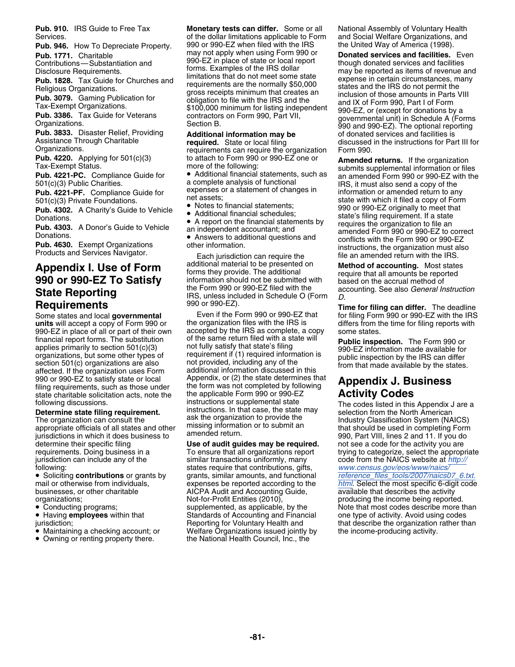**Pub. 946.** How To Depreciate Property. 990 or 990-EZ when filed with the IRS<br>Rub. 1771 Charitable May not apply when using Form 990 or

990-EZ in place of all or part of their own accepted by the IRS as complete, a cop<br>financial report forms. The substitution of the same return filed with a state will state charitable solicitation acts, note the the applicable Form 990 or 990-EZ following discussions.

determine their specific filing **Use of audit guides may be required.** not see a code for the activity you are

• Soliciting contributions or grants by

• Conducting programs;

- Having employees within that
- Maintaining a checking account; or
- Owning or renting property there.

**Pub. 910.** IRS Guide to Free Tax **Monetary tests can differ.** Some or all National Assembly of Voluntary Health Services.<br> **Pub. 946.** How To Depreciate Property. 990 or 990-EZ when filed with the IRS the United Way of America (1998). **Pub. 1771.** Charitable may not apply when using Form 990 or **Donated services and facilities.** Even Contributions—Substantiation and 990-EZ in place of state or local report though donated services and facilities of thoug

Organizations.<br>**Pub. 4220.** Applying for 501(c)(3) **consumed to attach to Form 990 or 990-EZ** one or **Amended** 

Donations.<br>
Donations.<br> **Pub. 4202** A Donations of the Granization to file an **Pub. 4202** A Donation schedules;<br> **Pub. 4202** A Donation to file an

**Appendix I. Use of Form** additional material to be presented on **Method of accounting.** Most states **Appendix I. Use of Form** forms they provide. The additional method of accounting. Most states **forms the additional region of the additional require that and the accrual forms of the accrual method of**<br> **State Benorting Constitution** the Form 990 or 990-EZ filed with the accounting. See also *General Instruction* **State Reporting** accounting **State Reporting** IRS, unless included in Schedule O (Form *D.* 

financial report forms. The substitution of the same return filed with a state will **Public inspection.** The Form 990 or<br>applies primarily to section 501(c)(3) on the fully satisfy that state's filing on F7 information mad applies primarily to section 501(c)(3) and fully satisfy that state's filing and the gap-EZ information made available for equinement if (1) required information is a public inspection by the IRS can differ organizations, but some other types of requirement if (1) required information is public inspection by the IRS can differ<br>section 501(c) organizations are also not provided, including any of the from that made available by 990 or 990-EZ to satisfy state or local Appendix, or (2) the state determines that **Appendix J. Business** filing requirements, such as those under the form was not completed by following **Activity Codes** that the state cha instructions or supplemental state<br>instructions. In that case, the state may algorion from the North American

following: states require that contributions, gifts, *www.census.gov/eos/www/naics*<br>• Soliciting **contributions** or grants by grants, similar amounts, and functional *reference files\_tools/2007/naics* AICPA Audit and Accounting Guide, organizations; Not-for-Profit Entities (2010), producing the income being reported. Having **employees** within that Standards of Accounting and Financial one type of activity. Avoid using codes Welfare Organizations issued jointly by the income-producing activity. the National Health Council, Inc., the

Disclosure Requirements. Forms Examples of the IRS dollar<br>
Disclosure Requirements.<br>
The Disclosure Requirements are the normally \$50,000<br>
Religious Organizations.<br>
The Saming Publication for<br>
Tax-Exempt Organizations.<br>
Ta **Pub. 3833.** Disaster Relief, Providing **Additional information may be** discussed in the instructions for Part III for Assistance Through Charitable **required.** State or local filing discussed in the instructions for Part

**Pub. 4220.** Applying for 501(c)(3) to attach to Form 990 or 990-EZ one or **Amended returns.** If the organization<br>Tax-Exempt Status. more of the following: submits supplemental information or files<br>**Pub. 4221-PC.** Complian **P** Additional financial statements, such as an amended Form 990 or 990-EZ with the a complete analysis of functional such as an amended Form 990 or 990-EZ with the 501(c)(3) Public Charities. a complete analysis of functional IRS, it must also send a copy of the<br> **Pub. 4221-PF.** Compliance Guide for expenses or a statement of changes in information or amended return to any<br>
501(c)(3) Notes to financial statements; beta assets; and to the time to the to financial statements; beta to provide that • Notes to financial statements; example 2 originally to meet that • Notes to financial statements; example **Pub. 4303.** A Donor's Guide to Vehicle an independent accountant; and amended Form 990 or 990-EZ to correct and publishing amended Form 990 or 990-EZ to correct amended Form 990 or 990-EZ to correct experience and publish **Pub. 4630.** Exempt Organizations other information.<br>
Products and Services Navigator.<br> **Annondix Luce of Eorm** additional material to be presented on **Method of accounting.** Most states

**Requirements** 990 or 990-EZ).<br>Some states and local governmental Even if the Form 990 or 990-EZ that for filing Form 990 or 990-EZ with the IRS Some states and local **governmental** Even if the Form 990 or 990-EZ that for filing Form 990 or 990-EZ with the IRS **units** will accept a copy of Form 990 or the organization files with the IRS is differs from the time for filing reports with in 990-EZ in place of all or part of their own accepted by the IRS as complete, a copy some sta

**Determine state filing requirement.** instructions. In that case, the state may selection from the North American<br>
The organization can consult the mask the organization to provide the appropriate officials of all states a requirements. Doing business in a To ensure that all organizations report trying to categorize, select the appropriate intersions uniformly, many code from the NAICS website at *http://* code from the NAICS website at *[http://](http://www.census.gov/eos/www/naics/reference_files_tools/2007/naics07_6.txt)*  Soliciting **contributions** or grants by grants, similar amounts, and functional *[reference\\_files\\_tools/2007/naics07\\_6.txt.](http://www.census.gov/eos/www/naics/reference_files_tools/2007/naics07_6.txt)* mail or otherwise from individuals, expenses be reported according to the *[html](http://www.census.gov/eos/www/naics/reference_files_tools/2007/naics07_6.txt)*. Select the most specific 6-digit code businesses, or other charitable **html** businesses, or other charitable **html** and Accounting Guide, an supplemented, as applicable, by the Note that most codes describe more than that describe the organization rather than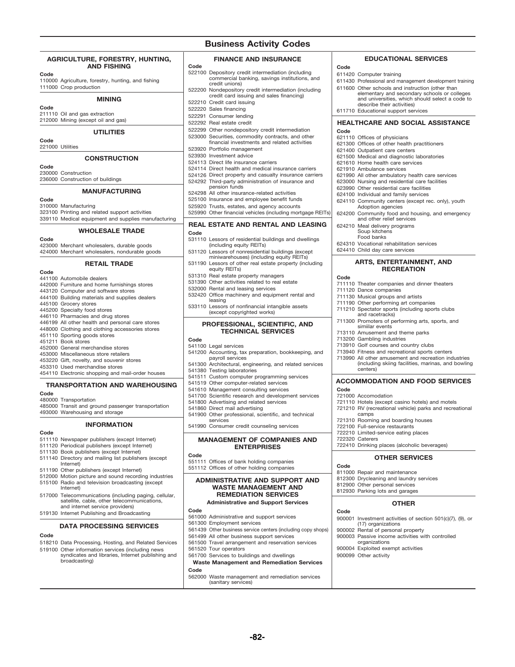## **Business Activity Codes FINANCE AND INSURANCE**

## **AGRICULTURE, FORESTRY, HUNTING, AND FISHING**

## **Code**

110000 Agriculture, forestry, hunting, and fishing 111000 Crop production

## **MINING**

211110 Oil and gas extraction 212000 Mining (except oil and gas) **Code**

## **UTILITIES**

221000 Utilities **Code**

## **CONSTRUCTION**

230000 Construction 236000 Construction of buildings **Code**

## **MANUFACTURING**

**Code**

310000 Manufacturing 323100 Printing and related support activities 339110 Medical equipment and supplies manufacturing

## **WHOLESALE TRADE**

## **Code**

**Code**

|  | 423000 Merchant wholesalers, durable goods    |
|--|-----------------------------------------------|
|  | 424000 Merchant wholesalers, nondurable goods |

## **RETAIL TRADE**

442000 Furniture and home furnishings stores 444100 Building materials and supplies dealers 445100 Grocery stores 446110 Pharmacies and drug stores 448000 Clothing and clothing accessories stores 451110 Sporting goods stores 451211 Book stores 452000 General merchandise stores 453220 Gift, novelty, and souvenir stores 453310 Used merchandise stores 441100 Automobile dealers 445200 Specialty food stores 443120 Computer and software stores 453000 Miscellaneous store retailers 446199 All other health and personal care stores

## **TRANSPORTATION AND WAREHOUSING** 454110 Electronic shopping and mail-order houses

**Code**

- 480000 Transportation
- 485000 Transit and ground passenger transportation
- 493000 Warehousing and storage

## **INFORMATION**

- **Code**
- 511110 Newspaper publishers (except Internet)
- 511120 Periodical publishers (except Internet)
- 511130 Book publishers (except Internet)
- 511140 Directory and mailing list publishers (except Internet)
- 511190 Other publishers (except Internet)
- 512000 Motion picture and sound recording industries
- 515100 Radio and television broadcasting (except Internet)
- 517000 Telecommunications (including paging, cellular, satellite, cable, other telecommunications, and internet service providers)
- 519130 Internet Publishing and Broadcasting

## **DATA PROCESSING SERVICES**

## **Code**

- 518210 Data Processing, Hosting, and Related Services
- 519100 Other information services (including news syndicates and libraries, Internet publishing and broadcasting)
- **Code REAL ESTATE AND RENTAL AND LEASING** 522100 Depository credit intermediation (including<br>commercial banking, savings institutions, and credit unions) 524113 Direct life insurance carriers 524126 Direct property and casualty insurance carriers 524292 Third-party administration of insurance and pension funds 524298 All other insurance-related activities 525100 Insurance and employee benefit funds 525920 Trusts, estates, and agency accounts 523000 Securities, commodity contracts, and other financial investments and related activities 525990 Other financial vehicles (including mortgage REITs) 531110 Lessors of residential buildings and dwellings (including equity REITs) 531120 Lessors of nonresidential buildings (except miniwarehouses) (including equity REITs) 524114 Direct health and medical insurance carriers 522200 Nondepository credit intermediation (including credit card issuing and sales financing) **Code** 522210 Credit card issuing 522291 Consumer lending 522220 Sales financing 522292 Real estate credit 522299 Other nondepository credit intermediation 523930 Investment advice 523920 Portfolio management
- 531190 Lessors of other real estate property (including equity REITs)
- 531310 Real estate property managers
- 531390 Other activities related to real estate
- 532000 Rental and leasing services
- 532420 Office machinery and equipment rental and leasing
- 533110 Lessors of nonfinancial intangible assets (except copyrighted works)

## **PROFESSIONAL, SCIENTIFIC, AND TECHNICAL SERVICES**

## **Code**

- 541200 Accounting, tax preparation, bookkeeping, and<br>payroll services 541100 Legal services
- 541300 Architectural, engineering, and related services
- 541380 Testing laboratories
- 541511 Custom computer programming services
- 541519 Other computer-related services
- 541610 Management consulting services
- 541700 Scientific research and development services
- 541800 Advertising and related services
- 541860 Direct mail advertising
- 541900 Other professional, scientific, and technical services
- 541990 Consumer credit counseling services

## **MANAGEMENT OF COMPANIES AND ENTERPRISES**

## **Code**

551111 Offices of bank holding companies 551112 Offices of other holding companies

## **ADMINISTRATIVE AND SUPPORT AND WASTE MANAGEMENT AND REMEDIATION SERVICES**

## **Administrative and Support Services**

**Code**

- 561000 Administrative and support services
- 561300 Employment services
- 561439 Other business service centers (including copy shops) 561499 All other business support services
- 561500 Travel arrangement and reservation services
- 561520 Tour operators
- 561700 Services to buildings and dwellings
- **Waste Management and Remediation Services Code**
- 562000 Waste management and remediation services (sanitary services)

**-82-**

## **EDUCATIONAL SERVICES**

- **Code** 611420 Computer training
- 611430 Professional and management development training
- 611600 Other schools and instruction (other than elementary and secondary schools or colleges and universities, which should select a code to describe their activities)
- 611710 Educational support services

## **HEALTHCARE AND SOCIAL ASSISTANCE**

- **Code**
- 621110 Offices of physicians 621300 Offices of other health practitioners
- 621400 Outpatient care centers
- 621500 Medical and diagnostic laboratories
- 621610 Home health care services
- 621910 Ambulance services
- 621990 All other ambulatory health care services
- 623000 Nursing and residential care facilities
- 623990 Other residential care facilities
- 624100 Individual and family services
- 624110 Community centers (except rec. only), youth Adoption agencies
- 624200 Community food and housing, and emergency and other relief services
- 624210 Meal delivery programs Soup kitchens Food banks
- 624310 Vocational rehabilitation services 624410 Child day care services

## **ARTS, ENTERTAINMENT, AND RECREATION**

## **Code**

- 711110 Theater companies and dinner theaters 711120 Dance companies<br>711130 Musical groups and artists
- 711190 Other performing art companies
- 711210 Spectator sports (including sports clubs and racetracks)
- 711300 Promoters of performing arts, sports, and simiilar events

713940 Fitness and recreational sports centers

721110 Hotels (except casino hotels) and motels 721210 RV (recreational vehicle) parks and recreational

**ACCOMMODATION AND FOOD SERVICES**

713990 All other amusement and recreation industries (including skiing facilities, marinas, and bowling

721310 Rooming and boarding houses 722100 Full-service restaurants 722210 Limited-service eating places

811000 Repair and maintenance 812300 Drycleaning and laundry services 812900 Other personal services 812930 Parking lots and garages

(17) organizations

organizations 900004 Exploited exempt activities

900099 Other activity

722410 Drinking places (alcoholic beverages)

**OTHER SERVICES**

**OTHER** 900001 Investment activities of section 501(c)(7), (9), or

900002 Rental of personal property 900003 Passive income activities with controlled

- 713110 Amusement and theme parks 713910 Golf courses and country clubs
- 713200 Gambling industries

camps

721000 Accomodation

**Code**

**Code**

**Code**

centers)

722320 Caterers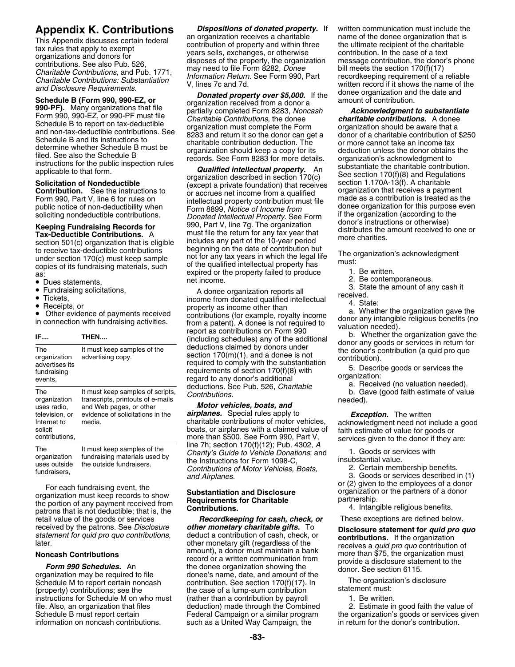- 
- 
- 
- 

| IF                                                                                               | THEN                                                                                                                                          |
|--------------------------------------------------------------------------------------------------|-----------------------------------------------------------------------------------------------------------------------------------------------|
| The<br>organization<br>advertises its<br>fundraising<br>events.                                  | It must keep samples of the<br>advertising copy.                                                                                              |
| The<br>organization<br>uses radio.<br>television, or<br>Internet to<br>solicit<br>contributions, | It must keep samples of scripts<br>transcripts, printouts of e-mails<br>and Web pages, or other<br>evidence of solicitations in the<br>media. |
| The<br>organization<br>uses outside<br>fundroicorc                                               | It must keep samples of the<br>fundraising materials used by<br>the outside fundraisers.                                                      |

For each fundraising event, the substantiation and Disclosure or (2) given to the employees of a donor<br>organization must keep records to show **Substantiation and Disclosure**<br>the portion of any payment received from **Requir** retail value of the goods or services<br>
received by the patrons. See *Disclosure other monetary charitable gifts.* To **Disclosure statement for quid pro d**<br> **produce produce** *nother monetary charitable gifts.* **To <b>** 

organization may be required to file donee's name, date, and amount of the<br>Schedule M to report certain noncash contribution. See section 170(f)(17). In The organization's disclosure<br>(property) contributions: see the set o (property) contributions; see the the the case of a lump-sum contribution instructions for Schedule M on who must (rather than a contribution by payroll and the written.<br>
file. Also, an organization that files deduction) made through the Combined 2. Estimate in good faith the value of

**Appendix K. Contributions** *Dispositions of donated property.* If written communication must include the **This Appendix discusses extern** an organization receives a charitable name of the donee organization that is

public notice of non-deductibility when<br>soliciting nondeductible contributions.<br> **Example 2** Form and Soliciting nondeductible contributions.<br> **Example 2** Form and Tay-Deductible Contributions A must file the return for an **Tax-Deductible Contributions.** A must file the return for any tax year that distribution section 501(c) organization that is eligible includes any part of the 10-year period more charities.<br>
to receive tax-deductible cont to receive tax-deductible contributions beginning on the date of contribution but<br>under section 170(c) must keep sample not for any tax years in which the legal life The organization's acknowledgment<br>copies of its fundrais external external of the contemporaneous.<br>• Dues statements, external external extends the contemporaneous.

Fundraising solicitations, and a donee organization reports all the received.<br>Tickets, and the proportion of the proportion reports all received.<br>Received. The proportion reports income the the proportion of the proportion Tickets,<br>• Receipts, or income from donated qualified intellectual intellectual exerce in the property as income other than<br>• Other evidence of nayments received contributions (for events) assumptions a. Whether the organi • Receipts, or<br>
• Other evidence of payments received<br>
in connection with fundraising activities. from a patenth. A done is not regard to the end the end on the end of example, royalty income<br>
in connection with fundraisin The It must contributions and the It must contributions. See Pub. 526, *Charitable*<br> **Examples 326,** *Charitable* b. Gave (good faith estimate of value<br>
needed).<br> **Examples** 1992

**Motor vehicles, boats, and airplanes.** Special rules apply to **Exception.** The written charitable contributions of motor vehicles, acknowledgment need not include a good Unternet to media.<br>
solicit contributions,<br>
solicit contributions,<br>
contributions,<br>
the latterness with a claimed value of faith estimate of value for goods or<br>
contributions,<br>
the latterness of the samples of the<br>
organiz

**Noncash Contributions** amount), a donor must maintain a bank<br> **Form 990 Schedules.** An the donee organization showing the organization from provide a disclosure statement to the organization may be required to file onee's deduction) made through the Combined such as a United Way Campaign, the

This Appendix discusses certain federal<br>
an contribution of property and within three<br>
the ultimate certified to characted and apply to exempt<br>
contributions. See also Pous Design series since the property, the organizati

- 
- 
- Dundraising solicitations, and a state of any cash it and a state the amount of any cash it<br>■ Tickets and Tickets and Tickets and Tickets and Tickets and Tickets and Tickets and Tickets and Tickets and T
	-

received by the patrons. See Disclosure other monetary charitable girts. 10<br>
statement for quid pro quo contributions,<br>
later.<br>
Nonce the critical contribution of cash, check, or<br>
later.<br>
Nonce than \$75 the organization m

Schedule B must report certain Federal Campaign or a similar program the organization's goods or services given<br>
information on noncash contributions. Such as a United Way Campaign, the in return for the donor's contributi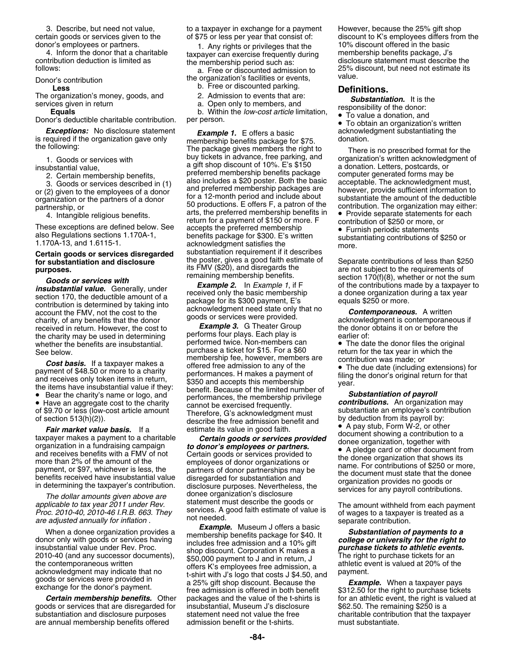**Less** b. Free or discounted parking.<br>The organization's money, goods, and 2. Admission to events that are:<br>**Cubstantia** 

Donor's deductible charitable contribution.

**Exceptions:** No disclosure statement **Example 1.** E offers a basic acknowledgment substantiating the is required if the organization gave only membership benefits package for \$75 donation. is required if the organization gave only membership benefits package for \$75.<br>The package gives members the right

purposes.<br> **EXECUTE:** Coods or services with<br>
insubstantial value. Generally, under<br>
section 170(f)(8), whether or not the sum<br>
section 170, the deductible amount of a<br>
contribution is determined by taking into<br>
account th charity, of any benefits that the donor<br>received in return. However, the cost to **Example 3.** G Theater Group<br>the charity may be used in determining performs four plays. Each play is earlier of: whether the benefits are insubstantial. performed twice. Non-members can<br>See helow purchase a ticket for \$15. For a \$60

goods or services that are disregarded for substantiation and disclosure purposes statement need not value the free charitable contribution that the taxpayer<br>are annual membership benefits offered admission benefit or the t-shirts. The must substantiate. are annual membership benefits offered

3. Describe, but need not value, to a taxpayer in exchange for a payment However, because the 25% gift shop

nor's employees or partners.<br>4. Inform the donor that a charitable the state of a same that is exercise frequently during the membership benefits package, J's 4. Inform the donor that a charitable taxpayer can exercise frequently during contribution deduction is limited as the membership period such as: contribution deduction is limited as the membership period such as: disclosure statement must describe the<br>follows: a Free or discounted admission to 25% discount, but need not estimate its

Donor's contribution **the organization's facilities or events**, value.

- 
- 

Substantiation. It is the<br>services given in return a. Open only to members, and<br>Donor's deductible charitable contribution. per person.<br>Donor's deductible charitable contribution. per person.

The package gives members the right to There is no prescribed format for the 1. Goods or services with buy tickets in advance, free parking, and organization's written acknowledgment of<br>insubstantial value, a gift shop discount of 10%. E's \$150 a donation. Letters, postcards, or<br>2. Certain membersh 2. Certain membership benefits, preferred membership benefits package computer generated forms may be<br>3. Goods or services described in (1) and preferred membership package acceptable. The acknowledgment must, also includes a \$20 poster. Both the basic<br>and preferred membership packages are or (2) given to the employees of a donor and preferred membership packages are however, provide sufficient information to organization or the partners of a donor for a 12-month period and include about for a 12-month period and include about substantiate the amount of the deductible<br>50 productions. E offers F, a patron of the contribution. The organization may either: partnership, or 50 productions. E offers F, a patron of the contribution. The organization may either:<br>4. Intangible religious benefits. arts, the preferred membership benefits in • Provide separate statements for each These exceptions are defined below. See<br>also Regulations sections 1.170A-1,<br>also Regulations sections 1.170A-1,<br>benefits package for \$300. E's written<br>substantiating contributions of \$ also Regulations sections 1.170A-1, benefits package for \$300. E's written substantiating contributions of \$250 or<br>1.170A-13, and 1.6115-1. cacknowledgment satisfies the more. **Certain goods or services disregarded** substantiation requirement if it describes for substantiation and disclosure the poster, gives a good faith estimate of **for substantial in substantial in Separate contributions of less than \$250** its FMV (\$20), and disregards the are not subject to the requirements of

the charity may be used in determining berforms four plays. Each play is earlier of:<br>whether the benefits are insubstantial. Berformed twice. Non-members can • The date the donor files the original See below. <br> **Cost basis.** If a taxpayer makes a<br>
payment of \$48.50 or more to a charity<br>
and receives only token items in return,<br>
the items have insubstantial value if they:<br>
See below.<br> **Cost basis.** If a taxpayer makes Frame in the charity's name or logo, and<br>
• Bear the charity's name or logo, and *performances*, the membership privilege *Substantiation of payroll*<br>
• Have an aggregate cost to the charity cannot be exercised frequentl • Have an aggregate cost to the charity<br>of \$9.70 or less (low-cost article amount metallic metal of the cannot be exercised frequently.<br>of section 513(h)(2)). describe the free admission benefit and by deduction from its p

Fraction and receives benefits with a FMV of not<br>and receives benefits with a FMV of not<br>more than 2% of the amount of the<br>payment, or \$97, whichever is less, the<br>in determining the taxpayer's contribution. disclosure<br>in d

donor only with goods or services having<br>includes free admission and a 10% gift<br>2010-40 (and any successor documents),<br>the contemporaneous written<br>acknowledgment may indicate that no<br>goods or services were provided in<br>exch **Certain membership benefits.** Other packages and the value of the t-shirts is for an athletic event, the right is valued at distands of the right is valued at ends or services that are disregarded for insubstantial, Museu

certain goods or services given to the of \$75 or less per year that consist of: discount to K's employees differs from the donor's employees or partners. a. Free or discounted admission to 25% discount, but need not estimate its

To obtain an organization's written

• A pay stub, Form W-2, or other Fair market value basis. If a<br> **Fair market value basis.** If a<br>
taxpayer makes a payment to a charitable<br>
organization in a fundraising campaign<br>
organization in a fundraising campaign<br>
organization in a fundraising campai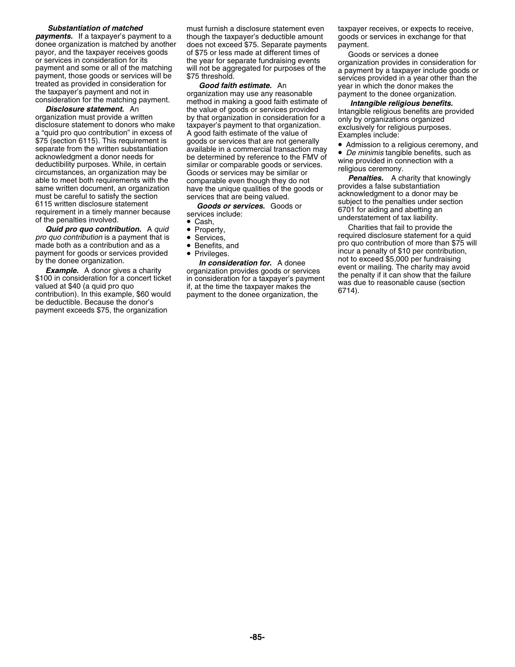**payments.** If a taxpayer's payment to a though the taxpayer's deductible amount goods or services in exchange for that donee organization is matched by another does not exceed \$75. Separate payments payment.

must be careful to satisfy the section<br>
6115 written disclosure statement<br>
requirement in a timely manner because<br>
of the penalties involved.<br>
of the penalties involved.<br>
of the penalties involved.<br>
of the penalties involv

*pro quo contribution* is a payment that is **•** payment for goods or services provided be privileges.<br>
provided incur a penalty of \$10 per contribution,<br>
by the donee organization. **In consideration for** A donee not to exceed \$5,000 per fundraising

be deductible. Because the donor's payment exceeds \$75, the organization

**Substantiation of matched** must furnish a disclosure statement even taxpayer receives, or expects to receive, **payments.** If a taxpayer's payment to a though the taxpayer's deductible amount goods or services in exchange does not exceed \$75. Separate payments

may be a strategy and the taxpayer receives goods<br>of \$75 or less made at different times of<br>payment and some or all of the matching<br>payment, those goods or services will be<br>payment, those goods or services will be<br>payment, \$75 (section 6115). This requirement is goods or services that are not generally <br>separate from the written substantiation available in a commercial transaction may • De minimis tangible benefits, such as<br>acknowledgment a sexerious determined for the determined by reference to the FMV of<br>deductibility purposes. While, in certain similar or comparable goods or services.<br>circumstances, an organization may be Goods or services may be similar o

- Cash,<br>Property,
- 
- 
- Benefits, and
- 

**Quid pro quo contribution.** A quid control Charities that fail to provide the **Charities that fail to provide the •** Property, **Charities that fail to provide the** *quid* of the *quid* contribution is a payment that is made both as a contribution and as a **process**, and **pro quo contribution of more than \$75 will** enable than \$75 will by the donee organization.<br> **Example.** A donor gives a charity organization provides goods or services<br>
\$100 in consideration for a concert ticket in consideration for a taxpayer's payment<br>
valued at \$40 (a quid pro quo if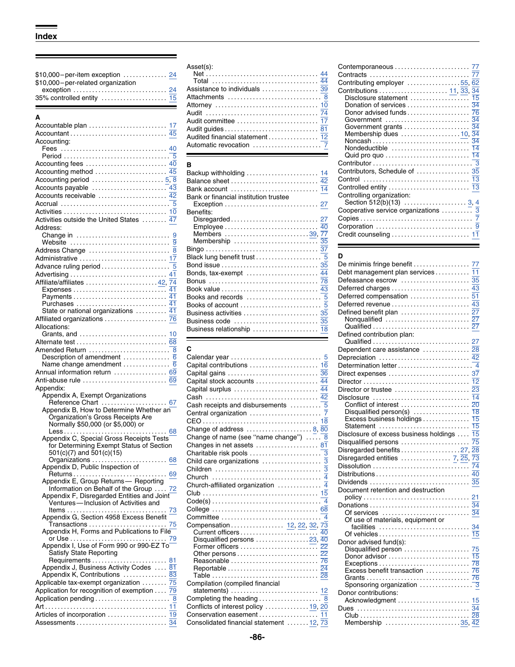## **Index**

| $$10,000$ – per-item exception  24                                                   |  |
|--------------------------------------------------------------------------------------|--|
| \$10,000-per-related organization                                                    |  |
| $exception \ldots \ldots \ldots \ldots \ldots \ldots \ldots \ldots \ldots \ldots 24$ |  |
|                                                                                      |  |
|                                                                                      |  |

| Accountable plan  17                                                                 |
|--------------------------------------------------------------------------------------|
|                                                                                      |
| Accounting:                                                                          |
|                                                                                      |
|                                                                                      |
|                                                                                      |
| Accounting period $\ldots \ldots \ldots \ldots \ldots \ldots 5, 8$                   |
|                                                                                      |
|                                                                                      |
|                                                                                      |
|                                                                                      |
| Activities outside the United States  47                                             |
| Address:                                                                             |
|                                                                                      |
| g<br>Website                                                                         |
|                                                                                      |
|                                                                                      |
| $\overline{5}$                                                                       |
|                                                                                      |
| Affiliate/affiliates 42, 74                                                          |
|                                                                                      |
|                                                                                      |
|                                                                                      |
| State or national organizations  41                                                  |
|                                                                                      |
| Allocations:                                                                         |
|                                                                                      |
|                                                                                      |
| Amended Return  8                                                                    |
|                                                                                      |
| Annual information return  69                                                        |
|                                                                                      |
| Appendix:                                                                            |
| Appendix A, Exempt Organizations                                                     |
|                                                                                      |
|                                                                                      |
| Organization's Gross Receipts Are                                                    |
| Normally \$50,000 (or \$5,000) or                                                    |
|                                                                                      |
| for Determining Exempt Status of Section                                             |
| $501(c)(7)$ and $501(c)(15)$                                                         |
| Organizations  68                                                                    |
| Appendix D, Public Inspection of                                                     |
|                                                                                      |
|                                                                                      |
| Information on Behalf of the Group  72<br>Appendix F, Disregarded Entities and Joint |
| Ventures-Inclusion of Activities and                                                 |
| 73                                                                                   |
| Appendix G, Section 4958 Excess Benefit                                              |
|                                                                                      |
| Appendix H, Forms and Publications to File                                           |
|                                                                                      |
| Appendix I. Use of Form 990 or 990-EZ To                                             |
| Satisfy State Reporting                                                              |
| Requirements  81<br>Appendix J, Business Activity Codes  81                          |
| Appendix K, Contributions  83                                                        |
| Applicable tax-exempt organization  75                                               |
| 79<br>Application for recognition of exemption                                       |
|                                                                                      |
| 8                                                                                    |
| Application pending<br>$1\overline{1}$                                               |
|                                                                                      |
|                                                                                      |

| $\sim$                        |
|-------------------------------|
|                               |
|                               |
| ssistance to individuals  39  |
|                               |
|                               |
|                               |
|                               |
|                               |
| udited financial statement 12 |
|                               |
|                               |

| Accounting method  45                                                   |                                                                                |                                                               |
|-------------------------------------------------------------------------|--------------------------------------------------------------------------------|---------------------------------------------------------------|
| Accounting period $\ldots \ldots \ldots \ldots \ldots \ldots 5, 8$      |                                                                                |                                                               |
| Accounts payable  43                                                    | Bank account                                                                   |                                                               |
| Accounts receivable  42                                                 | Bank or financial institution trustee                                          | Controlling organization:                                     |
| Accrual  5                                                              |                                                                                |                                                               |
|                                                                         | Benefits:                                                                      | Cooperative service organizations                             |
| Activities outside the United States  47                                |                                                                                |                                                               |
| Address:                                                                | Employee $\ldots \ldots \ldots \ldots \ldots \ldots \ldots \ldots \ldots$      |                                                               |
|                                                                         |                                                                                |                                                               |
|                                                                         |                                                                                |                                                               |
| Address Change  8                                                       |                                                                                |                                                               |
|                                                                         |                                                                                |                                                               |
| Advance ruling period $\ldots \ldots \ldots \ldots \ldots \overline{5}$ | Bond issue $\ldots \ldots \ldots \ldots \ldots \ldots \ldots \ldots \ldots$ 35 |                                                               |
|                                                                         | Bonds, tax-exempt  44                                                          | Debt management plan services 11                              |
| Affiliate/affiliates 42,74                                              |                                                                                | Defeasance escrow $\ldots \ldots \ldots \ldots \ldots$ 35     |
|                                                                         | Book value $\ldots \ldots \ldots \ldots \ldots \ldots \ldots \ldots$           |                                                               |
|                                                                         |                                                                                | Deferred compensation  51                                     |
|                                                                         | Books of account $\ldots, \ldots, \ldots, \ldots, \ldots, 5$                   | Deferred revenue $\ldots, \ldots, \ldots, \ldots, \ldots, 43$ |
| State or national organizations  41                                     |                                                                                |                                                               |
|                                                                         | Business code $\ldots \ldots \ldots \ldots \ldots \ldots \ldots$ 35            |                                                               |
| Allocations:                                                            |                                                                                |                                                               |
|                                                                         |                                                                                | Defined contribution plan:                                    |

|                                                                            | Capital contributions  16                       |                                                      |  |
|----------------------------------------------------------------------------|-------------------------------------------------|------------------------------------------------------|--|
| Annual information return  69                                              |                                                 |                                                      |  |
| Anti-abuse rule  69                                                        | Capital stock accounts  44                      |                                                      |  |
| Appendix:                                                                  | Capital surplus  44                             |                                                      |  |
| Appendix A, Exempt Organizations                                           |                                                 |                                                      |  |
| Reference Chart<br>67                                                      |                                                 |                                                      |  |
| Appendix B, How to Determine Whether an                                    |                                                 |                                                      |  |
| Organization's Gross Receipts Are                                          |                                                 |                                                      |  |
| Normally \$50,000 (or \$5,000) or                                          |                                                 |                                                      |  |
| Less<br>68<br>Appendix C, Special Gross Receipts Tests <sup>-</sup>        | Change of name (see "name change") $\ldots$ . 8 | Disclosure of excess business holdings  15           |  |
|                                                                            | Changes in net assets  81                       |                                                      |  |
| for Determining Exempt Status of Section<br>$501(c)(7)$ and $501(c)(15)$   |                                                 | Disregarded benefits27, 28                           |  |
|                                                                            |                                                 |                                                      |  |
| Appendix D, Public Inspection of                                           |                                                 |                                                      |  |
|                                                                            |                                                 |                                                      |  |
| Appendix E, Group Returns- Reporting                                       |                                                 |                                                      |  |
| Information on Behalf of the Group  72                                     | Church-affiliated organization  4               | Document retention and destruction                   |  |
| Appendix F, Disregarded Entities and Joint                                 |                                                 |                                                      |  |
| Ventures-Inclusion of Activities and                                       |                                                 |                                                      |  |
|                                                                            |                                                 |                                                      |  |
| Appendix G, Section 4958 Excess Benefit                                    |                                                 | Of use of materials, equipment or                    |  |
|                                                                            |                                                 |                                                      |  |
| Appendix H, Forms and Publications to File                                 |                                                 |                                                      |  |
|                                                                            | Disqualified persons 23, 40                     | Donor advised fund(s):                               |  |
| Appendix I, Use of Form 990 or 990-EZ To<br><b>Satisfy State Reporting</b> |                                                 | Disqualified person  75                              |  |
|                                                                            |                                                 |                                                      |  |
| Appendix J, Business Activity Codes  81                                    |                                                 |                                                      |  |
|                                                                            |                                                 | Excess benefit transaction $\ldots \ldots \ldots$ 76 |  |
| Applicable tax-exempt organization  75                                     | Compilation (compiled financial                 |                                                      |  |
| Application for recognition of exemption  79                               |                                                 |                                                      |  |
| Application pending  8                                                     |                                                 | Donor contributions:                                 |  |
| Art                                                                        |                                                 | Acknowledgment  15                                   |  |
|                                                                            | Conflicts of interest policy  19, 20            |                                                      |  |
|                                                                            | Consolidated financial statement  12, 73        |                                                      |  |
|                                                                            |                                                 | Membership 35, $\overline{42}$                       |  |

|                                                                    | $\textsf{Asset}(s)$ :                 |                                                                       |  |
|--------------------------------------------------------------------|---------------------------------------|-----------------------------------------------------------------------|--|
| $$10,000$ – per-item exception $\ldots$ 24                         |                                       |                                                                       |  |
| \$10,000-per-related organization                                  |                                       | Contributing employer 55, 62                                          |  |
|                                                                    | Assistance to individuals  39         |                                                                       |  |
|                                                                    |                                       | Disclosure statement $\ldots \ldots \ldots \ldots \ldots$ 15          |  |
|                                                                    |                                       |                                                                       |  |
|                                                                    |                                       |                                                                       |  |
|                                                                    |                                       |                                                                       |  |
|                                                                    |                                       |                                                                       |  |
|                                                                    |                                       | Membership dues 10, 34                                                |  |
| Accounting:                                                        |                                       |                                                                       |  |
|                                                                    |                                       | Nondeductible $\ldots, \ldots, \ldots, \ldots, \ldots, \overline{14}$ |  |
|                                                                    |                                       |                                                                       |  |
| Accounting fees $\ldots \ldots \ldots \ldots \ldots \ldots \ldots$ |                                       |                                                                       |  |
|                                                                    |                                       |                                                                       |  |
| Accounting period $\ldots \ldots \ldots \ldots \ldots \ldots 5, 8$ |                                       |                                                                       |  |
| Accounts payable  43                                               |                                       |                                                                       |  |
| Accounts receivable  42                                            | Bank or financial institution trustee | Controlling organization:                                             |  |
|                                                                    | 27                                    |                                                                       |  |
|                                                                    | Benefits:                             | Cooperative service organizations  3                                  |  |
| Activities outside the United States  47                           |                                       |                                                                       |  |
| Address:                                                           |                                       |                                                                       |  |
|                                                                    |                                       |                                                                       |  |
|                                                                    |                                       |                                                                       |  |

|                                                                      |                                                                     | Debt management plan services 11                                   |  |
|----------------------------------------------------------------------|---------------------------------------------------------------------|--------------------------------------------------------------------|--|
| Affiliate/affiliates 42, 74                                          |                                                                     |                                                                    |  |
|                                                                      |                                                                     | Deferred charges  43                                               |  |
|                                                                      | Books and records $\dots\dots\dots\dots\dots\dots\dots\overline{5}$ |                                                                    |  |
|                                                                      | Books of account $\ldots \ldots \ldots \ldots \ldots \ldots 5$      |                                                                    |  |
| State or national organizations  41                                  |                                                                     |                                                                    |  |
| Affiliated organizations  76                                         |                                                                     |                                                                    |  |
| Allocations:                                                         |                                                                     |                                                                    |  |
|                                                                      |                                                                     | Defined contribution plan:                                         |  |
|                                                                      |                                                                     |                                                                    |  |
|                                                                      | C                                                                   | Dependent care assistance  28                                      |  |
|                                                                      |                                                                     | Depreciation  42                                                   |  |
|                                                                      |                                                                     |                                                                    |  |
| Annual information return  69                                        |                                                                     |                                                                    |  |
|                                                                      |                                                                     |                                                                    |  |
| Appendix:                                                            |                                                                     |                                                                    |  |
| Appendix A, Exempt Organizations                                     | Capital surplus  44                                                 | Director or trustee $\ldots \ldots \ldots \ldots \ldots \ldots$ 23 |  |
|                                                                      |                                                                     |                                                                    |  |
| Appendix B. How to Determine Whether an                              |                                                                     |                                                                    |  |
| Organization's Gross Receipts Are                                    |                                                                     |                                                                    |  |
| Normally \$50,000 (or \$5,000) or                                    |                                                                     |                                                                    |  |
| $\textsf{Less} \dots \dots \dots \dots \dots \dots$<br>$\ldots$ . 68 |                                                                     |                                                                    |  |
| Appendix C, Special Gross Receipts Tests                             | Change of name (see "name change") $\ldots$ . 8                     | Disclosure of excess business holdings  15                         |  |
| for Determining Exempt Status of Section                             |                                                                     |                                                                    |  |
| $501(c)(7)$ and $501(c)(15)$                                         |                                                                     | Disregarded benefits27, 28                                         |  |
|                                                                      |                                                                     |                                                                    |  |
| Appendix D, Public Inspection of                                     |                                                                     |                                                                    |  |
|                                                                      |                                                                     |                                                                    |  |
| Appendix E, Group Returns- Reporting                                 |                                                                     |                                                                    |  |
| Information on Behalf of the Group  72                               |                                                                     | Document retention and destruction                                 |  |
| Appendix F, Disregarded Entities and Joint                           |                                                                     |                                                                    |  |
| Ventures-Inclusion of Activities and                                 |                                                                     |                                                                    |  |
|                                                                      |                                                                     |                                                                    |  |
| Appendix G, Section 4958 Excess Benefit                              |                                                                     |                                                                    |  |
|                                                                      |                                                                     | Of use of materials, equipment or                                  |  |
| Appendix H, Forms and Publications to File                           |                                                                     |                                                                    |  |
|                                                                      | Disqualified persons 23, 40                                         |                                                                    |  |
| Appendix I, Use of Form 990 or 990-EZ To                             |                                                                     | Donor advised fund(s):                                             |  |
| Satisfy State Reporting                                              |                                                                     |                                                                    |  |
|                                                                      |                                                                     |                                                                    |  |
| Appendix J, Business Activity Codes  81                              |                                                                     |                                                                    |  |
|                                                                      |                                                                     |                                                                    |  |
| Applicable tax-exempt organization  75                               | Compilation (compiled financial                                     |                                                                    |  |
| Application for recognition of exemption $\ldots$ 79                 | statements)  12                                                     |                                                                    |  |
|                                                                      |                                                                     | Donor contributions:                                               |  |
|                                                                      |                                                                     | Acknowledgment  15                                                 |  |
|                                                                      | Conflicts of interest policy  19, 20                                |                                                                    |  |
|                                                                      |                                                                     |                                                                    |  |
|                                                                      | Consolidated financial statement  12.73                             | Membership 35, $\overline{42}$                                     |  |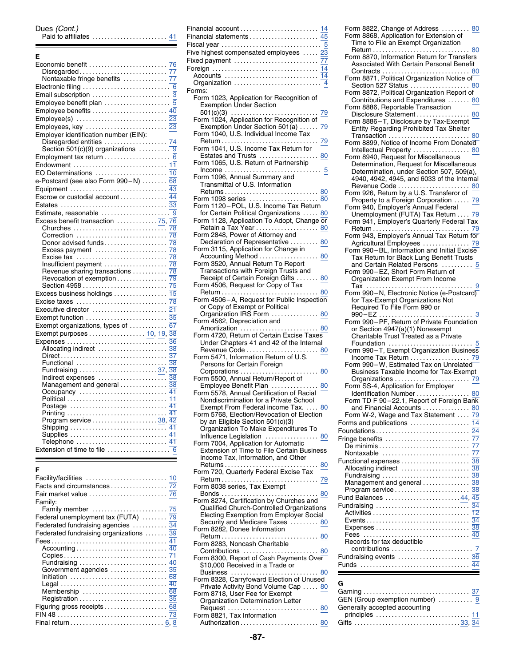| Dues <i>(Cont.)</i>                                                                                                                                                    |                                                                                       | Form 8822, Change of Address $\ldots \ldots \ldots$ 80                                  |
|------------------------------------------------------------------------------------------------------------------------------------------------------------------------|---------------------------------------------------------------------------------------|-----------------------------------------------------------------------------------------|
|                                                                                                                                                                        |                                                                                       | Form 8868, Application for Extension of                                                 |
|                                                                                                                                                                        |                                                                                       | Time to File an Exempt Organization                                                     |
|                                                                                                                                                                        | Five highest compensated employees  23                                                |                                                                                         |
|                                                                                                                                                                        |                                                                                       | Form 8870, Information Return for Transfers<br>Associated With Certain Personal Benefit |
|                                                                                                                                                                        |                                                                                       |                                                                                         |
|                                                                                                                                                                        |                                                                                       | Form 8871, Political Organization Notice of                                             |
| Electronic filing $\ldots\ldots\ldots\ldots\ldots\ldots\ldots\ldots\ldots\; 6$                                                                                         |                                                                                       | Section 527 Status  80                                                                  |
|                                                                                                                                                                        | Forms:                                                                                | Form 8872, Political Organization Report of                                             |
| Employee benefit plan $\ldots \ldots \ldots \ldots \ldots \overline{5}$                                                                                                | Form 1023, Application for Recognition of                                             | Contributions and Expenditures  80                                                      |
|                                                                                                                                                                        | <b>Exemption Under Section</b>                                                        | Form 8886, Reportable Transaction                                                       |
|                                                                                                                                                                        |                                                                                       | Disclosure Statement  80                                                                |
| Employee(s) $\ldots \ldots \ldots \ldots \ldots \ldots \ldots \ldots \overline{23}$<br>Employees, key $\ldots \ldots \ldots \ldots \ldots \ldots \ldots \overline{23}$ | Form 1024, Application for Recognition of<br>Exemption Under Section 501(a)  79       | Form 8886-T, Disclosure by Tax-Exempt -                                                 |
|                                                                                                                                                                        | Form 1040, U.S. Individual Income Tax                                                 | Entity Regarding Prohibited Tax Shelter                                                 |
| Employer identification number (EIN):                                                                                                                                  |                                                                                       | Transaction  80<br>Form 8899, Notice of Income From Donated                             |
| Section 501(c)(9) organizations $\ldots \ldots \ldots$                                                                                                                 | Form 1041, U.S. Income Tax Return for                                                 | Intellectual Property  80                                                               |
| Employment tax return  6                                                                                                                                               | Estates and Trusts  80                                                                | Form 8940, Request for Miscellaneous                                                    |
|                                                                                                                                                                        | Form 1065, U.S. Return of Partnership                                                 | Determination, Request for Miscellaneous                                                |
| EO Determinations  10                                                                                                                                                  |                                                                                       | Determination, under Section 507, 509(a),                                               |
| e-Postcard (see also Form $990 - N$ )  68                                                                                                                              | Form 1096, Annual Summary and                                                         | 4940, 4942, 4945, and 6033 of the Internal                                              |
|                                                                                                                                                                        | Transmittal of U.S. Information                                                       | Revenue Code  80                                                                        |
|                                                                                                                                                                        | Returns 80                                                                            | Form 926, Return by a U.S. Transferor of                                                |
| Escrow or custodial account 44                                                                                                                                         |                                                                                       | Property to a Foreign Corporation  79                                                   |
| Estates  33                                                                                                                                                            | Form 1120-POL, U.S. Income Tax Return                                                 | Form 940, Employer's Annual Federal                                                     |
|                                                                                                                                                                        | for Certain Political Organizations  80<br>Form 1128, Application To Adopt, Change or | Unemployment (FUTA) Tax Return 79                                                       |
| Excess benefit transaction 75,76                                                                                                                                       | Retain a Tax Year  80                                                                 | Form 941, Employer's Quarterly Federal Tax                                              |
|                                                                                                                                                                        | Form 2848, Power of Attorney and                                                      |                                                                                         |
|                                                                                                                                                                        | Declaration of Representative  80                                                     | Form 943, Employer's Annual Tax Return for<br>Agricultural Employees  79                |
|                                                                                                                                                                        | Form 3115, Application for Change in                                                  | Form 990-BL, Information and Initial Excise                                             |
| Excise tax $\ldots \ldots \ldots \ldots \ldots \ldots \ldots \ldots \ldots$ 78                                                                                         | Accounting Method  80                                                                 | Tax Return for Black Lung Benefit Trusts                                                |
|                                                                                                                                                                        | Form 3520, Annual Return To Report                                                    | and Certain Related Persons  5                                                          |
| Revenue sharing transactions  78                                                                                                                                       | Transactions with Foreign Trusts and                                                  | Form 990-EZ, Short Form Return of                                                       |
|                                                                                                                                                                        | Receipt of Certain Foreign Gifts  80                                                  | Organization Exempt From Income                                                         |
|                                                                                                                                                                        | Form 4506, Request for Copy of Tax                                                    |                                                                                         |
| Excess business holdings $\ldots \ldots \ldots \ldots \ldots 15$                                                                                                       |                                                                                       | Form 990-N, Electronic Notice (e-Postcard)                                              |
|                                                                                                                                                                        | Form 4506-A, Request for Public Inspection                                            | for Tax-Exempt Organizations Not                                                        |
| Executive director  21                                                                                                                                                 | or Copy of Exempt or Political                                                        | Required To File Form 990 or                                                            |
| Exempt function $\ldots \ldots \ldots \ldots \ldots \ldots \ldots 35$                                                                                                  | Organization IRS Form  80<br>Form 4562, Depreciation and                              |                                                                                         |
| Exempt organizations, types of  67                                                                                                                                     | Amortization  80                                                                      | Form 990-PF, Return of Private Foundation<br>or Section 4947(a)(1) Nonexempt            |
| Exempt purposes 10, 19, 38                                                                                                                                             | Form 4720, Return of Certain Excise Taxes                                             | Charitable Trust Treated as a Private                                                   |
|                                                                                                                                                                        | Under Chapters 41 and 42 of the Internal                                              |                                                                                         |
|                                                                                                                                                                        | Revenue Code  80                                                                      | Form 990-T, Exempt Organization Business                                                |
|                                                                                                                                                                        | Form 5471, Information Return of U.S.                                                 |                                                                                         |
|                                                                                                                                                                        | Persons for Certain Foreign                                                           | Form 990-W, Estimated Tax on Unrelated                                                  |
| Fundraising $\ldots \ldots \ldots \ldots \ldots \ldots \ldots \ldots 37, 38$                                                                                           |                                                                                       | Business Taxable Income for Tax-Exempt                                                  |
|                                                                                                                                                                        | Form 5500, Annual Return/Report of                                                    |                                                                                         |
|                                                                                                                                                                        | Employee Benefit Plan  80                                                             | Form SS-4, Application for Employer                                                     |
|                                                                                                                                                                        | Form 5578, Annual Certification of Racial                                             | Identification Number  80                                                               |
|                                                                                                                                                                        | Nondiscrimination for a Private School                                                | Form TD F 90-22.1, Report of Foreign Bank                                               |
|                                                                                                                                                                        | Exempt From Federal income Tax 80<br>Form 5768, Election/Revocation of Election       | and Financial Accounts 80<br>Form W-2, Wage and Tax Statement  79                       |
| Program service 38, 42                                                                                                                                                 | by an Eligible Section 501(c)(3)                                                      |                                                                                         |
|                                                                                                                                                                        | Organization To Make Expenditures To                                                  |                                                                                         |
|                                                                                                                                                                        | Influence Legislation  80                                                             |                                                                                         |
|                                                                                                                                                                        | Form 7004, Application for Automatic                                                  |                                                                                         |
| Extension of time to file $\ldots \ldots \ldots \ldots \ldots \overline{6}$                                                                                            | <b>Extension of Time to File Certain Business</b>                                     |                                                                                         |
|                                                                                                                                                                        | Income Tax, Information, and Other                                                    |                                                                                         |
|                                                                                                                                                                        |                                                                                       |                                                                                         |

| Facts and circumstances 7               |
|-----------------------------------------|
|                                         |
| Family:                                 |
|                                         |
| Federal unemployment tax (FUTA)  79     |
| Federated fundraising agencies $\ldots$ |
| Federated fundraising organizations  39 |
|                                         |
|                                         |
|                                         |
|                                         |
|                                         |
|                                         |
|                                         |
|                                         |
|                                         |
|                                         |
|                                         |
|                                         |

| Dues <i>(Cont.)</i>                                                                                                                                 | Financial account  14<br>Financial statements  45                                     | Form 8822, Change of Address $\ldots \ldots \ldots$ 80<br>Form 8868, Application for Extension of        |
|-----------------------------------------------------------------------------------------------------------------------------------------------------|---------------------------------------------------------------------------------------|----------------------------------------------------------------------------------------------------------|
|                                                                                                                                                     |                                                                                       | Time to File an Exempt Organization                                                                      |
|                                                                                                                                                     | Five highest compensated employees  23                                                | Form 8870, Information Return for Transfers                                                              |
|                                                                                                                                                     |                                                                                       | Associated With Certain Personal Benefit                                                                 |
|                                                                                                                                                     |                                                                                       | Form 8871, Political Organization Notice of                                                              |
|                                                                                                                                                     |                                                                                       | Section 527 Status  80                                                                                   |
| Email subscription $\,\dots\, \dots\, \dots\, \dots\, \dots\, \overline{3}$                                                                         | Forms:                                                                                | Form 8872, Political Organization Report of                                                              |
| Employee benefit plan $\,\ldots\ldots\ldots\ldots\ldots\,\overline{5}$                                                                              | Form 1023, Application for Recognition of<br><b>Exemption Under Section</b>           | Contributions and Expenditures  80<br>Form 8886, Reportable Transaction                                  |
| Employee benefits $\ldots \ldots \ldots \ldots \ldots \ldots \ldots \cdot 4\overline{0}$                                                            |                                                                                       | Disclosure Statement  80                                                                                 |
| Employees, key $\,\ldots\ldots\ldots\ldots\ldots\ldots\ldots\,$ 23                                                                                  | Form 1024, Application for Recognition of                                             | Form 8886-T, Disclosure by Tax-Exempt -                                                                  |
| Employer identification number (EIN):                                                                                                               | Exemption Under Section 501(a)  79<br>Form 1040, U.S. Individual Income Tax           | Entity Regarding Prohibited Tax Shelter<br>Transaction  80                                               |
|                                                                                                                                                     |                                                                                       | Form 8899, Notice of Income From Donated                                                                 |
| Section 501(c)(9) organizations $\ldots \ldots \ldots$                                                                                              | Form 1041, U.S. Income Tax Return for                                                 | Intellectual Property  80                                                                                |
| Employment tax return  6                                                                                                                            | Estates and Trusts  80<br>Form 1065, U.S. Return of Partnership                       | Form 8940, Request for Miscellaneous<br>Determination, Request for Miscellaneous                         |
| EO Determinations  10                                                                                                                               |                                                                                       | Determination, under Section 507, 509(a),                                                                |
| e-Postcard (see also Form $990-N$ )  68                                                                                                             | Form 1096, Annual Summary and<br>Transmittal of U.S. Information                      | 4940, 4942, 4945, and 6033 of the Internal                                                               |
| Equipment $\ldots\ldots\ldots\ldots\ldots\ldots\ldots\ldots\ldots\overline{43}$                                                                     |                                                                                       | Revenue Code  80<br>Form 926, Return by a U.S. Transferor of                                             |
| Escrow or custodial account  44                                                                                                                     |                                                                                       | Property to a Foreign Corporation  79                                                                    |
|                                                                                                                                                     | Form 1120-POL, U.S. Income Tax Return                                                 | Form 940, Employer's Annual Federal                                                                      |
| Excess benefit transaction 75,76                                                                                                                    | for Certain Political Organizations  80<br>Form 1128, Application To Adopt, Change or | Unemployment (FUTA) Tax Return  79<br>Form 941, Employer's Quarterly Federal Tax                         |
|                                                                                                                                                     | Retain a Tax Year  80                                                                 |                                                                                                          |
|                                                                                                                                                     | Form 2848, Power of Attorney and                                                      | Form 943, Employer's Annual Tax Return for                                                               |
| Excess payment $\ldots \ldots \ldots \ldots \ldots \ldots$ 78                                                                                       | Declaration of Representative  80<br>Form 3115, Application for Change in             | Agricultural Employees  79<br>Form 990-BL, Information and Initial Excise                                |
|                                                                                                                                                     | Accounting Method  80                                                                 | Tax Return for Black Lung Benefit Trusts                                                                 |
|                                                                                                                                                     | Form 3520, Annual Return To Report                                                    | and Certain Related Persons  5                                                                           |
| Revenue sharing transactions  78                                                                                                                    | Transactions with Foreign Trusts and<br>Receipt of Certain Foreign Gifts  80          | Form 990-EZ, Short Form Return of                                                                        |
|                                                                                                                                                     | Form 4506, Request for Copy of Tax                                                    | Organization Exempt From Income                                                                          |
| Excess business holdings $\ldots \ldots \ldots \ldots \frac{15}{15}$                                                                                |                                                                                       | Form 990-N, Electronic Notice (e-Postcard)                                                               |
|                                                                                                                                                     | Form 4506-A, Request for Public Inspection<br>or Copy of Exempt or Political          | for Tax-Exempt Organizations Not<br>Required To File Form 990 or                                         |
| Executive director $\ldots \ldots \ldots \ldots \ldots \ldots \overline{21}$                                                                        | Organization IRS Form  80                                                             |                                                                                                          |
| Exempt function $\ldots \ldots \ldots \ldots \ldots \ldots \ldots \ldots$ 35<br>Exempt organizations, types of $\ldots \ldots \ldots \overline{67}$ | Form 4562, Depreciation and                                                           | Form 990-PF, Return of Private Foundation                                                                |
| Exempt purposes <u>10, 19, 38</u>                                                                                                                   | Amortization  80<br>Form 4720, Return of Certain Excise Taxes                         | or Section 4947(a)(1) Nonexempt                                                                          |
|                                                                                                                                                     | Under Chapters 41 and 42 of the Internal                                              | Charitable Trust Treated as a Private<br>Foundation $\ldots \ldots \ldots \ldots \ldots \ldots \ldots 5$ |
|                                                                                                                                                     | Revenue Code  80                                                                      | Form 990-T, Exempt Organization Business                                                                 |
|                                                                                                                                                     | Form 5471, Information Return of U.S.                                                 |                                                                                                          |
| Fundraising 37, 38                                                                                                                                  | Persons for Certain Foreign                                                           | Form 990-W, Estimated Tax on Unrelated<br>Business Taxable Income for Tax-Exempt                         |
|                                                                                                                                                     | Form 5500, Annual Return/Report of                                                    |                                                                                                          |
|                                                                                                                                                     | Employee Benefit Plan  80<br>Form 5578, Annual Certification of Racial                | Form SS-4, Application for Employer                                                                      |
|                                                                                                                                                     | Nondiscrimination for a Private School                                                | Identification Number  80<br>Form TD F 90-22.1, Report of Foreign Bank                                   |
|                                                                                                                                                     | Exempt From Federal income Tax 80                                                     | and Financial Accounts  80                                                                               |
| Program service 38, 42                                                                                                                              | Form 5768, Election/Revocation of Election                                            | Form W-2, Wage and Tax Statement  79                                                                     |
|                                                                                                                                                     | by an Eligible Section 501(c)(3)<br>Organization To Make Expenditures To              |                                                                                                          |
|                                                                                                                                                     | Influence Legislation  80                                                             |                                                                                                          |
| Extension of time to file $\ldots \ldots \ldots \ldots \ldots \overline{6}$                                                                         | Form 7004, Application for Automatic                                                  |                                                                                                          |
|                                                                                                                                                     | Extension of Time to File Certain Business<br>Income Tax, Information, and Other      |                                                                                                          |
|                                                                                                                                                     | Returns 80                                                                            |                                                                                                          |
| Facility/facilities  10                                                                                                                             | Form 720, Quarterly Federal Excise Tax                                                |                                                                                                          |
| Facts and circumstances $\overline{72}$                                                                                                             | Form 8038 series, Tax Exempt                                                          | Management and general  38                                                                               |
|                                                                                                                                                     |                                                                                       |                                                                                                          |
| Family:                                                                                                                                             | Form 8274, Certification by Churches and                                              | Fund Balances 44, 45                                                                                     |
|                                                                                                                                                     | Qualified Church-Controlled Organizations<br>Electing Exemption from Employer Social  |                                                                                                          |
| Federal unemployment tax (FUTA)  79<br>Federated fundraising agencies  34                                                                           | Security and Medicare Taxes  80                                                       |                                                                                                          |
| Federated fundraising organizations  39                                                                                                             | Form 8282, Donee Information                                                          |                                                                                                          |
|                                                                                                                                                     | Form 8283, Noncash Charitable                                                         | Records for tax deductible                                                                               |
|                                                                                                                                                     | Contributions  80                                                                     | $contributions \ldots \ldots \ldots \ldots \ldots \ldots \ldots \ldots \ldots$                           |
|                                                                                                                                                     | Form 8300, Report of Cash Payments Over                                               |                                                                                                          |
|                                                                                                                                                     | \$10,000 Received in a Trade or<br>Business  80                                       |                                                                                                          |
|                                                                                                                                                     | Form 8328, Carryfoward Election of Unused                                             | G                                                                                                        |
|                                                                                                                                                     | Private Activity Bond Volume Cap  80                                                  |                                                                                                          |
|                                                                                                                                                     | Form 8718, User Fee for Exempt<br>Organization Determination Letter                   | GEN (Group exemption number)  9                                                                          |
| Figuring gross receipts $\ldots \ldots \ldots \ldots \ldots \ldots 68$                                                                              |                                                                                       | Generally accepted accounting                                                                            |
|                                                                                                                                                     | Form 8821, Tax Information                                                            |                                                                                                          |
|                                                                                                                                                     |                                                                                       |                                                                                                          |

| Form 8868, Application for Extension of                           |
|-------------------------------------------------------------------|
| Time to File an Exempt Organization                               |
| 80<br>Form 8870, Information Return for Transfers                 |
| <b>Associated With Certain Personal Benefit</b>                   |
| Contracts  80                                                     |
| Form 8871, Political Organization Notice of                       |
| Section 527 Status  80                                            |
| Form 8872, Political Organization Report of                       |
| Contributions and Expenditures  80                                |
| Form 8886, Reportable Transaction                                 |
| Disclosure Statement  80                                          |
| Form 8886-T, Disclosure by Tax-Exempt                             |
| <b>Entity Regarding Prohibited Tax Shelter</b>                    |
|                                                                   |
| Form 8899, Notice of Income From Donated                          |
| Intellectual Property  80<br>Form 8940, Request for Miscellaneous |
|                                                                   |
| Determination, Request for Miscellaneous                          |
| Determination, under Section 507, 509(a),                         |
| 4940, 4942, 4945, and 6033 of the Internal                        |
| Revenue Code<br>Form 926, Return by a U.S. Transferor of<br>80    |
| Property to a Foreign Corporation  79                             |
| Form 940, Employer's Annual Federal                               |
| Unemployment (FUTA) Tax Return 79                                 |
| Form 941, Émployer's Quarterly Federal Tax                        |
|                                                                   |
| Form 943, Employer's Annual Tax Return for                        |
| Agricultural Employees  79                                        |
| Form 990-BL, Information and Initial Excise                       |
| Tax Return for Black Lung Benefit Trusts                          |
| and Certain Related Persons  5                                    |
| Form 990-EZ, Short Form Return of                                 |
| Organization Exempt From Income                                   |
|                                                                   |
| Form 990-N, Electronic Notice (e-Postcard)                        |
| for Tax-Exempt Organizations Not                                  |
|                                                                   |
| Required To File Form 990 or                                      |
|                                                                   |
| Form 990-PF, Return of Private Foundation                         |
| or Section 4947(a)(1) Nonexempt                                   |
| Charitable Trust Treated as a Private                             |
| Foundation                                                        |
| Form 990-T, Exempt Organization Business                          |
| Income Tax Return  79                                             |
| Form 990-W, Estimated Tax on Unrelated                            |
| Business Taxable Income for Tax-Exempt                            |
|                                                                   |
| Form SS-4, Application for Employer                               |
| Identification Number  80                                         |
| Form TD F 90-22.1, Report of Foreign Bank                         |
| and Financial Accounts  80<br>79                                  |
| Form W-2, Wage and Tax Statement<br>14                            |
| Forms and publications                                            |
| 24                                                                |
| Fringe benefits<br>77                                             |
| 77                                                                |
| Nontaxable<br>77                                                  |
| 38                                                                |
| 38<br>Allocating indirect                                         |
| 38<br>Fundraising<br>38                                           |
| Management and general<br>38                                      |
| 45                                                                |
| und Balances 44,<br>34                                            |
| undraising<br>12                                                  |
| 34                                                                |
| 38<br>Expenses                                                    |
| 40<br>Fees                                                        |
| Records for tax deductible                                        |
| 7                                                                 |
| undraising events<br>36                                           |
| -unds<br>44                                                       |

| Membership $\ldots \ldots \ldots \ldots \ldots \ldots \ldots \ldots$ | $\frac{1}{1}$ invalue Authry Donal volume Oap $\ldots$ of $\frac{1}{1}$<br>Form 8718, User Fee for Exempt |                                |
|----------------------------------------------------------------------|-----------------------------------------------------------------------------------------------------------|--------------------------------|
|                                                                      | Organization Determination Letter                                                                         | GEN (Group exemption number) 9 |
|                                                                      |                                                                                                           | Generally accepted accounting  |
|                                                                      | Form 8821. Tax Information                                                                                |                                |
| Final return……………………………… 6. 8                                        |                                                                                                           |                                |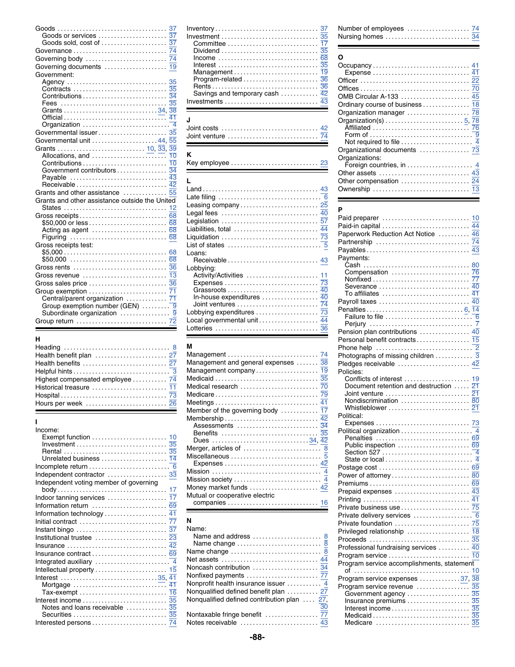|                                                |                                                                                            | O                                                                             |  |
|------------------------------------------------|--------------------------------------------------------------------------------------------|-------------------------------------------------------------------------------|--|
|                                                |                                                                                            |                                                                               |  |
| Government:                                    |                                                                                            |                                                                               |  |
|                                                |                                                                                            |                                                                               |  |
|                                                |                                                                                            |                                                                               |  |
|                                                |                                                                                            |                                                                               |  |
|                                                |                                                                                            | Ordinary course of business  18                                               |  |
|                                                |                                                                                            |                                                                               |  |
|                                                | J                                                                                          | Organization(s) $\dots\dots\dots\dots\dots\dots\dots\dots$ 5, $\overline{78}$ |  |
|                                                |                                                                                            |                                                                               |  |
|                                                |                                                                                            | Form of $\dots\dots\dots\dots\dots\dots\dots\dots\dots\cdot\overline{9}$      |  |
| Governmental unit  44, 55                      |                                                                                            |                                                                               |  |
|                                                |                                                                                            |                                                                               |  |
|                                                | Κ                                                                                          | Organizations:                                                                |  |
|                                                |                                                                                            | Foreign countries, in  4                                                      |  |
| Government contributors 34                     |                                                                                            |                                                                               |  |
|                                                |                                                                                            | Other compensation  24                                                        |  |
|                                                |                                                                                            |                                                                               |  |
|                                                | Late filing $\ldots \ldots \ldots \ldots \ldots \ldots \ldots \ldots \ldots \ldots \ldots$ |                                                                               |  |
| Grants and other assistance outside the United |                                                                                            |                                                                               |  |
|                                                |                                                                                            | P                                                                             |  |
|                                                |                                                                                            |                                                                               |  |
|                                                |                                                                                            |                                                                               |  |
|                                                | Liabilities, total  44                                                                     | Paperwork Reduction Act Notice  46                                            |  |
|                                                |                                                                                            |                                                                               |  |
| Gross receipts test:                           |                                                                                            |                                                                               |  |
|                                                | Loans:                                                                                     | Payments:                                                                     |  |
|                                                |                                                                                            |                                                                               |  |
|                                                | Lobbying:                                                                                  |                                                                               |  |
|                                                |                                                                                            |                                                                               |  |
|                                                |                                                                                            | Severance $\ldots \ldots \ldots \ldots \ldots \ldots \ldots \overline{40}$    |  |
|                                                |                                                                                            | To affiliates $\ldots \ldots \ldots \ldots \ldots \ldots \ldots \ldots$       |  |
|                                                |                                                                                            | Payroll taxes  40                                                             |  |
|                                                |                                                                                            |                                                                               |  |
|                                                | Local governmental unit  44                                                                |                                                                               |  |
|                                                | <b>Lattanian</b>                                                                           |                                                                               |  |

| Helpful hints                          |
|----------------------------------------|
|                                        |
|                                        |
|                                        |
| Hours per week $\ldots$ , , , , , ,  2 |

| Income:                                                                         |                                                                |
|---------------------------------------------------------------------------------|----------------------------------------------------------------|
| Exempt function $\ldots \ldots \ldots \ldots \ldots \ldots \ldots$ 10           |                                                                |
|                                                                                 |                                                                |
|                                                                                 |                                                                |
| Unrelated business $\ldots$ , , , , , $\overline{14}$                           |                                                                |
|                                                                                 |                                                                |
|                                                                                 |                                                                |
|                                                                                 |                                                                |
| Independent voting member of governing                                          |                                                                |
|                                                                                 | Mutual or cooperative electric                                 |
| Indoor tanning services  17                                                     |                                                                |
|                                                                                 |                                                                |
|                                                                                 |                                                                |
| Initial contract $\ldots \ldots \ldots \ldots \ldots \ldots \ldots \ldots$ . 77 | N                                                              |
|                                                                                 | Name:                                                          |
|                                                                                 |                                                                |
|                                                                                 | Name change $\ldots \ldots \ldots \ldots \ldots \ldots \ldots$ |
|                                                                                 |                                                                |
|                                                                                 |                                                                |
|                                                                                 |                                                                |
|                                                                                 |                                                                |
|                                                                                 |                                                                |
|                                                                                 |                                                                |
|                                                                                 | Nonqualified defined benefit plan  27                          |
|                                                                                 | Nonqualified defined contribution plan  27,                    |
| Notes and loans receivable $\ldots$ , $35$                                      | 30                                                             |
|                                                                                 |                                                                |
|                                                                                 | Notes receivable  43                                           |
|                                                                                 |                                                                |

|                        | lncome  68 0 |                        |
|------------------------|--------------|------------------------|
| overning documents  19 |              |                        |
| :vernment              |              |                        |
|                        |              |                        |
|                        |              |                        |
|                        |              | OMB Circular A-133  45 |
|                        |              |                        |
|                        |              |                        |

| CONTINUUDIIS IV                                                          | $\mathbb{R}$ employee $\ldots \ldots \ldots \ldots \ldots \ldots \ldots \ldots \mathbb{Z}$ | Foreign     |
|--------------------------------------------------------------------------|--------------------------------------------------------------------------------------------|-------------|
| Government contributors 34                                               |                                                                                            | Other asse  |
| Payable  43                                                              |                                                                                            | Other com   |
|                                                                          |                                                                                            | Ownership   |
| ants and other assistance $\ldots$ 55                                    |                                                                                            |             |
| ants and other assistance outside the United                             | Late filing $\ldots \ldots \ldots \ldots \ldots \ldots \ldots \ldots \ldots \ldots \ldots$ |             |
| States  12                                                               |                                                                                            | P           |
|                                                                          | Legal fees $\dots\dots\dots\dots\dots\dots\dots\dots\dots\dots\ 40$                        |             |
|                                                                          |                                                                                            | Paid prepa  |
|                                                                          |                                                                                            | Paid-in car |
| Figuring  68                                                             |                                                                                            | Paperwork   |
| oss receipts test:                                                       | List of states $\ldots \ldots \ldots \ldots \ldots \ldots \ldots \ldots 5$                 | Partnershi  |
| $$5,000\ldots\ldots\ldots\ldots\ldots\ldots\ldots\ldots\ldots\ldots\ 68$ | Loans:                                                                                     | Payables.   |
|                                                                          |                                                                                            | Payments:   |
|                                                                          | Lobbying:                                                                                  | Cash        |
| $\cos$ revenue $\ldots \ldots \ldots \ldots \ldots \ldots \ldots 13$     |                                                                                            | Comper      |
|                                                                          |                                                                                            | Nonfixed    |
| oup exemption $\ldots \ldots \ldots \ldots \ldots \ldots \overline{71}$  |                                                                                            | Severan     |
| Central/parent organization  71                                          |                                                                                            | To affilia  |
| Group exemption number (GEN)  9                                          |                                                                                            | Payroll tax |
| Subordinate organization 9                                               |                                                                                            | Penalties.  |
|                                                                          | Local governmental unit  44                                                                | Failure t   |
|                                                                          |                                                                                            | Perjury     |
|                                                                          |                                                                                            | Pension pl  |

| Health benefit plan  27                                                     |                                     | Photogra   |
|-----------------------------------------------------------------------------|-------------------------------------|------------|
| Health benefits  27                                                         | Management and general expenses  38 | Pledges    |
| Helpful hints . $\dots\dots\dots\dots\dots\dots\dots\dots\dots\overline{3}$ |                                     | Policies:  |
| Highest compensated employee  74                                            |                                     | Confli     |
|                                                                             |                                     | Docur      |
|                                                                             |                                     | Joint \    |
| Hours per week  26                                                          |                                     | Nondi      |
|                                                                             |                                     | Whistl     |
|                                                                             |                                     | Political: |
|                                                                             | Assessments  34                     | Exper      |
| Income:                                                                     |                                     | Political  |
| Exempt function $\ldots \ldots \ldots \ldots \ldots \ldots \ldots$ 10       |                                     | Penal      |
|                                                                             |                                     | Public     |
|                                                                             |                                     | Sectic     |
|                                                                             |                                     | State      |
|                                                                             |                                     | Postage    |
| Independent contractor  33                                                  |                                     | Power o    |
| Independent voting member of governing                                      |                                     | Premiun    |
|                                                                             | Mutual or cooperative electric      | Prepaid    |
|                                                                             |                                     | Printing   |
| 6Q<br>Information raturn                                                    |                                     |            |

| Vame:                                                        |
|--------------------------------------------------------------|
|                                                              |
|                                                              |
|                                                              |
|                                                              |
| Noncash contribution  34                                     |
|                                                              |
|                                                              |
| Nonqualified defined benefit plan $\ldots \ldots \ldots 2^7$ |
| Nonqualified defined contribution plan  27                   |
| 3 <sup>o</sup>                                               |
|                                                              |
|                                                              |

## Ė

| overning documents  19                                                            |                                                                                |                        |
|-----------------------------------------------------------------------------------|--------------------------------------------------------------------------------|------------------------|
| :yernment                                                                         |                                                                                |                        |
|                                                                                   |                                                                                |                        |
|                                                                                   |                                                                                |                        |
| $\textsf{Continuous}\dots\dots\dots\dots\dots\dots\dots\dots\overline{34}$        |                                                                                | OMB Circular A-133  45 |
|                                                                                   |                                                                                |                        |
|                                                                                   |                                                                                |                        |
|                                                                                   |                                                                                |                        |
| Organization  4                                                                   |                                                                                |                        |
| overnmental issuer 35                                                             | Joint venture $\ldots \ldots \ldots \ldots \ldots \ldots \ldots \overline{74}$ |                        |
| overnmental unit 44, 55                                                           |                                                                                |                        |
|                                                                                   |                                                                                |                        |
| Allocations, and $\ldots \ldots \ldots \ldots \ldots \ldots \ldots \ldots$        |                                                                                | Organizations:         |
| $\textsf{Continuous}\dots\dots\dots\dots\dots\dots\dots\dots\dots\ \overline{10}$ | Key employee $\dots\dots\dots\dots\dots\dots\dots\dots$ 23                     |                        |
| Government contributors 34                                                        | <u>and the second contract of the second contract</u>                          |                        |
| Payable  43                                                                       |                                                                                | Other compensation  24 |
| $\overline{E}$                                                                    |                                                                                |                        |
|                                                                                   |                                                                                |                        |

|                                                                                    | Legislation  57                                                | Paid-in capital  44                                                   |  |
|------------------------------------------------------------------------------------|----------------------------------------------------------------|-----------------------------------------------------------------------|--|
|                                                                                    | Liabilities, total  44                                         | Paperwork Reduction Act Notice  46                                    |  |
|                                                                                    |                                                                |                                                                       |  |
| Gross receipts test:                                                               |                                                                |                                                                       |  |
|                                                                                    | Loans:                                                         | Payments:                                                             |  |
|                                                                                    | 43                                                             |                                                                       |  |
| Gross rents  36                                                                    | Lobbying:                                                      |                                                                       |  |
| Gross revenue  13                                                                  |                                                                |                                                                       |  |
| Gross sales price $\ldots \ldots \ldots \ldots \ldots \ldots \ldots 36$            |                                                                |                                                                       |  |
|                                                                                    |                                                                | To affiliates  41                                                     |  |
|                                                                                    |                                                                |                                                                       |  |
|                                                                                    |                                                                |                                                                       |  |
| Subordinate organization $\ldots \ldots \ldots \ldots$ 9                           |                                                                |                                                                       |  |
|                                                                                    |                                                                |                                                                       |  |
|                                                                                    |                                                                |                                                                       |  |
|                                                                                    |                                                                |                                                                       |  |
|                                                                                    | М                                                              |                                                                       |  |
|                                                                                    |                                                                |                                                                       |  |
|                                                                                    |                                                                |                                                                       |  |
| Health benefits $\ldots \ldots \ldots \ldots \ldots \ldots \ldots \overline{27}$   | Management and general expenses  38                            |                                                                       |  |
|                                                                                    |                                                                | Policies:                                                             |  |
| Highest compensated employee  74                                                   |                                                                |                                                                       |  |
| Historical treasure  11                                                            |                                                                | Document retention and destruction  21                                |  |
|                                                                                    |                                                                |                                                                       |  |
| Hours per week  26                                                                 |                                                                | Nondiscrimination  80                                                 |  |
|                                                                                    | Member of the governing body  17                               |                                                                       |  |
|                                                                                    | 42<br>Membership                                               | Political:                                                            |  |
|                                                                                    |                                                                |                                                                       |  |
| Income:                                                                            |                                                                |                                                                       |  |
| Exempt function $\ldots \ldots \ldots \ldots \ldots \ldots \ldots$ 10              |                                                                |                                                                       |  |
|                                                                                    |                                                                |                                                                       |  |
|                                                                                    |                                                                |                                                                       |  |
|                                                                                    |                                                                |                                                                       |  |
|                                                                                    |                                                                |                                                                       |  |
| Independent contractor<br>33                                                       |                                                                | Power of attorney 80                                                  |  |
| Independent voting member of governing                                             |                                                                |                                                                       |  |
|                                                                                    | Money market funds  42                                         | Prepaid expenses  43                                                  |  |
|                                                                                    | Mutual or cooperative electric                                 |                                                                       |  |
| Information return  69                                                             |                                                                |                                                                       |  |
| Information technology  41                                                         |                                                                |                                                                       |  |
|                                                                                    | N                                                              |                                                                       |  |
| Instant bingo $\,\ldots\ldots\ldots\ldots\ldots\ldots\ldots\ldots\, \overline{37}$ | Name:                                                          |                                                                       |  |
|                                                                                    | Name and address $\dots\dots\dots\dots\dots\dots$ 8            |                                                                       |  |
| Institutional trustee $\ldots \ldots \ldots \ldots \ldots \overline{23}$           | Name change $\ldots \ldots \ldots \ldots \ldots \ldots \ldots$ |                                                                       |  |
| Insurance  42                                                                      |                                                                | Professional fundraising services  40                                 |  |
| Insurance contract $\ldots \ldots \ldots \ldots \ldots \ldots \ldots \ 69$         | Net assets  44                                                 |                                                                       |  |
| Integrated auxiliary  4                                                            |                                                                | Program service accomplishments, statement                            |  |
| Intellectual property  15                                                          | Noncash contribution  34                                       |                                                                       |  |
|                                                                                    |                                                                | Program service expenses 37, 38                                       |  |
|                                                                                    | Nonprofit health insurance issuer  4                           | Program service revenue  35                                           |  |
|                                                                                    | Nonqualified defined benefit plan  27                          | Government agency  35                                                 |  |
| nterest income                                                                     | Nonqualified defined contribution plan  27,                    | Insurance premiums $\ldots \ldots \ldots \ldots \ldots \frac{35}{35}$ |  |
|                                                                                    |                                                                |                                                                       |  |
|                                                                                    |                                                                |                                                                       |  |
|                                                                                    | Notes receivable                                               | Medicare                                                              |  |
|                                                                                    |                                                                |                                                                       |  |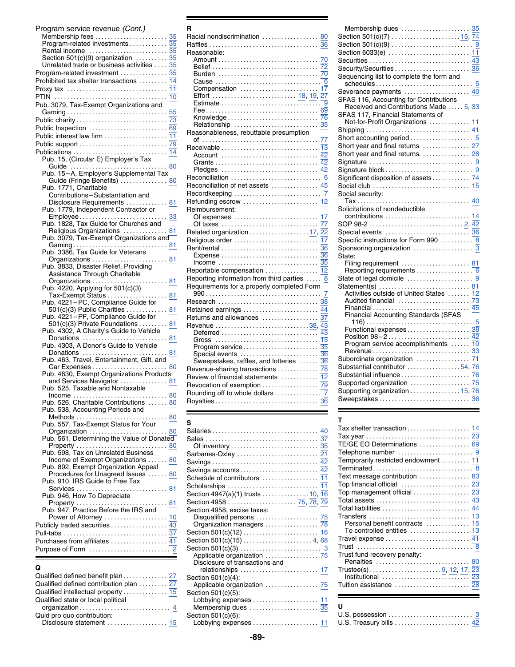| Program service revenue (Cont.)                                     | R                                           | Membership dues  35                                                   |  |
|---------------------------------------------------------------------|---------------------------------------------|-----------------------------------------------------------------------|--|
|                                                                     | Racial nondiscrimination  80                |                                                                       |  |
| Program-related investments  35                                     |                                             |                                                                       |  |
|                                                                     | Reasonable:                                 |                                                                       |  |
|                                                                     |                                             |                                                                       |  |
| Unrelated trade or business activities  35                          |                                             |                                                                       |  |
|                                                                     |                                             | Sequencing list to complete the form and                              |  |
|                                                                     |                                             |                                                                       |  |
|                                                                     |                                             | Severance payments  40                                                |  |
| Pub. 3079, Tax-Exempt Organizations and                             |                                             | SFAS 116, Accounting for Contributions                                |  |
|                                                                     |                                             | Received and Contributions Made 5, 33                                 |  |
|                                                                     |                                             | SFAS 117, Financial Statements of<br>Not-for-Profit Organizations  11 |  |
|                                                                     |                                             |                                                                       |  |
| Public interest law firm  11                                        | Reasonableness, rebuttable presumption      |                                                                       |  |
|                                                                     |                                             | Short year and final returns  27                                      |  |
|                                                                     | Account  42                                 | Short year and final returns. 28                                      |  |
| Pub. 15, (Circular E) Employer's Tax                                |                                             |                                                                       |  |
| Guide  80                                                           | Pledges  42                                 |                                                                       |  |
| Pub. 15-A, Employer's Supplemental Tax                              |                                             |                                                                       |  |
| Guide (Fringe Benefits)  80<br>Pub. 1771, Charitable                | Reconciliation of net assets  45            |                                                                       |  |
| Contributions-Substantiation and                                    |                                             | Social security:                                                      |  |
| Disclosure Requirements  81                                         |                                             |                                                                       |  |
| Pub. 1779, Independent Contractor or                                | Reimbursement:                              | Solicitations of nondeductible                                        |  |
|                                                                     |                                             |                                                                       |  |
| Pub. 1828, Tax Guide for Churches and                               |                                             |                                                                       |  |
| Religious Organizations  81                                         | Related organization 17, 22                 |                                                                       |  |
| Pub. 3079, Tax-Exempt Organizations and                             |                                             | Specific instructions for Form 990  8                                 |  |
| Pub. 3386, Tax Guide for Veterans                                   |                                             |                                                                       |  |
| Organizations $\ldots \ldots \ldots \ldots \ldots \ldots \ldots$ 81 |                                             | State:                                                                |  |
| Pub. 3833, Disaster Relief, Providing                               |                                             | Filing requirement  81                                                |  |
| Assistance Through Charitable                                       | Reporting information from third parties  8 |                                                                       |  |
| Organizations<br>81                                                 | Requirements for a properly completed Form  |                                                                       |  |
| Pub. 4220, Applying for 501(c)(3)                                   |                                             | Activities outside of United States  12                               |  |
| Tax-Exempt Status  81<br>Pub. 4221-PC, Compliance Guide for         |                                             |                                                                       |  |
| 501(c)(3) Public Charities  81                                      | Retained earnings  44                       |                                                                       |  |
| Pub. 4221-PF, Compliance Guide for                                  | Returns and allowances  37                  | Financial Accounting Standards (SFAS                                  |  |
| $501(c)(3)$ Private Foundations  81                                 |                                             |                                                                       |  |
| Pub. 4302, A Charity's Guide to Vehicle                             |                                             | Functional expenses38                                                 |  |
| Donations  81                                                       |                                             | Program service accomplishments  10                                   |  |
| Pub. 4303, A Donor's Guide to Vehicle<br>Donations  81              |                                             |                                                                       |  |
| Pub. 463, Travel, Entertainment, Gift, and                          | Special events  36                          | Subordinate organization  71                                          |  |
| Car Expenses 80                                                     | Sweepstakes, raffles, and lotteries  36     | Substantial contributor 54,76                                         |  |
| Pub. 4630, Exempt Organizations Products                            | Review of financial statements  12          |                                                                       |  |
| and Services Navigator  81                                          |                                             |                                                                       |  |
| Pub. 525, Taxable and Nontaxable                                    |                                             | Supporting organization  15,76                                        |  |
| Pub. 526, Charitable Contributions  80                              | Hoyalties                                   | Sweepstakes                                                           |  |
| Pub. 538, Accounting Periods and                                    |                                             |                                                                       |  |
|                                                                     |                                             | т                                                                     |  |
| Pub. 557, Tax-Exempt Status for Your                                | s                                           |                                                                       |  |
| Organization  80                                                    |                                             |                                                                       |  |
| Pub. 561, Determining the Value of Donated                          |                                             |                                                                       |  |
| Pub. 598, Tax on Unrelated Business                                 |                                             |                                                                       |  |
| Income of Exempt Organizations  80                                  |                                             | Temporarily restricted endowment  11                                  |  |
| Pub. 892, Exempt Organization Appeal                                |                                             |                                                                       |  |
| Procedures for Unagreed Issues  80                                  | Savings accounts 42                         |                                                                       |  |
| Pub. 910, IRS Guide to Free Tax                                     |                                             |                                                                       |  |
| 81                                                                  | Section 4947(a)(1) trusts 10, 16            |                                                                       |  |
| Pub. 946, How To Depreciate                                         |                                             |                                                                       |  |
| Pub. 947, Practice Before the IRS and                               | Section 4958, excise taxes:                 |                                                                       |  |
|                                                                     |                                             |                                                                       |  |
| Publicly traded securities  43                                      |                                             |                                                                       |  |
|                                                                     |                                             |                                                                       |  |
|                                                                     |                                             |                                                                       |  |
|                                                                     |                                             |                                                                       |  |
| <u> 1989 - Johann Barbara, martxa alemaniar a</u>                   |                                             | Trust fund recovery penalty:                                          |  |

| Qualified defined benefit plan $27$ Section 501(c)(4): |                    |  |
|--------------------------------------------------------|--------------------|--|
| Qualified defined contribution plan  27                |                    |  |
| Qualified intellectual property  15 Section 501(c)(5): |                    |  |
| Qualified state or local political                     |                    |  |
|                                                        |                    |  |
| Quid pro quo contribution:                             | Section 501(c)(6): |  |
|                                                        |                    |  |

| gram service revenue (Cont.)                  | R                                                                      | Membership          |
|-----------------------------------------------|------------------------------------------------------------------------|---------------------|
|                                               | Racial nondiscrimination  80                                           | Section 501(c)      |
| ogram-related investments 35                  |                                                                        | Section 501(c)(     |
|                                               | Reasonable:                                                            | Section 6033(e      |
| ection 501(c)(9) organization $\overline{35}$ |                                                                        | Securities          |
| related trade or business activities  35      |                                                                        |                     |
| ram-related investment  35                    |                                                                        | Security/Securi     |
| ibited tax shelter transactions  14           |                                                                        | Sequencing list     |
| y tax   11                                    |                                                                        | schedules           |
|                                               |                                                                        | Severance pay       |
|                                               |                                                                        | SFAS 116, Acc       |
| 3079, Tax-Exempt Organizations and            |                                                                        | Received an         |
|                                               |                                                                        | SFAS 117, Fina      |
|                                               |                                                                        | Not-for-Profit      |
|                                               | Reasonableness, rebuttable presumption                                 | Shipping $\ldots$ . |
| ic interest law firm 11                       |                                                                        | Short accountir     |
|                                               |                                                                        | Short year and      |
|                                               | Account  42                                                            | Short year and      |
| ib. 15, (Circular E) Employer's Tax           |                                                                        | Signature           |
| Guide  80                                     | Pledges  42                                                            | Signature blocl     |
| b. 15-A, Employer's Supplemental Tax          |                                                                        |                     |
| Guide (Fringe Benefits)<br>80                 |                                                                        | Significant disp    |
| ıb. 1771, Charitable                          | Reconciliation of net assets  45                                       | Social club ….      |
| Contributions-Substantiation and              |                                                                        | Social security:    |
| Disclosure Requirements<br>-81                | Refunding escrow $\ldots \ldots \ldots \ldots \ldots \ldots \ldots$ 12 | Тах                 |
| ib. 1779, Independent Contractor or           | Reimbursement:                                                         | Solicitations of    |
|                                               |                                                                        | contributions       |
| ıb. 1828, Tax Guide for Churches and          |                                                                        | SOP 98-2            |
| Religious Organizations  81                   | Related organization 17, 22                                            | Special events      |
| b. 3079, Tax-Exempt Organizations and         |                                                                        | Specific instruc    |
|                                               |                                                                        | Sponsoring org      |
| b. 3386, Tax Guide for Veterans               |                                                                        | State:              |
| b. 3833, Disaster Relief, Providing           |                                                                        | Filing require      |
| Assistance Through Charitable                 | Reportable compensation  12                                            | Reporting re        |
|                                               | Reporting information from third parties  8                            | State of legal d    |
| ib. 4220, Applying for 501(c)(3)              | Requirements for a properly completed Form                             | Statement(s).       |
| Tax-Exempt Status 81                          |                                                                        | Activities out      |
| b. 4221-PC, Compliance Guide for              |                                                                        | Audited finar       |
| 501(c)(3) Public Charities  81                | Retained earnings  44                                                  | Financial           |
| ıb. 4221–PF, Compliance Guide for             | Returns and allowances  37                                             | Financial Ac        |
| 501(c)(3) Private Foundations  81             | Revenue 38,43                                                          | $116) \ldots$       |
| b. 4302, A Charity's Guide to Vehicle         |                                                                        | Functional e:       |
| Donations  81                                 |                                                                        | Position 98–        |
| ib. 4303, A Donor's Guide to Vehicle          |                                                                        | Program ser         |
| Donations  81                                 | Special events  36                                                     | Revenue             |
| ıb. 463, Travel, Entertainment, Gift, and     | Sweepstakes, raffles, and lotteries  36                                | Subordinate or      |
|                                               | Revenue-sharing transactions  78                                       | Substantial cor     |
| ib. 4630, Exempt Organizations Products       | Review of financial statements  12                                     | Substantial infl    |
| and Services Navigator  81                    |                                                                        | Supported orga      |
| b. 525, Taxable and Nontaxable                | Rounding off to whole dollars $\ldots \ldots \ldots \ldots$ 7          | Supporting org      |
| lncome  80                                    |                                                                        | Sweepstakes.        |
| ib. 526, Charitable Contributions  80         |                                                                        |                     |

| Pub. 557, Tax-Exempt Status for Your       |                                  |                                      |  |
|--------------------------------------------|----------------------------------|--------------------------------------|--|
|                                            |                                  | Tax shelter transaction  14          |  |
| Pub. 561, Determining the Value of Donated |                                  |                                      |  |
|                                            |                                  | TE/GE EO Determinations  69          |  |
| Pub. 598, Tax on Unrelated Business        |                                  |                                      |  |
| Income of Exempt Organizations  80         |                                  | Temporarily restricted endowment  11 |  |
| Pub. 892, Exempt Organization Appeal       |                                  |                                      |  |
| Procedures for Unagreed Issues<br>80       |                                  | Text message contribution  83        |  |
| Pub. 910, IRS Guide to Free Tax            |                                  | Top financial official  23           |  |
|                                            | Section 4947(a)(1) trusts 10, 16 | Top management official  23          |  |
| Pub. 946, How To Depreciate                |                                  |                                      |  |
| Pub. 947, Practice Before the IRS and      | Section 4958, excise taxes:      | Total liabilities  44                |  |
|                                            |                                  |                                      |  |
| Publicly traded securities 43              |                                  |                                      |  |
| Pull-tabs  37                              |                                  |                                      |  |
|                                            |                                  |                                      |  |
|                                            |                                  |                                      |  |
|                                            |                                  | Trust fund recovery penalty:         |  |
|                                            | Disclosure of transactions and   |                                      |  |
|                                            |                                  |                                      |  |
| Qualified defined benefit plan 27          | Section $501(c)(4)$ :            |                                      |  |
| Qualified defined contribution plan  27    |                                  |                                      |  |
| Qualified intellectual property  15        | Section 501(c)(5):               |                                      |  |
| Qualified state or local political         |                                  |                                      |  |
|                                            |                                  | $\mathbf{u}$                         |  |
| Quid pro quo contribution:                 | Section 501(c)(6):               |                                      |  |
|                                            |                                  | U.S. Treasury bills  42              |  |
|                                            |                                  |                                      |  |

## Membership fees ...................... . 35 Racial nondiscrimination ................. . 80 Section 501(c)(7) ..................... . 15, 74 Program-related investments  $\dots\dots\dots\dots$  35  $^-$  Raffles  $\dots\dots\dots\dots\dots\dots\dots\dots\dots\dots$  36  $^-$  Section 501(c)(9)  $\dots\dots\dots\dots\dots\dots\dots$ Rental income ........................ . <sup>35</sup> Reasonable: Section 6033(e) ......................... . <sup>11</sup> Proxy tax ............................... . <sup>11</sup> Compensation ........................ . <sup>17</sup> Severance payments .................... . <sup>40</sup> SFAS 116, Accounting for Contributions<br>Received and Contributions Made ..... 5, 33 Pub. 15, (Circular E) Employer's Tax Grants ................................ . <sup>42</sup> Signature ................................ . <sup>9</sup> Guide .............................. . <sup>80</sup> Pledges .............................. . <sup>42</sup> Signature block ........................... . <sup>9</sup> Pub. 15–A, Employer's Supplemental Tax Reconciliation ............................ . <sup>6</sup> Significant disposition of assets ........... . <sup>74</sup> Guide (Fringe Benefits) .............. . <sup>80</sup> Pub. 1771, Charitable Reconciliation of net assets .............. . <sup>45</sup> Social club .............................. . <sup>15</sup> Disclosure Requirements  $\dots\dots\dots\ldots$  81 Refunding escrow  $\dots\dots\dots\dots\dots\dots\ldots$  12 Tax  $\dots\dots\dots\dots\dots\dots\dots\dots\dots\dots\dots\ldots$ Solicitations of nondeductible Employee ........................... . <sup>33</sup> Of expenses .......................... . <sup>17</sup> contributions .......................... . <sup>14</sup> Pub. 1828, Tax Guide for Churches and Of taxes .............................. . 77 SOP 98-2 ............................. . 2, 42 Religious Organizations ............. . <sup>81</sup> Related organization .................. . 17, 22 Special events .......................... . <sup>36</sup> Pub. 3079, Tax-Exempt Organizations and<br>  $\begin{array}{r} \text{Heliq} \\ \text{Beming} \\ \text{Organization} \\ \text{Organization} \\ \text{Organization} \\ \text{Organization} \\ \text{Organization} \\ \text{Organization} \\ \text{Organization} \\ \text{Organization} \\ \text{Organization} \\ \text{Organization} \\ \text{Organization} \\ \text{Organization} \\ \text{Organization} \\ \text{Organization} \\ \text{Organization} \\ \text{Organization} \\ \text{Organization} \\ \text{$ Organizations Reporting information from third parties .... . <sup>8</sup> State of legal domicile .................... . <sup>9</sup> ....................... . <sup>81</sup> Pub. 4220, Applying for 501(c)(3) Requirements for a properly completed Form Statement(s) ............................ . <sup>81</sup> Tax-Exempt Status .................. . <sup>81</sup> <sup>990</sup> .................................... . <sup>7</sup> Activities outside of United States ...... . <sup>12</sup> Pub. 4221–PC, Compliance Guide for Research ............................... . <sup>38</sup> Audited financial ...................... . <sup>73</sup> 501(c)(3) Public Charities ............ . <sup>81</sup> Retained earnings ....................... . <sup>44</sup> Financial .............................. . <sup>45</sup> Financial Accounting Standards (SFAS 501(c)(3) Private Foundations ........ . <sup>81</sup> 116) ................................. . <sup>5</sup> Revenue ............................. . 38, 43 Pub. 4302, A Charity's Guide to Vehicle Functional expenses ................... . <sup>38</sup> Deferred .............................. . <sup>43</sup> Donations .......................... . <sup>81</sup> Position 98–2 ......................... . <sup>42</sup> Gross ................................ . <sup>13</sup> Pub. 4303, A Donor's Guide to Vehicle Program service accomplishments ..... . <sup>10</sup> Program service ....................... . <sup>35</sup> Donations .......................... . <sup>81</sup> Revenue .............................. . <sup>33</sup> Special events ........................ . <sup>36</sup> Pub. 463, Travel, Entertainment, Gift, and Subordinate organization ................ . <sup>71</sup> Sweepstakes, raffles, and lotteries ..... . <sup>36</sup> Car Expenses ....................... . <sup>80</sup> Substantial contributor ................ . 54, 76 Revenue-sharing transactions ............ . <sup>78</sup> Pub. 4630, Exempt Organizations Products Substantial influence ..................... . <sup>76</sup> Review of financial statements ........... . <sup>12</sup> and Services Navigator .............. . <sup>81</sup> Supported organization .................. . <sup>75</sup> Revocation of exemption ................. . <sup>79</sup> Pub. 525, Taxable and Nontaxable Supporting organization ............... . 15, 76 Rounding off to whole dollars .............. . <sup>7</sup> Income ............................. . <sup>80</sup> Sweepstakes ............................ . <sup>36</sup> Pub. 526, Charitable Contributions ..... . <sup>80</sup> Royalties ................................ . <sup>36</sup>

|                                                       | Tax shelter transaction  14          |  |
|-------------------------------------------------------|--------------------------------------|--|
|                                                       |                                      |  |
|                                                       | TE/GE EO Determinations  69          |  |
|                                                       |                                      |  |
|                                                       | Temporarily restricted endowment  11 |  |
|                                                       |                                      |  |
| hedule of contributors $\dots\dots\dots\dots\dots$ 11 | Text message contribution  83        |  |
|                                                       | Top financial official  23           |  |
| ction $4947(a)(1)$ trusts 10, 16                      |                                      |  |
| ction 4958  75, 78, 79                                |                                      |  |
| ction 4958, excise taxes:                             | Total liabilities  44                |  |
| Disqualified persons  75                              |                                      |  |
| Organization managers  78                             |                                      |  |
|                                                       |                                      |  |
|                                                       | Travel expense  41                   |  |
|                                                       |                                      |  |
|                                                       | Trust fund recovery penalty:         |  |
| Disclosure of transactions and                        |                                      |  |
|                                                       |                                      |  |
| ection 501(c)(4):                                     |                                      |  |
| Applicable organization  75                           | Tuition assistance  28               |  |
| $ection 501(c)(5)$ :                                  |                                      |  |